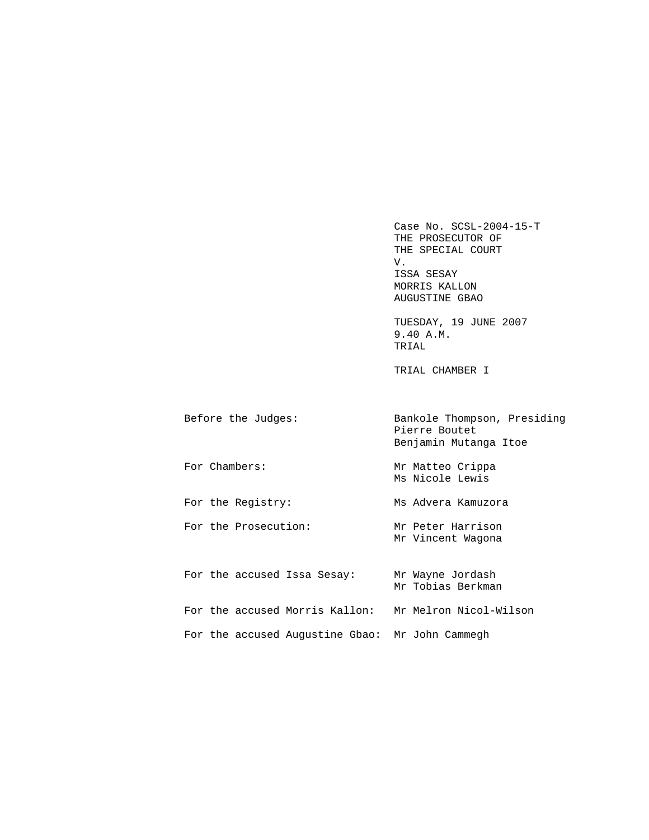Case No. SCSL-2004-15-T THE PROSECUTOR OF THE SPECIAL COURT<br>V. V. ISSA SESAY MORRIS KALLON AUGUSTINE GBAO

 TUESDAY, 19 JUNE 2007 9.40 A.M. TRIAL

TRIAL CHAMBER I

| Before the Judges:                                    | Bankole Thompson, Presiding<br>Pierre Boutet<br>Benjamin Mutanga Itoe |
|-------------------------------------------------------|-----------------------------------------------------------------------|
| For Chambers:                                         | Mr Matteo Crippa<br>Ms Nicole Lewis                                   |
| For the Registry:                                     | Ms Advera Kamuzora                                                    |
| For the Prosecution:                                  | Mr Peter Harrison<br>Mr Vincent Waqona                                |
| For the accused Issa Sesay:                           | Mr Wayne Jordash<br>Mr Tobias Berkman                                 |
| For the accused Morris Kallon: Mr Melron Nicol-Wilson |                                                                       |
| For the accused Augustine Gbao: Mr John Cammegh       |                                                                       |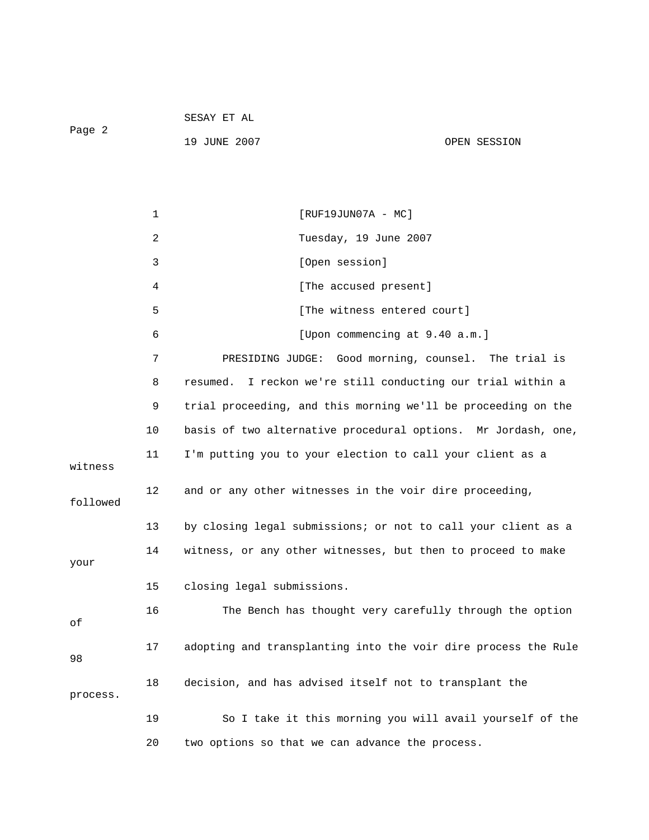Page 2

19 JUNE 2007 CPEN SESSION

|          | 1  | $[RUF19JUN07A - MC]$                                           |
|----------|----|----------------------------------------------------------------|
|          | 2  | Tuesday, 19 June 2007                                          |
|          | 3  | [Open session]                                                 |
|          | 4  | [The accused present]                                          |
|          | 5  | [The witness entered court]                                    |
|          | 6  | [Upon commencing at 9.40 a.m.]                                 |
|          | 7  | Good morning, counsel. The trial is<br>PRESIDING JUDGE:        |
|          | 8  | I reckon we're still conducting our trial within a<br>resumed. |
|          | 9  | trial proceeding, and this morning we'll be proceeding on the  |
|          | 10 | basis of two alternative procedural options. Mr Jordash, one,  |
| witness  | 11 | I'm putting you to your election to call your client as a      |
| followed | 12 | and or any other witnesses in the voir dire proceeding,        |
|          | 13 | by closing legal submissions; or not to call your client as a  |
| your     | 14 | witness, or any other witnesses, but then to proceed to make   |
|          | 15 | closing legal submissions.                                     |
| οf       | 16 | The Bench has thought very carefully through the option        |
| 98       | 17 | adopting and transplanting into the voir dire process the Rule |
| process. | 18 | decision, and has advised itself not to transplant the         |
|          | 19 | So I take it this morning you will avail yourself of the       |
|          | 20 | two options so that we can advance the process.                |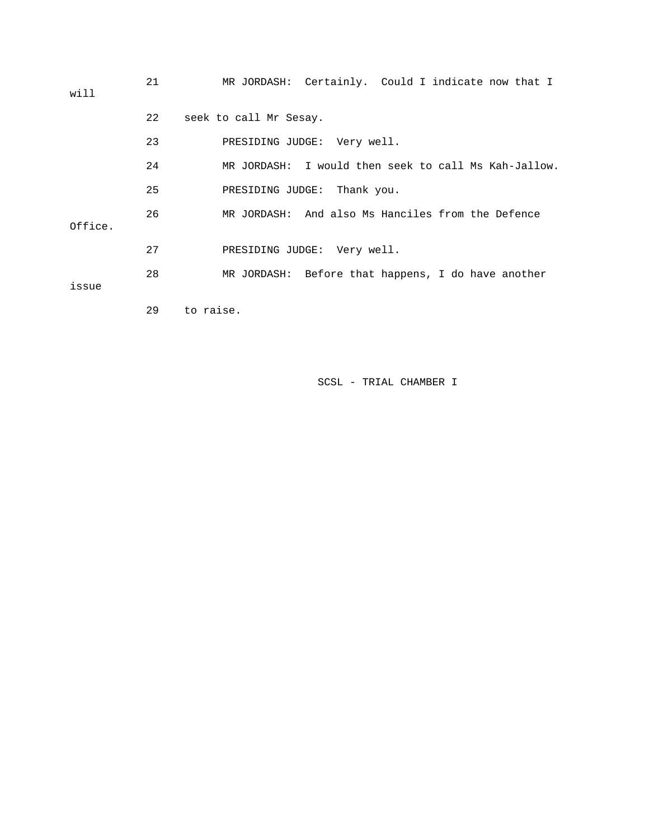| will    | 21 | MR JORDASH: Certainly. Could I indicate now that I   |
|---------|----|------------------------------------------------------|
|         | 22 | seek to call Mr Sesay.                               |
|         | 23 | PRESIDING JUDGE: Very well.                          |
|         | 24 | MR JORDASH: I would then seek to call Ms Kah-Jallow. |
|         | 25 | PRESIDING JUDGE: Thank you.                          |
| Office. | 26 | MR JORDASH: And also Ms Hanciles from the Defence    |
|         | 27 | PRESIDING JUDGE: Very well.                          |
| issue   | 28 | MR JORDASH: Before that happens, I do have another   |
|         | 29 | to raise.                                            |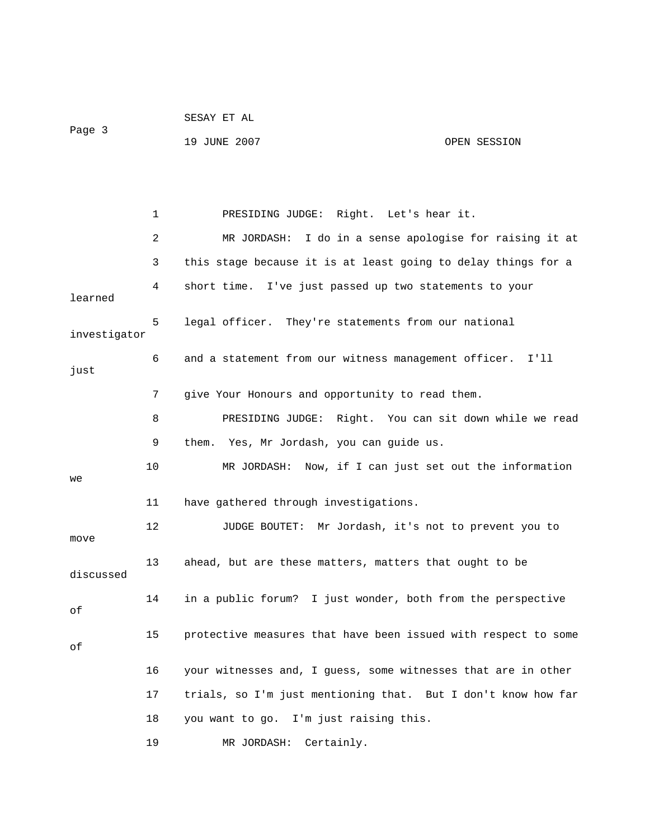|              |    | SESAY ET AL                                                    |              |
|--------------|----|----------------------------------------------------------------|--------------|
| Page 3       |    | 19 JUNE 2007                                                   | OPEN SESSION |
|              |    |                                                                |              |
|              |    |                                                                |              |
|              | 1  | PRESIDING JUDGE: Right. Let's hear it.                         |              |
|              | 2  | MR JORDASH: I do in a sense apologise for raising it at        |              |
|              | 3  | this stage because it is at least going to delay things for a  |              |
| learned      | 4  | short time. I've just passed up two statements to your         |              |
| investigator | 5  | legal officer. They're statements from our national            |              |
| just         | 6  | and a statement from our witness management officer. I'll      |              |
|              | 7  | give Your Honours and opportunity to read them.                |              |
|              | 8  | PRESIDING JUDGE: Right. You can sit down while we read         |              |
|              | 9  | them. Yes, Mr Jordash, you can guide us.                       |              |
| we           | 10 | MR JORDASH: Now, if I can just set out the information         |              |
|              | 11 | have gathered through investigations.                          |              |
| move         | 12 | JUDGE BOUTET: Mr Jordash, it's not to prevent you to           |              |
| discussed    | 13 | ahead, but are these matters, matters that ought to be         |              |
| οf           | 14 | in a public forum? I just wonder, both from the perspective    |              |
| оf           | 15 | protective measures that have been issued with respect to some |              |
|              | 16 | your witnesses and, I guess, some witnesses that are in other  |              |
|              | 17 | trials, so I'm just mentioning that. But I don't know how far  |              |
|              | 18 | you want to go. I'm just raising this.                         |              |
|              | 19 | MR JORDASH:<br>Certainly.                                      |              |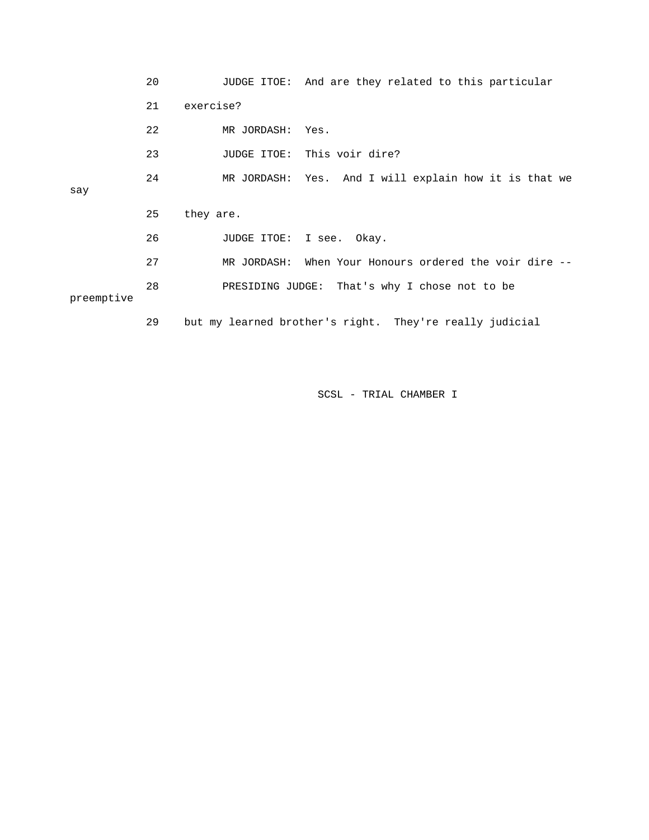|            | 20 |             | JUDGE ITOE: And are they related to this particular     |
|------------|----|-------------|---------------------------------------------------------|
|            | 21 | exercise?   |                                                         |
|            | 22 | MR JORDASH: | Yes.                                                    |
|            | 23 |             | JUDGE ITOE: This voir dire?                             |
|            | 24 |             | MR JORDASH: Yes. And I will explain how it is that we   |
| say        |    |             |                                                         |
|            | 25 | they are.   |                                                         |
|            | 26 |             | JUDGE ITOE: I see. Okay.                                |
|            | 27 |             | MR JORDASH: When Your Honours ordered the voir dire --  |
| preemptive | 28 |             | PRESIDING JUDGE: That's why I chose not to be           |
|            | 29 |             | but my learned brother's right. They're really judicial |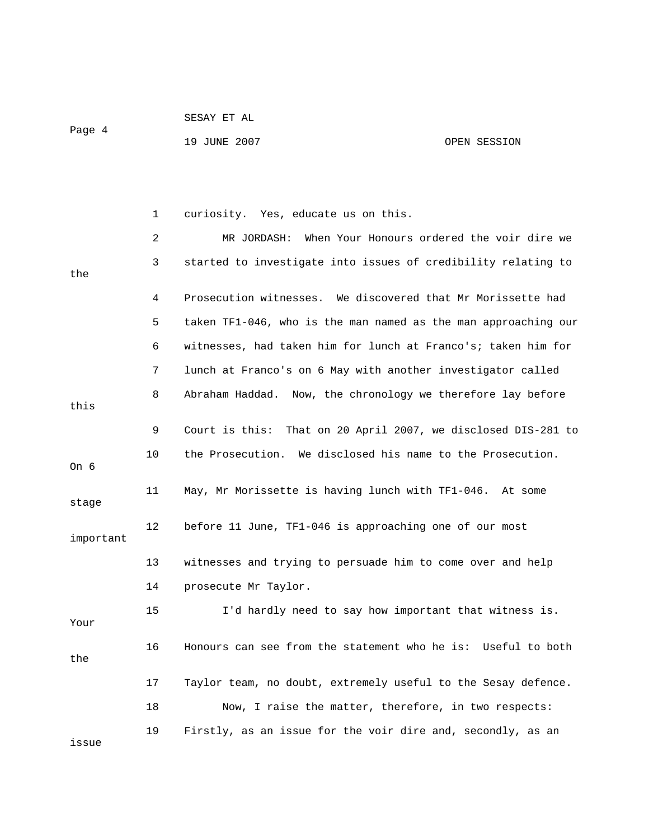Page 4

SESAY ET AL

## 19 JUNE 2007 OPEN SESSION

|           | 1  | curiosity. Yes, educate us on this.                              |
|-----------|----|------------------------------------------------------------------|
|           | 2  | When Your Honours ordered the voir dire we<br>MR JORDASH:        |
| the       | 3  | started to investigate into issues of credibility relating to    |
|           | 4  | Prosecution witnesses. We discovered that Mr Morissette had      |
|           | 5  | taken TF1-046, who is the man named as the man approaching our   |
|           | 6  | witnesses, had taken him for lunch at Franco's; taken him for    |
|           | 7  | lunch at Franco's on 6 May with another investigator called      |
| this      | 8  | Abraham Haddad. Now, the chronology we therefore lay before      |
|           | 9  | Court is this:<br>That on 20 April 2007, we disclosed DIS-281 to |
| On 6      | 10 | the Prosecution. We disclosed his name to the Prosecution.       |
| stage     | 11 | May, Mr Morissette is having lunch with TF1-046. At some         |
| important | 12 | before 11 June, TF1-046 is approaching one of our most           |
|           | 13 | witnesses and trying to persuade him to come over and help       |
|           | 14 | prosecute Mr Taylor.                                             |
| Your      | 15 | I'd hardly need to say how important that witness is.            |
| the       | 16 | Honours can see from the statement who he is: Useful to both     |
|           | 17 | Taylor team, no doubt, extremely useful to the Sesay defence.    |
|           | 18 | Now, I raise the matter, therefore, in two respects:             |
| issue     | 19 | Firstly, as an issue for the voir dire and, secondly, as an      |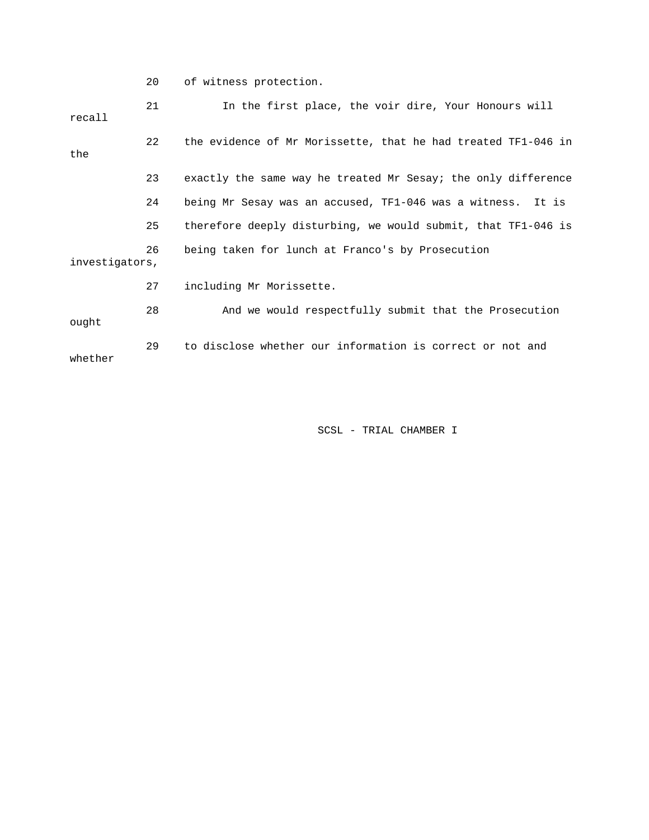20 of witness protection.

| recall         | 21 | In the first place, the voir dire, Your Honours will          |
|----------------|----|---------------------------------------------------------------|
| the            | 22 | the evidence of Mr Morissette, that he had treated TF1-046 in |
|                | 23 | exactly the same way he treated Mr Sesay; the only difference |
|                | 24 | being Mr Sesay was an accused, TF1-046 was a witness. It is   |
|                | 25 | therefore deeply disturbing, we would submit, that TF1-046 is |
| investigators, | 26 | being taken for lunch at Franco's by Prosecution              |
|                | 27 | including Mr Morissette.                                      |
| ought          | 28 | And we would respectfully submit that the Prosecution         |
| whether        | 29 | to disclose whether our information is correct or not and     |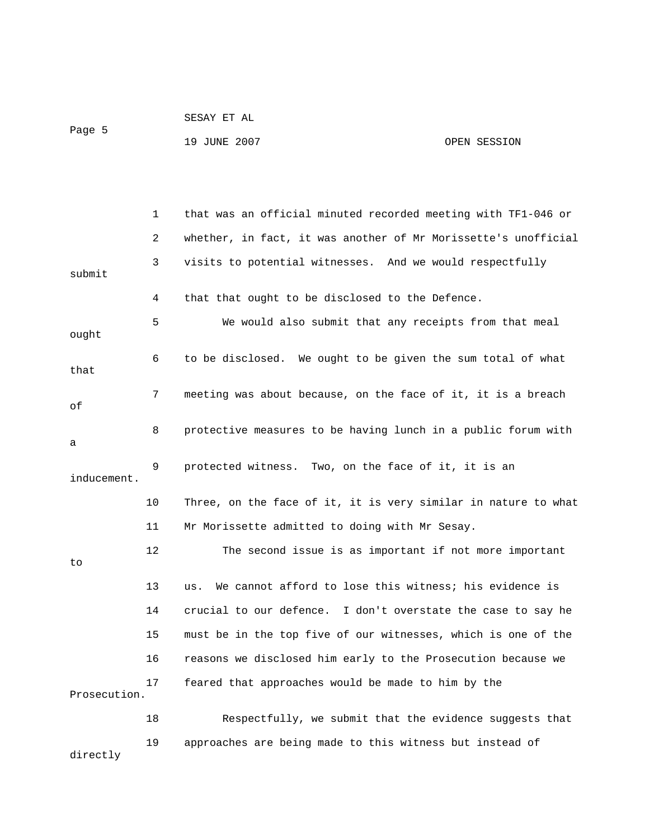| Page 5 | SESAY ET AL  |              |
|--------|--------------|--------------|
|        | 19 JUNE 2007 | OPEN SESSION |

 1 that was an official minuted recorded meeting with TF1-046 or 2 whether, in fact, it was another of Mr Morissette's unofficial 3 visits to potential witnesses. And we would respectfully submit 4 that that ought to be disclosed to the Defence. 5 We would also submit that any receipts from that meal ought 6 to be disclosed. We ought to be given the sum total of what that 7 meeting was about because, on the face of it, it is a breach of 8 protective measures to be having lunch in a public forum with a 9 protected witness. Two, on the face of it, it is an inducement. 10 Three, on the face of it, it is very similar in nature to what 11 Mr Morissette admitted to doing with Mr Sesay. 12 The second issue is as important if not more important to 13 us. We cannot afford to lose this witness; his evidence is 14 crucial to our defence. I don't overstate the case to say he 15 must be in the top five of our witnesses, which is one of the 16 reasons we disclosed him early to the Prosecution because we 17 feared that approaches would be made to him by the Prosecution. 18 Respectfully, we submit that the evidence suggests that 19 approaches are being made to this witness but instead of directly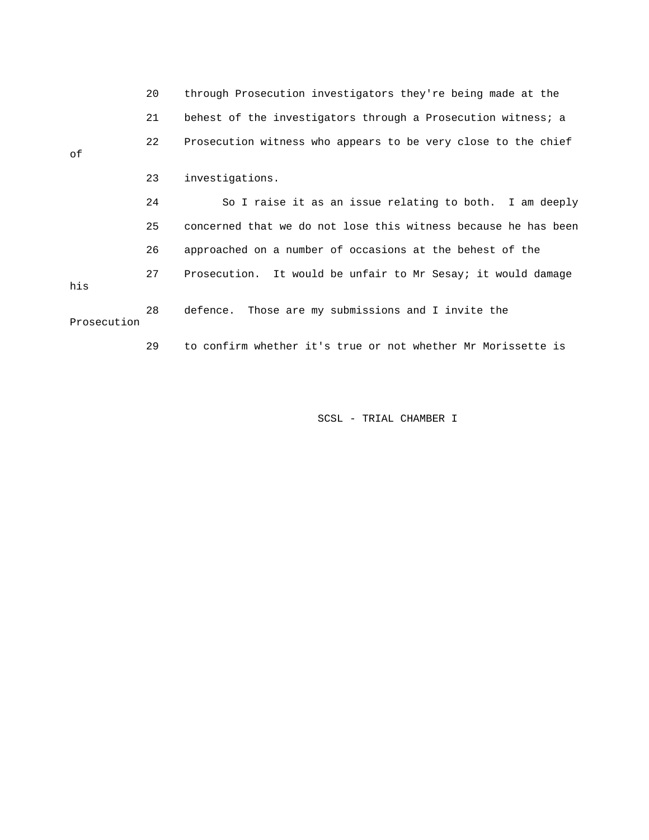|             | 20 | through Prosecution investigators they're being made at the    |
|-------------|----|----------------------------------------------------------------|
|             | 21 | behest of the investigators through a Prosecution witness; a   |
| οf          | 22 | Prosecution witness who appears to be very close to the chief  |
|             | 23 | investigations.                                                |
|             | 24 | So I raise it as an issue relating to both. I am deeply        |
|             | 25 | concerned that we do not lose this witness because he has been |
|             | 26 | approached on a number of occasions at the behest of the       |
| his         | 27 | Prosecution. It would be unfair to Mr Sesay; it would damage   |
| Prosecution | 28 | defence. Those are my submissions and I invite the             |

29 to confirm whether it's true or not whether Mr Morissette is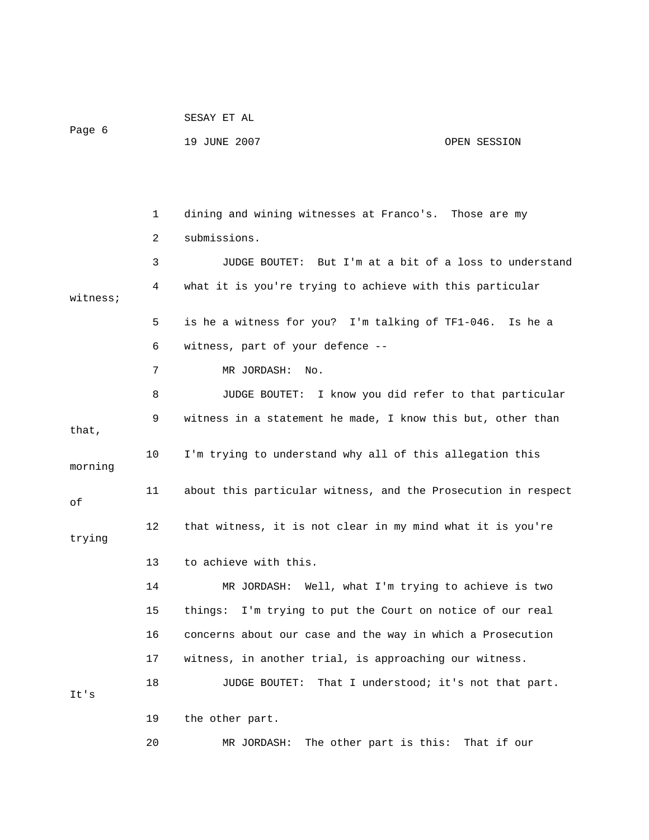| Page 6   |    | 19 JUNE 2007<br>OPEN SESSION                                   |
|----------|----|----------------------------------------------------------------|
|          |    |                                                                |
|          | 1  | dining and wining witnesses at Franco's. Those are my          |
|          | 2  | submissions.                                                   |
|          | 3  | JUDGE BOUTET: But I'm at a bit of a loss to understand         |
| witness; | 4  | what it is you're trying to achieve with this particular       |
|          | 5  | is he a witness for you? I'm talking of TF1-046. Is he a       |
|          | 6  | witness, part of your defence --                               |
|          | 7  | MR JORDASH:<br>No.                                             |
|          | 8  | JUDGE BOUTET: I know you did refer to that particular          |
| that,    | 9  | witness in a statement he made, I know this but, other than    |
| morning  | 10 | I'm trying to understand why all of this allegation this       |
| оf       | 11 | about this particular witness, and the Prosecution in respect  |
| trying   | 12 | that witness, it is not clear in my mind what it is you're     |
|          | 13 | to achieve with this.                                          |
|          | 14 | MR JORDASH: Well, what I'm trying to achieve is two            |
|          | 15 | I'm trying to put the Court on notice of our real<br>things:   |
|          | 16 | concerns about our case and the way in which a Prosecution     |
|          | 17 | witness, in another trial, is approaching our witness.         |
| It's     | 18 | That I understood; it's not that part.<br><b>JUDGE BOUTET:</b> |
|          | 19 | the other part.                                                |
|          | 20 | The other part is this: That if our<br>MR JORDASH:             |

SESAY ET AL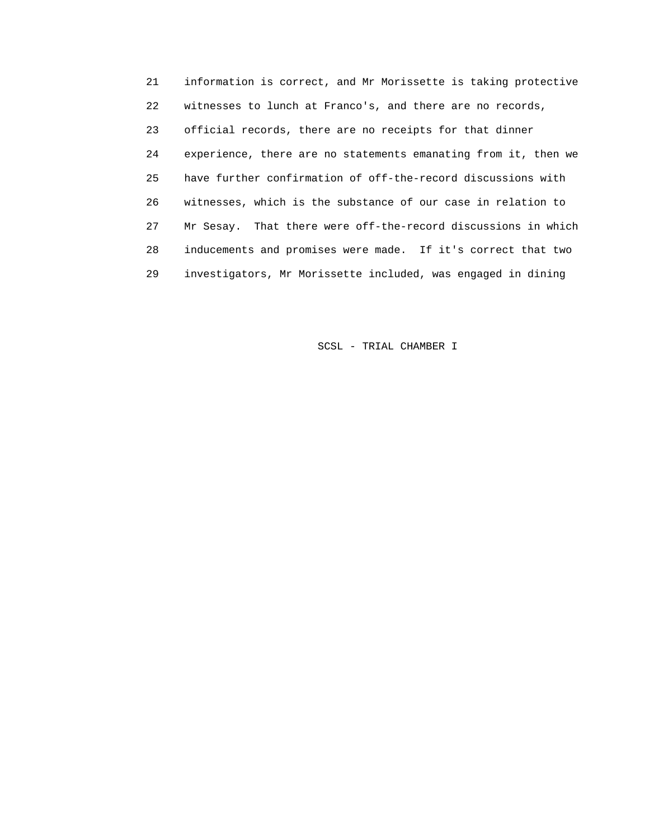21 information is correct, and Mr Morissette is taking protective 22 witnesses to lunch at Franco's, and there are no records, 23 official records, there are no receipts for that dinner 24 experience, there are no statements emanating from it, then we 25 have further confirmation of off-the-record discussions with 26 witnesses, which is the substance of our case in relation to 27 Mr Sesay. That there were off-the-record discussions in which 28 inducements and promises were made. If it's correct that two 29 investigators, Mr Morissette included, was engaged in dining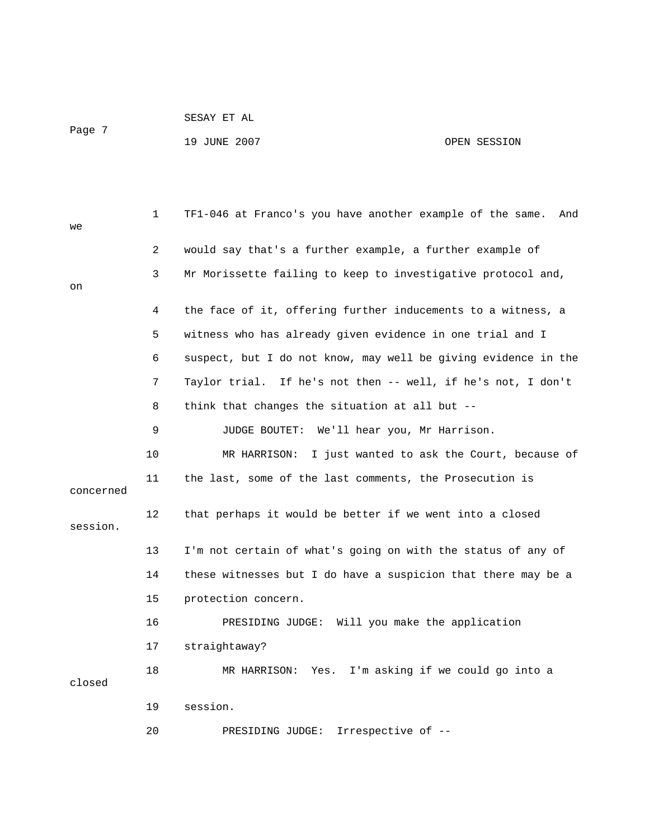SESAY ET AL

Page 7

## 19 JUNE 2007 CPEN SESSION

| we        | 1  | TF1-046 at Franco's you have another example of the same.<br>And |
|-----------|----|------------------------------------------------------------------|
|           | 2  | would say that's a further example, a further example of         |
| on        | 3  | Mr Morissette failing to keep to investigative protocol and,     |
|           |    |                                                                  |
|           | 4  | the face of it, offering further inducements to a witness, a     |
|           | 5  | witness who has already given evidence in one trial and I        |
|           | 6  | suspect, but I do not know, may well be giving evidence in the   |
|           | 7  | Taylor trial. If he's not then -- well, if he's not, I don't     |
|           | 8  | think that changes the situation at all but --                   |
|           | 9  | JUDGE BOUTET: We'll hear you, Mr Harrison.                       |
|           | 10 | MR HARRISON: I just wanted to ask the Court, because of          |
| concerned | 11 | the last, some of the last comments, the Prosecution is          |
| session.  | 12 | that perhaps it would be better if we went into a closed         |
|           | 13 | I'm not certain of what's going on with the status of any of     |
|           | 14 | these witnesses but I do have a suspicion that there may be a    |
|           | 15 | protection concern.                                              |
|           | 16 | PRESIDING JUDGE: Will you make the application                   |
|           | 17 | straightaway?                                                    |
| closed    | 18 | I'm asking if we could go into a<br>MR HARRISON: Yes.            |
|           | 19 | session.                                                         |
|           | 20 | Irrespective of --<br>PRESIDING JUDGE:                           |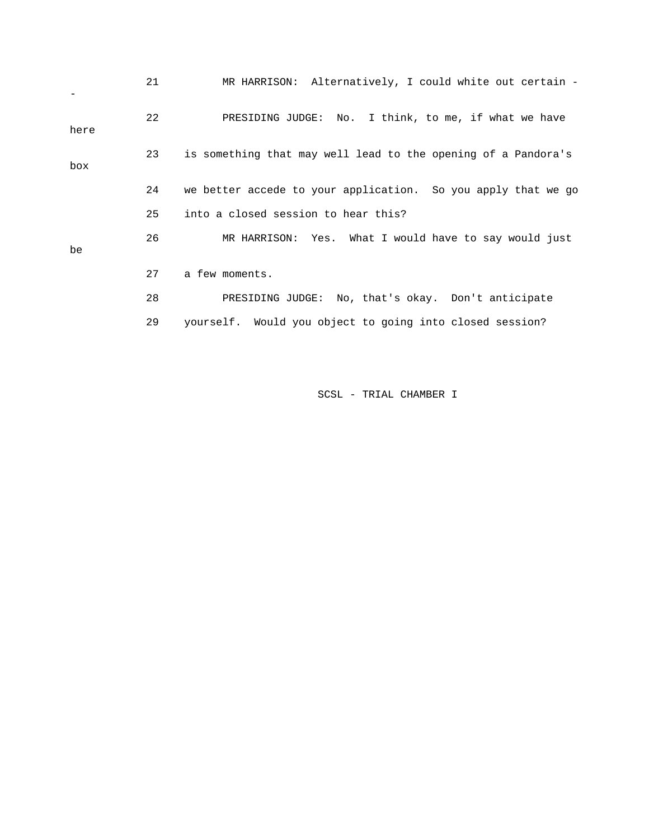|      | 21 | MR HARRISON: Alternatively, I could white out certain -       |
|------|----|---------------------------------------------------------------|
| here | 22 | PRESIDING JUDGE: No. I think, to me, if what we have          |
| box  | 23 | is something that may well lead to the opening of a Pandora's |
|      | 24 | we better accede to your application. So you apply that we go |
|      | 25 | into a closed session to hear this?                           |
| be   | 26 | MR HARRISON: Yes. What I would have to say would just         |
|      | 27 | a few moments.                                                |
|      | 28 | PRESIDING JUDGE: No, that's okay. Don't anticipate            |
|      | 29 | yourself. Would you object to going into closed session?      |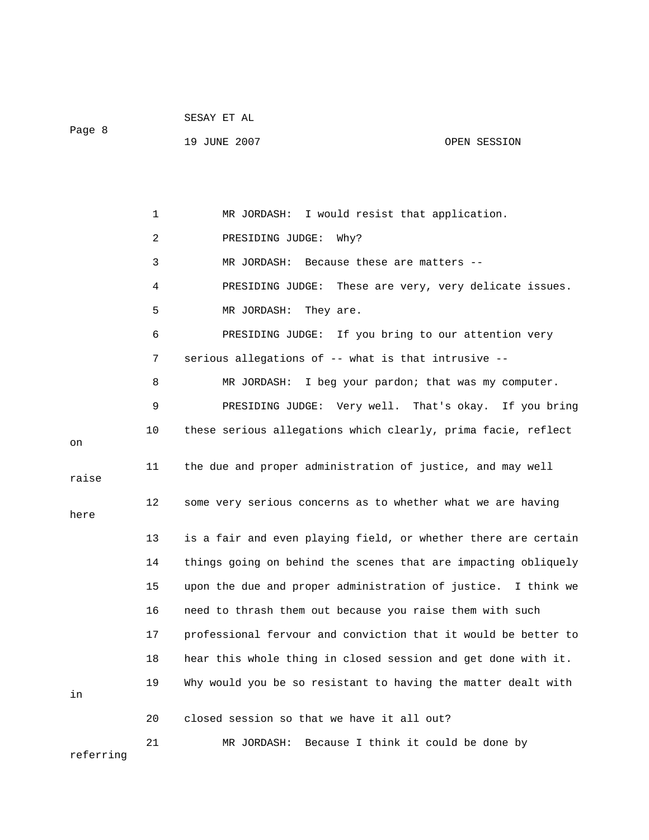| SESAY.<br>ET AL |  |
|-----------------|--|
|                 |  |

Page 8

referring

19 JUNE 2007 OPEN SESSION

 1 MR JORDASH: I would resist that application. 2 PRESIDING JUDGE: Why? 3 MR JORDASH: Because these are matters -- 4 PRESIDING JUDGE: These are very, very delicate issues. 5 MR JORDASH: They are. 6 PRESIDING JUDGE: If you bring to our attention very 7 serious allegations of -- what is that intrusive -- 8 MR JORDASH: I beg your pardon; that was my computer. 9 PRESIDING JUDGE: Very well. That's okay. If you bring 10 these serious allegations which clearly, prima facie, reflect on 11 the due and proper administration of justice, and may well raise 12 some very serious concerns as to whether what we are having here 13 is a fair and even playing field, or whether there are certain 14 things going on behind the scenes that are impacting obliquely 15 upon the due and proper administration of justice. I think we 16 need to thrash them out because you raise them with such 17 professional fervour and conviction that it would be better to 18 hear this whole thing in closed session and get done with it. 19 Why would you be so resistant to having the matter dealt with in 20 closed session so that we have it all out? 21 MR JORDASH: Because I think it could be done by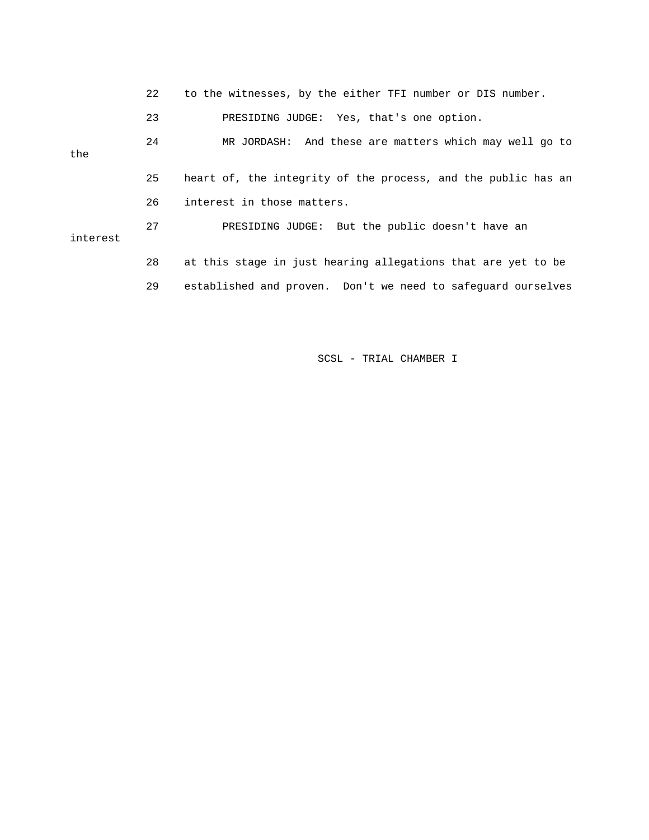|          | 22 | to the witnesses, by the either TFI number or DIS number.     |
|----------|----|---------------------------------------------------------------|
|          | 23 | PRESIDING JUDGE: Yes, that's one option.                      |
| the      | 24 | MR JORDASH: And these are matters which may well go to        |
|          | 25 | heart of, the integrity of the process, and the public has an |
|          | 26 | interest in those matters.                                    |
| interest | 27 | PRESIDING JUDGE: But the public doesn't have an               |
|          | 28 | at this stage in just hearing allegations that are yet to be  |
|          | 29 | established and proven. Don't we need to safequard ourselves  |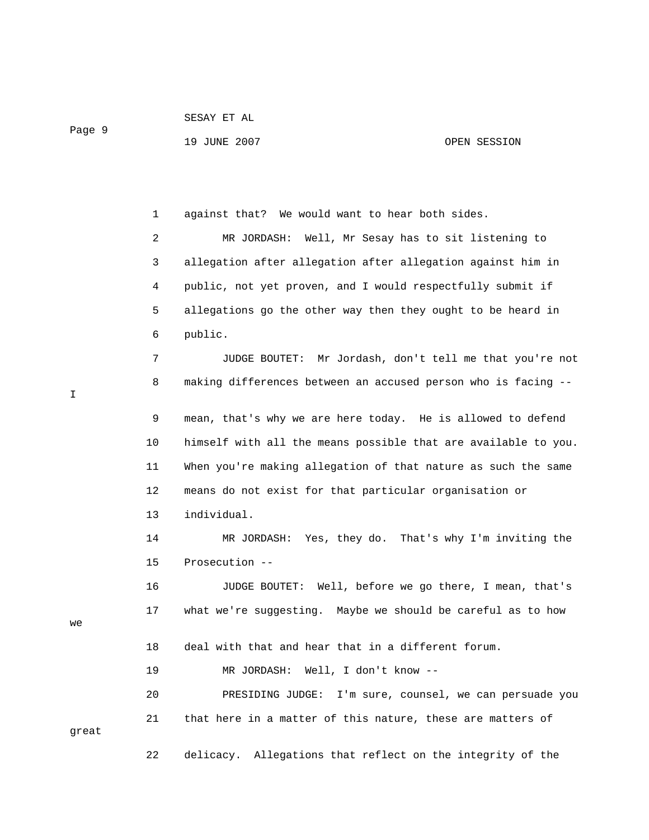Page 9

19 JUNE 2007 OPEN SESSION

 1 against that? We would want to hear both sides. 2 MR JORDASH: Well, Mr Sesay has to sit listening to 3 allegation after allegation after allegation against him in 4 public, not yet proven, and I would respectfully submit if 5 allegations go the other way then they ought to be heard in 6 public. 7 JUDGE BOUTET: Mr Jordash, don't tell me that you're not 8 making differences between an accused person who is facing -- 9 mean, that's why we are here today. He is allowed to defend 10 himself with all the means possible that are available to you. 11 When you're making allegation of that nature as such the same 12 means do not exist for that particular organisation or 13 individual. 14 MR JORDASH: Yes, they do. That's why I'm inviting the 15 Prosecution -- 16 JUDGE BOUTET: Well, before we go there, I mean, that's 17 what we're suggesting. Maybe we should be careful as to how 18 deal with that and hear that in a different forum. 19 MR JORDASH: Well, I don't know -- 20 PRESIDING JUDGE: I'm sure, counsel, we can persuade you 21 that here in a matter of this nature, these are matters of 22 delicacy. Allegations that reflect on the integrity of the

I

we

great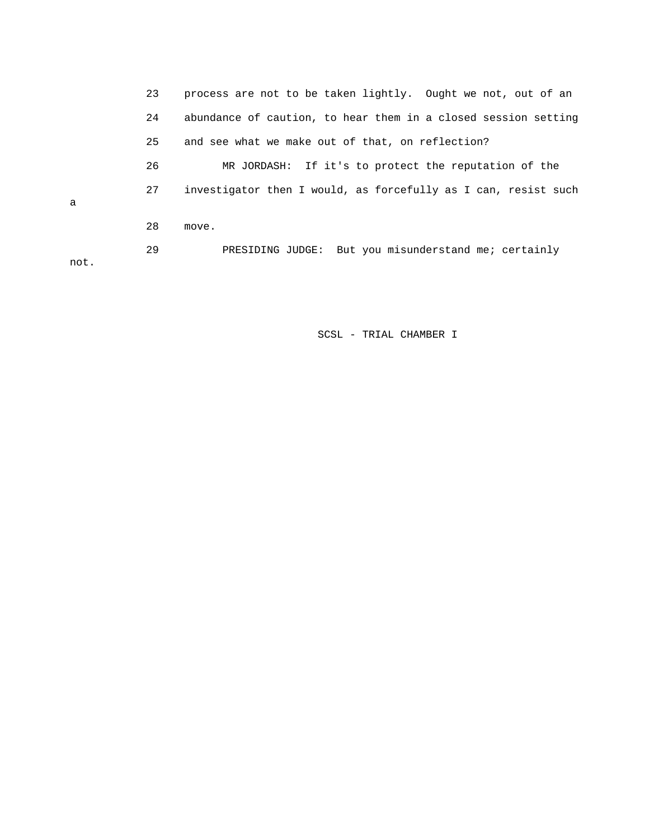23 process are not to be taken lightly. Ought we not, out of an 24 abundance of caution, to hear them in a closed session setting 25 and see what we make out of that, on reflection? 26 MR JORDASH: If it's to protect the reputation of the 27 investigator then I would, as forcefully as I can, resist such a 28 move. 29 PRESIDING JUDGE: But you misunderstand me; certainly not.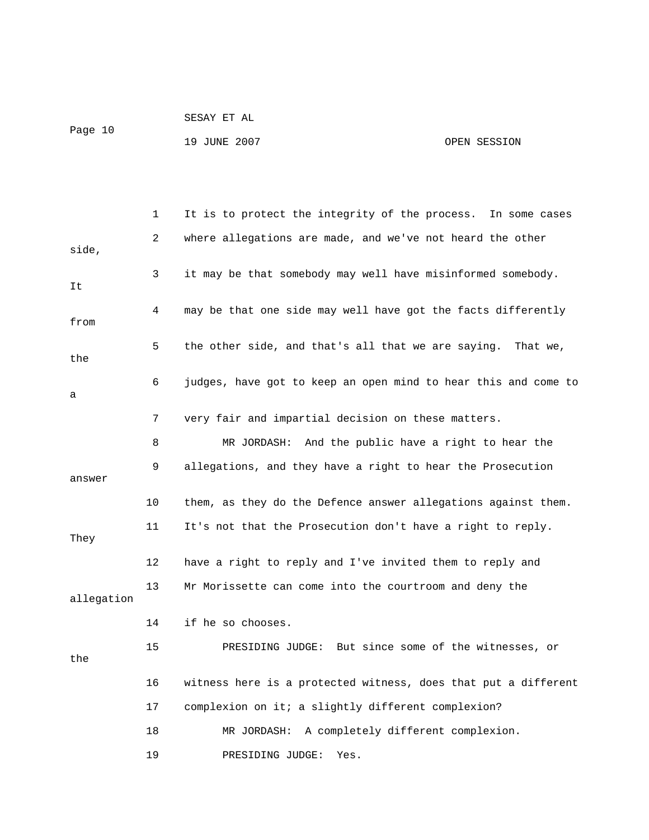|         | SESAY ET AL  |              |
|---------|--------------|--------------|
| Page 10 |              |              |
|         | 19 JUNE 2007 | OPEN SESSION |

|            | 1  | It is to protect the integrity of the process. In some cases   |
|------------|----|----------------------------------------------------------------|
| side,      | 2  | where allegations are made, and we've not heard the other      |
|            |    |                                                                |
| It         | 3  | it may be that somebody may well have misinformed somebody.    |
| from       | 4  | may be that one side may well have got the facts differently   |
| the        | 5  | the other side, and that's all that we are saying. That we,    |
| a          | 6  | judges, have got to keep an open mind to hear this and come to |
|            | 7  | very fair and impartial decision on these matters.             |
|            | 8  | MR JORDASH: And the public have a right to hear the            |
| answer     | 9  | allegations, and they have a right to hear the Prosecution     |
|            | 10 | them, as they do the Defence answer allegations against them.  |
| They       | 11 | It's not that the Prosecution don't have a right to reply.     |
|            | 12 | have a right to reply and I've invited them to reply and       |
| allegation | 13 | Mr Morissette can come into the courtroom and deny the         |
|            | 14 | if he so chooses.                                              |
| the        | 15 | PRESIDING JUDGE: But since some of the witnesses, or           |
|            | 16 | witness here is a protected witness, does that put a different |
|            | 17 | complexion on it; a slightly different complexion?             |
|            | 18 | A completely different complexion.<br>MR JORDASH:              |
|            | 19 | PRESIDING JUDGE:<br>Yes.                                       |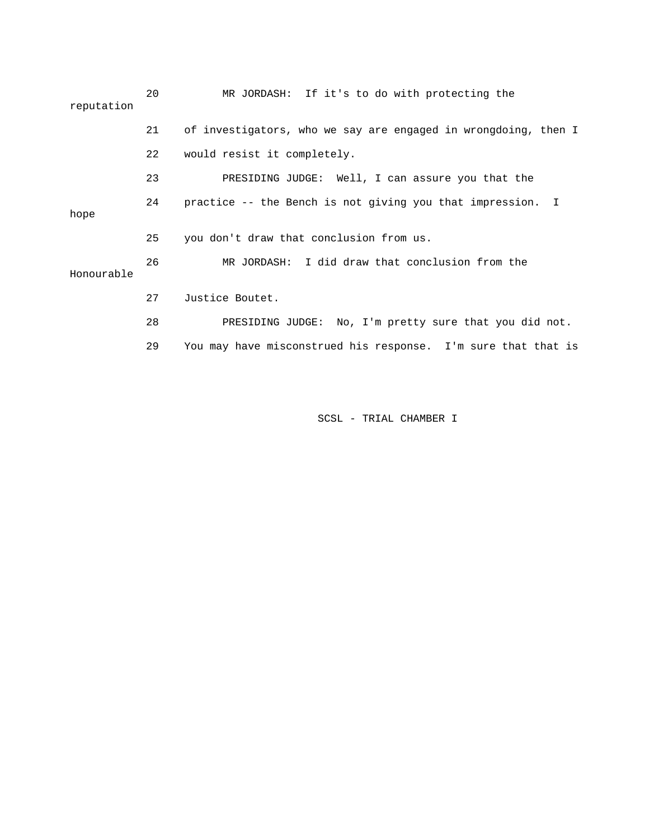| reputation | 20 | MR JORDASH: If it's to do with protecting the                  |
|------------|----|----------------------------------------------------------------|
|            | 21 | of investigators, who we say are engaged in wrongdoing, then I |
|            | 22 | would resist it completely.                                    |
|            | 23 | PRESIDING JUDGE: Well, I can assure you that the               |
| hope       | 24 | practice -- the Bench is not giving you that impression. I     |
|            | 25 | you don't draw that conclusion from us.                        |
| Honourable | 26 | MR JORDASH: I did draw that conclusion from the                |
|            | 27 | Justice Boutet.                                                |
|            | 28 | PRESIDING JUDGE: No, I'm pretty sure that you did not.         |
|            | 29 | You may have misconstrued his response. I'm sure that that is  |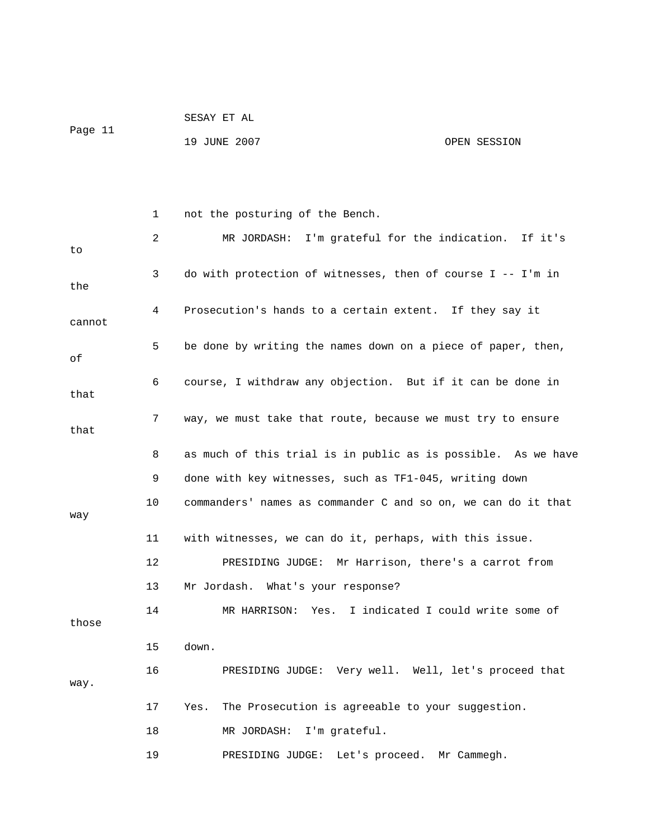| Page 11 | SESAY ET AL  |              |
|---------|--------------|--------------|
|         | 19 JUNE 2007 | OPEN SESSION |

 1 not the posturing of the Bench. 2 MR JORDASH: I'm grateful for the indication. If it's to 3 do with protection of witnesses, then of course I -- I'm in the 4 Prosecution's hands to a certain extent. If they say it cannot 5 be done by writing the names down on a piece of paper, then, of 6 course, I withdraw any objection. But if it can be done in that 7 way, we must take that route, because we must try to ensure that 8 as much of this trial is in public as is possible. As we have 9 done with key witnesses, such as TF1-045, writing down 10 commanders' names as commander C and so on, we can do it that way 11 with witnesses, we can do it, perhaps, with this issue. 12 PRESIDING JUDGE: Mr Harrison, there's a carrot from 13 Mr Jordash. What's your response? 14 MR HARRISON: Yes. I indicated I could write some of those 15 down. 16 PRESIDING JUDGE: Very well. Well, let's proceed that way. 17 Yes. The Prosecution is agreeable to your suggestion. 18 MR JORDASH: I'm grateful.

19 PRESIDING JUDGE: Let's proceed. Mr Cammegh.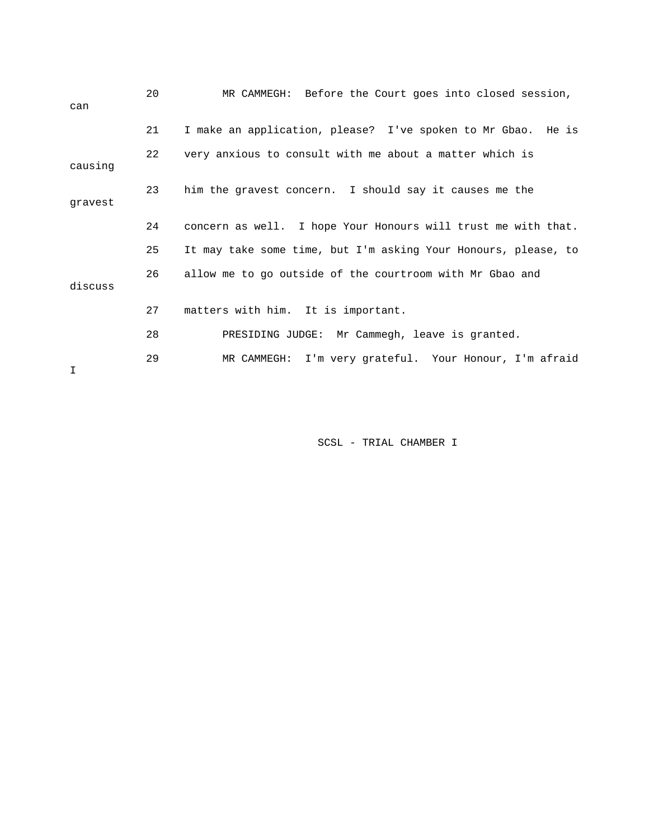| can     | 20 | MR CAMMEGH: Before the Court goes into closed session,         |
|---------|----|----------------------------------------------------------------|
|         | 21 | I make an application, please? I've spoken to Mr Gbao. He is   |
| causing | 22 | very anxious to consult with me about a matter which is        |
| gravest | 23 | him the gravest concern. I should say it causes me the         |
|         | 24 | concern as well. I hope Your Honours will trust me with that.  |
|         | 25 | It may take some time, but I'm asking Your Honours, please, to |
| discuss | 26 | allow me to go outside of the courtroom with Mr Gbao and       |
|         | 27 | matters with him. It is important.                             |
|         | 28 | PRESIDING JUDGE: Mr Cammegh, leave is granted.                 |
| I       | 29 | MR CAMMEGH: I'm very grateful. Your Honour, I'm afraid         |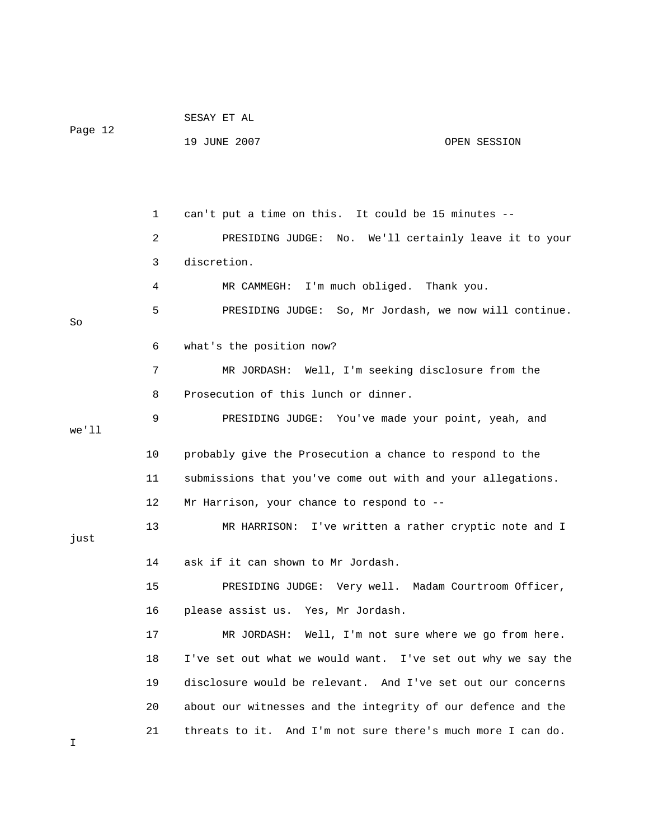| Page 12 |    | 19 JUNE 2007<br>OPEN SESSION                                 |
|---------|----|--------------------------------------------------------------|
|         |    |                                                              |
|         | 1  | can't put a time on this. It could be 15 minutes --          |
|         | 2  | PRESIDING JUDGE: No. We'll certainly leave it to your        |
|         | 3  | discretion.                                                  |
|         | 4  | MR CAMMEGH:<br>I'm much obliged. Thank you.                  |
| So      | 5  | PRESIDING JUDGE: So, Mr Jordash, we now will continue.       |
|         | 6  | what's the position now?                                     |
|         | 7  | MR JORDASH: Well, I'm seeking disclosure from the            |
|         | 8  | Prosecution of this lunch or dinner.                         |
| we'll   | 9  | PRESIDING JUDGE: You've made your point, yeah, and           |
|         | 10 | probably give the Prosecution a chance to respond to the     |
|         | 11 | submissions that you've come out with and your allegations.  |
|         | 12 | Mr Harrison, your chance to respond to --                    |
| just    | 13 | MR HARRISON: I've written a rather cryptic note and I        |
|         | 14 | ask if it can shown to Mr Jordash.                           |
|         | 15 | PRESIDING JUDGE: Very well. Madam Courtroom Officer,         |
|         | 16 | please assist us. Yes, Mr Jordash.                           |
|         | 17 | MR JORDASH: Well, I'm not sure where we go from here.        |
|         | 18 | I've set out what we would want. I've set out why we say the |
|         | 19 | disclosure would be relevant. And I've set out our concerns  |
|         | 20 | about our witnesses and the integrity of our defence and the |
| Ι       | 21 | threats to it. And I'm not sure there's much more I can do.  |

SESAY ET AL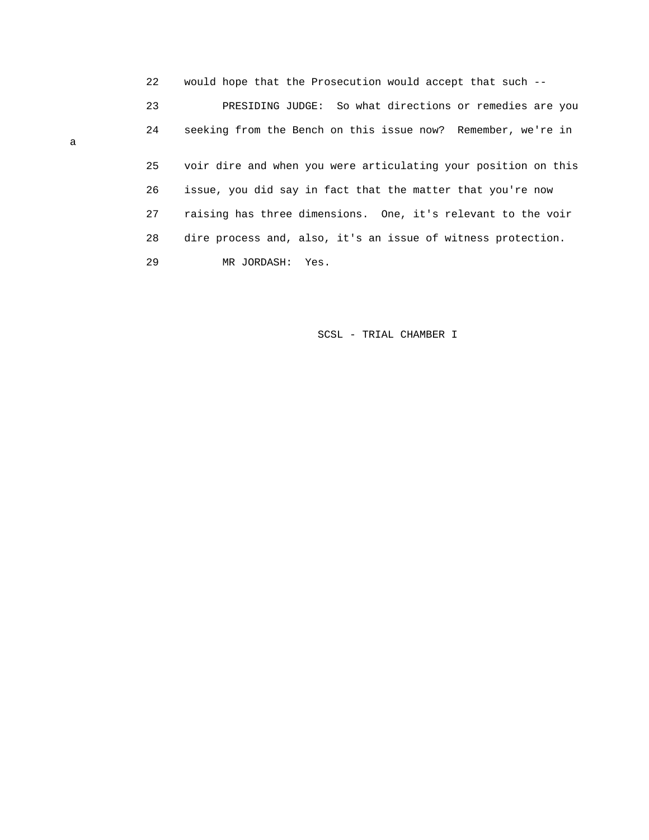22 would hope that the Prosecution would accept that such -- 23 PRESIDING JUDGE: So what directions or remedies are you 24 seeking from the Bench on this issue now? Remember, we're in 25 voir dire and when you were articulating your position on this 26 issue, you did say in fact that the matter that you're now 27 raising has three dimensions. One, it's relevant to the voir 28 dire process and, also, it's an issue of witness protection. 29 MR JORDASH: Yes.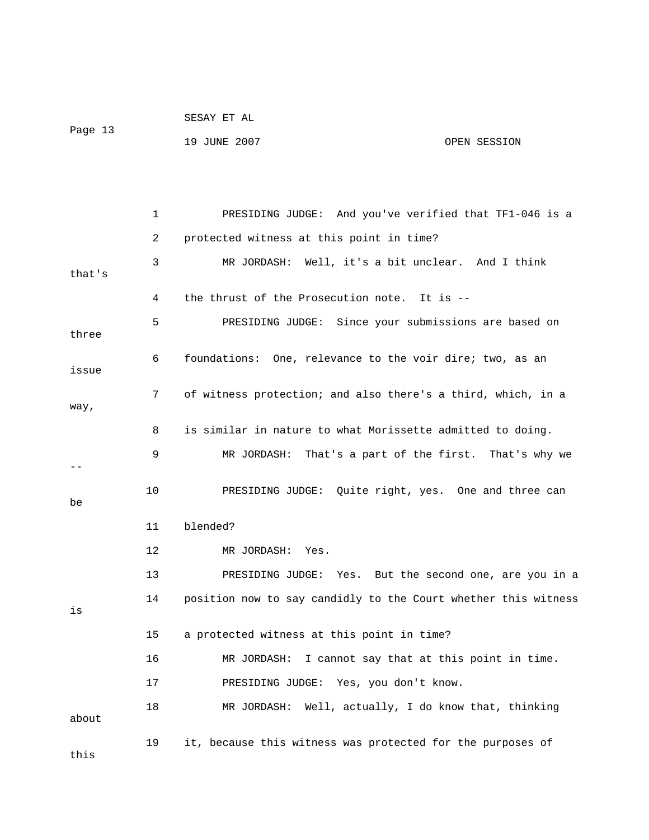|         | SESAY ET AL  |              |
|---------|--------------|--------------|
| Page 13 |              |              |
|         | 19 JUNE 2007 | OPEN SESSION |

 1 PRESIDING JUDGE: And you've verified that TF1-046 is a 2 protected witness at this point in time? 3 MR JORDASH: Well, it's a bit unclear. And I think that's 4 the thrust of the Prosecution note. It is -- 5 PRESIDING JUDGE: Since your submissions are based on three 6 foundations: One, relevance to the voir dire; two, as an issue 7 of witness protection; and also there's a third, which, in a way, 8 is similar in nature to what Morissette admitted to doing. 9 MR JORDASH: That's a part of the first. That's why we -- 10 PRESIDING JUDGE: Quite right, yes. One and three can be 11 blended? 12 MR JORDASH: Yes. 13 PRESIDING JUDGE: Yes. But the second one, are you in a 14 position now to say candidly to the Court whether this witness is 15 a protected witness at this point in time? 16 MR JORDASH: I cannot say that at this point in time. 17 PRESIDING JUDGE: Yes, you don't know. 18 MR JORDASH: Well, actually, I do know that, thinking about 19 it, because this witness was protected for the purposes of this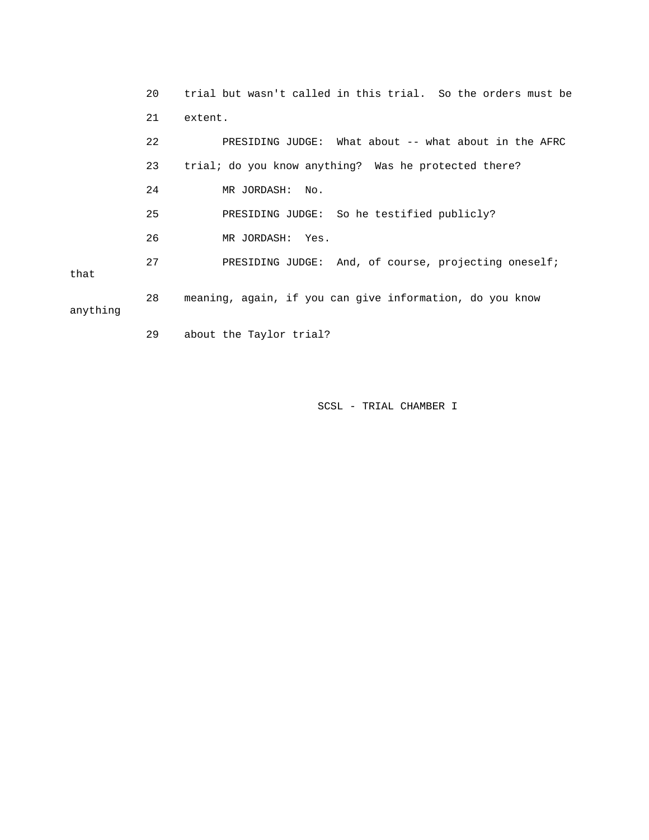20 trial but wasn't called in this trial. So the orders must be 21 extent. 22 PRESIDING JUDGE: What about -- what about in the AFRC 23 trial; do you know anything? Was he protected there? 24 MR JORDASH: No. 25 PRESIDING JUDGE: So he testified publicly? 26 MR JORDASH: Yes. 27 PRESIDING JUDGE: And, of course, projecting oneself; that 28 meaning, again, if you can give information, do you know anything

29 about the Taylor trial?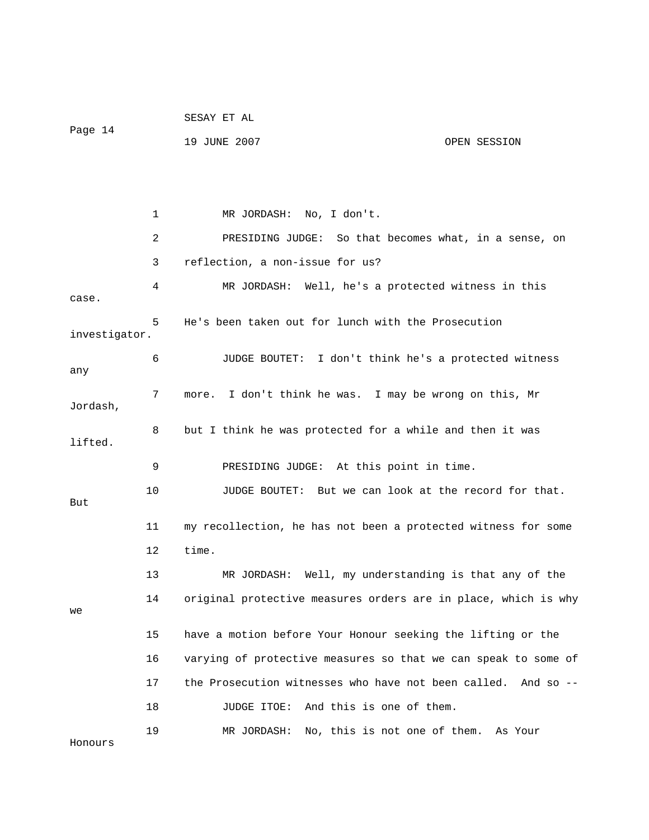|               |    | SESAY ET AL                                              |                                                                |
|---------------|----|----------------------------------------------------------|----------------------------------------------------------------|
| Page 14       |    | 19 JUNE 2007                                             | OPEN SESSION                                                   |
|               |    |                                                          |                                                                |
|               | 1  | MR JORDASH: No, I don't.                                 |                                                                |
|               |    |                                                          |                                                                |
|               | 2  |                                                          | PRESIDING JUDGE: So that becomes what, in a sense, on          |
|               | 3  | reflection, a non-issue for us?                          |                                                                |
| case.         | 4  |                                                          | MR JORDASH: Well, he's a protected witness in this             |
| investigator. | 5  | He's been taken out for lunch with the Prosecution       |                                                                |
| any           | 6  |                                                          | JUDGE BOUTET: I don't think he's a protected witness           |
| Jordash,      | 7  | more. I don't think he was. I may be wrong on this, Mr   |                                                                |
| lifted.       | 8  | but I think he was protected for a while and then it was |                                                                |
|               | 9  | PRESIDING JUDGE: At this point in time.                  |                                                                |
| But           | 10 |                                                          | JUDGE BOUTET: But we can look at the record for that.          |
|               | 11 |                                                          | my recollection, he has not been a protected witness for some  |
|               | 12 | time.                                                    |                                                                |
|               | 13 | MR JORDASH:                                              | Well, my understanding is that any of the                      |
| we            | 14 |                                                          | original protective measures orders are in place, which is why |
|               | 15 |                                                          | have a motion before Your Honour seeking the lifting or the    |
|               | 16 |                                                          | varying of protective measures so that we can speak to some of |
|               | 17 | the Prosecution witnesses who have not been called.      | And so $-$                                                     |
|               | 18 | JUDGE ITOE:                                              | And this is one of them.                                       |
| Honours       | 19 | MR JORDASH:                                              | No, this is not one of them. As Your                           |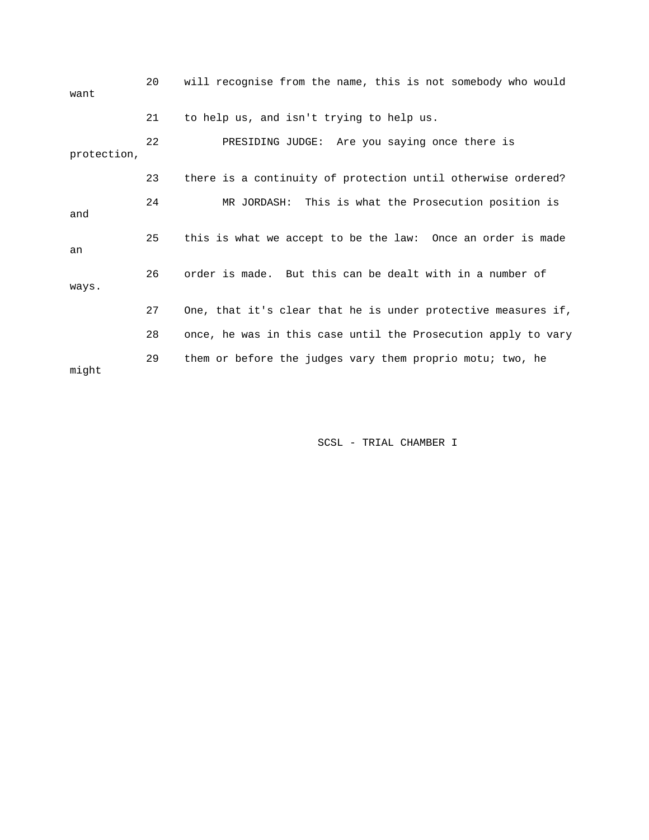| want        | 20 | will recognise from the name, this is not somebody who would  |
|-------------|----|---------------------------------------------------------------|
|             | 21 | to help us, and isn't trying to help us.                      |
| protection, | 22 | PRESIDING JUDGE: Are you saying once there is                 |
|             | 23 | there is a continuity of protection until otherwise ordered?  |
| and         | 24 | MR JORDASH: This is what the Prosecution position is          |
| an          | 25 | this is what we accept to be the law: Once an order is made   |
| ways.       | 26 | order is made. But this can be dealt with in a number of      |
|             | 27 | One, that it's clear that he is under protective measures if, |
|             | 28 | once, he was in this case until the Prosecution apply to vary |
| might       | 29 | them or before the judges vary them proprio motu; two, he     |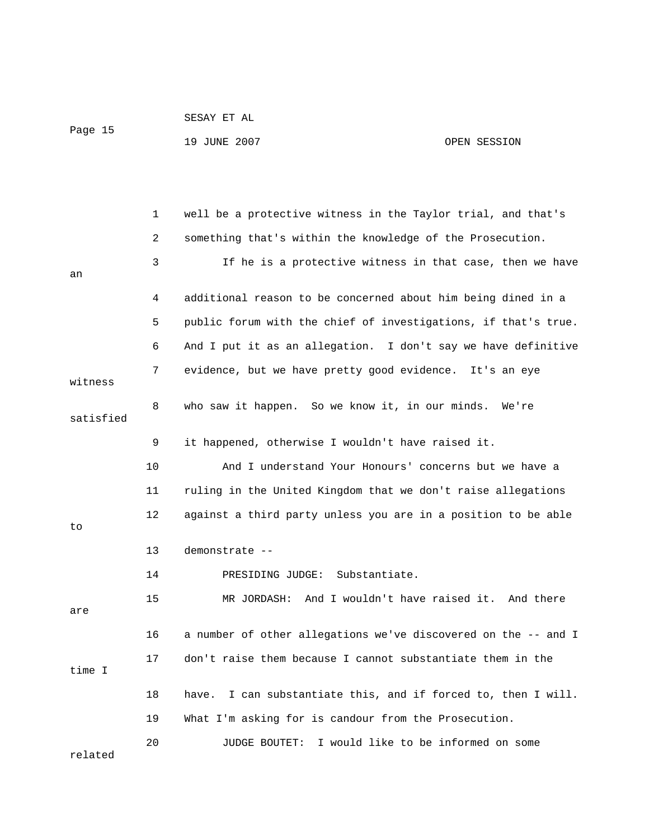| Page 15 | SESAY ET AL  |  |              |
|---------|--------------|--|--------------|
|         | 19 JUNE 2007 |  | OPEN SESSION |
|         |              |  |              |

 1 well be a protective witness in the Taylor trial, and that's 2 something that's within the knowledge of the Prosecution. 3 If he is a protective witness in that case, then we have an 4 additional reason to be concerned about him being dined in a 5 public forum with the chief of investigations, if that's true. 6 And I put it as an allegation. I don't say we have definitive 7 evidence, but we have pretty good evidence. It's an eye witness 8 who saw it happen. So we know it, in our minds. We're satisfied 9 it happened, otherwise I wouldn't have raised it. 10 And I understand Your Honours' concerns but we have a 11 ruling in the United Kingdom that we don't raise allegations 12 against a third party unless you are in a position to be able to 13 demonstrate -- 14 PRESIDING JUDGE: Substantiate. 15 MR JORDASH: And I wouldn't have raised it. And there are 16 a number of other allegations we've discovered on the -- and I 17 don't raise them because I cannot substantiate them in the time I 18 have. I can substantiate this, and if forced to, then I will. 19 What I'm asking for is candour from the Prosecution. 20 JUDGE BOUTET: I would like to be informed on some related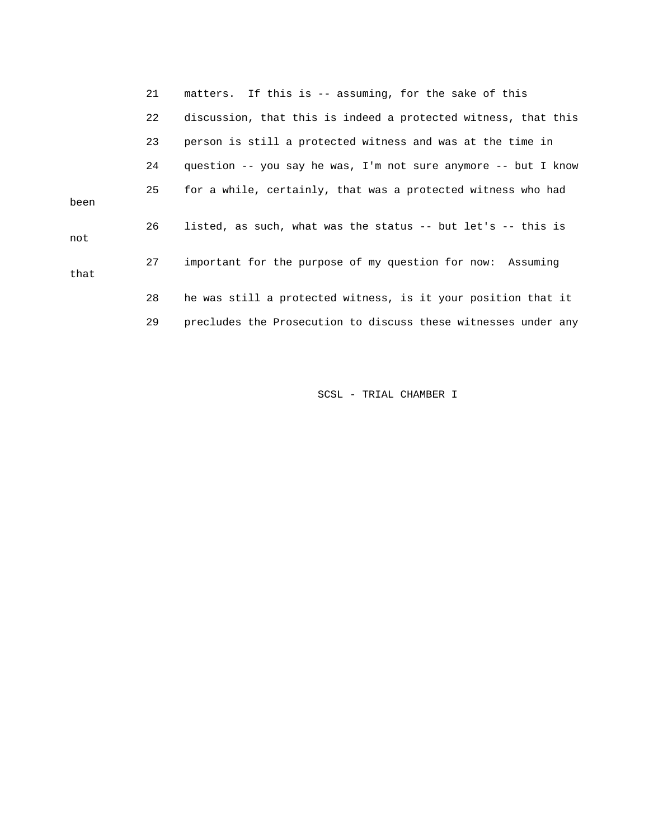21 matters. If this is -- assuming, for the sake of this 22 discussion, that this is indeed a protected witness, that this 23 person is still a protected witness and was at the time in 24 question -- you say he was, I'm not sure anymore -- but I know 25 for a while, certainly, that was a protected witness who had been 26 listed, as such, what was the status -- but let's -- this is not 27 important for the purpose of my question for now: Assuming that 28 he was still a protected witness, is it your position that it 29 precludes the Prosecution to discuss these witnesses under any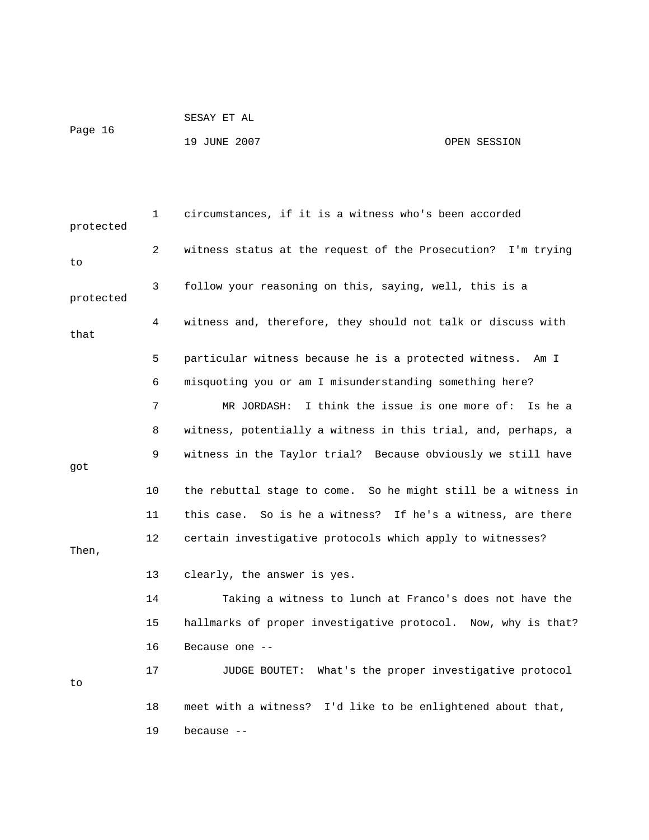```
 SESAY ET AL
```
Page 16

19 JUNE 2007 OPEN SESSION

 1 circumstances, if it is a witness who's been accorded protected 2 witness status at the request of the Prosecution? I'm trying to 3 follow your reasoning on this, saying, well, this is a protected 4 witness and, therefore, they should not talk or discuss with that 5 particular witness because he is a protected witness. Am I 6 misquoting you or am I misunderstanding something here? 7 MR JORDASH: I think the issue is one more of: Is he a 8 witness, potentially a witness in this trial, and, perhaps, a 9 witness in the Taylor trial? Because obviously we still have got 10 the rebuttal stage to come. So he might still be a witness in 11 this case. So is he a witness? If he's a witness, are there 12 certain investigative protocols which apply to witnesses? Then, 13 clearly, the answer is yes. 14 Taking a witness to lunch at Franco's does not have the 15 hallmarks of proper investigative protocol. Now, why is that? 16 Because one -- 17 JUDGE BOUTET: What's the proper investigative protocol to 18 meet with a witness? I'd like to be enlightened about that, 19 because --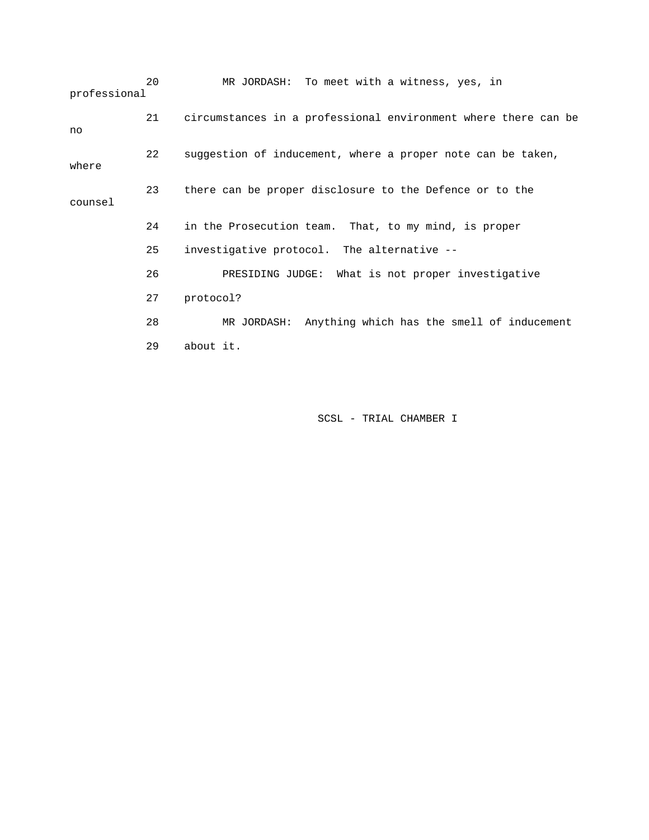20 MR JORDASH: To meet with a witness, yes, in professional 21 circumstances in a professional environment where there can be no 22 suggestion of inducement, where a proper note can be taken, where 23 there can be proper disclosure to the Defence or to the counsel 24 in the Prosecution team. That, to my mind, is proper 25 investigative protocol. The alternative -- 26 PRESIDING JUDGE: What is not proper investigative 27 protocol? 28 MR JORDASH: Anything which has the smell of inducement 29 about it.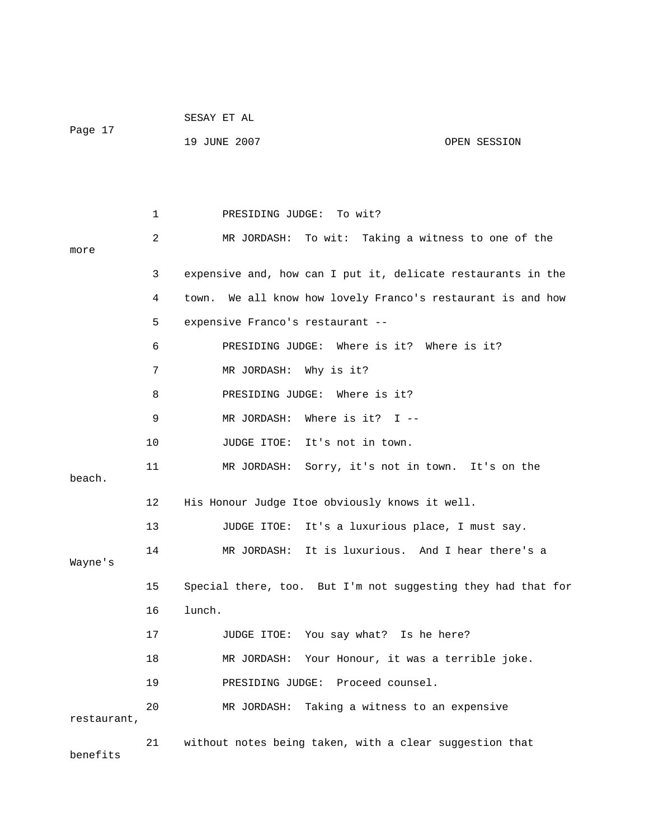|             |    | SESAY ET AL                                                    |
|-------------|----|----------------------------------------------------------------|
| Page 17     |    | 19 JUNE 2007<br>OPEN SESSION                                   |
|             |    |                                                                |
|             |    |                                                                |
|             | 1  | To wit?<br>PRESIDING JUDGE:                                    |
|             | 2  | MR JORDASH: To wit: Taking a witness to one of the             |
| more        |    |                                                                |
|             | 3  | expensive and, how can I put it, delicate restaurants in the   |
|             | 4  | We all know how lovely Franco's restaurant is and how<br>town. |
|             | 5  | expensive Franco's restaurant --                               |
|             | 6  | PRESIDING JUDGE:<br>Where is it? Where is it?                  |
|             | 7  | MR JORDASH: Why is it?                                         |
|             | 8  | PRESIDING JUDGE: Where is it?                                  |
|             | 9  | Where is it? $I$ --<br>MR JORDASH:                             |
|             | 10 | JUDGE ITOE: It's not in town.                                  |
| beach.      | 11 | MR JORDASH: Sorry, it's not in town. It's on the               |
|             | 12 | His Honour Judge Itoe obviously knows it well.                 |
|             | 13 | JUDGE ITOE: It's a luxurious place, I must say.                |
| Wayne's     | 14 | MR JORDASH: It is luxurious. And I hear there's a              |
|             | 15 | Special there, too. But I'm not suggesting they had that for   |
|             | 16 | lunch.                                                         |
|             | 17 | JUDGE ITOE: You say what? Is he here?                          |
|             | 18 | MR JORDASH: Your Honour, it was a terrible joke.               |
|             | 19 | PRESIDING JUDGE: Proceed counsel.                              |
| restaurant, | 20 | MR JORDASH: Taking a witness to an expensive                   |
| benefits    | 21 | without notes being taken, with a clear suggestion that        |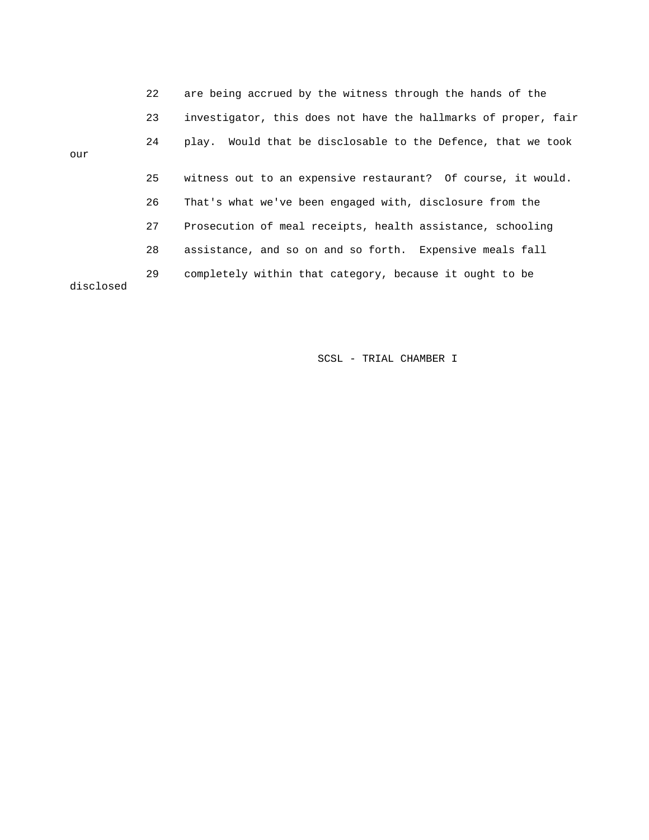|           | 22 | are being accrued by the witness through the hands of the      |
|-----------|----|----------------------------------------------------------------|
|           | 23 | investigator, this does not have the hallmarks of proper, fair |
| our       | 24 | play. Would that be disclosable to the Defence, that we took   |
|           | 25 | witness out to an expensive restaurant? Of course, it would.   |
|           | 26 | That's what we've been engaged with, disclosure from the       |
|           | 27 | Prosecution of meal receipts, health assistance, schooling     |
|           | 28 | assistance, and so on and so forth. Expensive meals fall       |
| disclosed | 29 | completely within that category, because it ought to be        |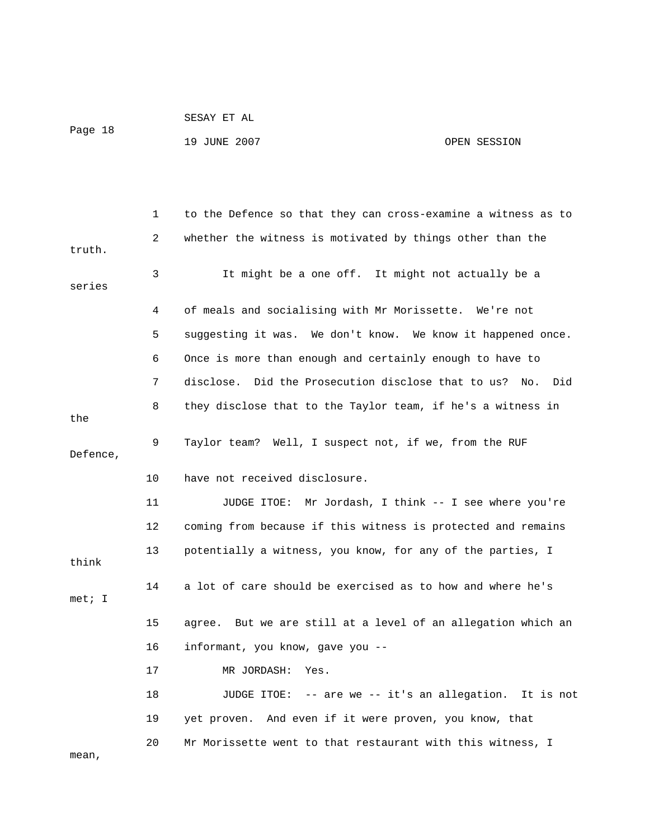```
 SESAY ET AL
```
Page 18

19 JUNE 2007 OPEN SESSION

 1 to the Defence so that they can cross-examine a witness as to 2 whether the witness is motivated by things other than the truth. 3 It might be a one off. It might not actually be a series 4 of meals and socialising with Mr Morissette. We're not 5 suggesting it was. We don't know. We know it happened once. 6 Once is more than enough and certainly enough to have to 7 disclose. Did the Prosecution disclose that to us? No. Did 8 they disclose that to the Taylor team, if he's a witness in the 9 Taylor team? Well, I suspect not, if we, from the RUF Defence, 10 have not received disclosure. 11 JUDGE ITOE: Mr Jordash, I think -- I see where you're 12 coming from because if this witness is protected and remains 13 potentially a witness, you know, for any of the parties, I think 14 a lot of care should be exercised as to how and where he's met; I 15 agree. But we are still at a level of an allegation which an 16 informant, you know, gave you -- 17 MR JORDASH: Yes. 18 JUDGE ITOE: -- are we -- it's an allegation. It is not 19 yet proven. And even if it were proven, you know, that 20 Mr Morissette went to that restaurant with this witness, I mean,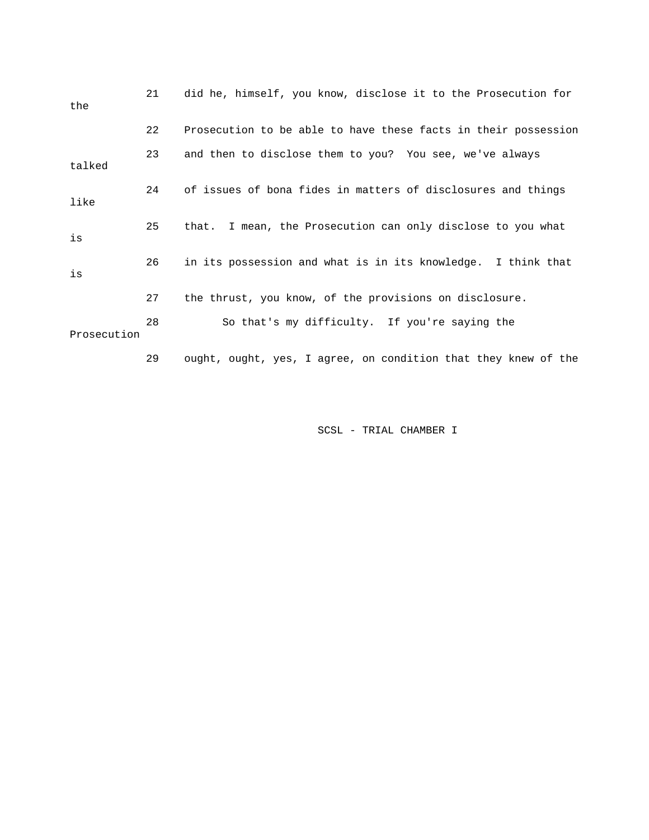| the         | 21 | did he, himself, you know, disclose it to the Prosecution for  |
|-------------|----|----------------------------------------------------------------|
|             | 22 | Prosecution to be able to have these facts in their possession |
| talked      | 23 | and then to disclose them to you? You see, we've always        |
| like        | 24 | of issues of bona fides in matters of disclosures and things   |
| is          | 25 | that. I mean, the Prosecution can only disclose to you what    |
| is          | 26 | in its possession and what is in its knowledge. I think that   |
|             | 27 | the thrust, you know, of the provisions on disclosure.         |
| Prosecution | 28 | So that's my difficulty. If you're saying the                  |
|             | 29 | ought, ought, yes, I agree, on condition that they knew of the |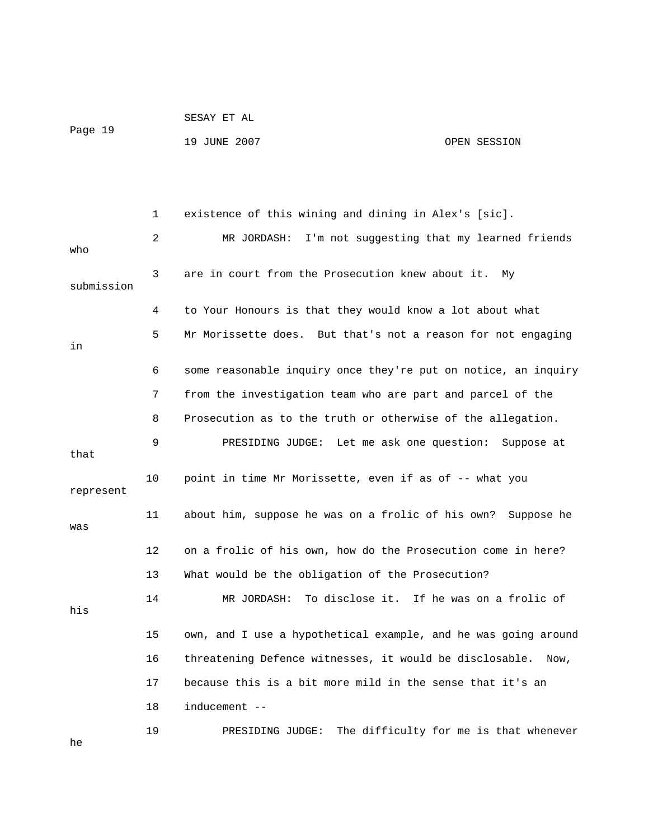|         | SESAY ET AL  |              |
|---------|--------------|--------------|
| Page 19 |              |              |
|         | 19 JUNE 2007 | OPEN SESSION |

 1 existence of this wining and dining in Alex's [sic]. 2 MR JORDASH: I'm not suggesting that my learned friends who 3 are in court from the Prosecution knew about it. My submission 4 to Your Honours is that they would know a lot about what 5 Mr Morissette does. But that's not a reason for not engaging in 6 some reasonable inquiry once they're put on notice, an inquiry 7 from the investigation team who are part and parcel of the 8 Prosecution as to the truth or otherwise of the allegation. 9 PRESIDING JUDGE: Let me ask one question: Suppose at that 10 point in time Mr Morissette, even if as of -- what you represent 11 about him, suppose he was on a frolic of his own? Suppose he was 12 on a frolic of his own, how do the Prosecution come in here? 13 What would be the obligation of the Prosecution? 14 MR JORDASH: To disclose it. If he was on a frolic of his 15 own, and I use a hypothetical example, and he was going around 16 threatening Defence witnesses, it would be disclosable. Now, 17 because this is a bit more mild in the sense that it's an 18 inducement -- 19 PRESIDING JUDGE: The difficulty for me is that whenever

he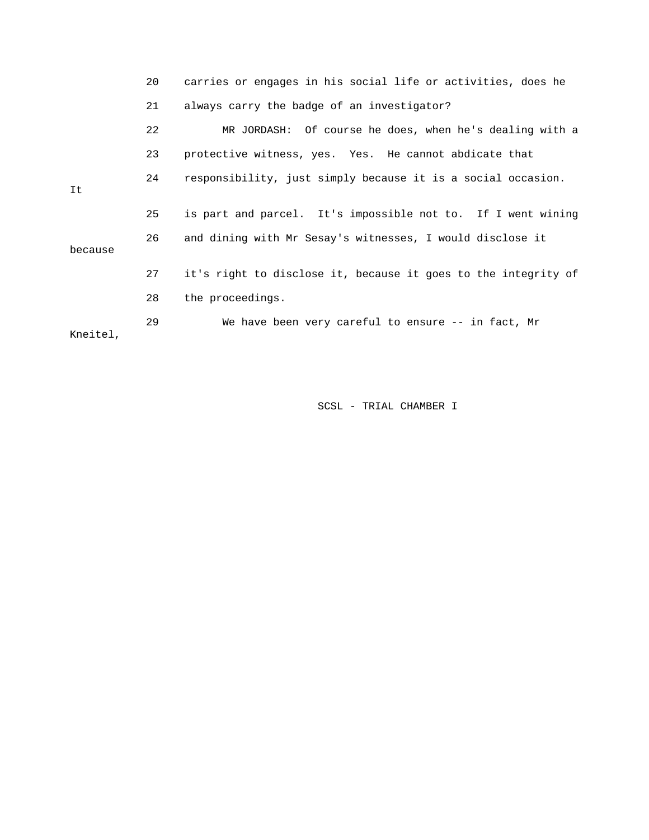|          | 20 | carries or engages in his social life or activities, does he   |
|----------|----|----------------------------------------------------------------|
|          | 21 | always carry the badge of an investigator?                     |
|          | 22 | MR JORDASH: Of course he does, when he's dealing with a        |
|          | 23 | protective witness, yes. Yes. He cannot abdicate that          |
| It       | 24 | responsibility, just simply because it is a social occasion.   |
|          | 25 | is part and parcel. It's impossible not to. If I went wining   |
| because  | 26 | and dining with Mr Sesay's witnesses, I would disclose it      |
|          | 27 | it's right to disclose it, because it goes to the integrity of |
|          | 28 | the proceedings.                                               |
| Kneitel, | 29 | We have been very careful to ensure -- in fact, Mr             |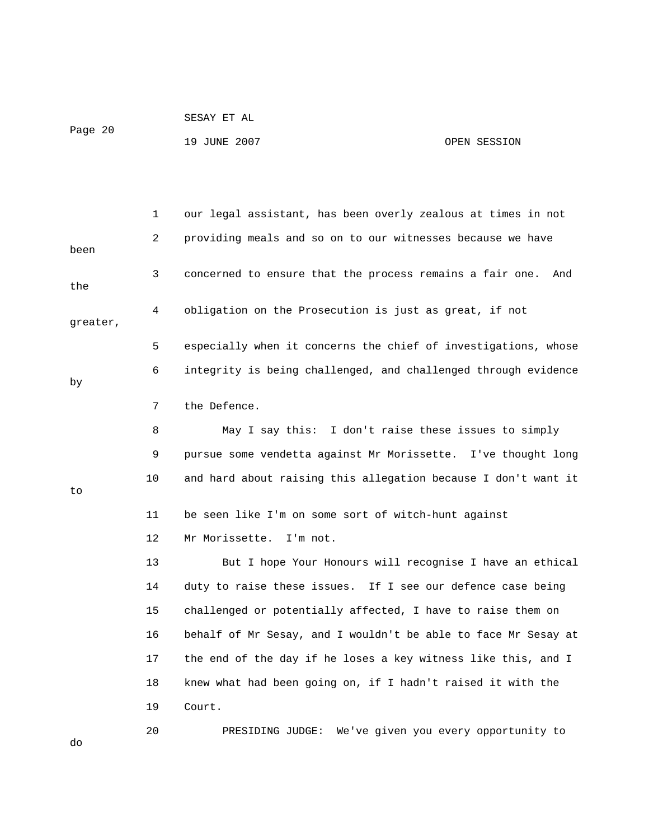|         | SESAY ET AL  |              |
|---------|--------------|--------------|
| Page 20 | 19 JUNE 2007 | OPEN SESSION |
|         |              |              |

 1 our legal assistant, has been overly zealous at times in not 2 providing meals and so on to our witnesses because we have been 3 concerned to ensure that the process remains a fair one. And the 4 obligation on the Prosecution is just as great, if not greater, 5 especially when it concerns the chief of investigations, whose 6 integrity is being challenged, and challenged through evidence by 7 the Defence. 8 May I say this: I don't raise these issues to simply 9 pursue some vendetta against Mr Morissette. I've thought long 10 and hard about raising this allegation because I don't want it to 11 be seen like I'm on some sort of witch-hunt against 12 Mr Morissette. I'm not. 13 But I hope Your Honours will recognise I have an ethical 14 duty to raise these issues. If I see our defence case being 15 challenged or potentially affected, I have to raise them on 16 behalf of Mr Sesay, and I wouldn't be able to face Mr Sesay at 17 the end of the day if he loses a key witness like this, and I 18 knew what had been going on, if I hadn't raised it with the 19 Court. 20 PRESIDING JUDGE: We've given you every opportunity to do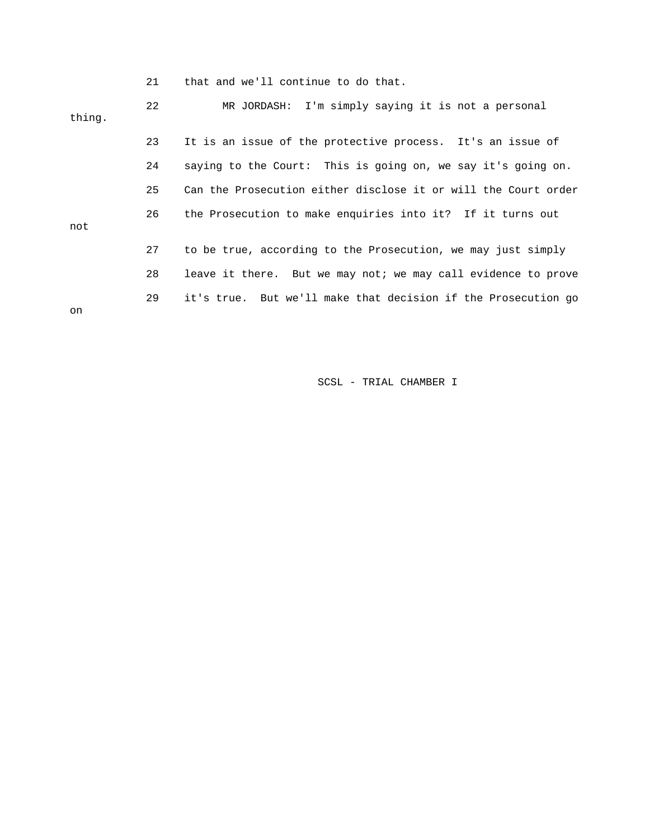|        | 21 | that and we'll continue to do that.                            |
|--------|----|----------------------------------------------------------------|
| thing. | 22 | MR JORDASH: I'm simply saying it is not a personal             |
|        | 23 | It is an issue of the protective process. It's an issue of     |
|        | 24 | saying to the Court: This is going on, we say it's going on.   |
|        | 25 | Can the Prosecution either disclose it or will the Court order |
| not    | 26 | the Prosecution to make enquiries into it? If it turns out     |
|        | 27 | to be true, according to the Prosecution, we may just simply   |
|        | 28 | leave it there. But we may not; we may call evidence to prove  |
| on     | 29 | it's true. But we'll make that decision if the Prosecution go  |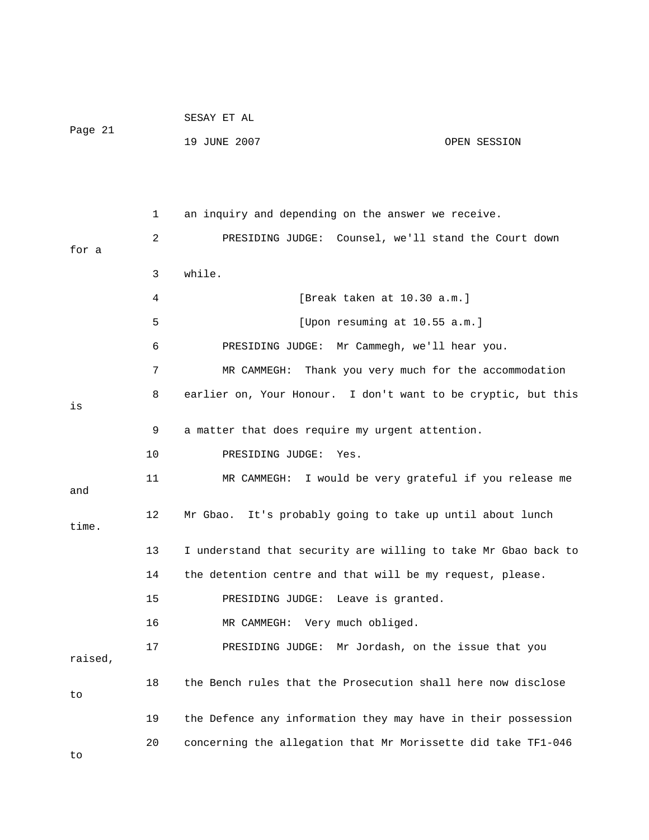|         |    | SESAY ET AL                                                    |              |
|---------|----|----------------------------------------------------------------|--------------|
| Page 21 |    | 19 JUNE 2007                                                   | OPEN SESSION |
|         |    |                                                                |              |
|         |    |                                                                |              |
|         | 1  | an inquiry and depending on the answer we receive.             |              |
|         | 2  | PRESIDING JUDGE: Counsel, we'll stand the Court down           |              |
| for a   |    |                                                                |              |
|         | 3  | while.                                                         |              |
|         | 4  | [Break taken at 10.30 a.m.]                                    |              |
|         | 5  | [Upon resuming at 10.55 a.m.]                                  |              |
|         | 6  | PRESIDING JUDGE: Mr Cammegh, we'll hear you.                   |              |
|         | 7  | Thank you very much for the accommodation<br>MR CAMMEGH:       |              |
| is      | 8  | earlier on, Your Honour. I don't want to be cryptic, but this  |              |
|         | 9  | a matter that does require my urgent attention.                |              |
|         | 10 | PRESIDING JUDGE:<br>Yes.                                       |              |
| and     | 11 | MR CAMMEGH: I would be very grateful if you release me         |              |
| time.   | 12 | It's probably going to take up until about lunch<br>Mr Gbao.   |              |
|         | 13 | I understand that security are willing to take Mr Gbao back to |              |
|         | 14 | the detention centre and that will be my request, please.      |              |
|         | 15 | Leave is granted.<br>PRESIDING JUDGE:                          |              |
|         | 16 | Very much obliged.<br>MR CAMMEGH:                              |              |
| raised, | 17 | Mr Jordash, on the issue that you<br>PRESIDING JUDGE:          |              |
| to      | 18 | the Bench rules that the Prosecution shall here now disclose   |              |
|         | 19 | the Defence any information they may have in their possession  |              |
| to      | 20 | concerning the allegation that Mr Morissette did take TF1-046  |              |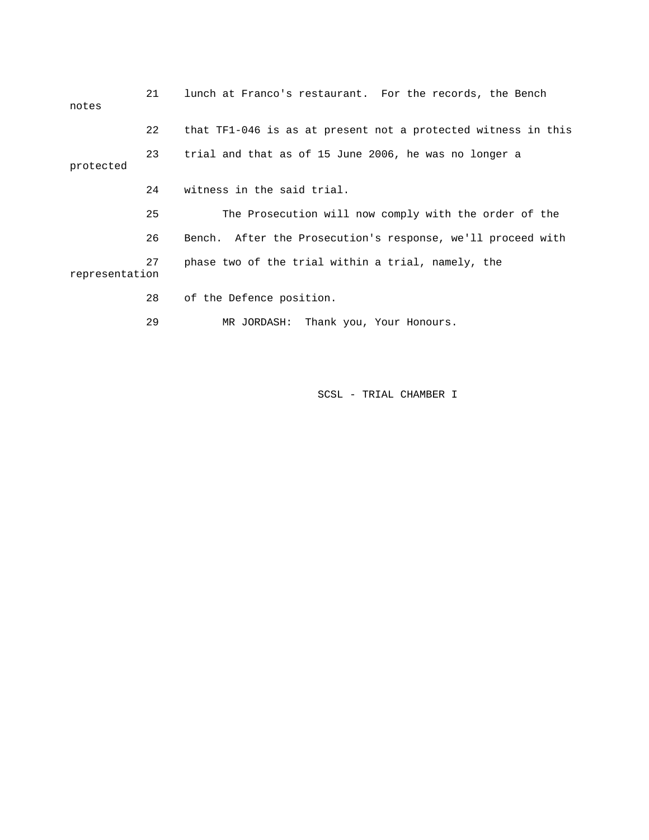| notes          | 21 | lunch at Franco's restaurant. For the records, the Bench      |
|----------------|----|---------------------------------------------------------------|
|                | 22 | that TF1-046 is as at present not a protected witness in this |
| protected      | 23 | trial and that as of 15 June 2006, he was no longer a         |
|                | 24 | witness in the said trial.                                    |
|                | 25 | The Prosecution will now comply with the order of the         |
|                | 26 | Bench. After the Prosecution's response, we'll proceed with   |
| representation | 27 | phase two of the trial within a trial, namely, the            |
|                | 28 | of the Defence position.                                      |
|                | 29 | MR JORDASH: Thank you, Your Honours.                          |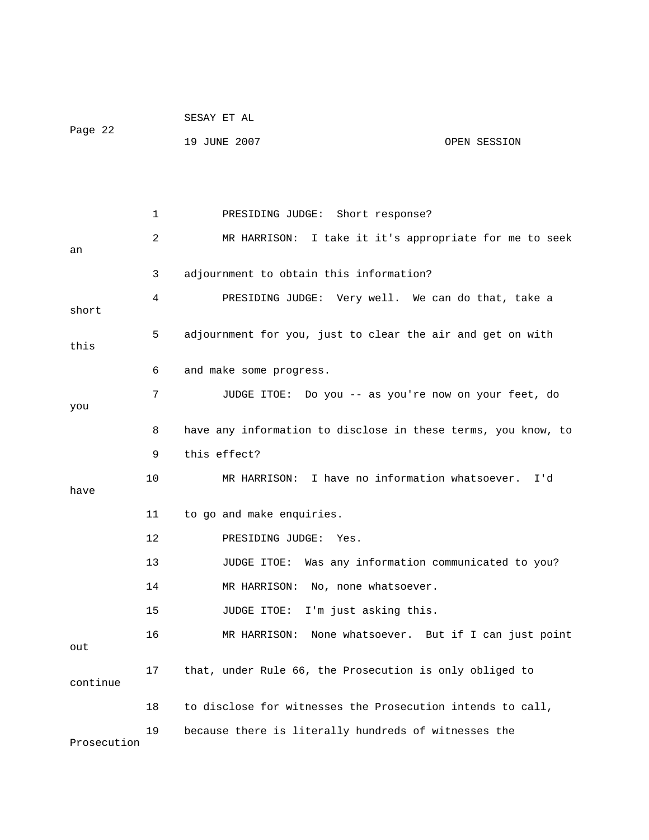|             |    | SESAY ET AL                                                   |
|-------------|----|---------------------------------------------------------------|
| Page 22     |    | 19 JUNE 2007<br>OPEN SESSION                                  |
|             |    |                                                               |
|             |    |                                                               |
|             | 1  | PRESIDING JUDGE: Short response?                              |
|             | 2  | MR HARRISON: I take it it's appropriate for me to seek        |
| an          | 3  | adjournment to obtain this information?                       |
|             | 4  | PRESIDING JUDGE: Very well. We can do that, take a            |
| short       |    |                                                               |
| this        | 5  | adjournment for you, just to clear the air and get on with    |
|             |    |                                                               |
|             | 6  | and make some progress.                                       |
| you         | 7  | JUDGE ITOE: Do you -- as you're now on your feet, do          |
|             | 8  | have any information to disclose in these terms, you know, to |
|             | 9  | this effect?                                                  |
|             | 10 | MR HARRISON: I have no information whatsoever. I'd            |
| have        |    |                                                               |
|             | 11 | to go and make enquiries.                                     |
|             | 12 | PRESIDING JUDGE:<br>Yes.                                      |
|             | 13 | JUDGE ITOE: Was any information communicated to you?          |
|             | 14 | MR HARRISON: No, none whatsoever.                             |
|             | 15 | I'm just asking this.<br>JUDGE ITOE:                          |
| out         | 16 | None whatsoever. But if I can just point<br>MR HARRISON:      |
| continue    | 17 | that, under Rule 66, the Prosecution is only obliged to       |
|             | 18 | to disclose for witnesses the Prosecution intends to call,    |
|             | 19 | because there is literally hundreds of witnesses the          |
| Prosecution |    |                                                               |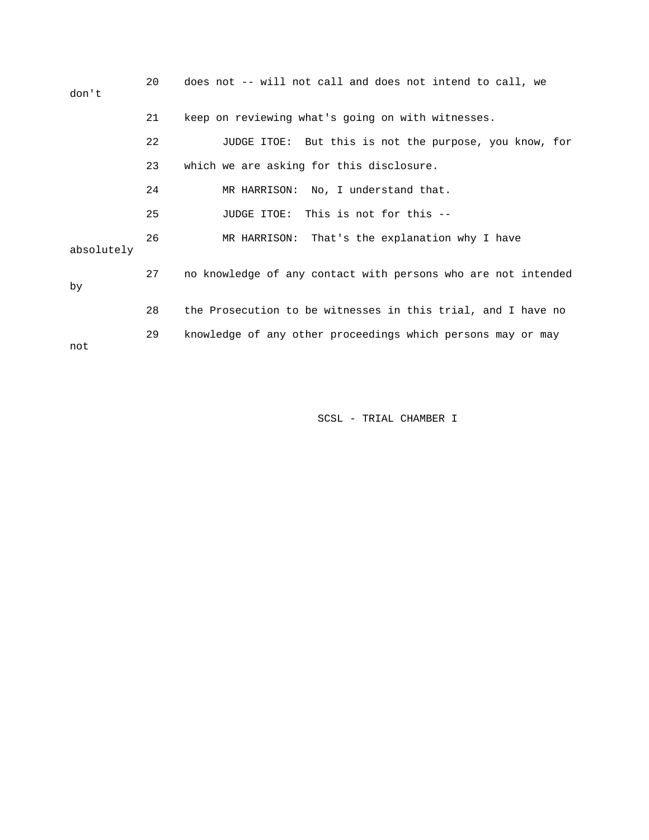| don't      | 20 | does not -- will not call and does not intend to call, we     |
|------------|----|---------------------------------------------------------------|
|            | 21 | keep on reviewing what's going on with witnesses.             |
|            | 22 | JUDGE ITOE: But this is not the purpose, you know, for        |
|            | 23 | which we are asking for this disclosure.                      |
|            | 24 | MR HARRISON: No, I understand that.                           |
|            | 25 | JUDGE ITOE: This is not for this --                           |
| absolutely | 26 | MR HARRISON: That's the explanation why I have                |
| by         | 27 | no knowledge of any contact with persons who are not intended |
|            | 28 | the Prosecution to be witnesses in this trial, and I have no  |
| not        | 29 | knowledge of any other proceedings which persons may or may   |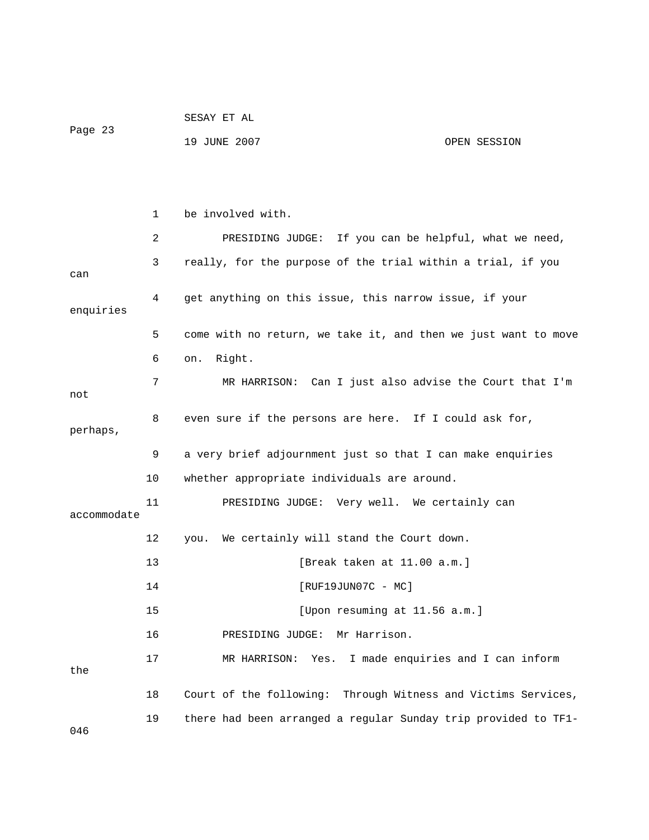|         | SESAY ET AL  |              |
|---------|--------------|--------------|
| Page 23 |              |              |
|         | 19 JUNE 2007 | OPEN SESSION |

|             | 1  | be involved with.                                              |
|-------------|----|----------------------------------------------------------------|
|             | 2  | PRESIDING JUDGE: If you can be helpful, what we need,          |
| can         | 3  | really, for the purpose of the trial within a trial, if you    |
| enquiries   | 4  | get anything on this issue, this narrow issue, if your         |
|             | 5  | come with no return, we take it, and then we just want to move |
|             | 6  | Right.<br>on.                                                  |
| not         | 7  | MR HARRISON: Can I just also advise the Court that I'm         |
| perhaps,    | 8  | even sure if the persons are here. If I could ask for,         |
|             | 9  | a very brief adjournment just so that I can make enquiries     |
|             | 10 | whether appropriate individuals are around.                    |
| accommodate | 11 | PRESIDING JUDGE: Very well. We certainly can                   |
|             | 12 | you. We certainly will stand the Court down.                   |
|             | 13 | [Break taken at 11.00 a.m.]                                    |
|             | 14 | $[RUF19JUN07C - MC]$                                           |
|             | 15 | [Upon resuming at 11.56 a.m.]                                  |
|             | 16 | PRESIDING JUDGE:<br>Mr Harrison.                               |
| the         | 17 | MR HARRISON: Yes. I made enquiries and I can inform            |
|             | 18 | Court of the following: Through Witness and Victims Services,  |
| 046         | 19 | there had been arranged a regular Sunday trip provided to TF1- |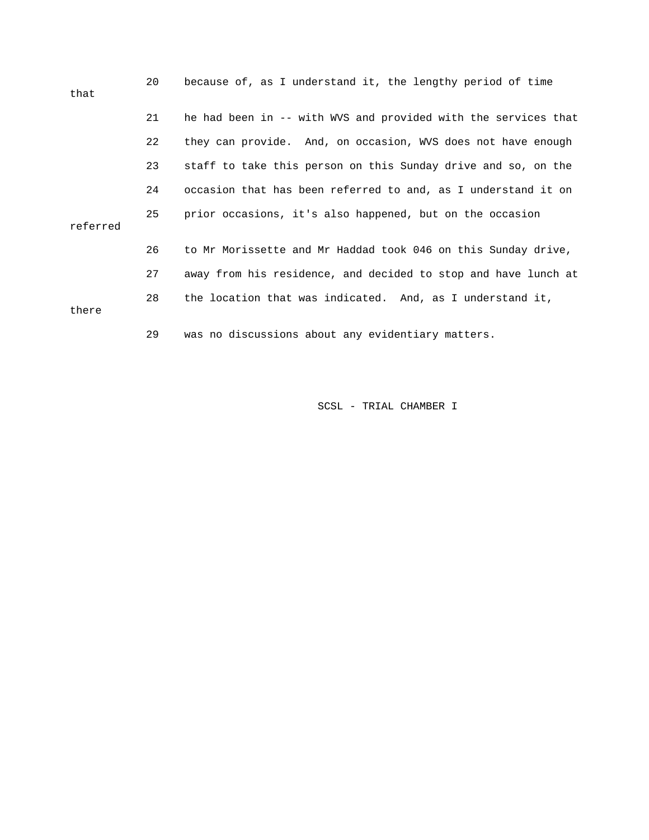| that     | 20 | because of, as I understand it, the lengthy period of time     |
|----------|----|----------------------------------------------------------------|
|          | 21 | he had been in -- with WVS and provided with the services that |
|          | 22 | they can provide. And, on occasion, WVS does not have enough   |
|          | 23 | staff to take this person on this Sunday drive and so, on the  |
|          | 24 | occasion that has been referred to and, as I understand it on  |
| referred | 25 | prior occasions, it's also happened, but on the occasion       |
|          | 26 | to Mr Morissette and Mr Haddad took 046 on this Sunday drive,  |
|          | 27 | away from his residence, and decided to stop and have lunch at |
| there    | 28 | the location that was indicated. And, as I understand it,      |
|          | 29 | was no discussions about any evidentiary matters.              |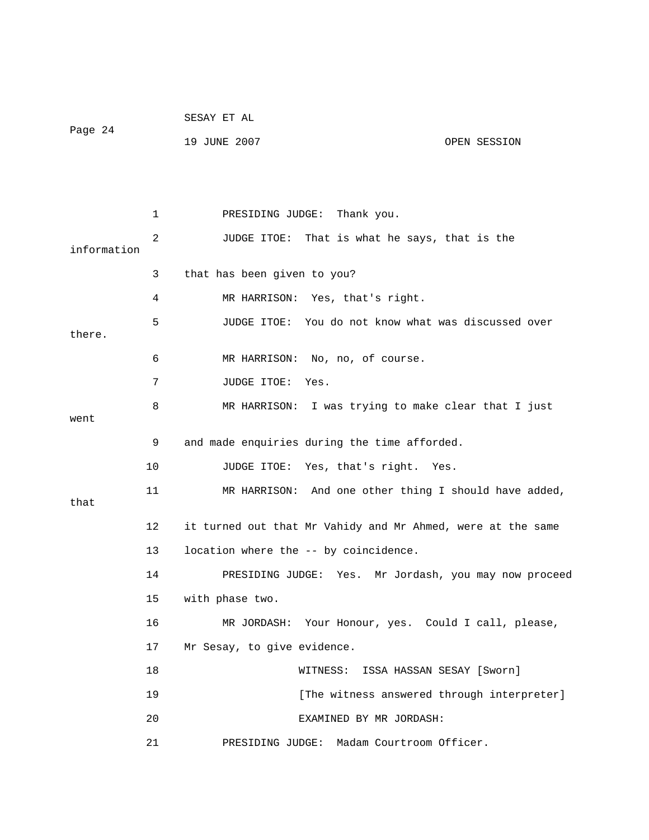| Page 24     |    | SESAY ET AL                                                 |
|-------------|----|-------------------------------------------------------------|
|             |    | 19 JUNE 2007<br>OPEN SESSION                                |
|             |    |                                                             |
|             |    |                                                             |
|             | 1  | PRESIDING JUDGE: Thank you.                                 |
|             | 2  | JUDGE ITOE: That is what he says, that is the               |
| information |    |                                                             |
|             | 3  | that has been given to you?                                 |
|             | 4  | MR HARRISON: Yes, that's right.                             |
| there.      | 5  | JUDGE ITOE: You do not know what was discussed over         |
|             | 6  | MR HARRISON: No, no, of course.                             |
|             | 7  | JUDGE ITOE:<br>Yes.                                         |
| went        | 8  | I was trying to make clear that I just<br>MR HARRISON:      |
|             | 9  | and made enquiries during the time afforded.                |
|             | 10 | JUDGE ITOE: Yes, that's right.<br>Yes.                      |
| that        | 11 | MR HARRISON: And one other thing I should have added,       |
|             | 12 | it turned out that Mr Vahidy and Mr Ahmed, were at the same |
|             | 13 | location where the -- by coincidence.                       |
|             | 14 | Mr Jordash, you may now proceed<br>PRESIDING JUDGE:<br>Yes. |
|             | 15 | with phase two.                                             |
|             | 16 | MR JORDASH: Your Honour, yes. Could I call, please,         |
|             | 17 | Mr Sesay, to give evidence.                                 |
|             | 18 | WITNESS: ISSA HASSAN SESAY [Sworn]                          |
|             | 19 | [The witness answered through interpreter]                  |
|             | 20 | EXAMINED BY MR JORDASH:                                     |
|             | 21 | PRESIDING JUDGE:<br>Madam Courtroom Officer.                |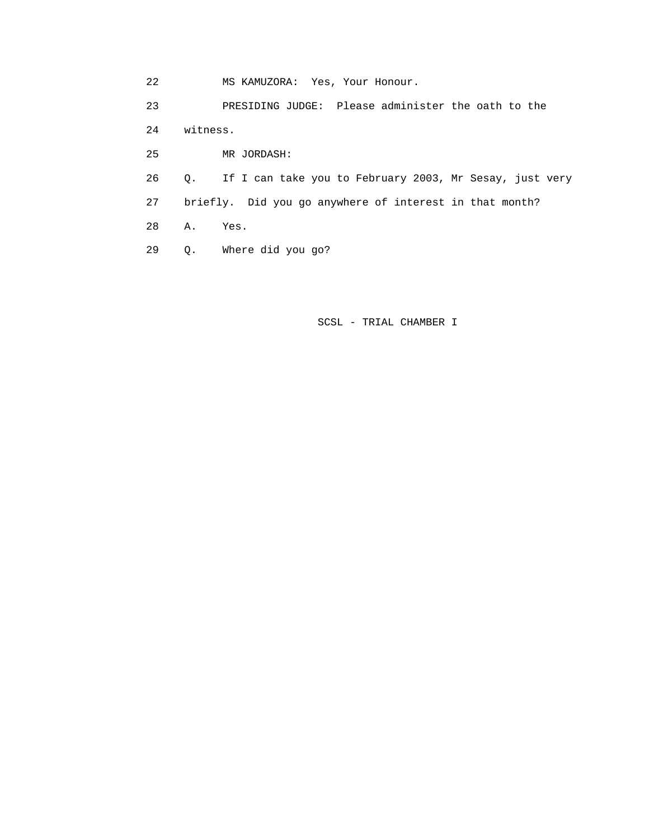22 MS KAMUZORA: Yes, Your Honour.

 23 PRESIDING JUDGE: Please administer the oath to the 24 witness. 25 MR JORDASH:

 26 Q. If I can take you to February 2003, Mr Sesay, just very 27 briefly. Did you go anywhere of interest in that month?

28 A. Yes.

29 Q. Where did you go?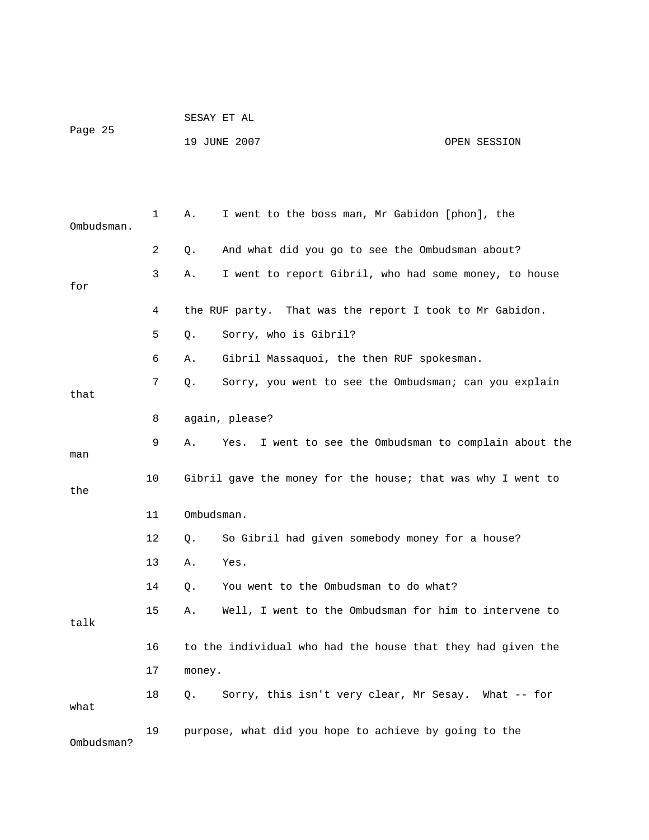|         | SESAY ET AL  |              |
|---------|--------------|--------------|
| Page 25 |              |              |
|         | 19 JUNE 2007 | OPEN SESSION |

| Ombudsman. | 1  | Α.         | I went to the boss man, Mr Gabidon [phon], the              |
|------------|----|------------|-------------------------------------------------------------|
|            | 2  | Q.         | And what did you go to see the Ombudsman about?             |
| for        | 3  | Α.         | I went to report Gibril, who had some money, to house       |
|            | 4  |            | the RUF party. That was the report I took to Mr Gabidon.    |
|            | 5  | Q.         | Sorry, who is Gibril?                                       |
|            | 6  | Α.         | Gibril Massaquoi, the then RUF spokesman.                   |
| that       | 7  | О.         | Sorry, you went to see the Ombudsman; can you explain       |
|            | 8  |            | again, please?                                              |
| man        | 9  | Α.         | Yes. I went to see the Ombudsman to complain about the      |
| the        | 10 |            | Gibril gave the money for the house; that was why I went to |
|            | 11 | Ombudsman. |                                                             |
|            | 12 | Q.         | So Gibril had given somebody money for a house?             |
|            | 13 | Α.         | Yes.                                                        |
|            | 14 | Q.         | You went to the Ombudsman to do what?                       |
| talk       | 15 | Α.         | Well, I went to the Ombudsman for him to intervene to       |
|            | 16 |            | to the individual who had the house that they had given the |
|            | 17 | money.     |                                                             |
| what       | 18 | Q.         | Sorry, this isn't very clear, Mr Sesay. What -- for         |
| Ombudsman? | 19 |            | purpose, what did you hope to achieve by going to the       |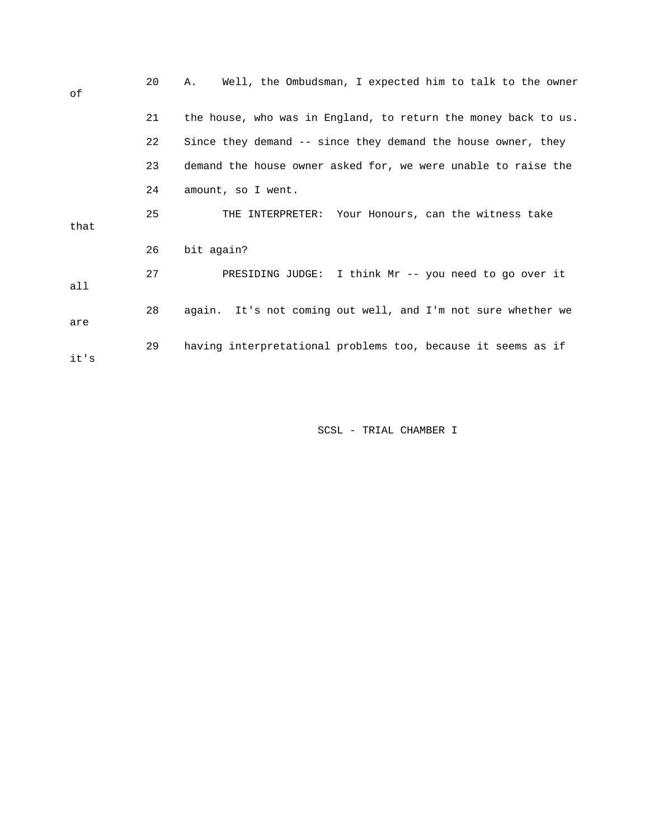| οf   | 20 | Well, the Ombudsman, I expected him to talk to the owner<br>Α. |
|------|----|----------------------------------------------------------------|
|      | 21 | the house, who was in England, to return the money back to us. |
|      | 22 | Since they demand -- since they demand the house owner, they   |
|      | 23 | demand the house owner asked for, we were unable to raise the  |
|      | 24 | amount, so I went.                                             |
| that | 25 | THE INTERPRETER: Your Honours, can the witness take            |
|      | 26 | bit again?                                                     |
| all  | 27 | PRESIDING JUDGE: I think Mr -- you need to go over it          |
| are  | 28 | again. It's not coming out well, and I'm not sure whether we   |
| it's | 29 | having interpretational problems too, because it seems as if   |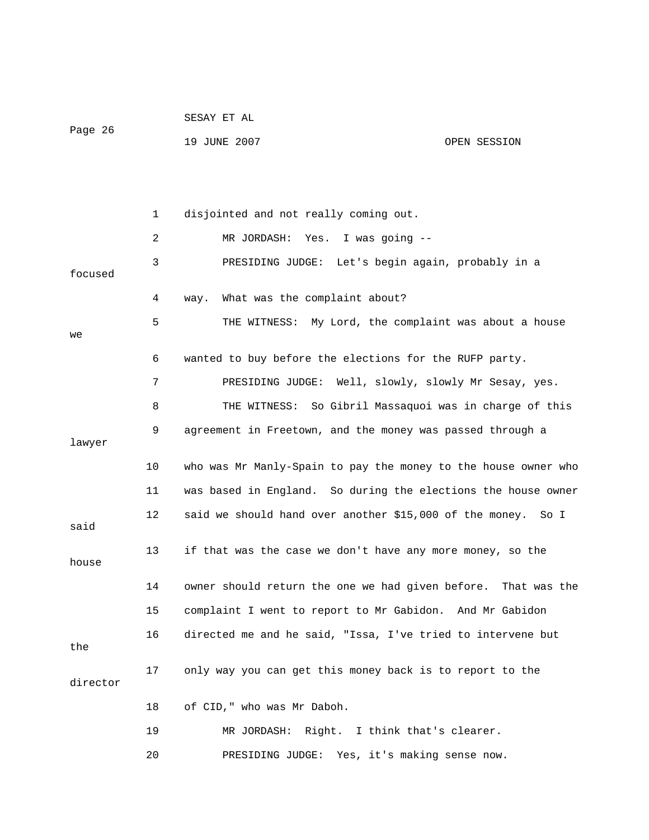|          |    | SESAY ET AL                                                    |              |
|----------|----|----------------------------------------------------------------|--------------|
| Page 26  |    | 19 JUNE 2007                                                   | OPEN SESSION |
|          |    |                                                                |              |
|          | 1  | disjointed and not really coming out.                          |              |
|          |    |                                                                |              |
|          | 2  | Yes. I was going --<br>MR JORDASH:                             |              |
| focused  | 3  | PRESIDING JUDGE: Let's begin again, probably in a              |              |
|          | 4  | What was the complaint about?<br>way.                          |              |
| we       | 5  | THE WITNESS: My Lord, the complaint was about a house          |              |
|          | 6  | wanted to buy before the elections for the RUFP party.         |              |
|          | 7  | PRESIDING JUDGE: Well, slowly, slowly Mr Sesay, yes.           |              |
|          | 8  | THE WITNESS: So Gibril Massaquoi was in charge of this         |              |
| lawyer   | 9  | agreement in Freetown, and the money was passed through a      |              |
|          | 10 | who was Mr Manly-Spain to pay the money to the house owner who |              |
|          | 11 | was based in England. So during the elections the house owner  |              |
| said     | 12 | said we should hand over another \$15,000 of the money. So I   |              |
| house    | 13 | if that was the case we don't have any more money, so the      |              |
|          | 14 | owner should return the one we had given before.               | That was the |
|          | 15 | complaint I went to report to Mr Gabidon. And Mr Gabidon       |              |
| the      | 16 | directed me and he said, "Issa, I've tried to intervene but    |              |
| director | 17 | only way you can get this money back is to report to the       |              |
|          | 18 | of CID, " who was Mr Daboh.                                    |              |
|          | 19 | MR JORDASH: Right. I think that's clearer.                     |              |
|          | 20 | PRESIDING JUDGE: Yes, it's making sense now.                   |              |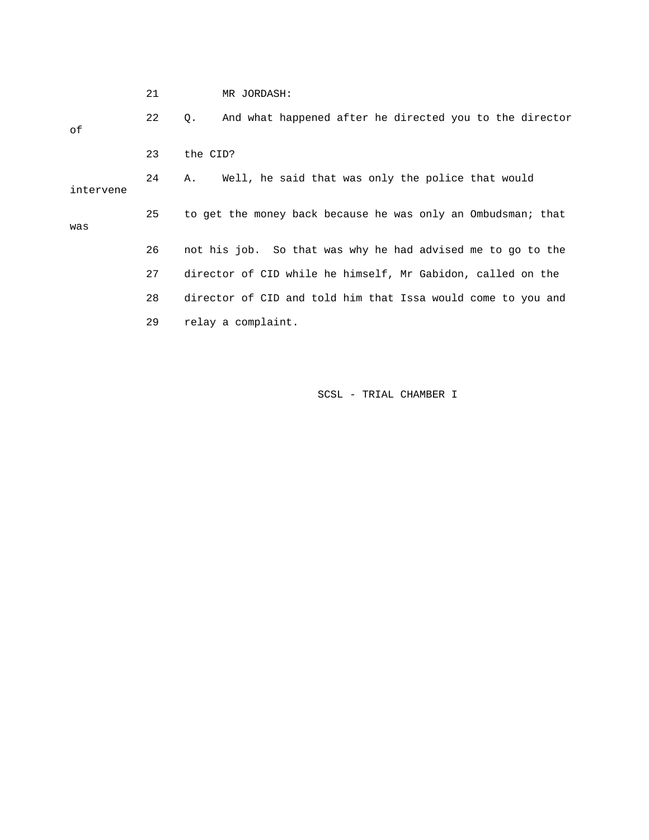|           | 21 | MR JORDASH:                                                          |
|-----------|----|----------------------------------------------------------------------|
| οf        | 22 | And what happened after he directed you to the director<br>$\circ$ . |
|           | 23 | the CID?                                                             |
| intervene | 24 | Well, he said that was only the police that would<br>Α.              |
| was       | 25 | to get the money back because he was only an Ombudsman; that         |
|           | 26 | not his job. So that was why he had advised me to go to the          |
|           | 27 | director of CID while he himself, Mr Gabidon, called on the          |
|           | 28 | director of CID and told him that Issa would come to you and         |
|           | 29 | relay a complaint.                                                   |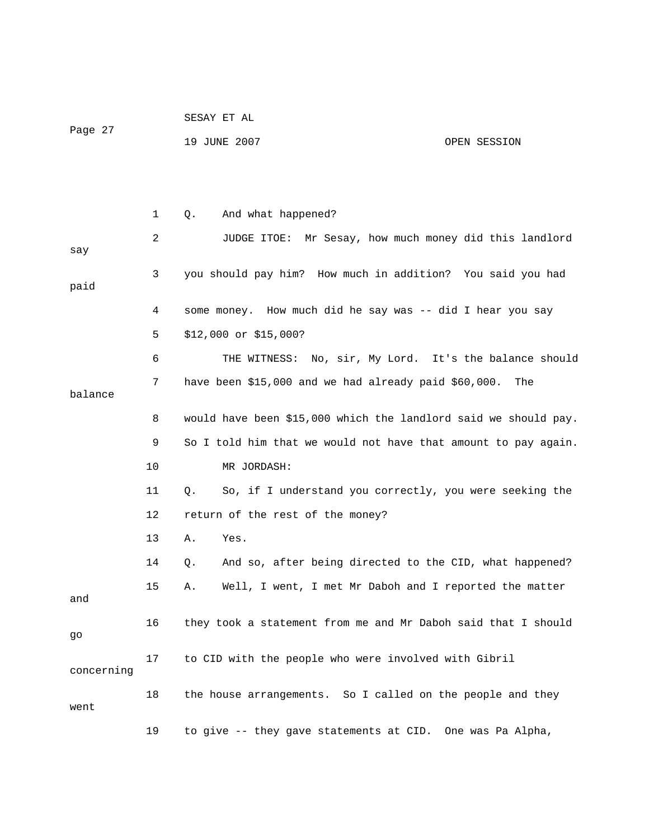| Page 27    |    | 19 JUNE 2007                                                    | OPEN SESSION |
|------------|----|-----------------------------------------------------------------|--------------|
|            |    |                                                                 |              |
|            | 1  | And what happened?<br>Q.                                        |              |
| say        | 2  | JUDGE ITOE: Mr Sesay, how much money did this landlord          |              |
| paid       | 3  | you should pay him? How much in addition? You said you had      |              |
|            | 4  | some money. How much did he say was -- did I hear you say       |              |
|            | 5  | \$12,000 or \$15,000?                                           |              |
|            | 6  | THE WITNESS: No, sir, My Lord. It's the balance should          |              |
| balance    | 7  | have been $$15,000$ and we had already paid $$60,000$ .         | The          |
|            | 8  | would have been \$15,000 which the landlord said we should pay. |              |
|            | 9  | So I told him that we would not have that amount to pay again.  |              |
|            | 10 | MR JORDASH:                                                     |              |
|            | 11 | So, if I understand you correctly, you were seeking the<br>Q.   |              |
|            | 12 | return of the rest of the money?                                |              |
|            | 13 | Yes.<br>Α.                                                      |              |
|            | 14 | And so, after being directed to the CID, what happened?<br>Q.   |              |
| and        | 15 | Well, I went, I met Mr Daboh and I reported the matter<br>Α.    |              |
| go         | 16 | they took a statement from me and Mr Daboh said that I should   |              |
| concerning | 17 | to CID with the people who were involved with Gibril            |              |
| went       | 18 | the house arrangements. So I called on the people and they      |              |
|            | 19 | to give -- they gave statements at CID. One was Pa Alpha,       |              |

SESAY ET AL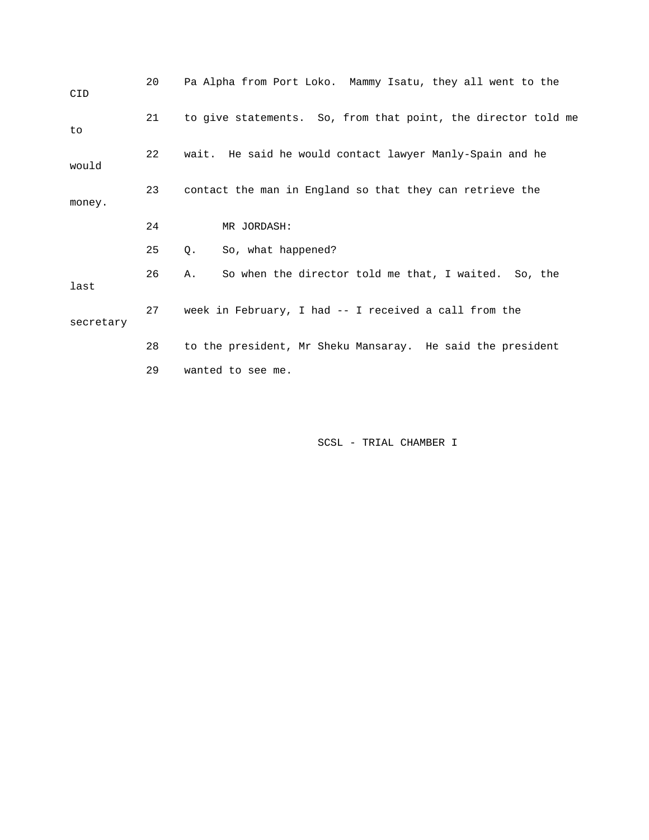| CID       | 20 | Pa Alpha from Port Loko. Mammy Isatu, they all went to the    |
|-----------|----|---------------------------------------------------------------|
| to        | 21 | to give statements. So, from that point, the director told me |
| would     | 22 | wait. He said he would contact lawyer Manly-Spain and he      |
| money.    | 23 | contact the man in England so that they can retrieve the      |
|           | 24 | MR JORDASH:                                                   |
|           | 25 | So, what happened?<br>Q.                                      |
| last      | 26 | So when the director told me that, I waited. So, the<br>Α.    |
| secretary | 27 | week in February, I had -- I received a call from the         |
|           | 28 | to the president, Mr Sheku Mansaray. He said the president    |
|           | 29 | wanted to see me.                                             |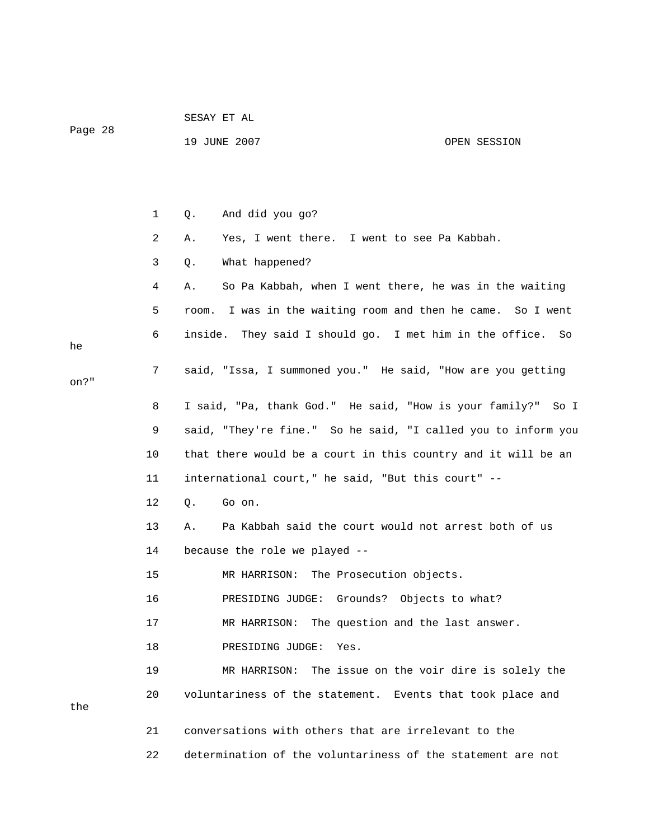|         |    | SESAY ET AL                                                    |              |
|---------|----|----------------------------------------------------------------|--------------|
| Page 28 |    | 19 JUNE 2007                                                   | OPEN SESSION |
|         |    |                                                                |              |
|         |    |                                                                |              |
|         | 1  | And did you go?<br>Q.                                          |              |
|         | 2  | Yes, I went there. I went to see Pa Kabbah.<br>Α.              |              |
|         | 3  | What happened?<br>Q.                                           |              |
|         | 4  | So Pa Kabbah, when I went there, he was in the waiting<br>Α.   |              |
|         | 5  | I was in the waiting room and then he came. So I went<br>room. |              |
| he      | 6  | inside. They said I should go. I met him in the office.        | So           |
| on?"    | 7  | said, "Issa, I summoned you." He said, "How are you getting    |              |
|         | 8  | I said, "Pa, thank God." He said, "How is your family?" So I   |              |
|         | 9  | said, "They're fine." So he said, "I called you to inform you  |              |
|         | 10 | that there would be a court in this country and it will be an  |              |
|         | 11 | international court," he said, "But this court" --             |              |
|         | 12 | Go on.<br>Q.                                                   |              |
|         | 13 | Pa Kabbah said the court would not arrest both of us<br>Α.     |              |
|         | 14 | because the role we played --                                  |              |
|         | 15 | MR HARRISON: The Prosecution objects.                          |              |
|         | 16 | PRESIDING JUDGE: Grounds? Objects to what?                     |              |
|         | 17 | The question and the last answer.<br>MR HARRISON:              |              |
|         | 18 | PRESIDING JUDGE:<br>Yes.                                       |              |
|         | 19 | The issue on the voir dire is solely the<br>MR HARRISON:       |              |
|         | 20 | voluntariness of the statement. Events that took place and     |              |
| the     |    |                                                                |              |
|         | 21 | conversations with others that are irrelevant to the           |              |
|         | 22 | determination of the voluntariness of the statement are not    |              |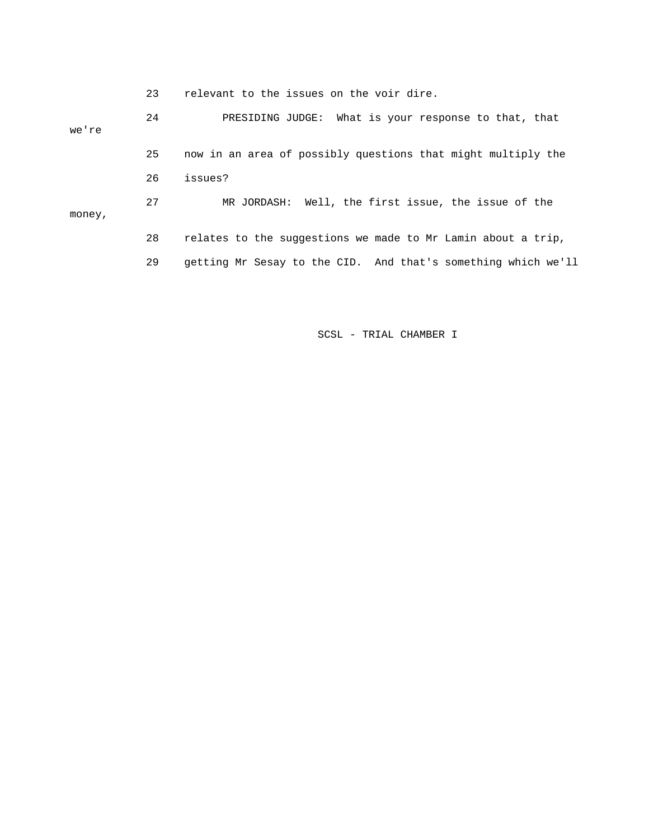23 relevant to the issues on the voir dire.

 24 PRESIDING JUDGE: What is your response to that, that we're 25 now in an area of possibly questions that might multiply the 26 issues? 27 MR JORDASH: Well, the first issue, the issue of the money, 28 relates to the suggestions we made to Mr Lamin about a trip, 29 getting Mr Sesay to the CID. And that's something which we'll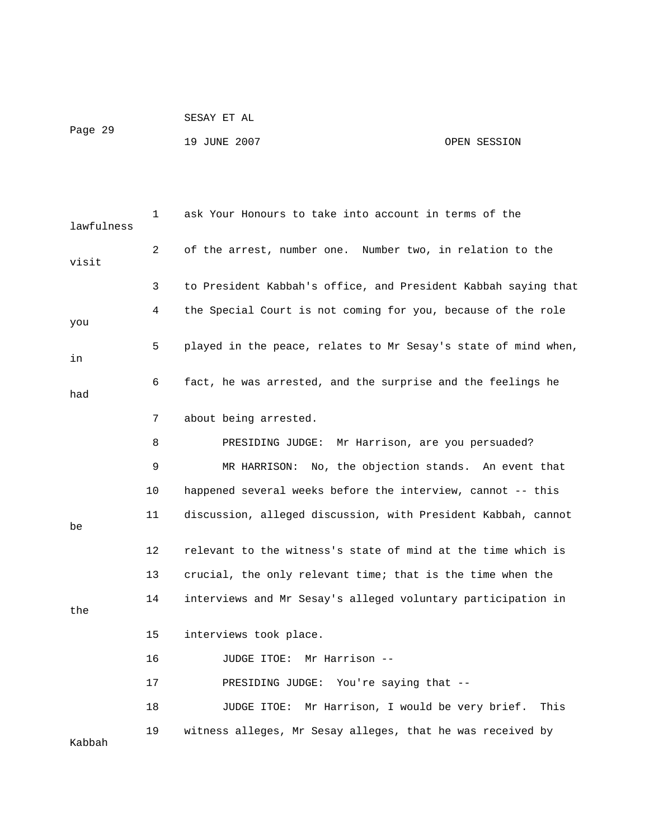| Page 29 | SESAY ET AL  |              |
|---------|--------------|--------------|
|         | 19 JUNE 2007 | OPEN SESSION |

| lawfulness | 1              | ask Your Honours to take into account in terms of the          |
|------------|----------------|----------------------------------------------------------------|
| visit      | $\overline{2}$ | of the arrest, number one. Number two, in relation to the      |
|            | 3              | to President Kabbah's office, and President Kabbah saying that |
| you        | 4              | the Special Court is not coming for you, because of the role   |
| in         | 5              | played in the peace, relates to Mr Sesay's state of mind when, |
| had        | 6              | fact, he was arrested, and the surprise and the feelings he    |
|            | 7              | about being arrested.                                          |
|            | 8              | Mr Harrison, are you persuaded?<br>PRESIDING JUDGE:            |
|            | 9              | MR HARRISON: No, the objection stands. An event that           |
|            | 10             | happened several weeks before the interview, cannot -- this    |
| be         | 11             | discussion, alleged discussion, with President Kabbah, cannot  |
|            | $12 \,$        | relevant to the witness's state of mind at the time which is   |
|            | 13             | crucial, the only relevant time; that is the time when the     |
| the        | 14             | interviews and Mr Sesay's alleged voluntary participation in   |
|            | 15             | interviews took place.                                         |
|            | 16             | Mr Harrison --<br>JUDGE ITOE:                                  |
|            | 17             | You're saying that --<br>PRESIDING JUDGE:                      |
|            | 18             | Mr Harrison, I would be very brief.<br>JUDGE ITOE:<br>This     |
| Kabbah     | 19             | witness alleges, Mr Sesay alleges, that he was received by     |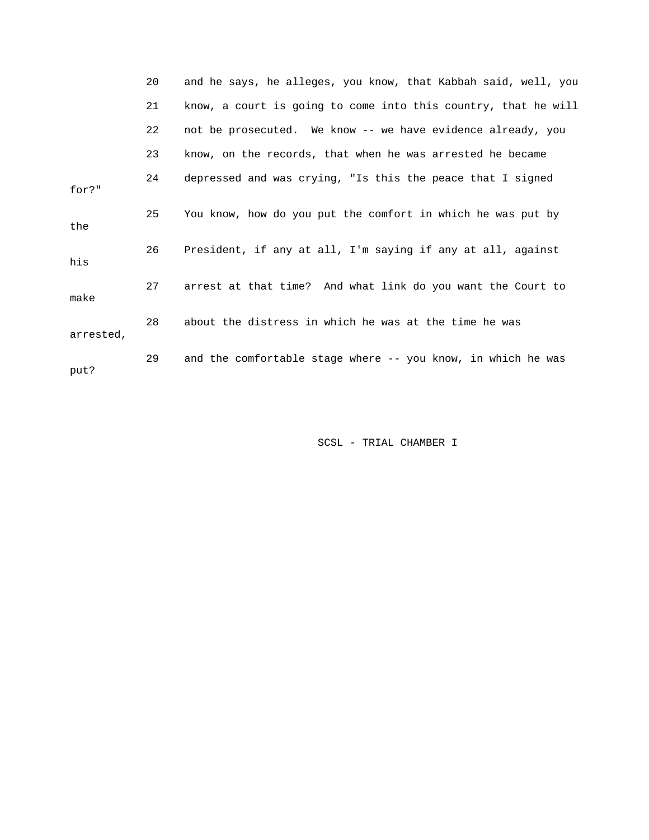|           | 20 | and he says, he alleges, you know, that Kabbah said, well, you |
|-----------|----|----------------------------------------------------------------|
|           | 21 | know, a court is going to come into this country, that he will |
|           | 22 | not be prosecuted. We know -- we have evidence already, you    |
|           | 23 | know, on the records, that when he was arrested he became      |
| for?"     | 24 | depressed and was crying, "Is this the peace that I signed     |
| the       | 25 | You know, how do you put the comfort in which he was put by    |
| his       | 26 | President, if any at all, I'm saying if any at all, against    |
| make      | 27 | arrest at that time? And what link do you want the Court to    |
| arrested, | 28 | about the distress in which he was at the time he was          |
| put?      | 29 | and the comfortable stage where -- you know, in which he was   |
|           |    |                                                                |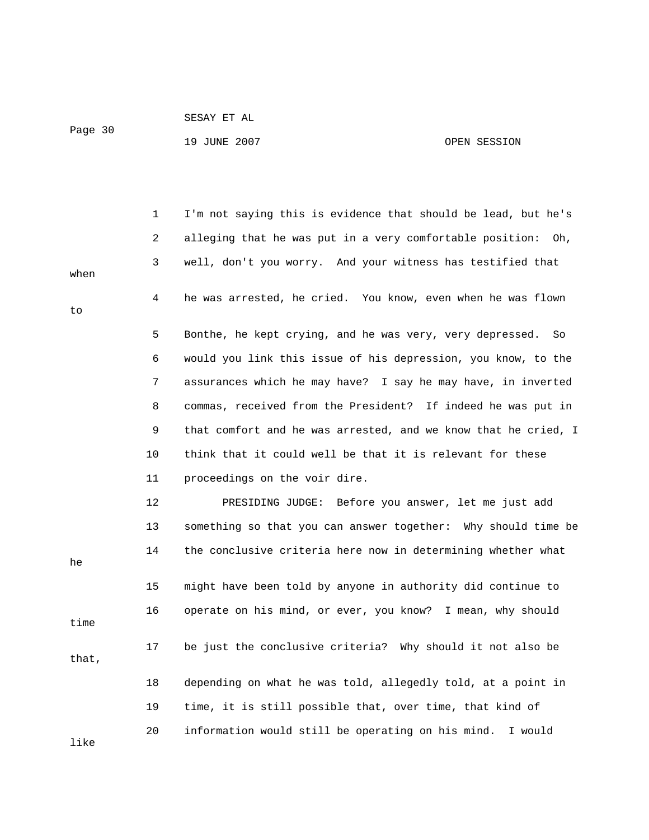```
 SESAY ET AL
```
Page 30

## 19 JUNE 2007 CPEN SESSION

|       | 1  | I'm not saying this is evidence that should be lead, but he's  |
|-------|----|----------------------------------------------------------------|
|       | 2  | alleging that he was put in a very comfortable position: Oh,   |
| when  | 3  | well, don't you worry. And your witness has testified that     |
| to    | 4  | he was arrested, he cried. You know, even when he was flown    |
|       | 5  | Bonthe, he kept crying, and he was very, very depressed.<br>So |
|       | 6  | would you link this issue of his depression, you know, to the  |
|       | 7  | assurances which he may have? I say he may have, in inverted   |
|       | 8  | commas, received from the President? If indeed he was put in   |
|       | 9  | that comfort and he was arrested, and we know that he cried, I |
|       | 10 | think that it could well be that it is relevant for these      |
|       | 11 | proceedings on the voir dire.                                  |
|       | 12 | PRESIDING JUDGE: Before you answer, let me just add            |
|       | 13 | something so that you can answer together: Why should time be  |
| he    | 14 | the conclusive criteria here now in determining whether what   |
|       | 15 | might have been told by anyone in authority did continue to    |
| time  | 16 | operate on his mind, or ever, you know? I mean, why should     |
| that, | 17 | be just the conclusive criteria? Why should it not also be     |
|       | 18 | depending on what he was told, allegedly told, at a point in   |
|       | 19 | time, it is still possible that, over time, that kind of       |
| like  | 20 | information would still be operating on his mind.<br>I would   |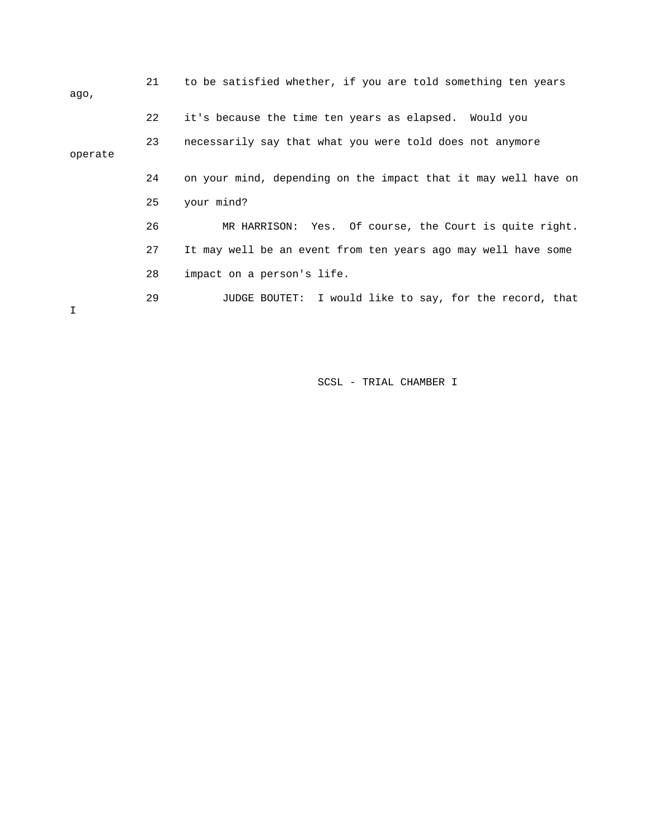| aqo,    | 21 | to be satisfied whether, if you are told something ten years   |
|---------|----|----------------------------------------------------------------|
|         | 22 | it's because the time ten years as elapsed. Would you          |
| operate | 23 | necessarily say that what you were told does not anymore       |
|         | 24 | on your mind, depending on the impact that it may well have on |
|         | 25 | your mind?                                                     |
|         | 26 | MR HARRISON: Yes. Of course, the Court is quite right.         |
|         | 27 | It may well be an event from ten years ago may well have some  |
|         | 28 | impact on a person's life.                                     |
|         | 29 | JUDGE BOUTET: I would like to say, for the record, that        |
|         |    |                                                                |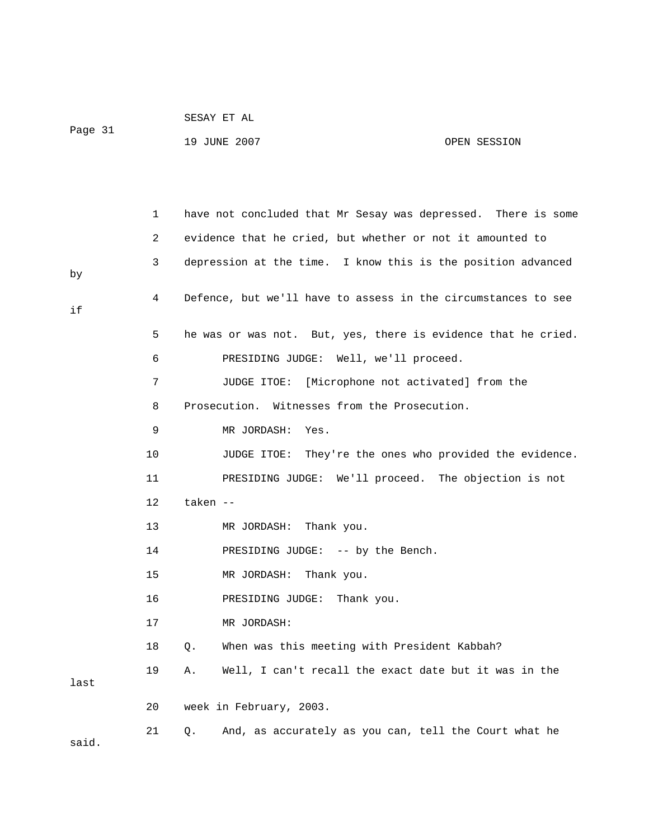|         | SESAY ET AL  |              |
|---------|--------------|--------------|
| Page 31 |              |              |
|         | 19 JUNE 2007 | OPEN SESSION |

|       | 1               | have not concluded that Mr Sesay was depressed. There is some |
|-------|-----------------|---------------------------------------------------------------|
|       | 2               | evidence that he cried, but whether or not it amounted to     |
| by    | 3               | depression at the time. I know this is the position advanced  |
| if    | 4               | Defence, but we'll have to assess in the circumstances to see |
|       | 5               | he was or was not. But, yes, there is evidence that he cried. |
|       | 6               | PRESIDING JUDGE: Well, we'll proceed.                         |
|       | 7               | JUDGE ITOE:<br>[Microphone not activated] from the            |
|       | 8               | Prosecution. Witnesses from the Prosecution.                  |
|       | 9               | MR JORDASH:<br>Yes.                                           |
|       | 10              | JUDGE ITOE: They're the ones who provided the evidence.       |
|       | 11              | PRESIDING JUDGE: We'll proceed. The objection is not          |
|       | 12 <sup>°</sup> | taken --                                                      |
|       | 13              | MR JORDASH: Thank you.                                        |
|       | 14              | PRESIDING JUDGE: -- by the Bench.                             |
|       | 15              | MR JORDASH: Thank you.                                        |
|       | 16              | PRESIDING JUDGE: Thank you.                                   |
|       | 17              | MR JORDASH:                                                   |
|       | 18              | When was this meeting with President Kabbah?<br>Q.            |
| last  | 19              | Well, I can't recall the exact date but it was in the<br>Α.   |
|       | 20              | week in February, 2003.                                       |
| said. | 21              | And, as accurately as you can, tell the Court what he<br>Q.   |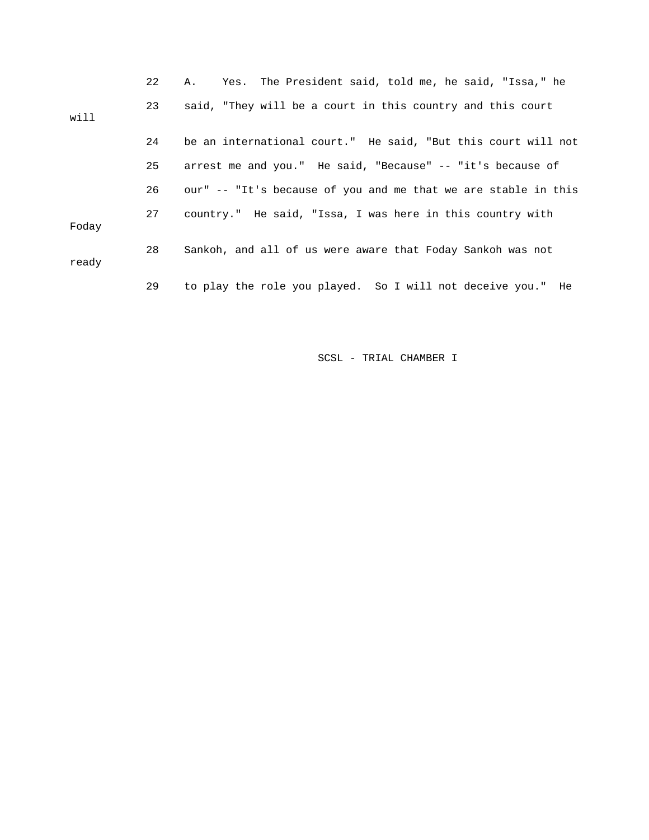|       | 22 | Yes. The President said, told me, he said, "Issa," he<br>A.,   |
|-------|----|----------------------------------------------------------------|
| will  | 23 | said, "They will be a court in this country and this court     |
|       | 24 | be an international court." He said, "But this court will not  |
|       | 25 | arrest me and you." He said, "Because" -- "it's because of     |
|       | 26 | our" -- "It's because of you and me that we are stable in this |
| Foday | 27 | country." He said, "Issa, I was here in this country with      |
| ready | 28 | Sankoh, and all of us were aware that Foday Sankoh was not     |
|       | 29 | to play the role you played. So I will not deceive you." He    |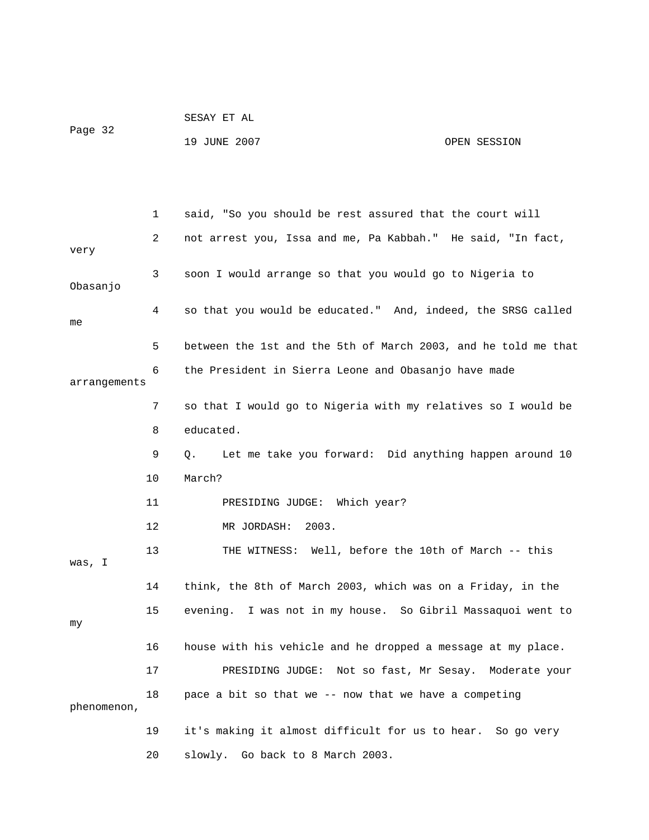| Page 32 | SESAY ET AL  |              |
|---------|--------------|--------------|
|         | 19 JUNE 2007 | OPEN SESSION |

 1 said, "So you should be rest assured that the court will 2 not arrest you, Issa and me, Pa Kabbah." He said, "In fact, very 3 soon I would arrange so that you would go to Nigeria to Obasanjo 4 so that you would be educated." And, indeed, the SRSG called me 5 between the 1st and the 5th of March 2003, and he told me that 6 the President in Sierra Leone and Obasanjo have made arrangements 7 so that I would go to Nigeria with my relatives so I would be 8 educated. 9 Q. Let me take you forward: Did anything happen around 10 10 March? 11 PRESIDING JUDGE: Which year? 12 MR JORDASH: 2003. 13 THE WITNESS: Well, before the 10th of March -- this was, I 14 think, the 8th of March 2003, which was on a Friday, in the 15 evening. I was not in my house. So Gibril Massaquoi went to my 16 house with his vehicle and he dropped a message at my place. 17 PRESIDING JUDGE: Not so fast, Mr Sesay. Moderate your 18 pace a bit so that we -- now that we have a competing phenomenon, 19 it's making it almost difficult for us to hear. So go very 20 slowly. Go back to 8 March 2003.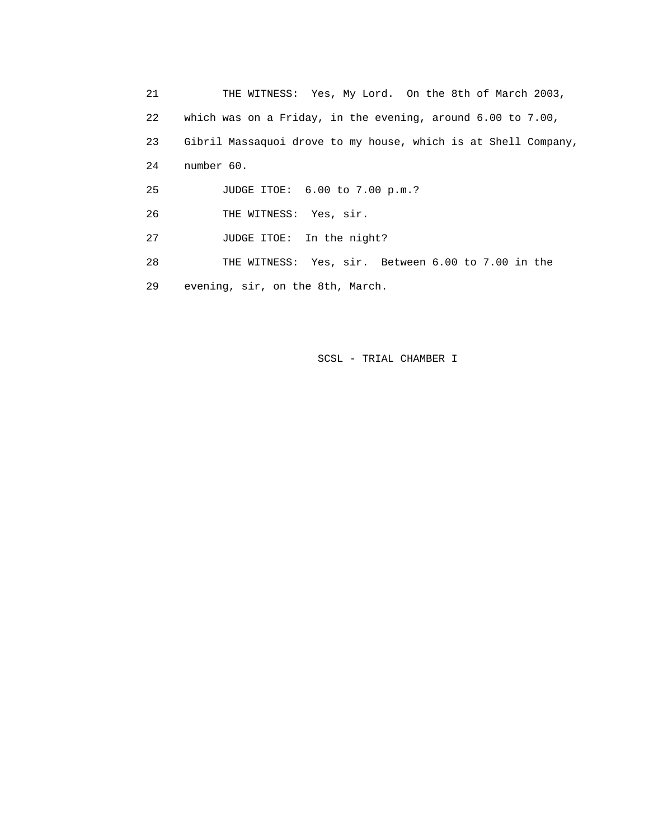21 THE WITNESS: Yes, My Lord. On the 8th of March 2003, 22 which was on a Friday, in the evening, around 6.00 to 7.00, 23 Gibril Massaquoi drove to my house, which is at Shell Company, 24 number 60. 25 JUDGE ITOE: 6.00 to 7.00 p.m.? 26 THE WITNESS: Yes, sir. 27 JUDGE ITOE: In the night? 28 THE WITNESS: Yes, sir. Between 6.00 to 7.00 in the 29 evening, sir, on the 8th, March.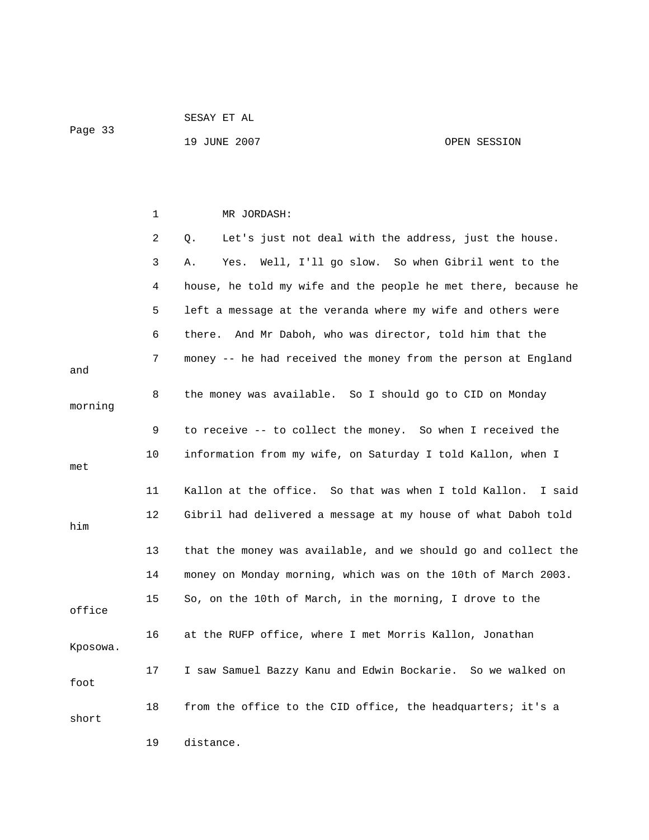19 JUNE 2007 CPEN SESSION

|          | 1  | MR JORDASH:                                                     |
|----------|----|-----------------------------------------------------------------|
|          | 2  | Let's just not deal with the address, just the house.<br>Q.     |
|          | 3  | Well, I'll go slow. So when Gibril went to the<br>Α.<br>Yes.    |
|          | 4  | house, he told my wife and the people he met there, because he  |
|          | 5  | left a message at the veranda where my wife and others were     |
|          | 6  | there. And Mr Daboh, who was director, told him that the        |
| and      | 7  | money -- he had received the money from the person at England   |
| morning  | 8  | the money was available. So I should go to CID on Monday        |
|          | 9  | to receive -- to collect the money. So when I received the      |
| met      | 10 | information from my wife, on Saturday I told Kallon, when I     |
|          | 11 | Kallon at the office. So that was when I told Kallon.<br>I said |
| him      | 12 | Gibril had delivered a message at my house of what Daboh told   |
|          | 13 | that the money was available, and we should go and collect the  |
|          | 14 | money on Monday morning, which was on the 10th of March 2003.   |
| office   | 15 | So, on the 10th of March, in the morning, I drove to the        |
| Kposowa. | 16 | at the RUFP office, where I met Morris Kallon, Jonathan         |
| foot     | 17 | I saw Samuel Bazzy Kanu and Edwin Bockarie. So we walked on     |
| short    | 18 | from the office to the CID office, the headquarters; it's a     |
|          | 19 | distance.                                                       |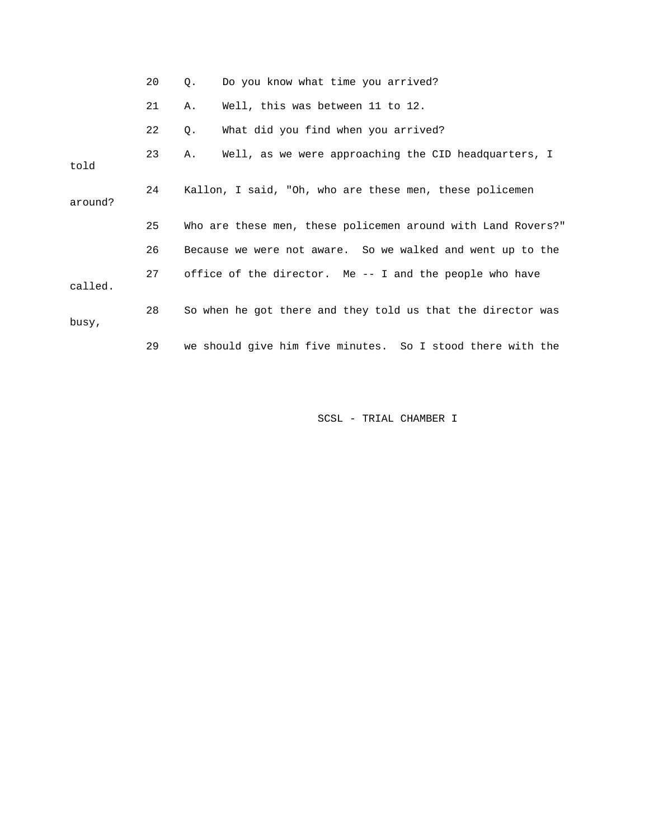|         | 20 | Q.                                                      | Do you know what time you arrived?                           |  |
|---------|----|---------------------------------------------------------|--------------------------------------------------------------|--|
|         | 21 | Α.                                                      | Well, this was between 11 to 12.                             |  |
|         | 22 | О.                                                      | What did you find when you arrived?                          |  |
| told    | 23 | Α.                                                      | Well, as we were approaching the CID headquarters, I         |  |
| around? | 24 | Kallon, I said, "Oh, who are these men, these policemen |                                                              |  |
|         | 25 |                                                         | Who are these men, these policemen around with Land Rovers?" |  |
|         |    |                                                         |                                                              |  |
|         | 26 |                                                         | Because we were not aware. So we walked and went up to the   |  |
| called. | 27 |                                                         | office of the director. Me $-$ - I and the people who have   |  |
| busy,   | 28 |                                                         | So when he got there and they told us that the director was  |  |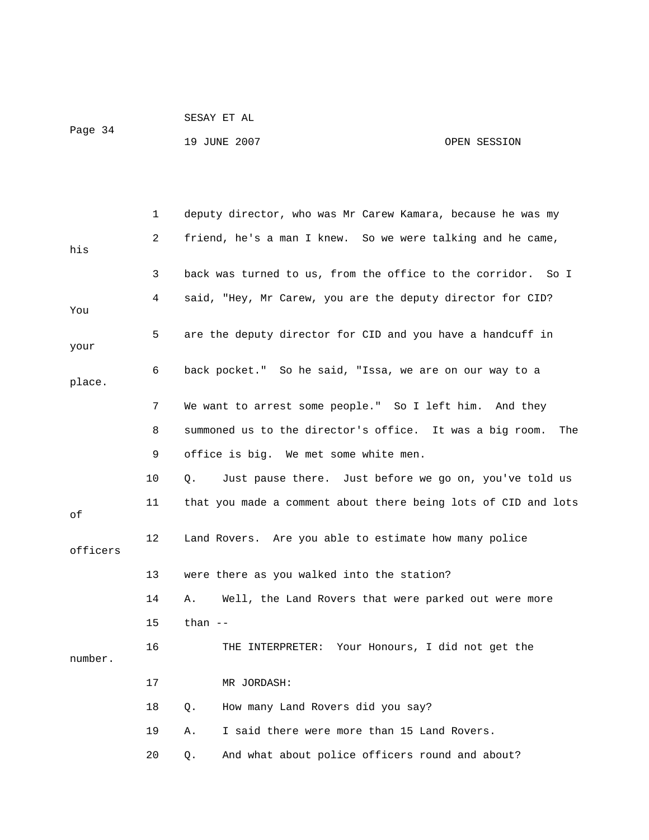|         | SESAY ET AL  |              |
|---------|--------------|--------------|
| Page 34 |              |              |
|         | 19 JUNE 2007 | OPEN SESSION |

 1 deputy director, who was Mr Carew Kamara, because he was my 2 friend, he's a man I knew. So we were talking and he came, his 3 back was turned to us, from the office to the corridor. So I 4 said, "Hey, Mr Carew, you are the deputy director for CID? You 5 are the deputy director for CID and you have a handcuff in your 6 back pocket." So he said, "Issa, we are on our way to a place. 7 We want to arrest some people." So I left him. And they 8 summoned us to the director's office. It was a big room. The 9 office is big. We met some white men. 10 Q. Just pause there. Just before we go on, you've told us 11 that you made a comment about there being lots of CID and lots of 12 Land Rovers. Are you able to estimate how many police officers 13 were there as you walked into the station? 14 A. Well, the Land Rovers that were parked out were more 15 than -- 16 THE INTERPRETER: Your Honours, I did not get the number. 17 MR JORDASH: 18 Q. How many Land Rovers did you say?

- 19 A. I said there were more than 15 Land Rovers.
- 20 Q. And what about police officers round and about?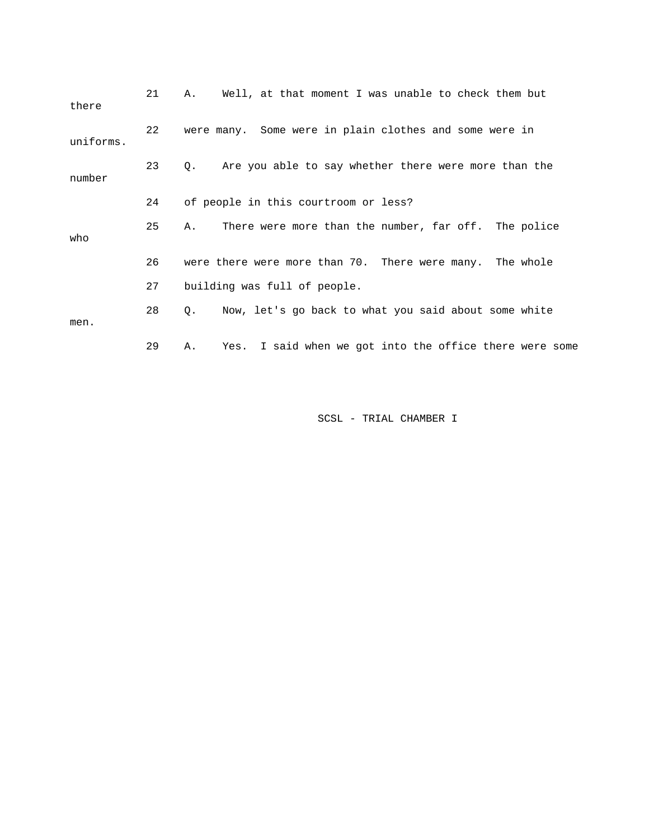| there     | 21 | Well, at that moment I was unable to check them but<br>Α.     |
|-----------|----|---------------------------------------------------------------|
| uniforms. | 22 | were many. Some were in plain clothes and some were in        |
| number    | 23 | Are you able to say whether there were more than the<br>Q.    |
|           | 24 | of people in this courtroom or less?                          |
| who       | 25 | There were more than the number, far off. The police<br>Α.    |
|           | 26 | were there were more than 70. There were many. The whole      |
|           | 27 | building was full of people.                                  |
| men.      | 28 | Now, let's go back to what you said about some white<br>О.    |
|           | 29 | Yes. I said when we got into the office there were some<br>Α. |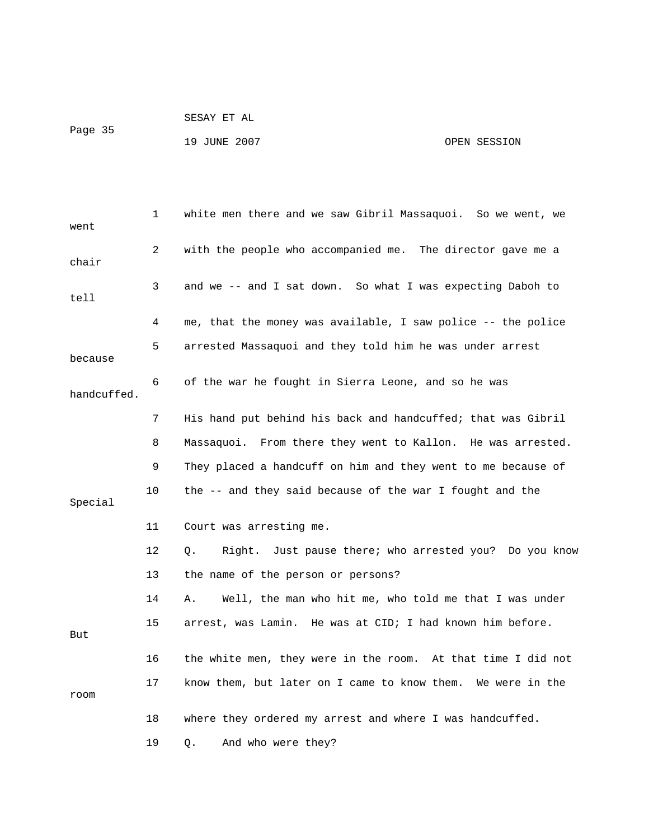Page 35

## 19 JUNE 2007 OPEN SESSION

| went        | 1  | white men there and we saw Gibril Massaquoi. So we went, we  |
|-------------|----|--------------------------------------------------------------|
| chair       | 2  | with the people who accompanied me. The director gave me a   |
| tell        | 3  | and we -- and I sat down. So what I was expecting Daboh to   |
|             | 4  | me, that the money was available, I saw police -- the police |
| because     | 5  | arrested Massaquoi and they told him he was under arrest     |
| handcuffed. | 6  | of the war he fought in Sierra Leone, and so he was          |
|             | 7  | His hand put behind his back and handcuffed; that was Gibril |
|             | 8  | Massaquoi. From there they went to Kallon. He was arrested.  |
|             | 9  | They placed a handcuff on him and they went to me because of |
| Special     | 10 | the -- and they said because of the war I fought and the     |
|             | 11 | Court was arresting me.                                      |
|             | 12 | Right. Just pause there; who arrested you? Do you know<br>Q. |
|             | 13 | the name of the person or persons?                           |
|             | 14 | Α.<br>Well, the man who hit me, who told me that I was under |
| But         | 15 | arrest, was Lamin. He was at CID; I had known him before.    |
|             | 16 | the white men, they were in the room. At that time I did not |
| room        | 17 | know them, but later on I came to know them. We were in the  |
|             | 18 | where they ordered my arrest and where I was handcuffed.     |
|             | 19 | And who were they?<br>Q.                                     |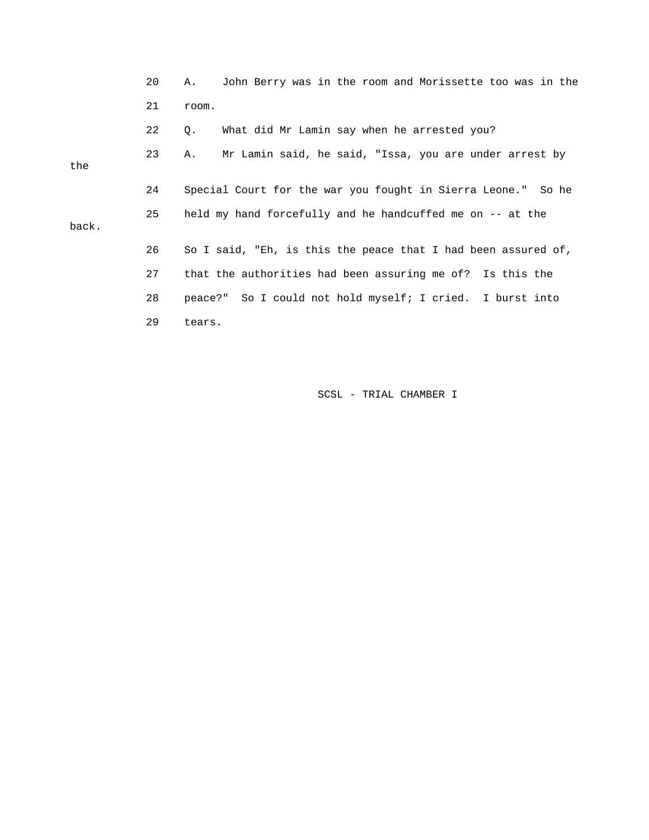|       | 20 | John Berry was in the room and Morissette too was in the<br>Α. |
|-------|----|----------------------------------------------------------------|
|       | 21 | room.                                                          |
|       | 22 | What did Mr Lamin say when he arrested you?<br>Q.              |
| the   | 23 | Mr Lamin said, he said, "Issa, you are under arrest by<br>Α.   |
|       | 24 | Special Court for the war you fought in Sierra Leone." So he   |
| back. | 25 | held my hand forcefully and he handcuffed me on -- at the      |
|       | 26 | So I said, "Eh, is this the peace that I had been assured of,  |
|       | 27 | that the authorities had been assuring me of? Is this the      |
|       | 28 | peace?" So I could not hold myself; I cried. I burst into      |
|       | 29 | tears.                                                         |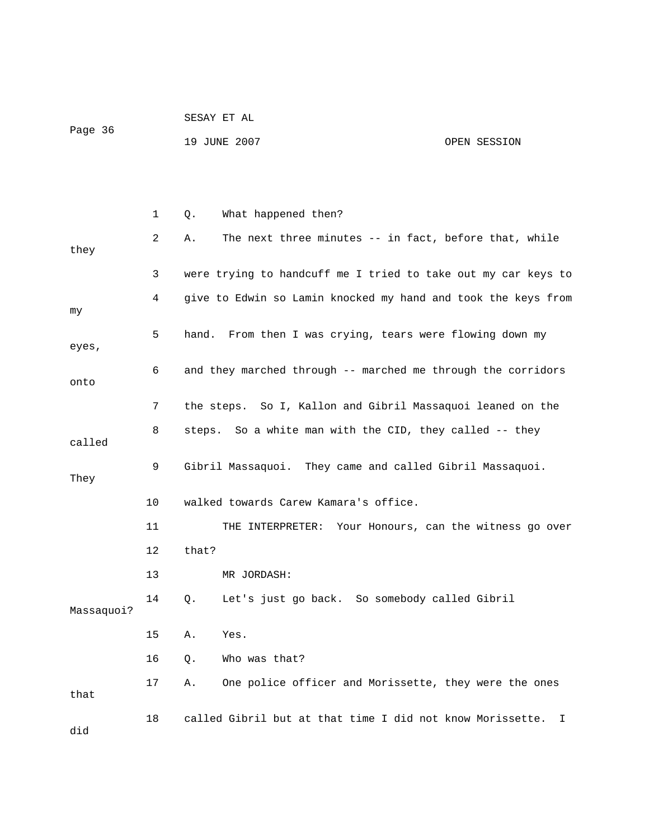|         | SESAY ET AL  |              |
|---------|--------------|--------------|
| Page 36 |              |              |
|         | 19 JUNE 2007 | OPEN SESSION |

|            | 1  | What happened then?<br>Q.                                       |
|------------|----|-----------------------------------------------------------------|
| they       | 2  | The next three minutes -- in fact, before that, while<br>Α.     |
|            | 3  | were trying to handcuff me I tried to take out my car keys to   |
| my         | 4  | give to Edwin so Lamin knocked my hand and took the keys from   |
| eyes,      | 5  | hand. From then I was crying, tears were flowing down my        |
| onto       | 6  | and they marched through -- marched me through the corridors    |
|            | 7  | the steps. So I, Kallon and Gibril Massaquoi leaned on the      |
| called     | 8  | steps. So a white man with the CID, they called -- they         |
| They       | 9  | Gibril Massaquoi. They came and called Gibril Massaquoi.        |
|            | 10 | walked towards Carew Kamara's office.                           |
|            | 11 | THE INTERPRETER: Your Honours, can the witness go over          |
|            | 12 | that?                                                           |
|            | 13 | MR JORDASH:                                                     |
| Massaquoi? | 14 | Let's just go back. So somebody called Gibril<br>Q.             |
|            | 15 | Yes.<br>Α.                                                      |
|            | 16 | Who was that?<br>Q.                                             |
| that       | 17 | One police officer and Morissette, they were the ones<br>Α.     |
| did        | 18 | called Gibril but at that time I did not know Morissette.<br>I. |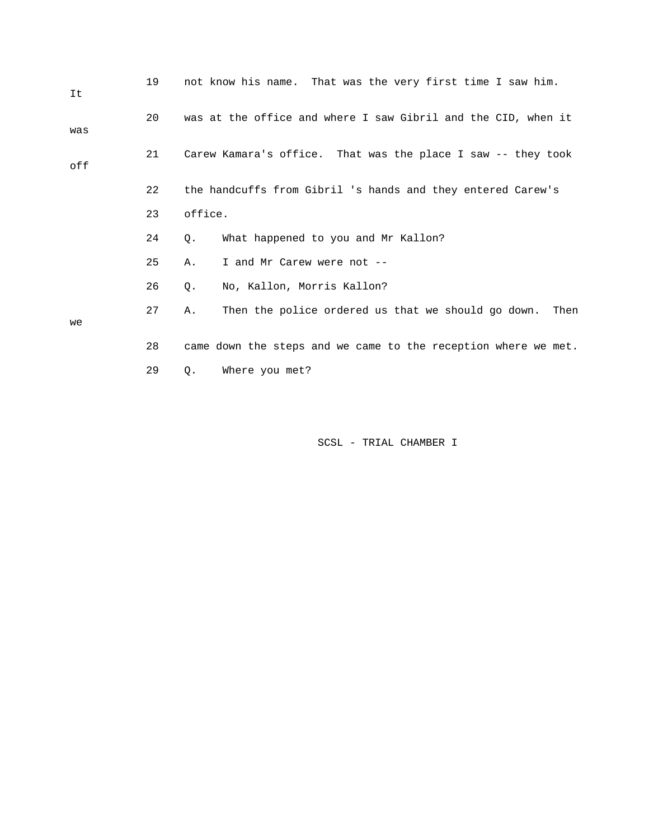| It  | 19 | not know his name. That was the very first time I saw him.       |
|-----|----|------------------------------------------------------------------|
| was | 20 | was at the office and where I saw Gibril and the CID, when it    |
| off | 21 | Carew Kamara's office. That was the place I saw -- they took     |
|     | 22 | the handcuffs from Gibril 's hands and they entered Carew's      |
|     | 23 | office.                                                          |
|     | 24 | What happened to you and Mr Kallon?<br>Q.                        |
|     | 25 | I and Mr Carew were not --<br>Α.                                 |
|     | 26 | No, Kallon, Morris Kallon?<br>Q.                                 |
| we  | 27 | Then the police ordered us that we should go down.<br>Then<br>Α. |
|     | 28 | came down the steps and we came to the reception where we met.   |
|     | 29 | Where you met?<br>Q.                                             |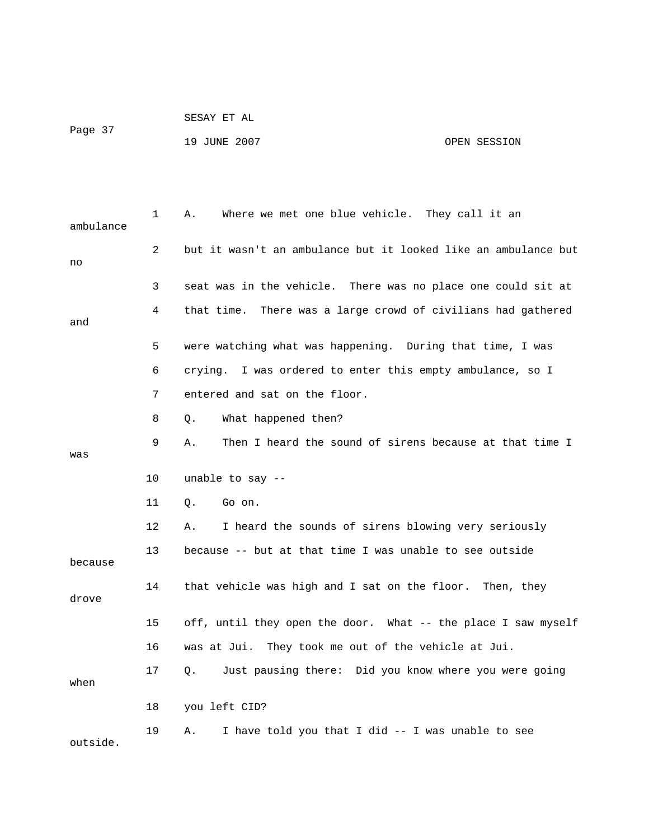| Page 37 | SESAY ET AL  |  |              |
|---------|--------------|--|--------------|
|         | 19 JUNE 2007 |  | OPEN SESSION |

| ambulance | 1  | Where we met one blue vehicle. They call it an<br>Α.            |
|-----------|----|-----------------------------------------------------------------|
| no        | 2  | but it wasn't an ambulance but it looked like an ambulance but  |
|           | 3  | seat was in the vehicle. There was no place one could sit at    |
| and       | 4  | There was a large crowd of civilians had gathered<br>that time. |
|           | 5  | were watching what was happening. During that time, I was       |
|           | 6  | crying. I was ordered to enter this empty ambulance, so I       |
|           | 7  | entered and sat on the floor.                                   |
|           | 8  | What happened then?<br>Q.                                       |
| was       | 9  | Then I heard the sound of sirens because at that time I<br>Α.   |
|           | 10 | unable to say $-$                                               |
|           | 11 | О.<br>Go on.                                                    |
|           | 12 | I heard the sounds of sirens blowing very seriously<br>Α.       |
| because   | 13 | because -- but at that time I was unable to see outside         |
| drove     | 14 | that vehicle was high and I sat on the floor. Then, they        |
|           | 15 | off, until they open the door. What -- the place I saw myself   |
|           | 16 | was at Jui. They took me out of the vehicle at Jui.             |
| when      | 17 | Just pausing there: Did you know where you were going<br>О.     |
|           | 18 | you left CID?                                                   |
| outside.  | 19 | I have told you that I did -- I was unable to see<br>Α.         |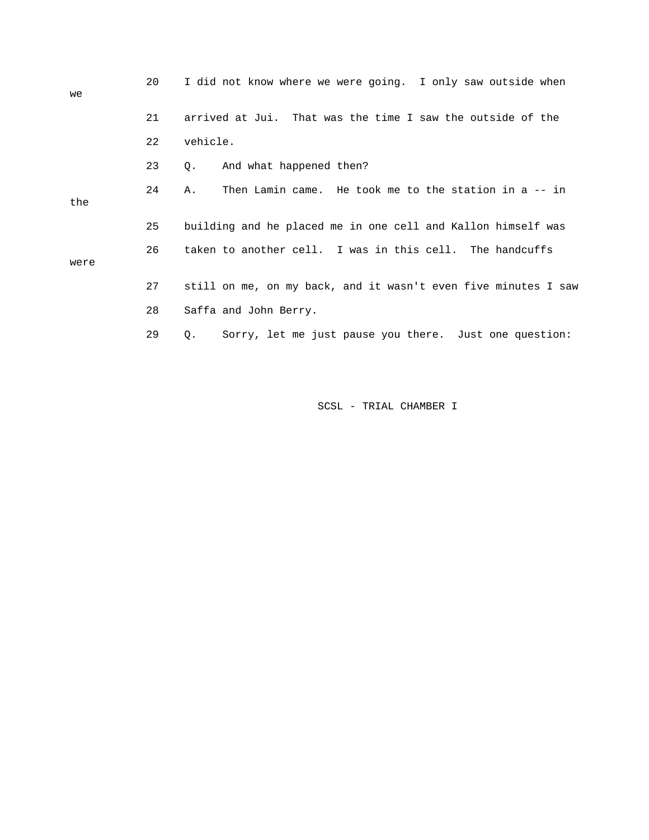| we   | 20 | I did not know where we were going. I only saw outside when         |
|------|----|---------------------------------------------------------------------|
|      | 21 | arrived at Jui. That was the time I saw the outside of the          |
|      | 22 | vehicle.                                                            |
|      | 23 | And what happened then?<br>0.                                       |
| the  | 24 | Then Lamin came. He took me to the station in a -- in<br>Α.         |
|      | 25 | building and he placed me in one cell and Kallon himself was        |
| were | 26 | taken to another cell. I was in this cell. The handcuffs            |
|      | 27 | still on me, on my back, and it wasn't even five minutes I saw      |
|      | 28 | Saffa and John Berry.                                               |
|      | 29 | Sorry, let me just pause you there. Just one question:<br>$\circ$ . |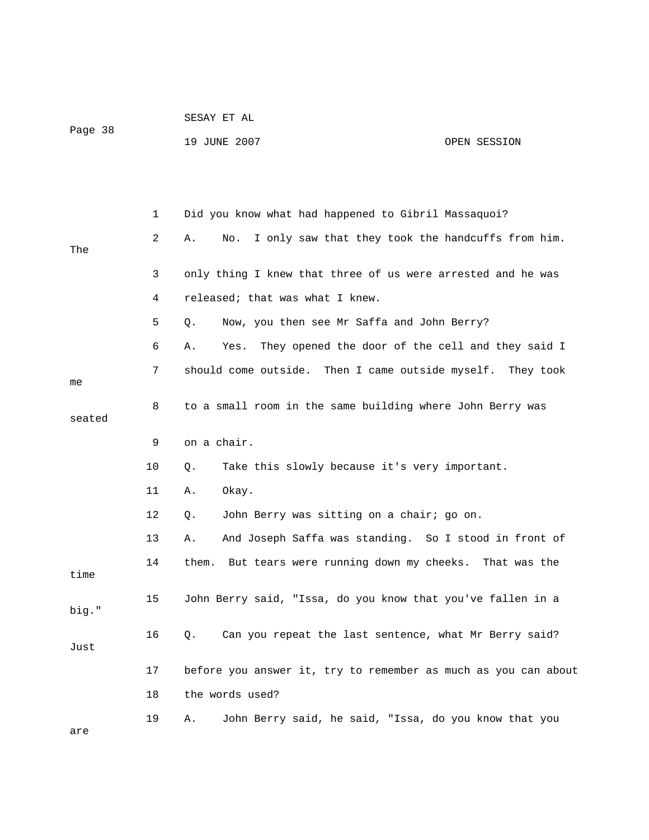| Page 38 |    | SESAY ET AL                                                    |              |
|---------|----|----------------------------------------------------------------|--------------|
|         |    | 19 JUNE 2007                                                   | OPEN SESSION |
|         |    |                                                                |              |
|         |    |                                                                |              |
|         | 1  | Did you know what had happened to Gibril Massaquoi?            |              |
| The     | 2  | I only saw that they took the handcuffs from him.<br>Α.<br>No. |              |
|         | 3  | only thing I knew that three of us were arrested and he was    |              |
|         | 4  | released; that was what I knew.                                |              |
|         | 5  | Now, you then see Mr Saffa and John Berry?<br>Q.               |              |
|         | 6  | They opened the door of the cell and they said I<br>Α.<br>Yes. |              |
| me      | 7  | should come outside. Then I came outside myself. They took     |              |
| seated  | 8  | to a small room in the same building where John Berry was      |              |
|         | 9  | on a chair.                                                    |              |
|         | 10 | Take this slowly because it's very important.<br>Q.            |              |
|         | 11 | Okay.<br>Α.                                                    |              |
|         | 12 | John Berry was sitting on a chair; go on.<br>Q.                |              |
|         | 13 | And Joseph Saffa was standing. So I stood in front of<br>Α.    |              |
| time    | 14 | But tears were running down my cheeks. That was the<br>them.   |              |
| big."   | 15 | John Berry said, "Issa, do you know that you've fallen in a    |              |
| Just    | 16 | Can you repeat the last sentence, what Mr Berry said?<br>Q.    |              |
|         | 17 | before you answer it, try to remember as much as you can about |              |
|         | 18 | the words used?                                                |              |
| are     | 19 | John Berry said, he said, "Issa, do you know that you<br>Α.    |              |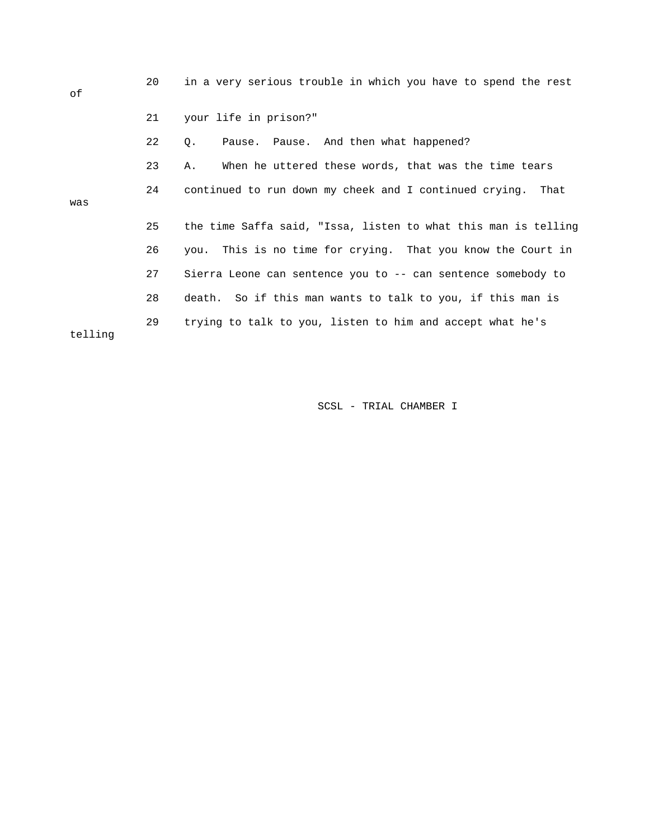20 in a very serious trouble in which you have to spend the rest of 21 your life in prison?" 22 Q. Pause. Pause. And then what happened? 23 A. When he uttered these words, that was the time tears 24 continued to run down my cheek and I continued crying. That was 25 the time Saffa said, "Issa, listen to what this man is telling 26 you. This is no time for crying. That you know the Court in 27 Sierra Leone can sentence you to -- can sentence somebody to 28 death. So if this man wants to talk to you, if this man is 29 trying to talk to you, listen to him and accept what he's telling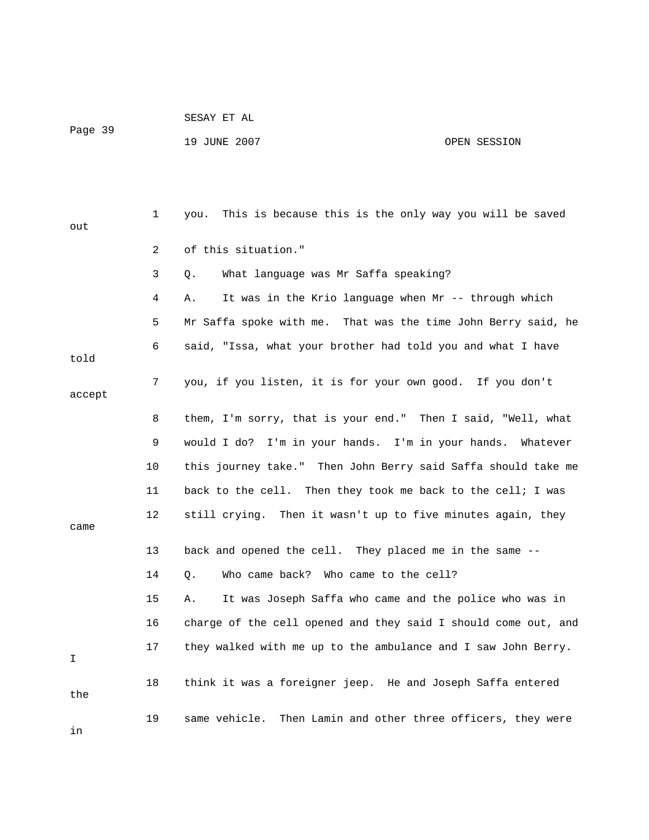| Page 39 |  |
|---------|--|

SESAY ET AL

19 JUNE 2007 OPEN SESSION

| out    | 1  | This is because this is the only way you will be saved<br>you.  |
|--------|----|-----------------------------------------------------------------|
|        | 2  | of this situation."                                             |
|        | 3  | What language was Mr Saffa speaking?<br>Q.                      |
|        | 4  | It was in the Krio language when Mr -- through which<br>Α.      |
|        | 5  | Mr Saffa spoke with me.  That was the time John Berry said, he  |
| told   | 6  | said, "Issa, what your brother had told you and what I have     |
| accept | 7  | you, if you listen, it is for your own good. If you don't       |
|        | 8  | them, I'm sorry, that is your end." Then I said, "Well, what    |
|        | 9  | would I do? I'm in your hands. I'm in your hands.<br>Whatever   |
|        | 10 | this journey take." Then John Berry said Saffa should take me   |
|        | 11 | back to the cell. Then they took me back to the cell; I was     |
| came   | 12 | still crying. Then it wasn't up to five minutes again, they     |
|        | 13 | back and opened the cell. They placed me in the same --         |
|        | 14 | Who came back? Who came to the cell?<br>Q.                      |
|        | 15 | It was Joseph Saffa who came and the police who was in<br>Α.    |
|        | 16 | charge of the cell opened and they said I should come out, and  |
| I      | 17 | they walked with me up to the ambulance and I saw John Berry.   |
| the    | 18 | think it was a foreigner jeep. He and Joseph Saffa entered      |
| in     | 19 | same vehicle.<br>Then Lamin and other three officers, they were |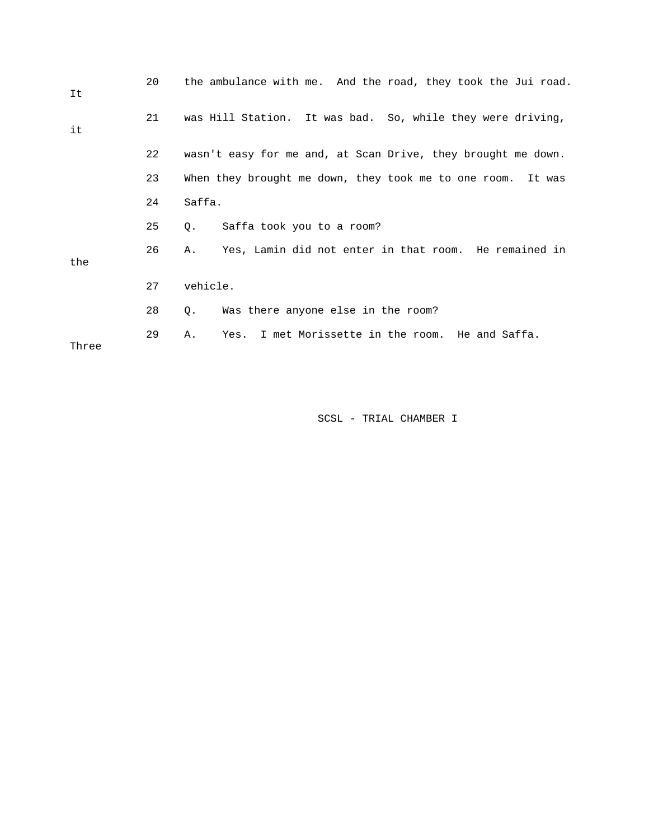| It    | 20 | the ambulance with me. And the road, they took the Jui road.   |
|-------|----|----------------------------------------------------------------|
| it    | 21 | was Hill Station. It was bad. So, while they were driving,     |
|       | 22 | wasn't easy for me and, at Scan Drive, they brought me down.   |
|       | 23 | When they brought me down, they took me to one room.<br>It was |
|       | 24 | Saffa.                                                         |
|       | 25 | Saffa took you to a room?<br>Q.                                |
| the   | 26 | Yes, Lamin did not enter in that room. He remained in<br>Α.    |
|       | 27 | vehicle.                                                       |
|       | 28 | Was there anyone else in the room?<br>Q.                       |
| Three | 29 | Yes. I met Morissette in the room. He and Saffa.<br>Α.         |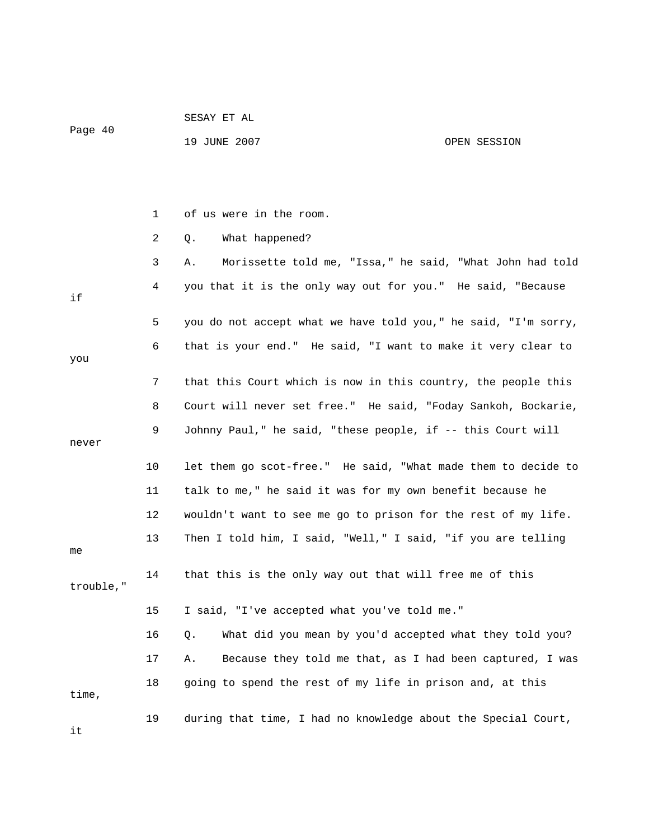|           |    | 19 JUNE 2007                                                | OPEN SESSION                                                   |
|-----------|----|-------------------------------------------------------------|----------------------------------------------------------------|
|           |    |                                                             |                                                                |
|           |    |                                                             |                                                                |
|           | 1  | of us were in the room.                                     |                                                                |
|           | 2  | What happened?<br>Q.                                        |                                                                |
|           | 3  | Α.                                                          | Morissette told me, "Issa," he said, "What John had told       |
| if        | 4  |                                                             | you that it is the only way out for you." He said, "Because    |
|           | 5  |                                                             | you do not accept what we have told you," he said, "I'm sorry, |
| you       | 6  |                                                             | that is your end." He said, "I want to make it very clear to   |
|           | 7  |                                                             | that this Court which is now in this country, the people this  |
|           | 8  |                                                             | Court will never set free." He said, "Foday Sankoh, Bockarie,  |
| never     | 9  | Johnny Paul," he said, "these people, if -- this Court will |                                                                |
|           |    |                                                             |                                                                |
|           | 10 |                                                             | let them go scot-free." He said, "What made them to decide to  |
|           | 11 | talk to me," he said it was for my own benefit because he   |                                                                |
|           | 12 |                                                             | wouldn't want to see me go to prison for the rest of my life.  |
| me        | 13 |                                                             | Then I told him, I said, "Well," I said, "if you are telling   |
| trouble," | 14 | that this is the only way out that will free me of this     |                                                                |
|           | 15 | I said, "I've accepted what you've told me."                |                                                                |
|           | 16 | Q.                                                          | What did you mean by you'd accepted what they told you?        |
|           | 17 | Α.                                                          | Because they told me that, as I had been captured, I was       |
| time,     | 18 | going to spend the rest of my life in prison and, at this   |                                                                |
| it        | 19 |                                                             | during that time, I had no knowledge about the Special Court,  |

SESAY ET AL

Page 40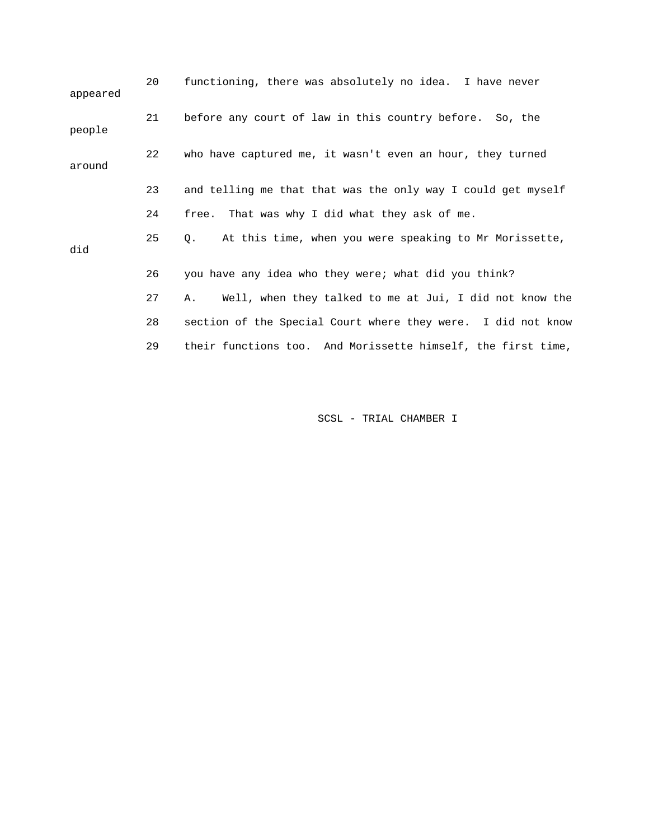| appeared | 20 | functioning, there was absolutely no idea. I have never             |
|----------|----|---------------------------------------------------------------------|
| people   | 21 | before any court of law in this country before. So, the             |
| around   | 22 | who have captured me, it wasn't even an hour, they turned           |
|          | 23 | and telling me that that was the only way I could get myself        |
|          | 24 | free. That was why I did what they ask of me.                       |
| did      | 25 | At this time, when you were speaking to Mr Morissette,<br>$\circ$ . |
|          | 26 | you have any idea who they were; what did you think?                |
|          | 27 | Well, when they talked to me at Jui, I did not know the<br>Α.       |
|          | 28 | section of the Special Court where they were. I did not know        |
|          | 29 | their functions too. And Morissette himself, the first time,        |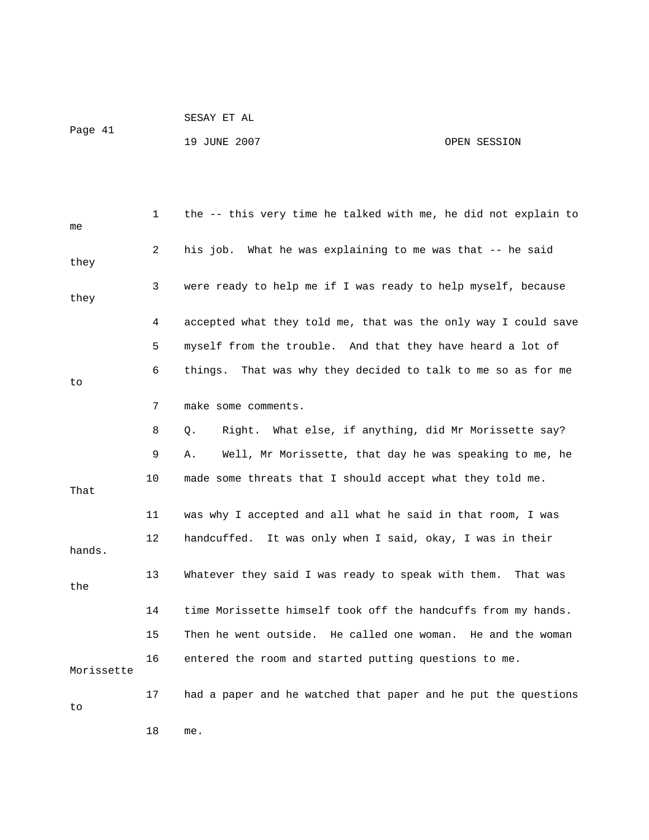| Page 41 | SESAY ET AL  |              |
|---------|--------------|--------------|
|         | 19 JUNE 2007 | OPEN SESSION |

| me         | 1  | the -- this very time he talked with me, he did not explain to  |
|------------|----|-----------------------------------------------------------------|
| they       | 2  | his job. What he was explaining to me was that -- he said       |
| they       | 3  | were ready to help me if I was ready to help myself, because    |
|            | 4  | accepted what they told me, that was the only way I could save  |
|            | 5  | myself from the trouble. And that they have heard a lot of      |
| to         | 6  | That was why they decided to talk to me so as for me<br>things. |
|            | 7  | make some comments.                                             |
|            | 8  | What else, if anything, did Mr Morissette say?<br>Right.<br>Q.  |
|            | 9  | Well, Mr Morissette, that day he was speaking to me, he<br>Α.   |
| That       | 10 | made some threats that I should accept what they told me.       |
|            | 11 | was why I accepted and all what he said in that room, I was     |
| hands.     | 12 | It was only when I said, okay, I was in their<br>handcuffed.    |
| the        | 13 | Whatever they said I was ready to speak with them. That was     |
|            | 14 | time Morissette himself took off the handcuffs from my hands.   |
|            | 15 | Then he went outside. He called one woman. He and the woman     |
| Morissette | 16 | entered the room and started putting questions to me.           |
| to         | 17 | had a paper and he watched that paper and he put the questions  |
|            | 18 | me.                                                             |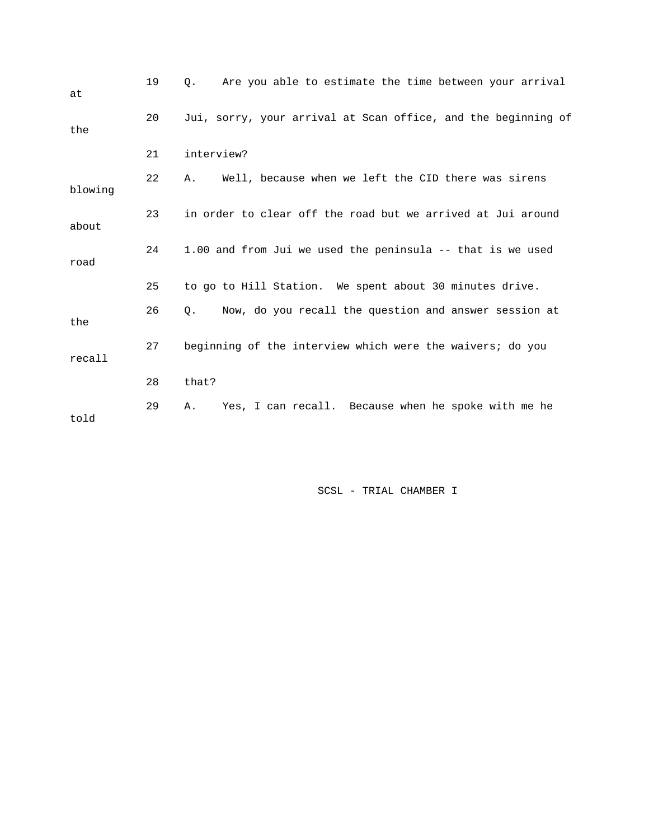| at      | 19 | Are you able to estimate the time between your arrival<br>О.       |
|---------|----|--------------------------------------------------------------------|
| the     | 20 | Jui, sorry, your arrival at Scan office, and the beginning of      |
|         | 21 | interview?                                                         |
| blowing | 22 | Well, because when we left the CID there was sirens<br>Α.          |
| about   | 23 | in order to clear off the road but we arrived at Jui around        |
| road    | 24 | 1.00 and from Jui we used the peninsula -- that is we used         |
|         | 25 | to go to Hill Station. We spent about 30 minutes drive.            |
| the     | 26 | Now, do you recall the question and answer session at<br>$\circ$ . |
| recall  | 27 | beginning of the interview which were the waivers; do you          |
|         | 28 | that?                                                              |
| told    | 29 | Yes, I can recall. Because when he spoke with me he<br>Α.          |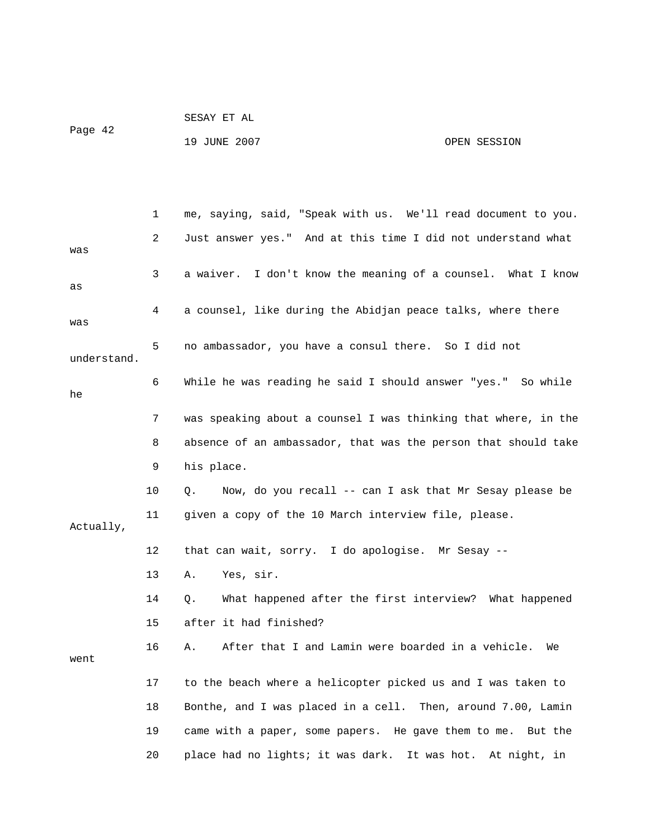| Page 42 | SESAY ET AL  |              |
|---------|--------------|--------------|
|         | 19 JUNE 2007 | OPEN SESSION |

|             | $\mathbf{1}$ | me, saying, said, "Speak with us. We'll read document to you.          |
|-------------|--------------|------------------------------------------------------------------------|
| was         | 2            | Just answer yes." And at this time I did not understand what           |
| as          | 3            | a waiver. I don't know the meaning of a counsel. What I know           |
| was         | 4            | a counsel, like during the Abidjan peace talks, where there            |
| understand. | 5            | no ambassador, you have a consul there. So I did not                   |
| he          | 6            | While he was reading he said I should answer "yes." So while           |
|             | 7            | was speaking about a counsel I was thinking that where, in the         |
|             | 8            | absence of an ambassador, that was the person that should take         |
|             | 9            | his place.                                                             |
|             | 10           | Now, do you recall -- can I ask that Mr Sesay please be<br>$Q_{\star}$ |
| Actually,   | 11           | given a copy of the 10 March interview file, please.                   |
|             | 12           | that can wait, sorry. I do apologise. Mr Sesay --                      |
|             | 13           | Yes, sir.<br>Α.                                                        |
|             | 14           | What happened after the first interview? What happened<br>$Q$ .        |
|             | 15           | after it had finished?                                                 |
| went        | 16           | After that I and Lamin were boarded in a vehicle. We<br>Α.             |
|             | 17           | to the beach where a helicopter picked us and I was taken to           |
|             | 18           | Bonthe, and I was placed in a cell. Then, around 7.00, Lamin           |
|             | 19           | came with a paper, some papers. He gave them to me. But the            |
|             | 20           | place had no lights; it was dark. It was hot.<br>At night, in          |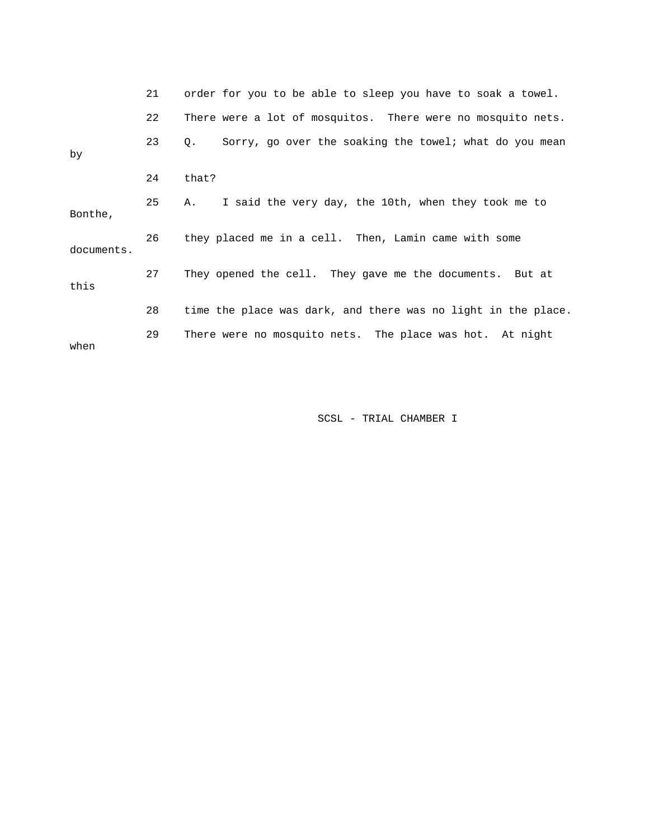|            | 21 | order for you to be able to sleep you have to soak a towel.     |
|------------|----|-----------------------------------------------------------------|
|            | 22 | There were a lot of mosquitos. There were no mosquito nets.     |
| by         | 23 | Sorry, go over the soaking the towel; what do you mean<br>$Q$ . |
|            | 24 | that?                                                           |
| Bonthe,    | 25 | I said the very day, the 10th, when they took me to<br>Α.       |
| documents. | 26 | they placed me in a cell. Then, Lamin came with some            |
| this       | 27 | They opened the cell. They gave me the documents. But at        |
|            | 28 | time the place was dark, and there was no light in the place.   |
| when       | 29 | There were no mosquito nets. The place was hot. At night        |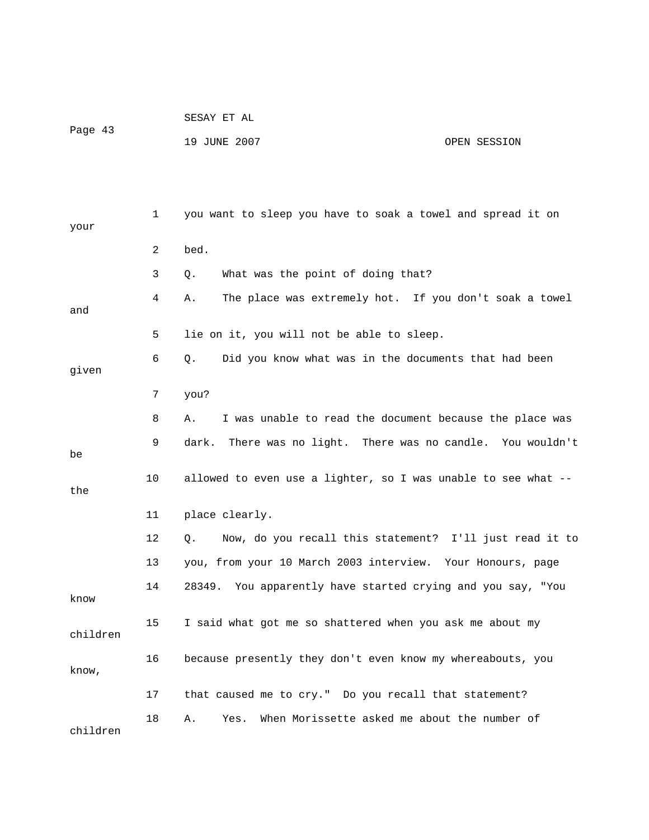| Page 43 | SESAY ET AL  |              |
|---------|--------------|--------------|
|         | 19 JUNE 2007 | OPEN SESSION |

| your     | 1              | you want to sleep you have to soak a towel and spread it on    |
|----------|----------------|----------------------------------------------------------------|
|          | $\overline{2}$ | bed.                                                           |
|          | 3              | What was the point of doing that?<br>Q.                        |
| and      | 4              | The place was extremely hot. If you don't soak a towel<br>Α.   |
|          | 5              | lie on it, you will not be able to sleep.                      |
| given    | 6              | Did you know what was in the documents that had been<br>Q.     |
|          | 7              | you?                                                           |
|          | 8              | I was unable to read the document because the place was<br>Α.  |
| be       | 9              | dark.<br>There was no light. There was no candle. You wouldn't |
| the      | 10             | allowed to even use a lighter, so I was unable to see what $-$ |
|          | 11             | place clearly.                                                 |
|          | 12             | Now, do you recall this statement? I'll just read it to<br>Q.  |
|          | 13             | you, from your 10 March 2003 interview. Your Honours, page     |
| know     | 14             | 28349. You apparently have started crying and you say, "You    |
| children | 15             | I said what got me so shattered when you ask me about my       |
| know,    | 16             | because presently they don't even know my whereabouts, you     |
|          | 17             | that caused me to cry." Do you recall that statement?          |
| children | 18             | When Morissette asked me about the number of<br>Α.<br>Yes.     |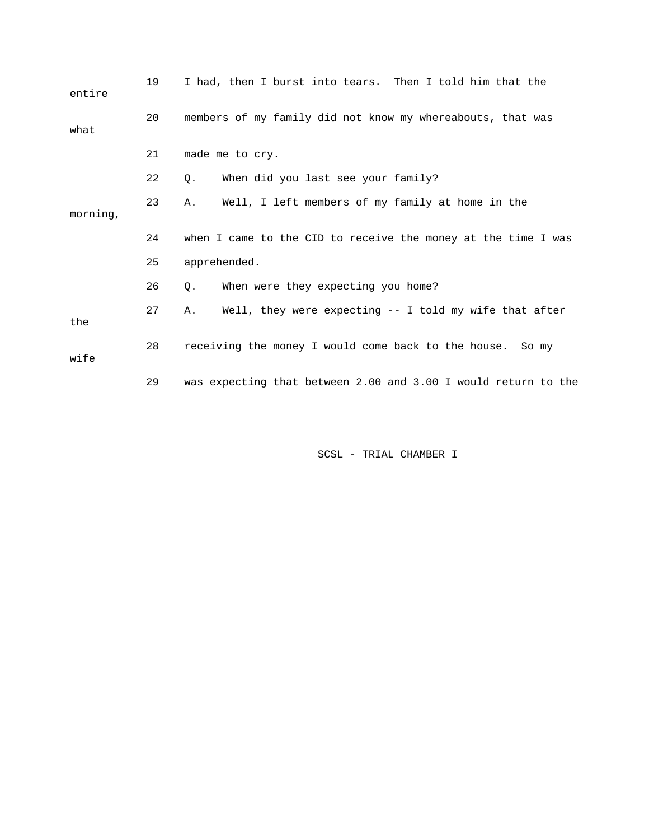| entire   | 19 | I had, then I burst into tears. Then I told him that the       |
|----------|----|----------------------------------------------------------------|
| what     | 20 | members of my family did not know my whereabouts, that was     |
|          | 21 | made me to cry.                                                |
|          | 22 | When did you last see your family?<br>Q.                       |
| morning, | 23 | Well, I left members of my family at home in the<br>Α.         |
|          | 24 | when I came to the CID to receive the money at the time I was  |
|          | 25 | apprehended.                                                   |
|          | 26 | When were they expecting you home?<br>$\circ$ .                |
| the      | 27 | Well, they were expecting $-$ I told my wife that after<br>Α.  |
| wife     | 28 | receiving the money I would come back to the house. So my      |
|          | 29 | was expecting that between 2.00 and 3.00 I would return to the |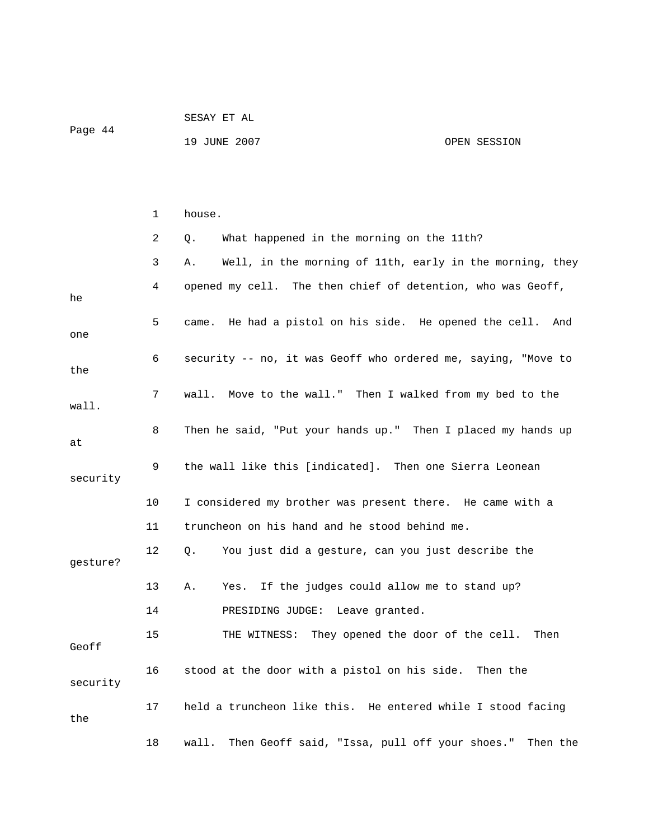| Page 44 | SESAY ET AL  |              |
|---------|--------------|--------------|
|         | 19 JUNE 2007 | OPEN SESSION |

|          | 1  | house.                                                           |
|----------|----|------------------------------------------------------------------|
|          | 2  | What happened in the morning on the 11th?<br>Q.                  |
|          | 3  | Well, in the morning of 11th, early in the morning, they<br>Α.   |
| he       | 4  | opened my cell. The then chief of detention, who was Geoff,      |
| one      | 5  | He had a pistol on his side. He opened the cell.<br>came.<br>And |
| the      | 6  | security -- no, it was Geoff who ordered me, saying, "Move to    |
| wall.    | 7  | wall. Move to the wall." Then I walked from my bed to the        |
| at       | 8  | Then he said, "Put your hands up." Then I placed my hands up     |
| security | 9  | the wall like this [indicated]. Then one Sierra Leonean          |
|          | 10 | I considered my brother was present there. He came with a        |
|          | 11 | truncheon on his hand and he stood behind me.                    |
| qesture? | 12 | You just did a gesture, can you just describe the<br>Q.          |
|          | 13 | If the judges could allow me to stand up?<br>Α.<br>Yes.          |
|          | 14 | PRESIDING JUDGE: Leave granted.                                  |
| Geoff    | 15 | THE WITNESS: They opened the door of the cell.<br>Then           |
| security | 16 | stood at the door with a pistol on his side. Then the            |
| the      | 17 | held a truncheon like this. He entered while I stood facing      |
|          | 18 | Then Geoff said, "Issa, pull off your shoes." Then the<br>wall.  |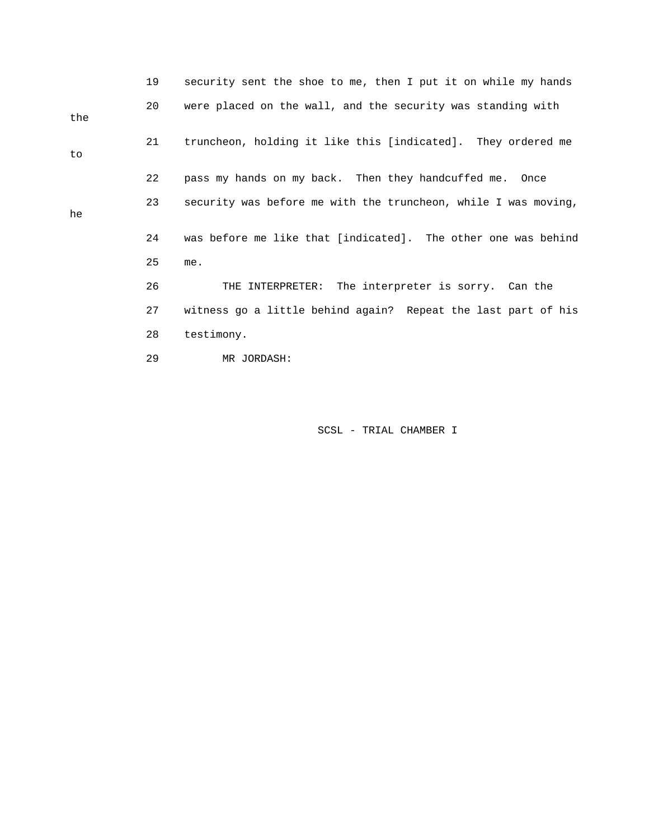|     | 19 | security sent the shoe to me, then I put it on while my hands  |
|-----|----|----------------------------------------------------------------|
| the | 20 | were placed on the wall, and the security was standing with    |
| to  | 21 | truncheon, holding it like this [indicated]. They ordered me   |
|     | 22 | pass my hands on my back. Then they handcuffed me. Once        |
| he  | 23 | security was before me with the truncheon, while I was moving, |
|     | 24 | was before me like that [indicated]. The other one was behind  |
|     | 25 | me.                                                            |
|     | 26 | THE INTERPRETER: The interpreter is sorry. Can the             |
|     | 27 | witness go a little behind again? Repeat the last part of his  |
|     | 28 | testimony.                                                     |
|     | 29 | MR JORDASH:                                                    |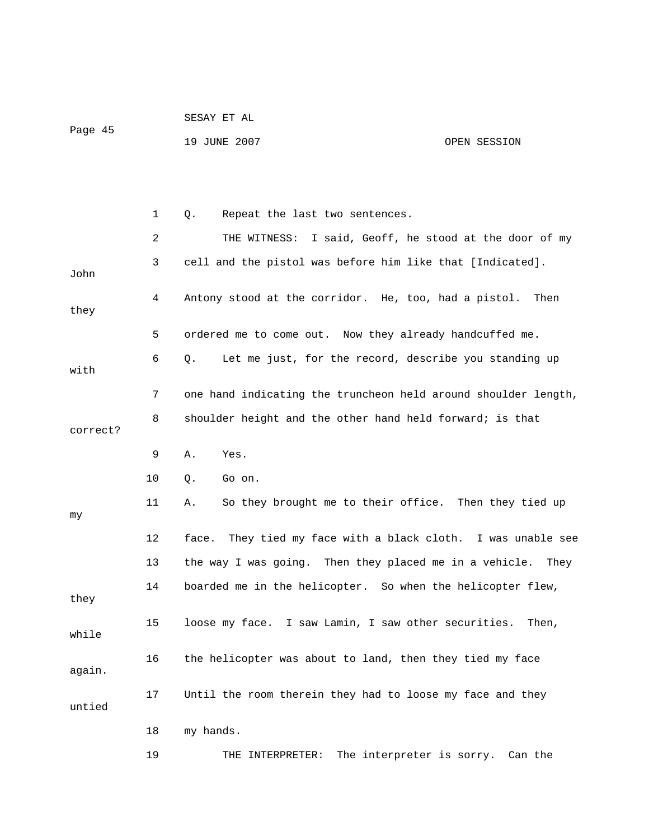| Page 45 | SESAY ET AL  |              |
|---------|--------------|--------------|
|         | 19 JUNE 2007 | OPEN SESSION |

|          | 1       | Repeat the last two sentences.<br>Q.                            |
|----------|---------|-----------------------------------------------------------------|
|          | 2       | THE WITNESS: I said, Geoff, he stood at the door of my          |
| John     | 3       | cell and the pistol was before him like that [Indicated].       |
| they     | 4       | Antony stood at the corridor. He, too, had a pistol.<br>Then    |
|          | 5       | ordered me to come out. Now they already handcuffed me.         |
| with     | 6       | Let me just, for the record, describe you standing up<br>Q.     |
|          | 7       | one hand indicating the truncheon held around shoulder length,  |
| correct? | 8       | shoulder height and the other hand held forward; is that        |
|          | 9       | Α.<br>Yes.                                                      |
|          | 10      | Go on.<br>Q.                                                    |
| my       | 11      | So they brought me to their office. Then they tied up<br>Α.     |
|          | $12 \,$ | They tied my face with a black cloth. I was unable see<br>face. |
|          | 13      | the way I was going. Then they placed me in a vehicle. They     |
| they     | 14      | boarded me in the helicopter. So when the helicopter flew,      |
| while    | 15      | loose my face. I saw Lamin, I saw other securities.<br>Then,    |
| again.   | 16      | the helicopter was about to land, then they tied my face        |
| untied   | 17      | Until the room therein they had to loose my face and they       |
|          | 18      | my hands.                                                       |
|          | 19      | The interpreter is sorry.<br>Can the<br>THE INTERPRETER:        |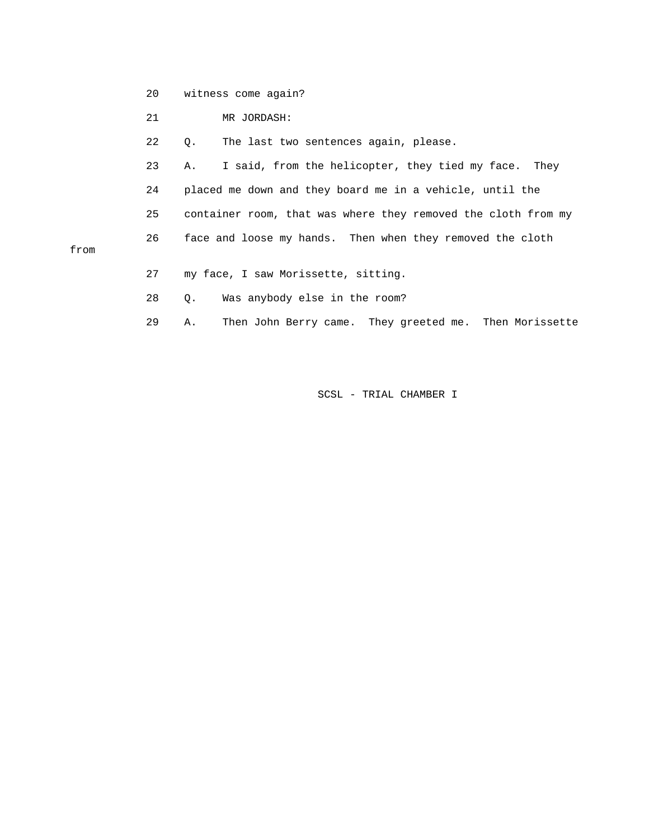20 witness come again?

21 MR JORDASH:

from

22 Q. The last two sentences again, please.

 23 A. I said, from the helicopter, they tied my face. They 24 placed me down and they board me in a vehicle, until the 25 container room, that was where they removed the cloth from my 26 face and loose my hands. Then when they removed the cloth

- 27 my face, I saw Morissette, sitting.
- 28 Q. Was anybody else in the room?

29 A. Then John Berry came. They greeted me. Then Morissette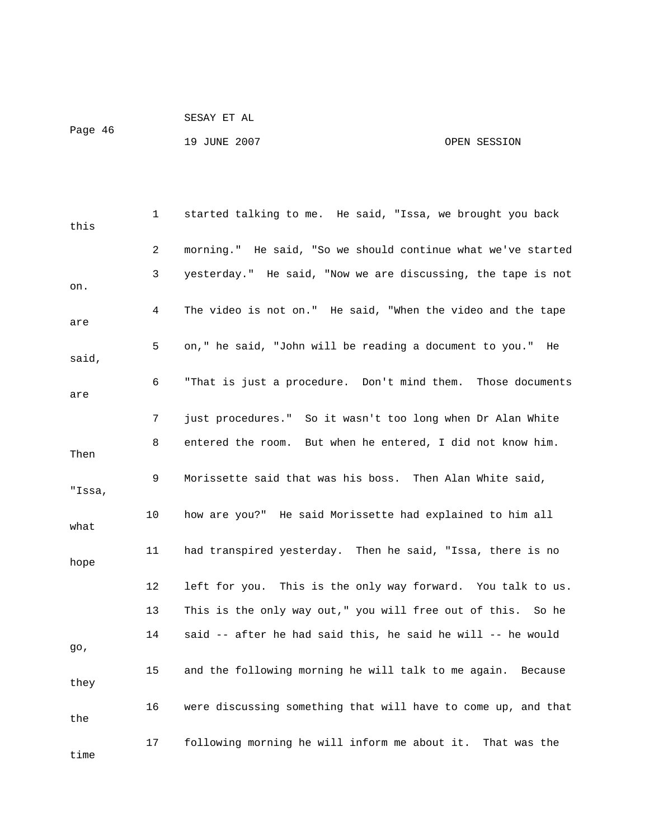```
 SESAY ET AL
```
Page 46

## 19 JUNE 2007 CPEN SESSION

| this   | 1  | started talking to me. He said, "Issa, we brought you back    |
|--------|----|---------------------------------------------------------------|
|        | 2  | morning." He said, "So we should continue what we've started  |
| on.    | 3  | yesterday." He said, "Now we are discussing, the tape is not  |
| are    | 4  | The video is not on." He said, "When the video and the tape   |
| said,  | 5  | on," he said, "John will be reading a document to you." He    |
| are    | 6  | "That is just a procedure. Don't mind them. Those documents   |
|        | 7  | just procedures." So it wasn't too long when Dr Alan White    |
| Then   | 8  | entered the room. But when he entered, I did not know him.    |
| "Issa, | 9  | Morissette said that was his boss. Then Alan White said,      |
| what   | 10 | how are you?" He said Morissette had explained to him all     |
| hope   | 11 | had transpired yesterday. Then he said, "Issa, there is no    |
|        | 12 | left for you. This is the only way forward. You talk to us.   |
|        | 13 | This is the only way out," you will free out of this. So he   |
| go,    | 14 | said -- after he had said this, he said he will -- he would   |
| they   | 15 | and the following morning he will talk to me again. Because   |
| the    | 16 | were discussing something that will have to come up, and that |
| time   | 17 | following morning he will inform me about it. That was the    |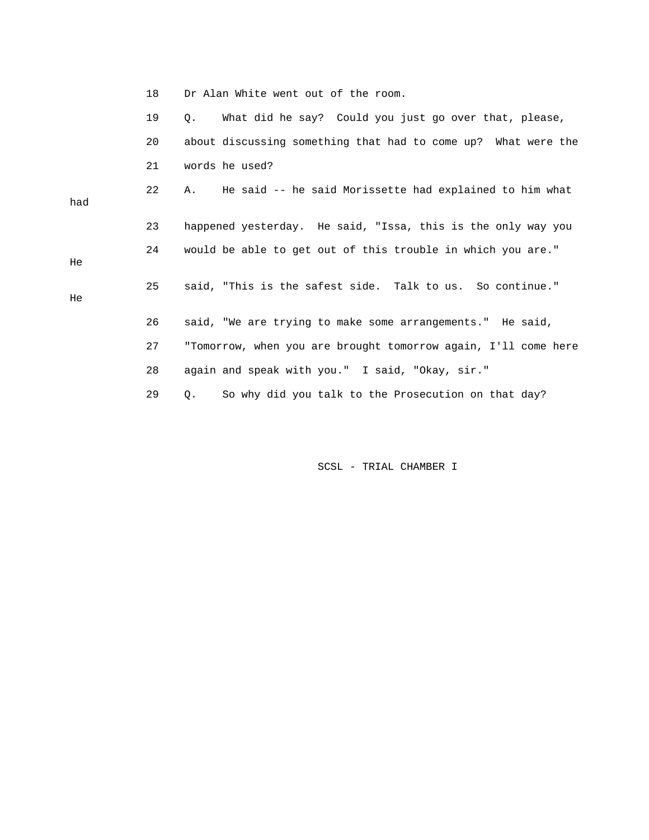| Dr Alan White went out of the room. |  |  |
|-------------------------------------|--|--|
|-------------------------------------|--|--|

|     | 19 | What did he say? Could you just go over that, please,<br>0.    |
|-----|----|----------------------------------------------------------------|
|     | 20 | about discussing something that had to come up? What were the  |
|     | 21 | words he used?                                                 |
| had | 22 | He said -- he said Morissette had explained to him what<br>Α.  |
|     | 23 | happened yesterday. He said, "Issa, this is the only way you   |
| He  | 24 | would be able to get out of this trouble in which you are."    |
| He  | 25 | said, "This is the safest side. Talk to us. So continue."      |
|     | 26 | said, "We are trying to make some arrangements." He said,      |
|     | 27 | "Tomorrow, when you are brought tomorrow again, I'll come here |
|     | 28 | again and speak with you." I said, "Okay, sir."                |
|     | 29 | So why did you talk to the Prosecution on that day?<br>Q.      |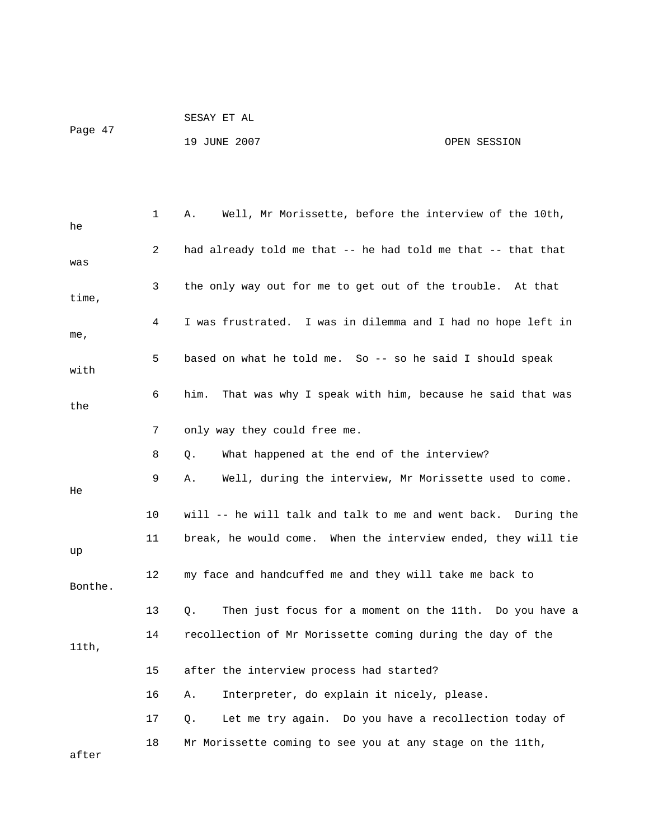| Page 47 | SESAY ET AL  |              |
|---------|--------------|--------------|
|         | 19 JUNE 2007 | OPEN SESSION |

| he      | 1  | Well, Mr Morissette, before the interview of the 10th,<br>Α.    |
|---------|----|-----------------------------------------------------------------|
| was     | 2  | had already told me that -- he had told me that -- that that    |
| time,   | 3  | the only way out for me to get out of the trouble. At that      |
| me,     | 4  | I was frustrated. I was in dilemma and I had no hope left in    |
| with    | 5  | based on what he told me. So -- so he said I should speak       |
| the     | 6  | That was why I speak with him, because he said that was<br>him. |
|         | 7  | only way they could free me.                                    |
|         | 8  | What happened at the end of the interview?<br>Q.                |
| He      | 9  | Well, during the interview, Mr Morissette used to come.<br>Α.   |
|         | 10 | will -- he will talk and talk to me and went back. During the   |
| up      | 11 | break, he would come. When the interview ended, they will tie   |
| Bonthe. | 12 | my face and handcuffed me and they will take me back to         |
|         | 13 | Then just focus for a moment on the 11th. Do you have a<br>Q.   |
| 11th,   | 14 | recollection of Mr Morissette coming during the day of the      |
|         | 15 | after the interview process had started?                        |
|         | 16 | Interpreter, do explain it nicely, please.<br>Α.                |
|         | 17 | Let me try again. Do you have a recollection today of<br>Q.     |
| after   | 18 | Mr Morissette coming to see you at any stage on the 11th,       |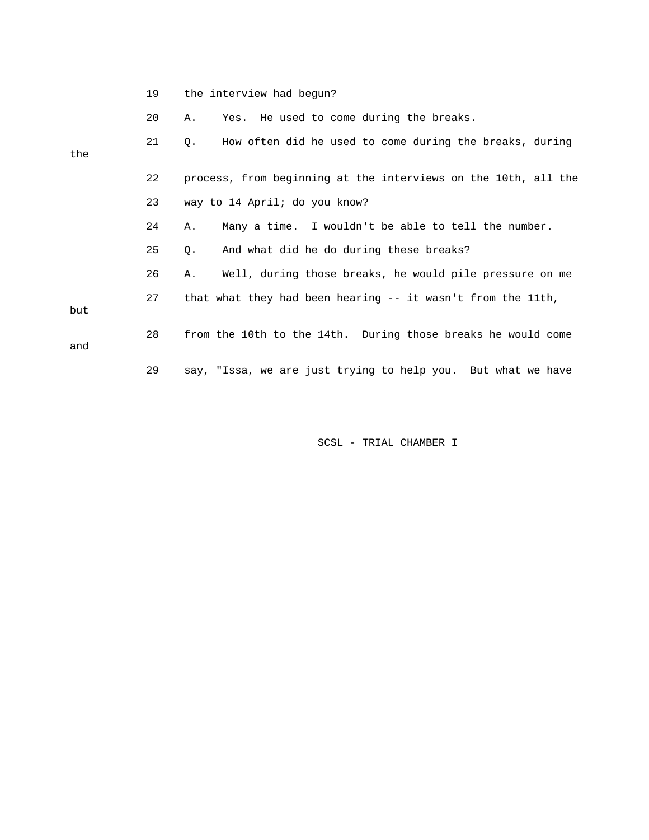|  |  | the interview had begun? |  |  |  |
|--|--|--------------------------|--|--|--|
|--|--|--------------------------|--|--|--|

20 A. Yes. He used to come during the breaks.

| the | 21 | How often did he used to come during the breaks, during<br>О.  |
|-----|----|----------------------------------------------------------------|
|     | 22 | process, from beginning at the interviews on the 10th, all the |
|     | 23 | way to 14 April; do you know?                                  |
|     | 24 | Many a time. I wouldn't be able to tell the number.<br>Α.      |
|     | 25 | And what did he do during these breaks?<br>$\circ$ .           |
|     | 26 | Well, during those breaks, he would pile pressure on me<br>Α.  |
| but | 27 | that what they had been hearing -- it wasn't from the 11th,    |
| and | 28 | from the 10th to the 14th. During those breaks he would come   |
|     | 29 | say, "Issa, we are just trying to help you. But what we have   |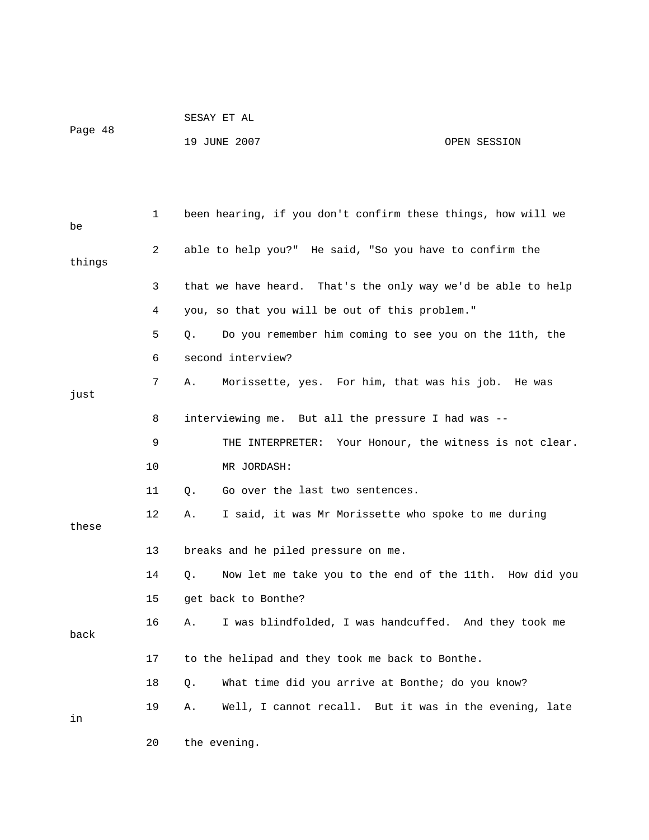|         | SESAY ET AL  |              |
|---------|--------------|--------------|
| Page 48 |              |              |
|         | 19 JUNE 2007 | OPEN SESSION |

 1 been hearing, if you don't confirm these things, how will we 2 able to help you?" He said, "So you have to confirm the 3 that we have heard. That's the only way we'd be able to help 5 Q. Do you remember him coming to see you on the 11th, the 6 second interview? 8 interviewing me. But all the pressure I had was -- 9 THE INTERPRETER: Your Honour, the witness is not clear. 10 MR JORDASH: 11 Q. Go over the last two sentences. 12 A. I said, it was Mr Morissette who spoke to me during 13 breaks and he piled pressure on me. 14 Q. Now let me take you to the end of the 11th. How did you 16 A. I was blindfolded, I was handcuffed. And they took me 17 to the helipad and they took me back to Bonthe. 18 Q. What time did you arrive at Bonthe; do you know? 19 A. Well, I cannot recall. But it was in the evening, late be things 4 you, so that you will be out of this problem." 7 A. Morissette, yes. For him, that was his job. He was just these 15 get back to Bonthe? back in

20 the evening.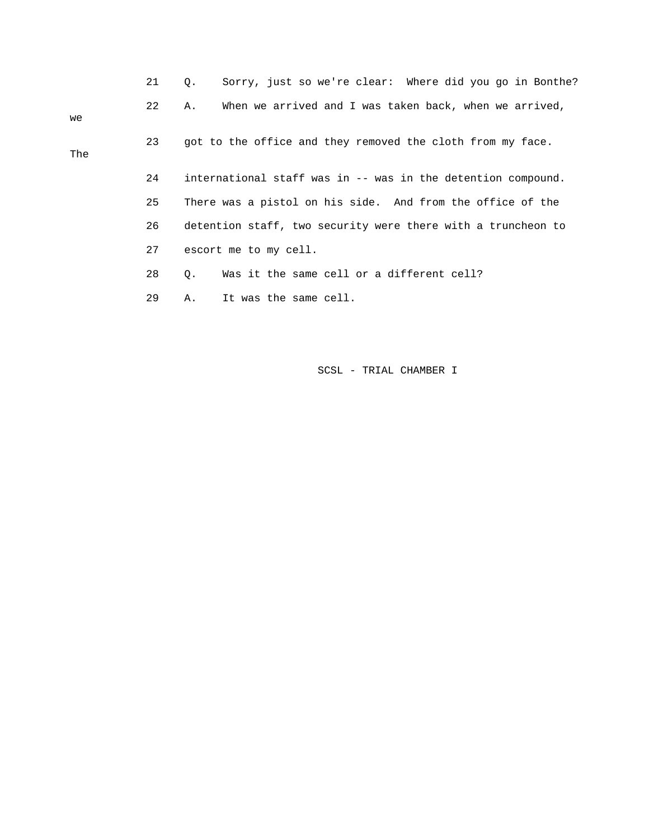|     | 21 | Sorry, just so we're clear: Where did you go in Bonthe?<br>0. |
|-----|----|---------------------------------------------------------------|
| we  | 22 | When we arrived and I was taken back, when we arrived,<br>Α.  |
| The | 23 | got to the office and they removed the cloth from my face.    |
|     | 24 | international staff was in -- was in the detention compound.  |
|     | 25 | There was a pistol on his side. And from the office of the    |
|     | 26 | detention staff, two security were there with a truncheon to  |
|     | 27 | escort me to my cell.                                         |
|     | 28 | Was it the same cell or a different cell?<br>$\circ$ .        |
|     | 29 | It was the same cell.<br>Α.                                   |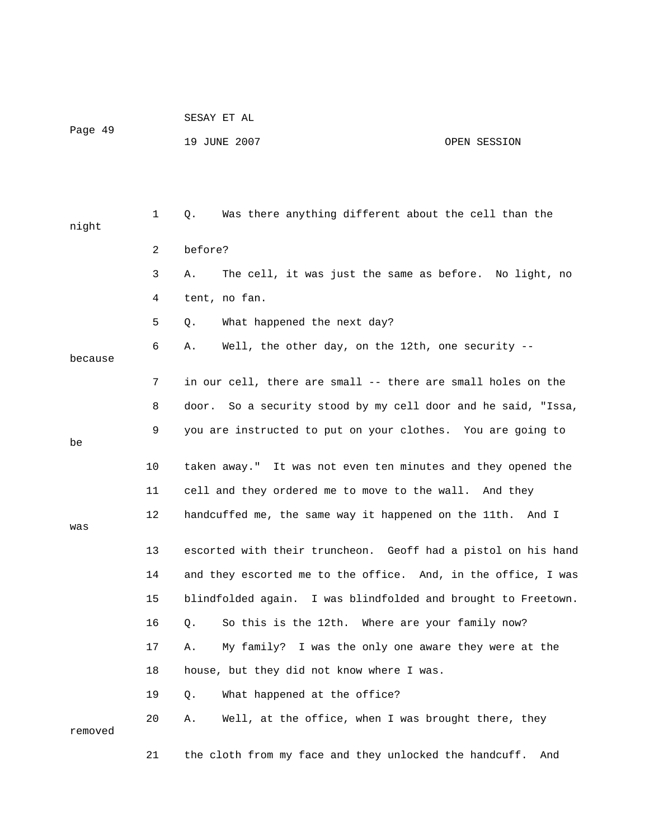| Page 49 | SESAY ET AL  |              |
|---------|--------------|--------------|
|         | 19 JUNE 2007 | OPEN SESSION |
|         |              |              |

| night   | 1  | Was there anything different about the cell than the<br>Q.    |
|---------|----|---------------------------------------------------------------|
|         |    |                                                               |
|         | 2  | before?                                                       |
|         | 3  | The cell, it was just the same as before. No light, no<br>Α.  |
|         | 4  | tent, no fan.                                                 |
|         | 5  | What happened the next day?<br>Q.                             |
| because | 6  | Well, the other day, on the 12th, one security --<br>Α.       |
|         | 7  | in our cell, there are small -- there are small holes on the  |
|         | 8  | door. So a security stood by my cell door and he said, "Issa, |
| be      | 9  | you are instructed to put on your clothes. You are going to   |
|         | 10 | taken away." It was not even ten minutes and they opened the  |
|         | 11 | cell and they ordered me to move to the wall. And they        |
| was     | 12 | handcuffed me, the same way it happened on the 11th. And I    |
|         | 13 | escorted with their truncheon. Geoff had a pistol on his hand |
|         | 14 | and they escorted me to the office. And, in the office, I was |
|         | 15 | blindfolded again. I was blindfolded and brought to Freetown. |
|         | 16 | So this is the 12th. Where are your family now?<br>Q.         |
|         | 17 | My family? I was the only one aware they were at the<br>Α.    |
|         | 18 | house, but they did not know where I was.                     |
|         | 19 | What happened at the office?<br>Q.                            |
| removed | 20 | Well, at the office, when I was brought there, they<br>Α.     |
|         | 21 | the cloth from my face and they unlocked the handcuff.<br>And |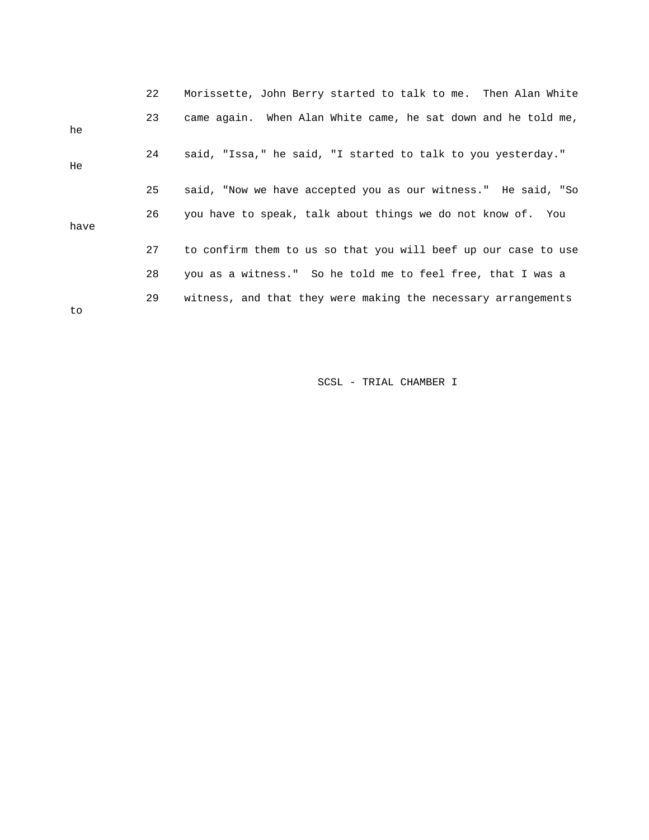|      | 22 | Morissette, John Berry started to talk to me. Then Alan White  |
|------|----|----------------------------------------------------------------|
| he   | 23 | came again. When Alan White came, he sat down and he told me,  |
| He.  | 24 | said, "Issa," he said, "I started to talk to you yesterday."   |
|      | 25 | said, "Now we have accepted you as our witness." He said, "So  |
| have | 26 | you have to speak, talk about things we do not know of. You    |
|      | 27 | to confirm them to us so that you will beef up our case to use |
|      | 28 | you as a witness." So he told me to feel free, that I was a    |
| to   | 29 | witness, and that they were making the necessary arrangements  |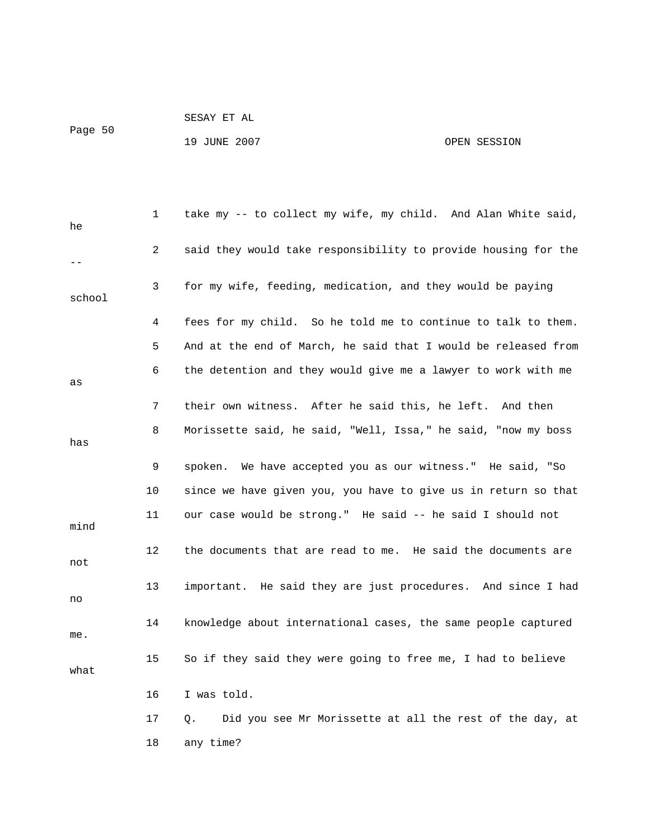19 JUNE 2007 CPEN SESSION

SESAY ET AL

| he     | 1  | take my -- to collect my wife, my child. And Alan White said,         |
|--------|----|-----------------------------------------------------------------------|
|        | 2  | said they would take responsibility to provide housing for the        |
| school | 3  | for my wife, feeding, medication, and they would be paying            |
|        | 4  | fees for my child. So he told me to continue to talk to them.         |
|        | 5  | And at the end of March, he said that I would be released from        |
| as     | 6  | the detention and they would give me a lawyer to work with me         |
|        | 7  | their own witness. After he said this, he left. And then              |
| has    | 8  | Morissette said, he said, "Well, Issa," he said, "now my boss         |
|        | 9  | spoken. We have accepted you as our witness." He said, "So            |
|        | 10 | since we have given you, you have to give us in return so that        |
| mind   | 11 | our case would be strong." He said -- he said I should not            |
| not    | 12 | the documents that are read to me. He said the documents are          |
| no     | 13 | important. He said they are just procedures. And since I had          |
| me.    | 14 | knowledge about international cases, the same people captured         |
| what   | 15 | So if they said they were going to free me, I had to believe          |
|        | 16 | I was told.                                                           |
|        | 17 | Did you see Mr Morissette at all the rest of the day, at<br>$\circ$ . |
|        | 18 | any time?                                                             |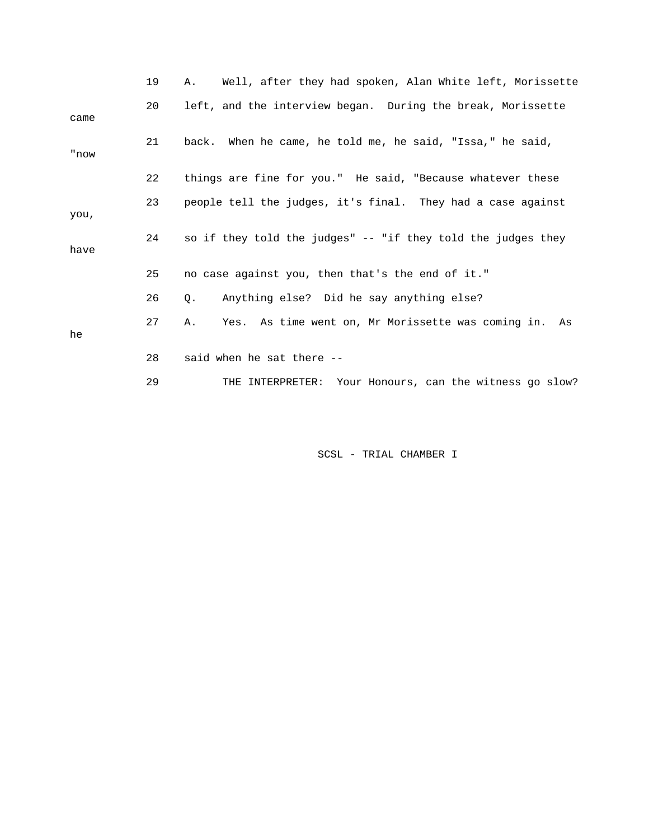|      | 19 | Well, after they had spoken, Alan White left, Morissette<br>A., |
|------|----|-----------------------------------------------------------------|
| came | 20 | left, and the interview began. During the break, Morissette     |
| "now | 21 | back. When he came, he told me, he said, "Issa," he said,       |
|      | 22 | things are fine for you." He said, "Because whatever these      |
| you, | 23 | people tell the judges, it's final. They had a case against     |
| have | 24 | so if they told the judges" -- "if they told the judges they    |
|      | 25 | no case against you, then that's the end of it."                |
|      | 26 | Anything else? Did he say anything else?<br>Q.                  |
| he   | 27 | Yes. As time went on, Mr Morissette was coming in. As<br>Α.     |
|      | 28 | said when he sat there --                                       |
|      | 29 | THE INTERPRETER: Your Honours, can the witness go slow?         |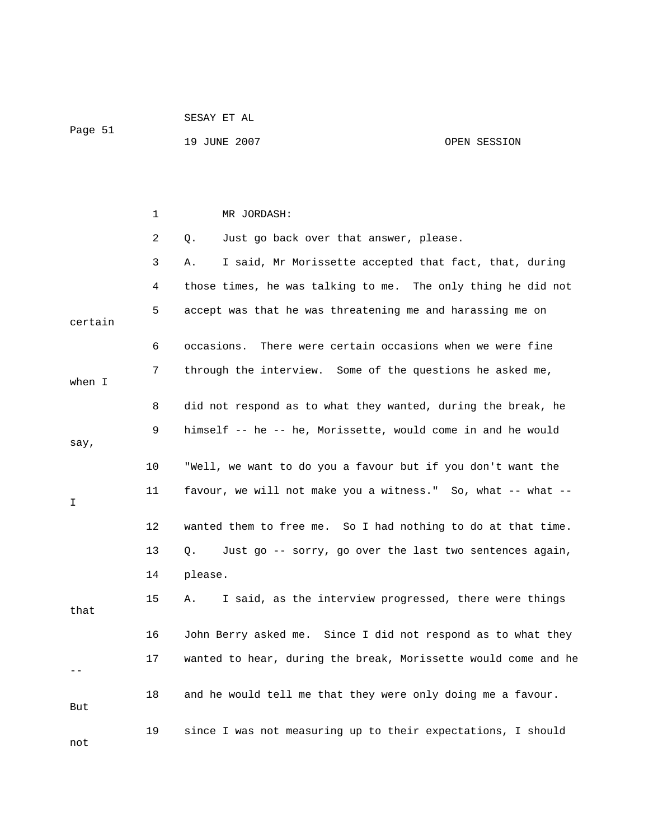|         |    | 19 JUNE 2007                                                   | OPEN SESSION |
|---------|----|----------------------------------------------------------------|--------------|
|         |    |                                                                |              |
|         |    |                                                                |              |
|         |    |                                                                |              |
|         | 1  | MR JORDASH:                                                    |              |
|         | 2  | Just go back over that answer, please.<br>Q.                   |              |
|         | 3  | I said, Mr Morissette accepted that fact, that, during<br>Α.   |              |
|         | 4  | those times, he was talking to me. The only thing he did not   |              |
| certain | 5  | accept was that he was threatening me and harassing me on      |              |
|         | 6  | There were certain occasions when we were fine<br>occasions.   |              |
| when I  | 7  | through the interview. Some of the questions he asked me,      |              |
|         | 8  | did not respond as to what they wanted, during the break, he   |              |
| say,    | 9  | himself -- he -- he, Morissette, would come in and he would    |              |
|         | 10 | "Well, we want to do you a favour but if you don't want the    |              |
| I       | 11 | favour, we will not make you a witness." So, what -- what --   |              |
|         | 12 | wanted them to free me. So I had nothing to do at that time.   |              |
|         | 13 | Just go -- sorry, go over the last two sentences again,<br>Q.  |              |
|         | 14 | please.                                                        |              |
| that    | 15 | I said, as the interview progressed, there were things<br>Α.   |              |
|         | 16 | John Berry asked me. Since I did not respond as to what they   |              |
|         | 17 | wanted to hear, during the break, Morissette would come and he |              |
| But     | 18 | and he would tell me that they were only doing me a favour.    |              |
| not     | 19 | since I was not measuring up to their expectations, I should   |              |

SESAY ET AL

Page 51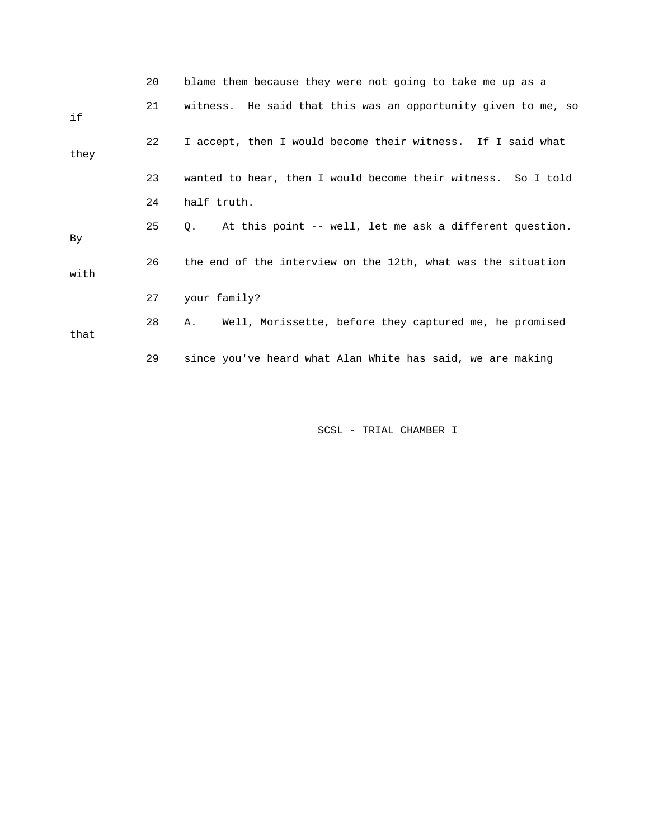|      | 20 | blame them because they were not going to take me up as a     |
|------|----|---------------------------------------------------------------|
| if   | 21 | witness. He said that this was an opportunity given to me, so |
| they | 22 | I accept, then I would become their witness. If I said what   |
|      | 23 | wanted to hear, then I would become their witness. So I told  |
|      | 24 | half truth.                                                   |
| By   | 25 | At this point -- well, let me ask a different question.<br>0. |
| with | 26 | the end of the interview on the 12th, what was the situation  |
|      | 27 | your family?                                                  |
| that | 28 | Well, Morissette, before they captured me, he promised<br>Α.  |
|      | 29 | since you've heard what Alan White has said, we are making    |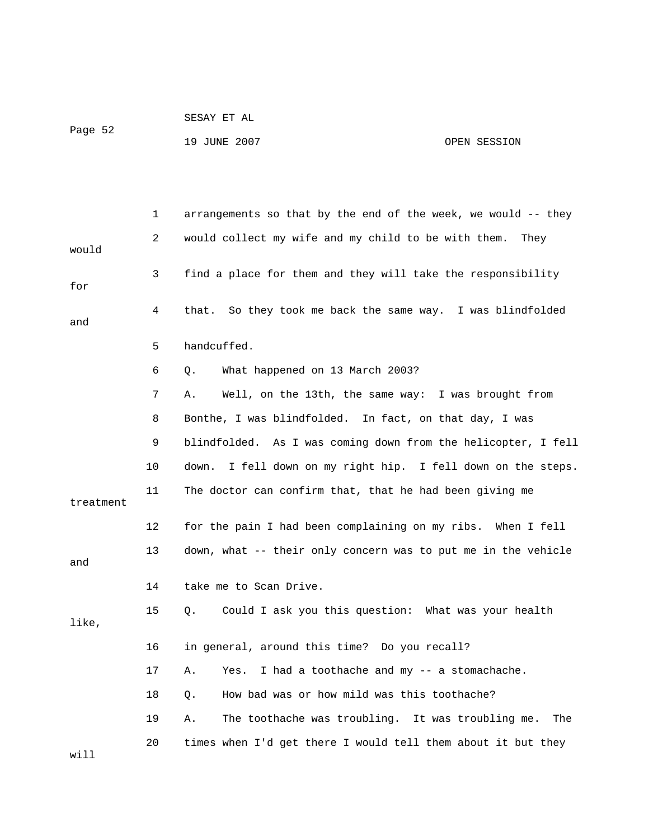|         | SESAY ET AL  |              |
|---------|--------------|--------------|
| Paqe 52 |              |              |
|         | 19 JUNE 2007 | OPEN SESSION |

 1 arrangements so that by the end of the week, we would -- they 2 would collect my wife and my child to be with them. They would 3 find a place for them and they will take the responsibility for 4 that. So they took me back the same way. I was blindfolded and 5 handcuffed. 6 Q. What happened on 13 March 2003? 7 A. Well, on the 13th, the same way: I was brought from 8 Bonthe, I was blindfolded. In fact, on that day, I was 9 blindfolded. As I was coming down from the helicopter, I fell 10 down. I fell down on my right hip. I fell down on the steps. 11 The doctor can confirm that, that he had been giving me treatment 12 for the pain I had been complaining on my ribs. When I fell 13 down, what -- their only concern was to put me in the vehicle and 14 take me to Scan Drive. 15 Q. Could I ask you this question: What was your health like, 16 in general, around this time? Do you recall? 17 A. Yes. I had a toothache and my -- a stomachache. 18 Q. How bad was or how mild was this toothache? 19 A. The toothache was troubling. It was troubling me. The 20 times when I'd get there I would tell them about it but they will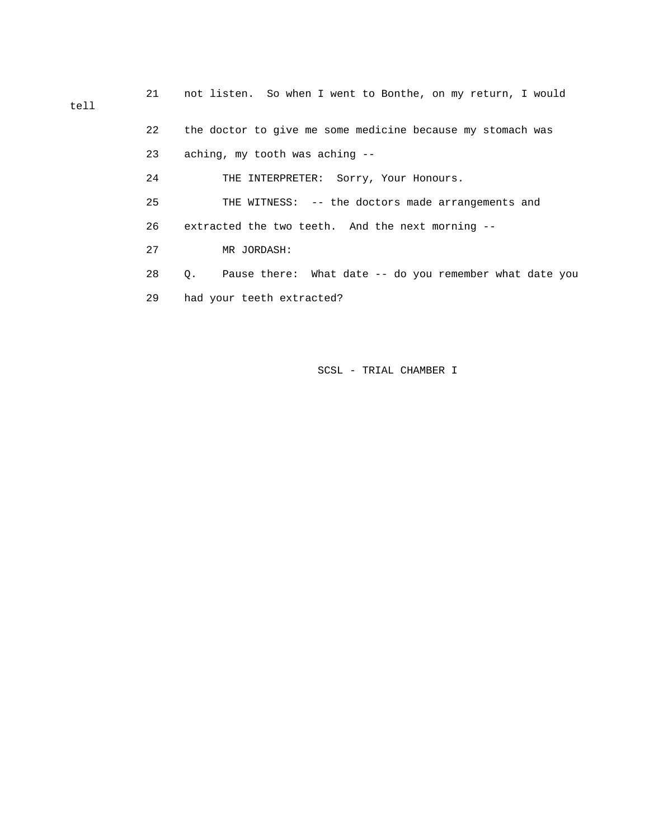21 not listen. So when I went to Bonthe, on my return, I would tell 22 the doctor to give me some medicine because my stomach was 23 aching, my tooth was aching -- 24 THE INTERPRETER: Sorry, Your Honours. 25 THE WITNESS: -- the doctors made arrangements and 26 extracted the two teeth. And the next morning -- 27 MR JORDASH: 28 Q. Pause there: What date -- do you remember what date you 29 had your teeth extracted?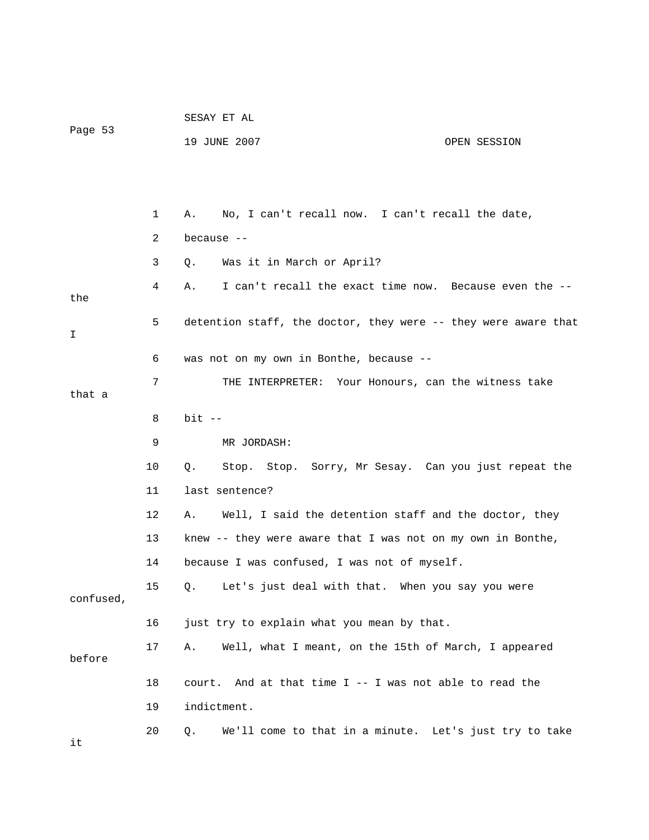|           |    | SESAY ET AL                                                    |
|-----------|----|----------------------------------------------------------------|
| Page 53   |    | 19 JUNE 2007<br>OPEN SESSION                                   |
|           |    |                                                                |
|           |    |                                                                |
|           | 1  | No, I can't recall now. I can't recall the date,<br>Α.         |
|           | 2  | because --                                                     |
|           | 3  | Was it in March or April?<br>Q.                                |
| the       | 4  | I can't recall the exact time now. Because even the --<br>Α.   |
| I.        | 5  | detention staff, the doctor, they were -- they were aware that |
|           | 6  | was not on my own in Bonthe, because --                        |
| that a    | 7  | THE INTERPRETER: Your Honours, can the witness take            |
|           | 8  | $bit$ --                                                       |
|           | 9  | MR JORDASH:                                                    |
|           | 10 | Stop. Stop. Sorry, Mr Sesay. Can you just repeat the<br>Q.     |
|           | 11 | last sentence?                                                 |
|           | 12 | Well, I said the detention staff and the doctor, they<br>Α.    |
|           | 13 | knew -- they were aware that I was not on my own in Bonthe,    |
|           | 14 | because I was confused, I was not of myself.                   |
| confused, | 15 | Let's just deal with that. When you say you were<br>Q.         |
|           | 16 | just try to explain what you mean by that.                     |
| before    | 17 | Well, what I meant, on the 15th of March, I appeared<br>Α.     |
|           | 18 | court. And at that time I -- I was not able to read the        |
|           | 19 | indictment.                                                    |
|           | 20 | We'll come to that in a minute. Let's just try to take<br>Q.   |

it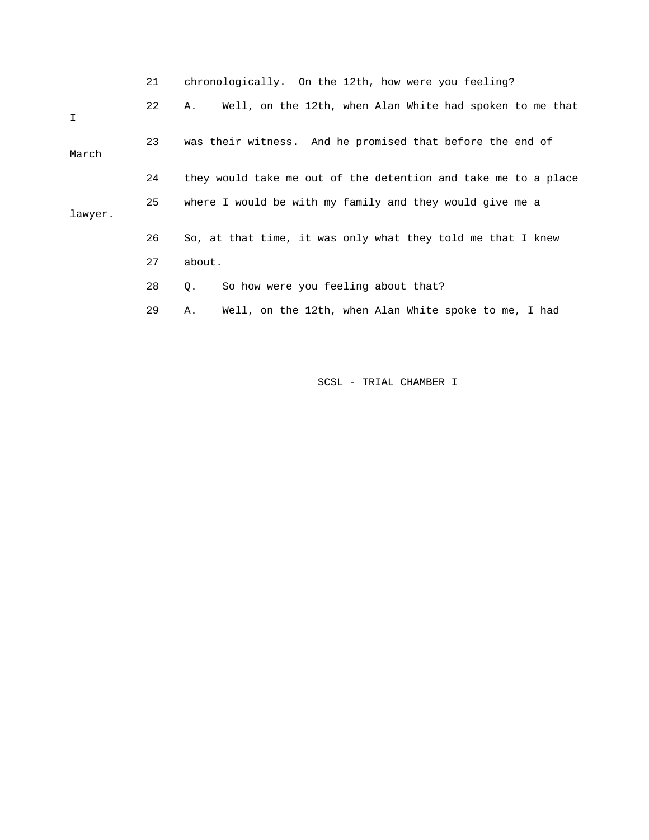|             | 21 | chronologically. On the 12th, how were you feeling?            |
|-------------|----|----------------------------------------------------------------|
| $\mathbf I$ | 22 | Well, on the 12th, when Alan White had spoken to me that<br>А. |
| March       | 23 | was their witness. And he promised that before the end of      |
|             | 24 | they would take me out of the detention and take me to a place |
| lawyer.     | 25 | where I would be with my family and they would give me a       |
|             | 26 | So, at that time, it was only what they told me that I knew    |
|             | 27 | about.                                                         |
|             | 28 | So how were you feeling about that?<br>Q.                      |
|             | 29 | Well, on the 12th, when Alan White spoke to me, I had<br>Α.    |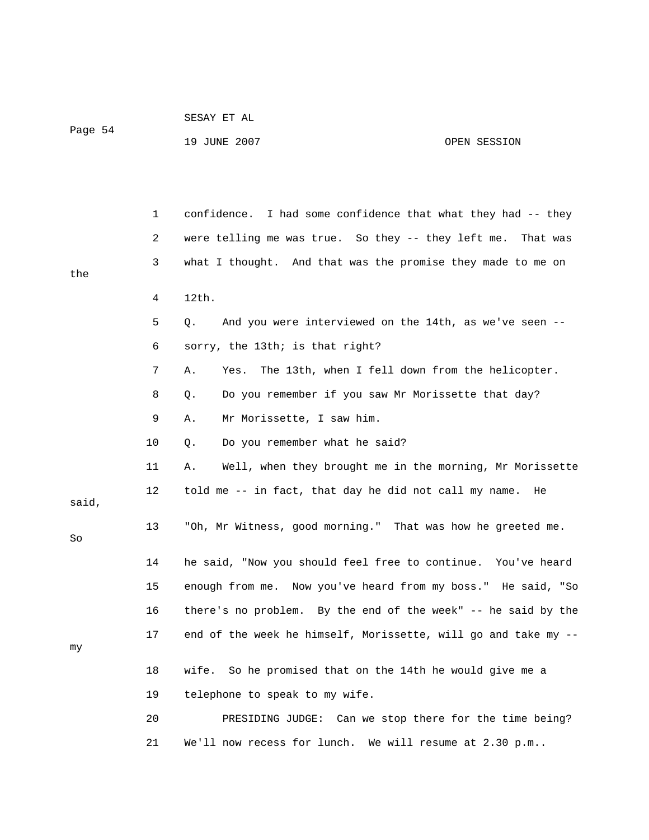| Page 54 | SESAY ET AL  |              |
|---------|--------------|--------------|
|         | 19 JUNE 2007 | OPEN SESSION |

|       | 1  | confidence. I had some confidence that what they had -- they        |
|-------|----|---------------------------------------------------------------------|
|       | 2  | were telling me was true. So they $-$ they left me.<br>That was     |
| the   | 3  | what I thought. And that was the promise they made to me on         |
|       | 4  | 12th.                                                               |
|       | 5  | And you were interviewed on the 14th, as we've seen --<br>$\circ$ . |
|       | 6  | sorry, the 13th; is that right?                                     |
|       | 7  | Yes.<br>The 13th, when I fell down from the helicopter.<br>Α.       |
|       | 8  | Do you remember if you saw Mr Morissette that day?<br>Q.            |
|       | 9  | Mr Morissette, I saw him.<br>Α.                                     |
|       | 10 | Do you remember what he said?<br>Q.                                 |
|       | 11 | Well, when they brought me in the morning, Mr Morissette<br>Α.      |
| said, | 12 | told me -- in fact, that day he did not call my name.<br>He         |
| So    | 13 | "Oh, Mr Witness, good morning." That was how he greeted me.         |
|       | 14 | he said, "Now you should feel free to continue. You've heard        |
|       | 15 | enough from me. Now you've heard from my boss." He said, "So        |
|       | 16 | there's no problem. By the end of the week" -- he said by the       |
| my    | 17 | end of the week he himself, Morissette, will go and take my --      |
|       | 18 | wife.<br>So he promised that on the 14th he would give me a         |
|       | 19 | telephone to speak to my wife.                                      |
|       | 20 | PRESIDING JUDGE: Can we stop there for the time being?              |
|       | 21 | We'll now recess for lunch. We will resume at 2.30 p.m              |
|       |    |                                                                     |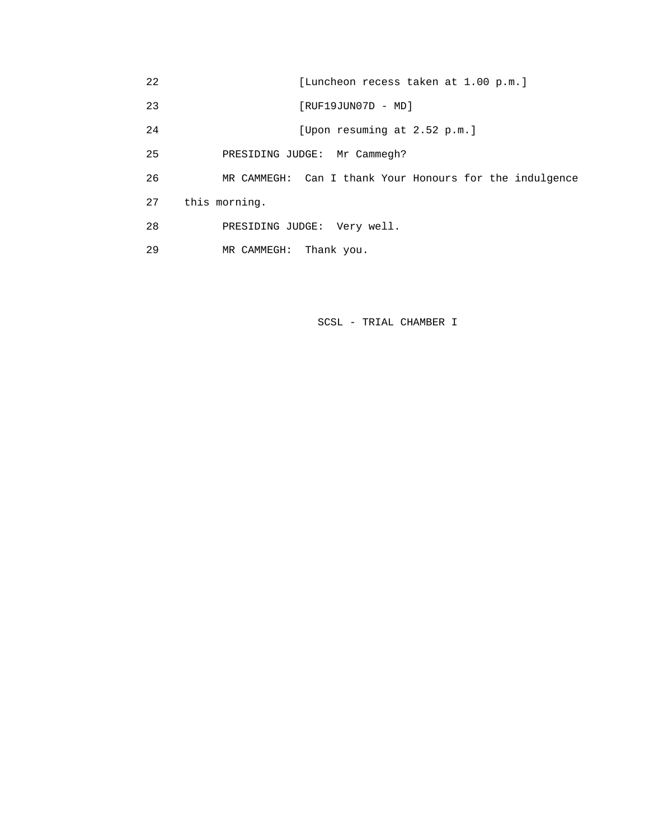| 22 | [Luncheon recess taken at 1.00 p.m.]                    |
|----|---------------------------------------------------------|
| 23 | $[RUF19JUN07D - MD]$                                    |
| 24 | [Upon resuming at 2.52 p.m.]                            |
| 25 | PRESIDING JUDGE: Mr Cammegh?                            |
| 26 | MR CAMMEGH: Can I thank Your Honours for the indulgence |
| 27 | this morning.                                           |
| 28 | PRESIDING JUDGE: Very well.                             |
| 29 | Thank you.<br>MR CAMMEGH:                               |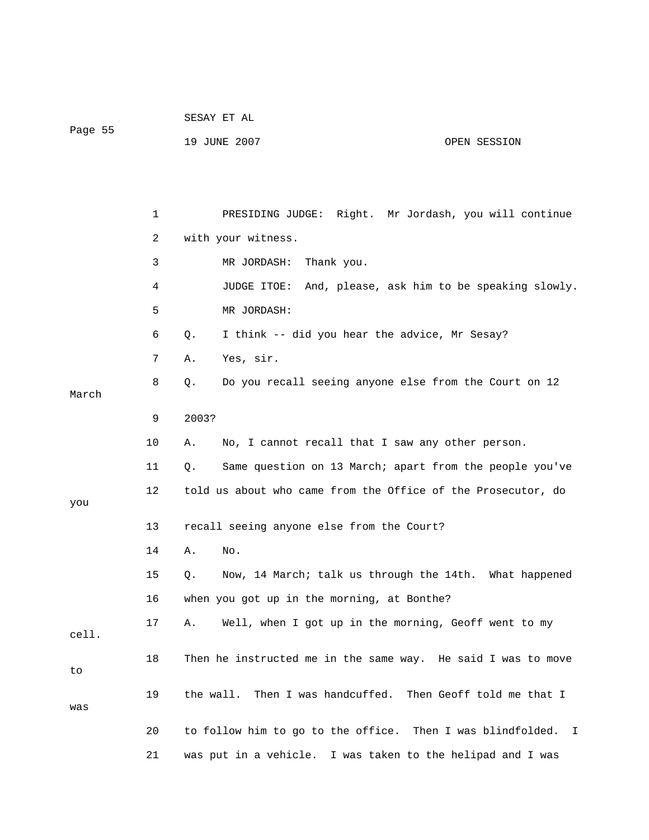| Page 55 |              | 19 JUNE 2007<br>OPEN SESSION                                    |  |  |  |
|---------|--------------|-----------------------------------------------------------------|--|--|--|
|         |              |                                                                 |  |  |  |
|         |              |                                                                 |  |  |  |
|         |              |                                                                 |  |  |  |
|         | $\mathbf{1}$ | PRESIDING JUDGE: Right. Mr Jordash, you will continue           |  |  |  |
|         | 2            | with your witness.                                              |  |  |  |
|         | 3            | MR JORDASH:<br>Thank you.                                       |  |  |  |
|         | 4            | JUDGE ITOE: And, please, ask him to be speaking slowly.         |  |  |  |
|         | 5            | MR JORDASH:                                                     |  |  |  |
|         | 6            | I think -- did you hear the advice, Mr Sesay?<br>Q.             |  |  |  |
|         | 7            | Yes, sir.<br>Α.                                                 |  |  |  |
|         | 8            | Do you recall seeing anyone else from the Court on 12<br>Q.     |  |  |  |
| March   |              |                                                                 |  |  |  |
|         | 9            | 2003?                                                           |  |  |  |
|         | 10           | No, I cannot recall that I saw any other person.<br>Α.          |  |  |  |
|         | 11           | Same question on 13 March; apart from the people you've<br>Q.   |  |  |  |
|         | 12           | told us about who came from the Office of the Prosecutor, do    |  |  |  |
| you     |              |                                                                 |  |  |  |
|         | 13           | recall seeing anyone else from the Court?                       |  |  |  |
|         | 14           | No.<br>Α.                                                       |  |  |  |
|         | 15           | Now, 14 March; talk us through the 14th. What happened<br>Q.    |  |  |  |
|         | 16           | when you got up in the morning, at Bonthe?                      |  |  |  |
| cell.   | 17           | Well, when I got up in the morning, Geoff went to my<br>Α.      |  |  |  |
|         |              |                                                                 |  |  |  |
| to      | 18           | Then he instructed me in the same way. He said I was to move    |  |  |  |
|         | 19           | Then I was handcuffed. Then Geoff told me that I<br>the wall.   |  |  |  |
| was     |              |                                                                 |  |  |  |
|         | 20           | to follow him to go to the office. Then I was blindfolded.<br>I |  |  |  |
|         | 21           | was put in a vehicle. I was taken to the helipad and I was      |  |  |  |

SESAY ET AL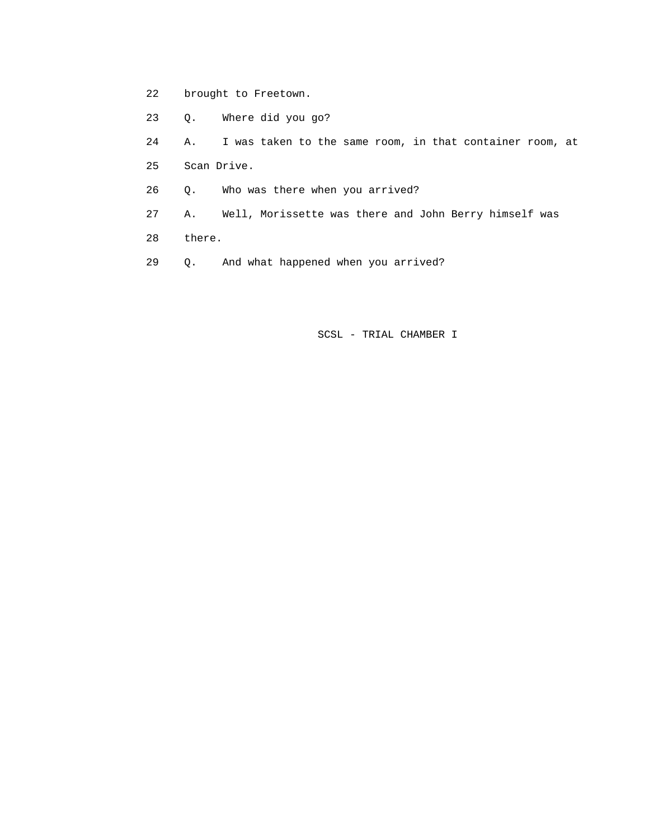- 22 brought to Freetown.
- 23 Q. Where did you go?
- 24 A. I was taken to the same room, in that container room, at
- 25 Scan Drive.
- 26 Q. Who was there when you arrived?
- 27 A. Well, Morissette was there and John Berry himself was
- 28 there.
- 29 Q. And what happened when you arrived?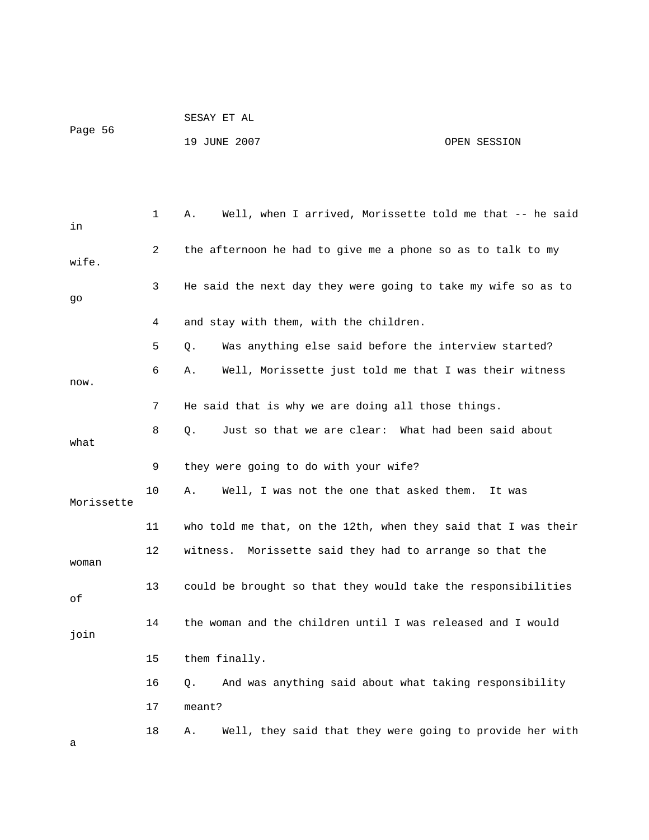| Page 56 | SESAY ET AL  |              |
|---------|--------------|--------------|
|         | 19 JUNE 2007 | OPEN SESSION |

| in         | 1  | Well, when I arrived, Morissette told me that -- he said<br>Α. |
|------------|----|----------------------------------------------------------------|
| wife.      | 2  | the afternoon he had to give me a phone so as to talk to my    |
| go         | 3  | He said the next day they were going to take my wife so as to  |
|            | 4  | and stay with them, with the children.                         |
|            | 5  | Was anything else said before the interview started?<br>О.     |
| now.       | 6  | Well, Morissette just told me that I was their witness<br>Α.   |
|            | 7  | He said that is why we are doing all those things.             |
| what       | 8  | Just so that we are clear: What had been said about<br>Q.      |
|            | 9  | they were going to do with your wife?                          |
| Morissette | 10 | Well, I was not the one that asked them.<br>Α.<br>It was       |
|            | 11 | who told me that, on the 12th, when they said that I was their |
| woman      | 12 | witness.<br>Morissette said they had to arrange so that the    |
| оf         | 13 | could be brought so that they would take the responsibilities  |
| join       | 14 | the woman and the children until I was released and I would    |
|            | 15 | them finally.                                                  |
|            | 16 | And was anything said about what taking responsibility<br>Q.   |
|            | 17 | meant?                                                         |
| а          | 18 | Well, they said that they were going to provide her with<br>Α. |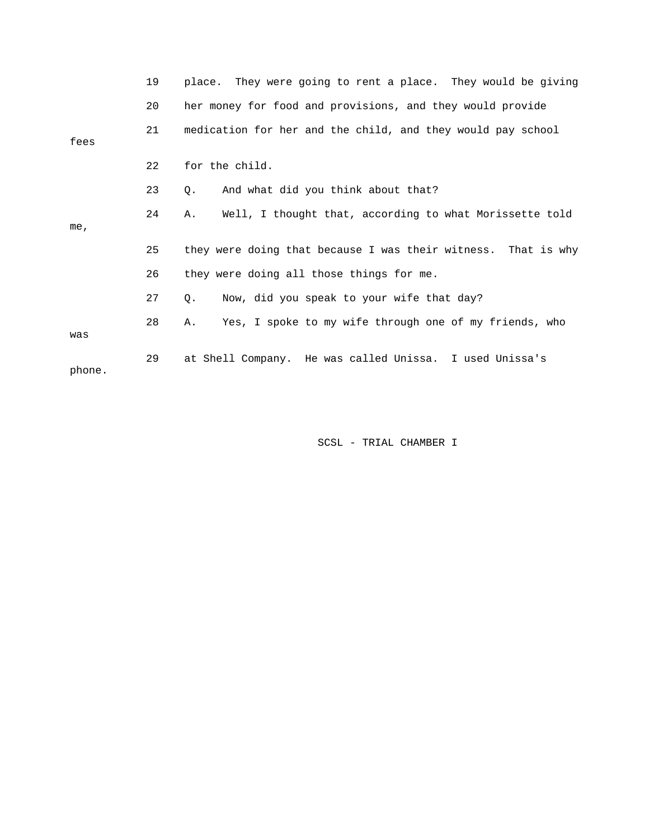|        | 19 | place. They were going to rent a place. They would be giving  |
|--------|----|---------------------------------------------------------------|
|        | 20 | her money for food and provisions, and they would provide     |
| fees   | 21 | medication for her and the child, and they would pay school   |
|        | 22 | for the child.                                                |
|        | 23 | And what did you think about that?<br>О.                      |
| me,    | 24 | Well, I thought that, according to what Morissette told<br>Α. |
|        | 25 | they were doing that because I was their witness. That is why |
|        | 26 | they were doing all those things for me.                      |
|        | 27 | Now, did you speak to your wife that day?<br>О.               |
| was    | 28 | Yes, I spoke to my wife through one of my friends, who<br>Α.  |
| phone. | 29 | at Shell Company. He was called Unissa. I used Unissa's       |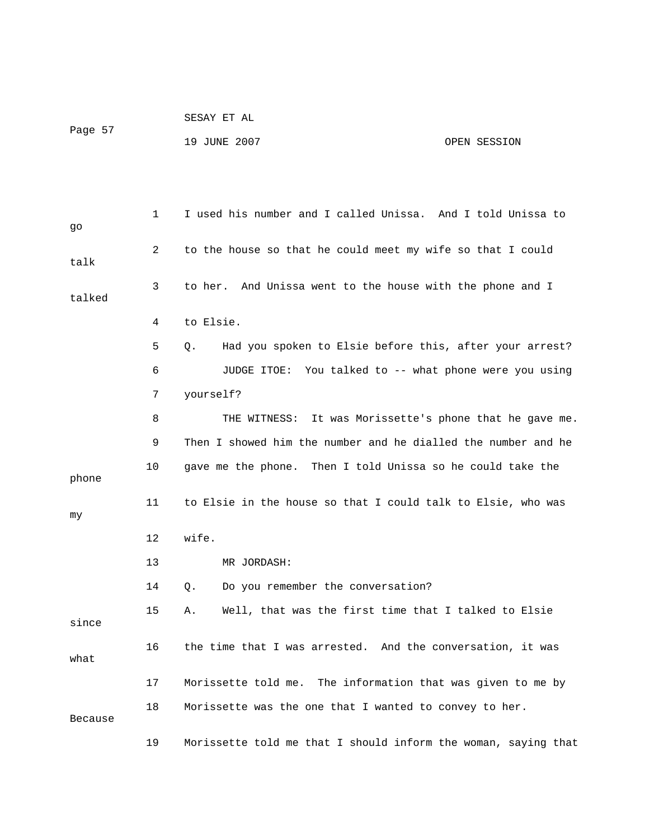|         |  |  | SESAY ET AL |  |
|---------|--|--|-------------|--|
| Page 57 |  |  |             |  |

 1 I used his number and I called Unissa. And I told Unissa to go 2 to the house so that he could meet my wife so that I could talk 3 to her. And Unissa went to the house with the phone and I talked 4 to Elsie. 5 Q. Had you spoken to Elsie before this, after your arrest? 6 JUDGE ITOE: You talked to -- what phone were you using 7 yourself? 8 THE WITNESS: It was Morissette's phone that he gave me. 9 Then I showed him the number and he dialled the number and he 10 gave me the phone. Then I told Unissa so he could take the phone 11 to Elsie in the house so that I could talk to Elsie, who was my 12 wife. 13 MR JORDASH: 14 Q. Do you remember the conversation? 15 A. Well, that was the first time that I talked to Elsie since 16 the time that I was arrested. And the conversation, it was what 17 Morissette told me. The information that was given to me by 18 Morissette was the one that I wanted to convey to her. Because

19 JUNE 2007 CPEN SESSION

19 Morissette told me that I should inform the woman, saying that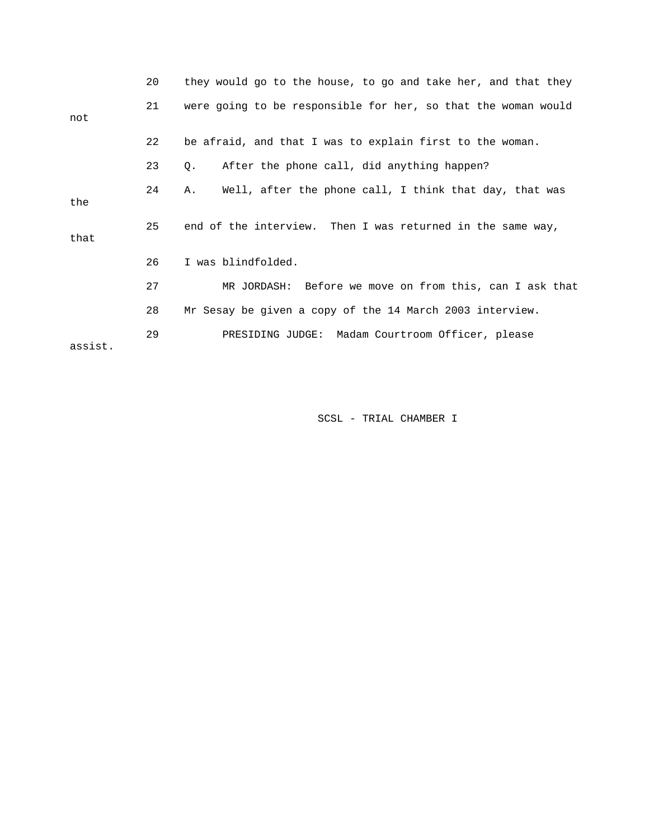|         | 20 | they would go to the house, to go and take her, and that they |
|---------|----|---------------------------------------------------------------|
| not     | 21 | were going to be responsible for her, so that the woman would |
|         | 22 | be afraid, and that I was to explain first to the woman.      |
|         | 23 | After the phone call, did anything happen?<br>Q.              |
| the     | 24 | Well, after the phone call, I think that day, that was<br>Α.  |
| that    | 25 | end of the interview. Then I was returned in the same way,    |
|         | 26 | I was blindfolded.                                            |
|         | 27 | MR JORDASH: Before we move on from this, can I ask that       |
|         | 28 | Mr Sesay be given a copy of the 14 March 2003 interview.      |
| assist. | 29 | PRESIDING JUDGE: Madam Courtroom Officer, please              |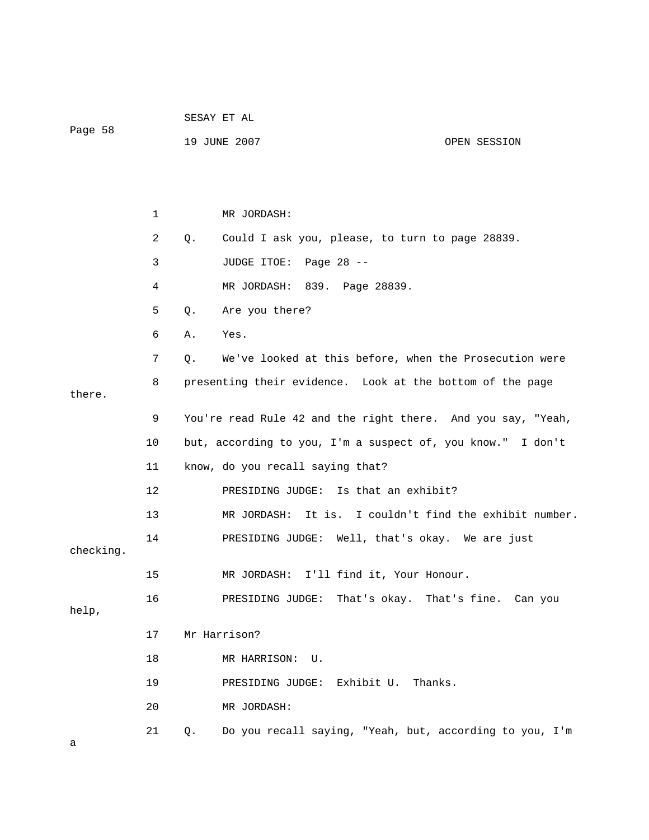| Page 58   |                |    | SESAY ET AL                                                  |                                            |  |  |
|-----------|----------------|----|--------------------------------------------------------------|--------------------------------------------|--|--|
|           |                |    | 19 JUNE 2007                                                 | OPEN SESSION                               |  |  |
|           |                |    |                                                              |                                            |  |  |
|           |                |    |                                                              |                                            |  |  |
|           | 1              |    | MR JORDASH:                                                  |                                            |  |  |
|           | $\overline{a}$ | Q. | Could I ask you, please, to turn to page 28839.              |                                            |  |  |
|           | $\mathbf{3}$   |    | JUDGE ITOE: Page 28 --                                       |                                            |  |  |
|           | 4              |    | MR JORDASH: 839. Page 28839.                                 |                                            |  |  |
|           | 5              | Q. | Are you there?                                               |                                            |  |  |
|           | 6              | Α. | Yes.                                                         |                                            |  |  |
|           | 7              | Q. | We've looked at this before, when the Prosecution were       |                                            |  |  |
|           | 8              |    | presenting their evidence. Look at the bottom of the page    |                                            |  |  |
| there.    |                |    |                                                              |                                            |  |  |
|           | 9              |    | You're read Rule 42 and the right there. And you say, "Yeah, |                                            |  |  |
|           | 10             |    | but, according to you, I'm a suspect of, you know." I don't  |                                            |  |  |
|           | 11             |    | know, do you recall saying that?                             |                                            |  |  |
|           | 12             |    | PRESIDING JUDGE: Is that an exhibit?                         |                                            |  |  |
|           | 13             |    | MR JORDASH:                                                  | It is. I couldn't find the exhibit number. |  |  |
| checking. | 14             |    | PRESIDING JUDGE: Well, that's okay. We are just              |                                            |  |  |
|           | 15             |    | MR JORDASH: I'll find it, Your Honour.                       |                                            |  |  |
| help,     | 16             |    | PRESIDING JUDGE: That's okay. That's fine. Can you           |                                            |  |  |
|           | 17             |    | Mr Harrison?                                                 |                                            |  |  |
|           | 18             |    | MR HARRISON: U.                                              |                                            |  |  |
|           | 19             |    | PRESIDING JUDGE: Exhibit U. Thanks.                          |                                            |  |  |
|           | 20             |    | MR JORDASH:                                                  |                                            |  |  |
|           | 21             | Q. | Do you recall saying, "Yeah, but, according to you, I'm      |                                            |  |  |
| а         |                |    |                                                              |                                            |  |  |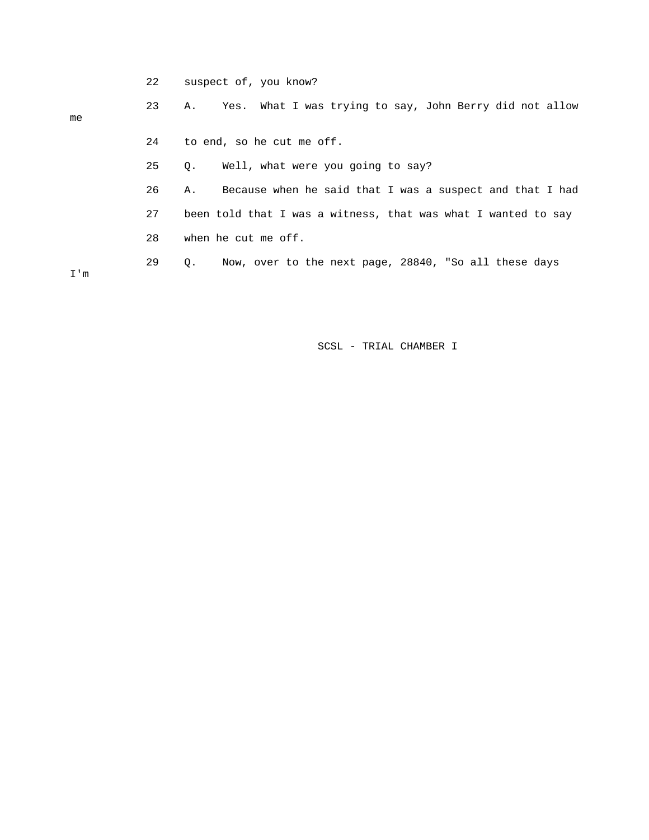22 suspect of, you know?

## 23 A. Yes. What I was trying to say, John Berry did not allow me 24 to end, so he cut me off. 25 Q. Well, what were you going to say? 26 A. Because when he said that I was a suspect and that I had 27 been told that I was a witness, that was what I wanted to say 28 when he cut me off. 29 Q. Now, over to the next page, 28840, "So all these days

I'm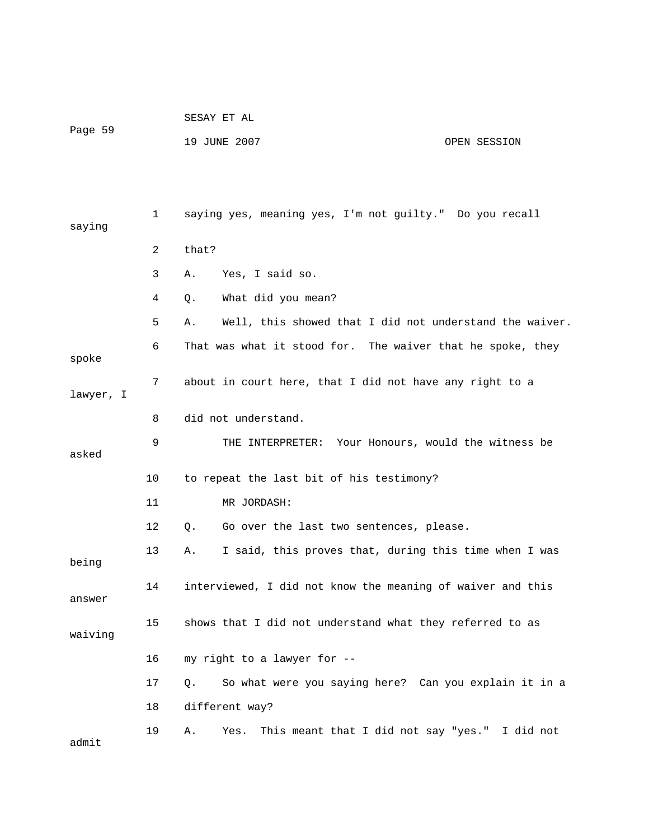| Page 59 | SESAY ET AL  |              |
|---------|--------------|--------------|
|         | 19 JUNE 2007 | OPEN SESSION |

| saying    | $\mathbf{1}$ | saying yes, meaning yes, I'm not guilty." Do you recall       |
|-----------|--------------|---------------------------------------------------------------|
|           | 2            | that?                                                         |
|           | 3            | Α.<br>Yes, I said so.                                         |
|           | 4            | What did you mean?<br>О.                                      |
|           | 5            | Well, this showed that I did not understand the waiver.<br>Α. |
| spoke     | 6            | That was what it stood for. The waiver that he spoke, they    |
| lawyer, I | 7            | about in court here, that I did not have any right to a       |
|           | 8            | did not understand.                                           |
| asked     | 9            | THE INTERPRETER: Your Honours, would the witness be           |
|           | 10           | to repeat the last bit of his testimony?                      |
|           | 11           | MR JORDASH:                                                   |
|           | $12 \,$      | Go over the last two sentences, please.<br>Q.                 |
| being     | 13           | I said, this proves that, during this time when I was<br>Α.   |
| answer    | 14           | interviewed, I did not know the meaning of waiver and this    |
| waiving   | 15           | shows that I did not understand what they referred to as      |
|           | 16           | my right to a lawyer for --                                   |
|           | 17           | So what were you saying here? Can you explain it in a<br>Q.   |
|           | 18           | different way?                                                |
| admit     | 19           | This meant that I did not say "yes." I did not<br>Α.<br>Yes.  |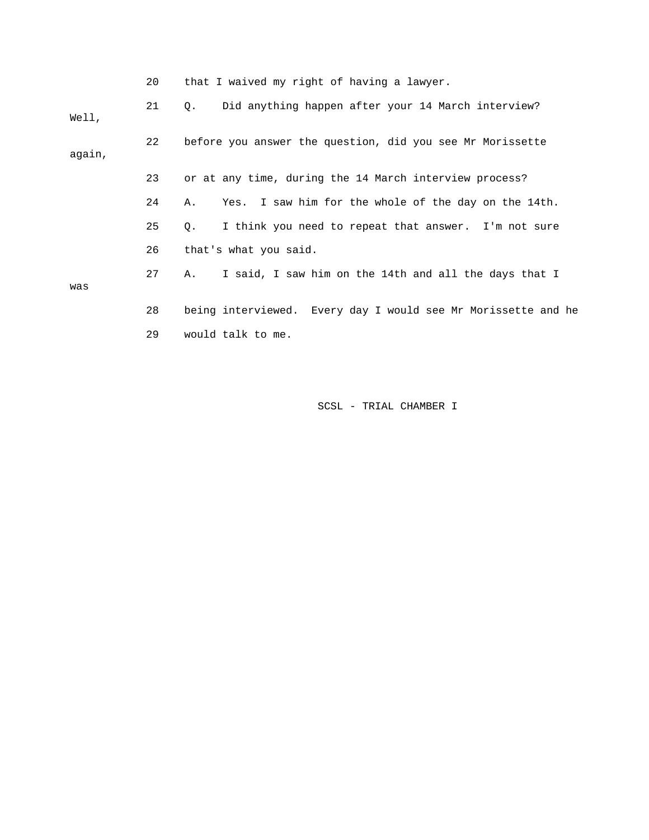|        | 20 | that I waived my right of having a lawyer.                        |
|--------|----|-------------------------------------------------------------------|
| Well,  | 21 | Did anything happen after your 14 March interview?<br>Q.          |
| again, | 22 | before you answer the question, did you see Mr Morissette         |
|        | 23 | or at any time, during the 14 March interview process?            |
|        | 24 | Yes. I saw him for the whole of the day on the 14th.<br>Α.        |
|        | 25 | I think you need to repeat that answer. I'm not sure<br>$\circ$ . |
|        | 26 | that's what you said.                                             |
| was    | 27 | I said, I saw him on the 14th and all the days that I<br>Α.       |
|        | 28 | being interviewed. Every day I would see Mr Morissette and he     |
|        | 29 | would talk to me.                                                 |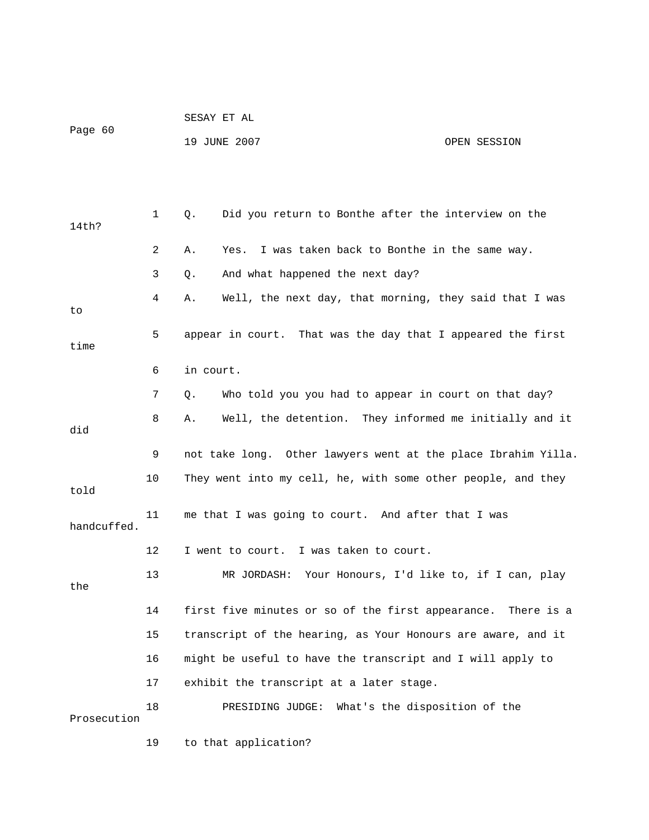| Page 60     |    | SESAY ET AL                                                   |              |  |  |  |
|-------------|----|---------------------------------------------------------------|--------------|--|--|--|
|             |    | 19 JUNE 2007                                                  | OPEN SESSION |  |  |  |
|             |    |                                                               |              |  |  |  |
|             |    |                                                               |              |  |  |  |
| 14th?       | 1  | Did you return to Bonthe after the interview on the<br>Q.     |              |  |  |  |
|             | 2  | I was taken back to Bonthe in the same way.<br>Α.<br>Yes.     |              |  |  |  |
|             | 3  | And what happened the next day?<br>Q.                         |              |  |  |  |
| to          | 4  | Well, the next day, that morning, they said that I was<br>Α.  |              |  |  |  |
| time        | 5  | appear in court. That was the day that I appeared the first   |              |  |  |  |
|             | 6  | in court.                                                     |              |  |  |  |
|             | 7  | Who told you you had to appear in court on that day?<br>Q.    |              |  |  |  |
| did         | 8  | Well, the detention. They informed me initially and it<br>Α.  |              |  |  |  |
|             | 9  | not take long. Other lawyers went at the place Ibrahim Yilla. |              |  |  |  |
| told        | 10 | They went into my cell, he, with some other people, and they  |              |  |  |  |
| handcuffed. | 11 | me that I was going to court. And after that I was            |              |  |  |  |
|             | 12 | I was taken to court.<br>I went to court.                     |              |  |  |  |
| the         | 13 | Your Honours, I'd like to, if I can, play<br>MR JORDASH:      |              |  |  |  |
|             | 14 | first five minutes or so of the first appearance. There is a  |              |  |  |  |
|             | 15 | transcript of the hearing, as Your Honours are aware, and it  |              |  |  |  |
|             | 16 | might be useful to have the transcript and I will apply to    |              |  |  |  |
|             | 17 | exhibit the transcript at a later stage.                      |              |  |  |  |
| Prosecution | 18 | What's the disposition of the<br>PRESIDING JUDGE:             |              |  |  |  |
|             | 19 | to that application?                                          |              |  |  |  |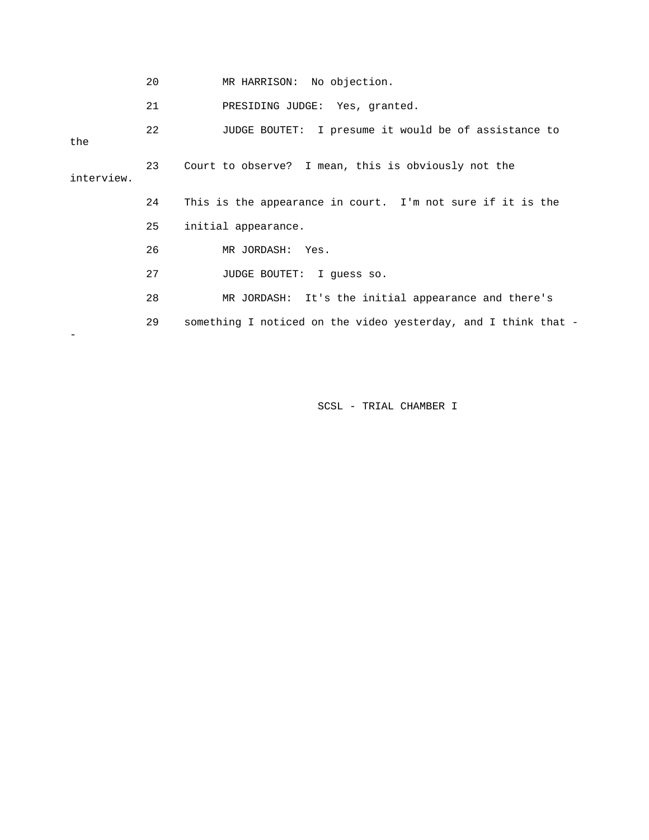|            | 20              | MR HARRISON: No objection.                                     |
|------------|-----------------|----------------------------------------------------------------|
|            | 21              | PRESIDING JUDGE: Yes, granted.                                 |
| the        | 22 <sub>o</sub> | JUDGE BOUTET: I presume it would be of assistance to           |
| interview. | 23              | Court to observe? I mean, this is obviously not the            |
|            | 24              | This is the appearance in court. I'm not sure if it is the     |
|            | 25              | initial appearance.                                            |
|            | 26              | MR JORDASH: Yes.                                               |
|            | 27              | JUDGE BOUTET: I quess so.                                      |
|            | 28              | MR JORDASH: It's the initial appearance and there's            |
|            | 29              | something I noticed on the video yesterday, and I think that - |
|            |                 |                                                                |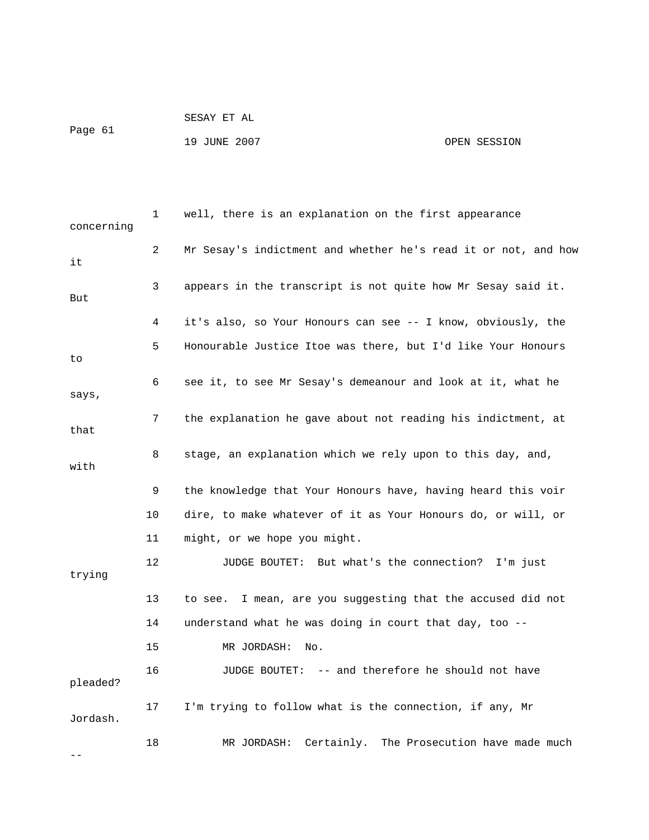```
 SESAY ET AL 
Page 61 
            19 JUNE 2007 OPEN SESSION
```

| concerning | 1  | well, there is an explanation on the first appearance          |
|------------|----|----------------------------------------------------------------|
| it         | 2  | Mr Sesay's indictment and whether he's read it or not, and how |
| But        | 3  | appears in the transcript is not quite how Mr Sesay said it.   |
|            | 4  | it's also, so Your Honours can see -- I know, obviously, the   |
| to         | 5  | Honourable Justice Itoe was there, but I'd like Your Honours   |
| says,      | 6  | see it, to see Mr Sesay's demeanour and look at it, what he    |
| that       | 7  | the explanation he gave about not reading his indictment, at   |
| with       | 8  | stage, an explanation which we rely upon to this day, and,     |
|            | 9  | the knowledge that Your Honours have, having heard this voir   |
|            | 10 | dire, to make whatever of it as Your Honours do, or will, or   |
|            | 11 | might, or we hope you might.                                   |
| trying     | 12 | JUDGE BOUTET: But what's the connection? I'm just              |
|            | 13 | I mean, are you suggesting that the accused did not<br>to see. |
|            | 14 | understand what he was doing in court that day, too --         |
|            | 15 | MR JORDASH:<br>No.                                             |
| pleaded?   | 16 | JUDGE BOUTET: -- and therefore he should not have              |
| Jordash.   | 17 | I'm trying to follow what is the connection, if any, Mr        |
|            | 18 | MR JORDASH: Certainly. The Prosecution have made much          |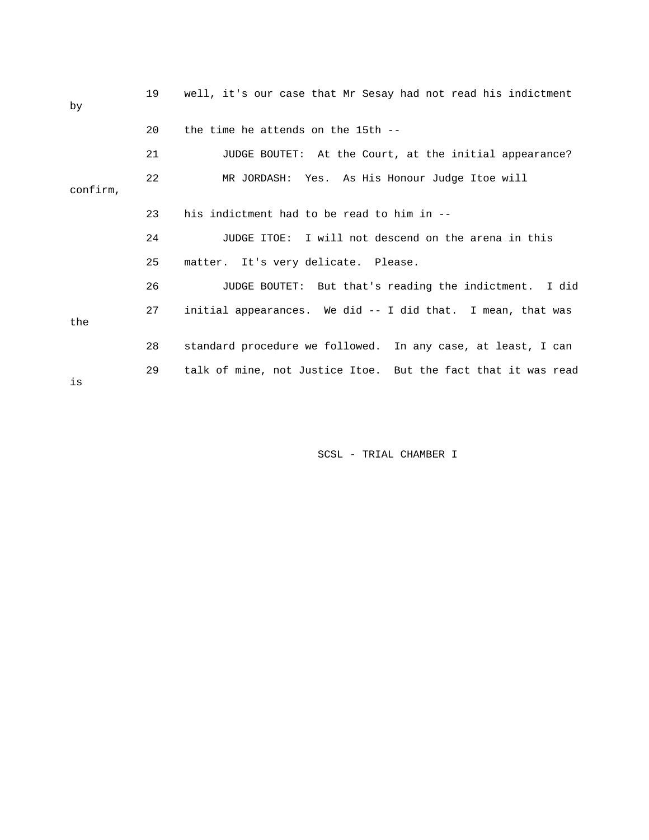| by       | 19 | well, it's our case that Mr Sesay had not read his indictment |
|----------|----|---------------------------------------------------------------|
|          | 20 | the time he attends on the 15th --                            |
|          | 21 | JUDGE BOUTET: At the Court, at the initial appearance?        |
| confirm, | 22 | MR JORDASH: Yes. As His Honour Judge Itoe will                |
|          | 23 | his indictment had to be read to him in --                    |
|          | 24 | JUDGE ITOE: I will not descend on the arena in this           |
|          | 25 | matter. It's very delicate. Please.                           |
|          | 26 | JUDGE BOUTET: But that's reading the indictment. I did        |
| the      | 27 | initial appearances. We did -- I did that. I mean, that was   |
|          | 28 | standard procedure we followed. In any case, at least, I can  |
| is       | 29 | talk of mine, not Justice Itoe. But the fact that it was read |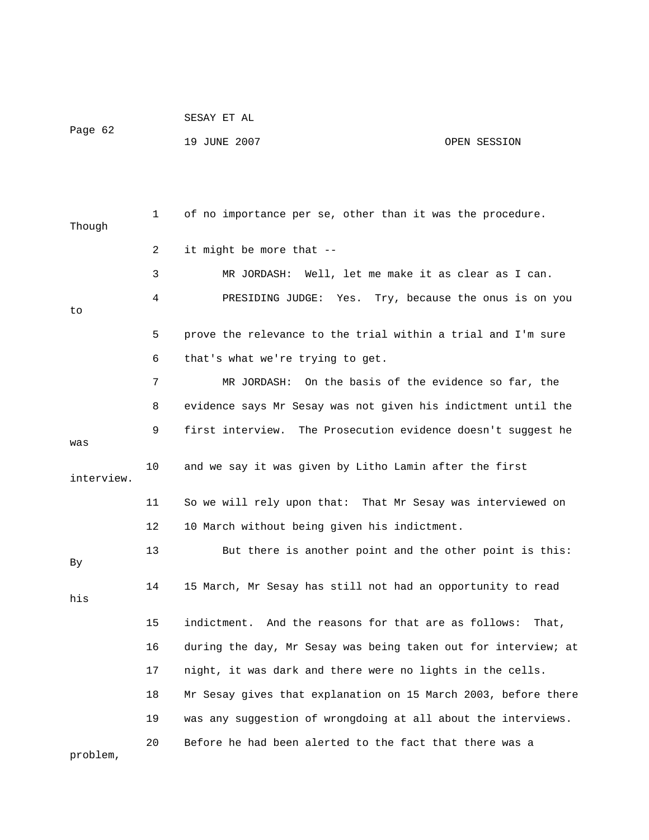|         | SESAY ET AL  |              |
|---------|--------------|--------------|
| Page 62 |              |              |
|         | 19 JUNE 2007 | OPEN SESSION |

| Though     | 1  | of no importance per se, other than it was the procedure.      |
|------------|----|----------------------------------------------------------------|
|            | 2  | it might be more that --                                       |
|            | 3  | Well, let me make it as clear as I can.<br>MR JORDASH:         |
| to         | 4  | PRESIDING JUDGE:<br>Yes.<br>Try, because the onus is on you    |
|            | 5  | prove the relevance to the trial within a trial and I'm sure   |
|            | 6  | that's what we're trying to get.                               |
|            | 7  | MR JORDASH: On the basis of the evidence so far, the           |
|            | 8  | evidence says Mr Sesay was not given his indictment until the  |
| was        | 9  | first interview. The Prosecution evidence doesn't suggest he   |
| interview. | 10 | and we say it was given by Litho Lamin after the first         |
|            | 11 | So we will rely upon that: That Mr Sesay was interviewed on    |
|            | 12 | 10 March without being given his indictment.                   |
| By         | 13 | But there is another point and the other point is this:        |
| his        | 14 | 15 March, Mr Sesay has still not had an opportunity to read    |
|            | 15 | indictment. And the reasons for that are as follows:<br>That,  |
|            | 16 | during the day, Mr Sesay was being taken out for interview; at |
|            | 17 | night, it was dark and there were no lights in the cells.      |
|            | 18 | Mr Sesay gives that explanation on 15 March 2003, before there |
|            | 19 | was any suggestion of wrongdoing at all about the interviews.  |
| problem,   | 20 | Before he had been alerted to the fact that there was a        |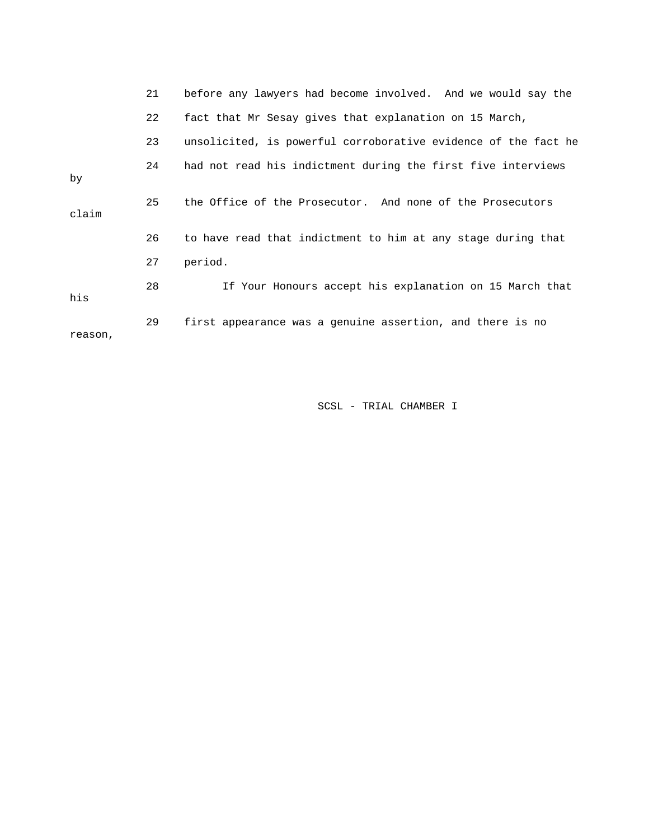|         | 21 | before any lawyers had become involved. And we would say the   |
|---------|----|----------------------------------------------------------------|
|         | 22 | fact that Mr Sesay gives that explanation on 15 March,         |
|         | 23 | unsolicited, is powerful corroborative evidence of the fact he |
| by      | 24 | had not read his indictment during the first five interviews   |
| claim   | 25 | the Office of the Prosecutor. And none of the Prosecutors      |
|         | 26 | to have read that indictment to him at any stage during that   |
|         | 27 | period.                                                        |
| his     | 28 | If Your Honours accept his explanation on 15 March that        |
| reason, | 29 | first appearance was a genuine assertion, and there is no      |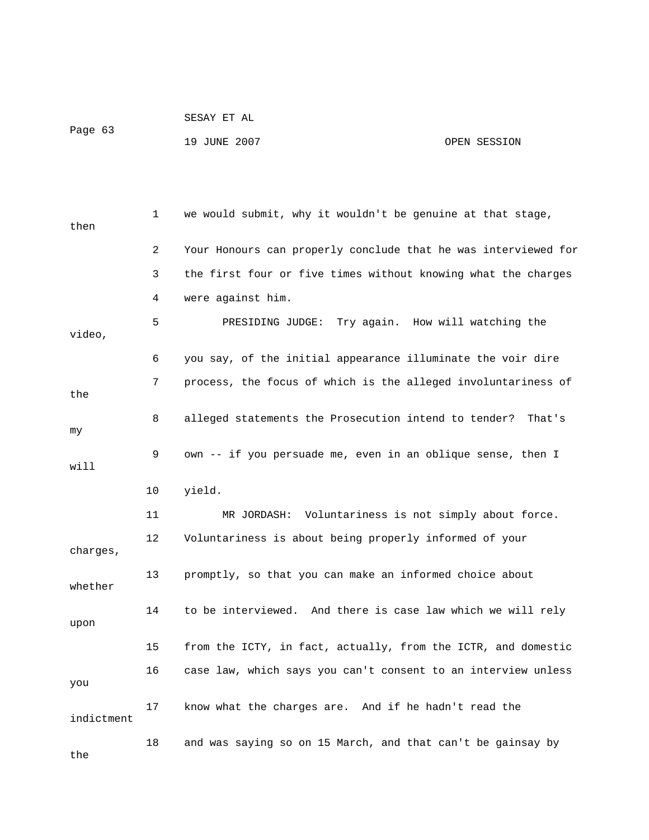|         | SESAY ET AL  |              |
|---------|--------------|--------------|
| Page 63 |              |              |
|         | 19 JUNE 2007 | OPEN SESSION |

 1 we would submit, why it wouldn't be genuine at that stage, then 2 Your Honours can properly conclude that he was interviewed for 3 the first four or five times without knowing what the charges 4 were against him. 5 PRESIDING JUDGE: Try again. How will watching the video, 6 you say, of the initial appearance illuminate the voir dire 7 process, the focus of which is the alleged involuntariness of the 8 alleged statements the Prosecution intend to tender? That's my 9 own -- if you persuade me, even in an oblique sense, then I will 10 yield. 11 MR JORDASH: Voluntariness is not simply about force. 12 Voluntariness is about being properly informed of your charges, 13 promptly, so that you can make an informed choice about whether 14 to be interviewed. And there is case law which we will rely upon 15 from the ICTY, in fact, actually, from the ICTR, and domestic 16 case law, which says you can't consent to an interview unless you 17 know what the charges are. And if he hadn't read the indictment 18 and was saying so on 15 March, and that can't be gainsay by the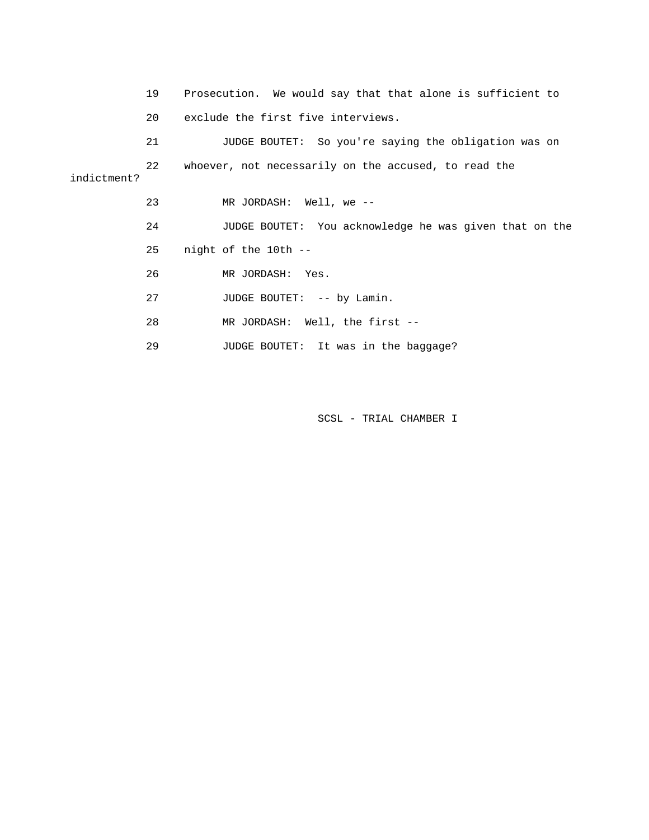19 Prosecution. We would say that that alone is sufficient to 20 exclude the first five interviews. 21 JUDGE BOUTET: So you're saying the obligation was on 22 whoever, not necessarily on the accused, to read the indictment? 23 MR JORDASH: Well, we -- 24 JUDGE BOUTET: You acknowledge he was given that on the 25 night of the 10th -- 26 MR JORDASH: Yes. 27 JUDGE BOUTET: -- by Lamin. 28 MR JORDASH: Well, the first -- 29 JUDGE BOUTET: It was in the baggage?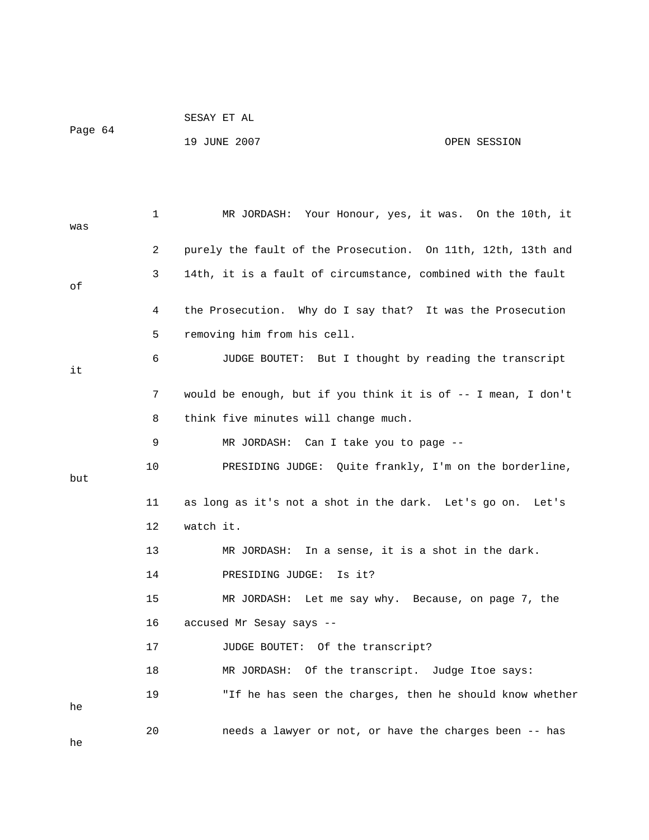|         | SESAY ET AL |  |
|---------|-------------|--|
| Page 64 |             |  |

19 JUNE 2007 OPEN SESSION

| was | 1  | MR JORDASH: Your Honour, yes, it was. On the 10th, it         |
|-----|----|---------------------------------------------------------------|
|     | 2  | purely the fault of the Prosecution. On 11th, 12th, 13th and  |
| οf  | 3  | 14th, it is a fault of circumstance, combined with the fault  |
|     | 4  | the Prosecution. Why do I say that? It was the Prosecution    |
|     | 5  | removing him from his cell.                                   |
| it  | 6  | JUDGE BOUTET: But I thought by reading the transcript         |
|     | 7  | would be enough, but if you think it is of -- I mean, I don't |
|     | 8  | think five minutes will change much.                          |
|     | 9  | MR JORDASH: Can I take you to page --                         |
| but | 10 | PRESIDING JUDGE: Quite frankly, I'm on the borderline,        |
|     | 11 | as long as it's not a shot in the dark. Let's go on.<br>Let's |
|     | 12 | watch it.                                                     |
|     | 13 | MR JORDASH:<br>In a sense, it is a shot in the dark.          |
|     | 14 | PRESIDING JUDGE:<br>Is it?                                    |
|     | 15 | MR JORDASH: Let me say why. Because, on page 7, the           |
|     | 16 | accused Mr Sesay says --                                      |
|     | 17 | JUDGE BOUTET: Of the transcript?                              |
|     | 18 | MR JORDASH: Of the transcript. Judge Itoe says:               |
| he  | 19 | "If he has seen the charges, then he should know whether      |
| he  | 20 | needs a lawyer or not, or have the charges been -- has        |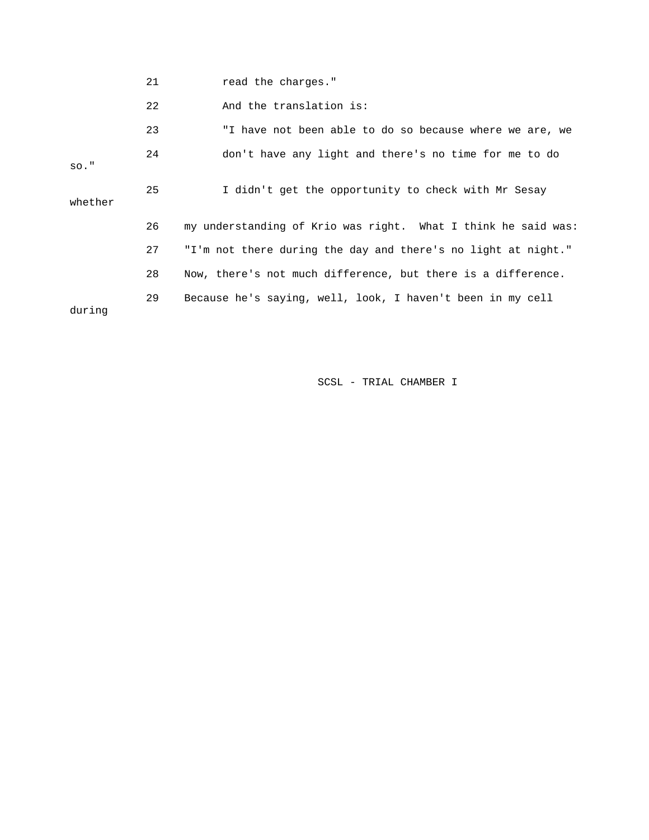21 **read** the charges."

22 And the translation is:

|         | 23 | "I have not been able to do so because where we are, we       |
|---------|----|---------------------------------------------------------------|
| $SO.$ " | 24 | don't have any light and there's no time for me to do         |
| whether | 25 | I didn't get the opportunity to check with Mr Sesay           |
|         | 26 | my understanding of Krio was right. What I think he said was: |
|         | 27 | "I'm not there during the day and there's no light at night." |
|         | 28 | Now, there's not much difference, but there is a difference.  |
| during  | 29 | Because he's saying, well, look, I haven't been in my cell    |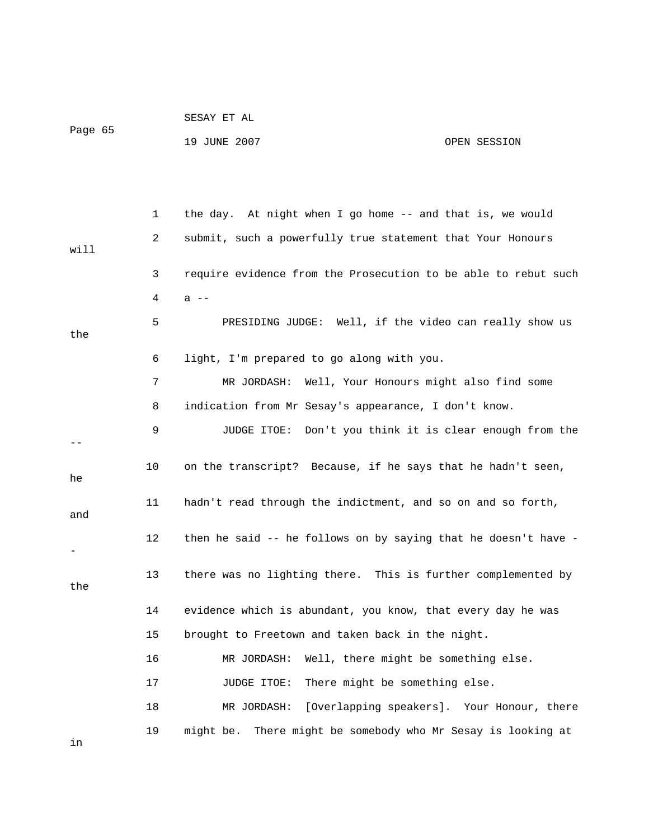|         |    | SESAY ET AL                                                     |                                            |
|---------|----|-----------------------------------------------------------------|--------------------------------------------|
| Page 65 |    | 19 JUNE 2007                                                    | OPEN SESSION                               |
|         |    |                                                                 |                                            |
|         |    |                                                                 |                                            |
|         | 1  | the day. At night when I go home -- and that is, we would       |                                            |
| will    | 2  | submit, such a powerfully true statement that Your Honours      |                                            |
|         | 3  | require evidence from the Prosecution to be able to rebut such  |                                            |
|         | 4  | $a$ $-$                                                         |                                            |
| the     | 5  | PRESIDING JUDGE: Well, if the video can really show us          |                                            |
|         | 6  | light, I'm prepared to go along with you.                       |                                            |
|         | 7  | MR JORDASH: Well, Your Honours might also find some             |                                            |
|         | 8  | indication from Mr Sesay's appearance, I don't know.            |                                            |
|         | 9  | JUDGE ITOE: Don't you think it is clear enough from the         |                                            |
|         |    |                                                                 |                                            |
| he      | 10 | on the transcript? Because, if he says that he hadn't seen,     |                                            |
| and     | 11 | hadn't read through the indictment, and so on and so forth,     |                                            |
|         | 12 | then he said -- he follows on by saying that he doesn't have -  |                                            |
|         |    |                                                                 |                                            |
| the     | 13 | there was no lighting there. This is further complemented by    |                                            |
|         | 14 | evidence which is abundant, you know, that every day he was     |                                            |
|         | 15 | brought to Freetown and taken back in the night.                |                                            |
|         | 16 | Well, there might be something else.<br>MR JORDASH:             |                                            |
|         | 17 | There might be something else.<br>JUDGE ITOE:                   |                                            |
|         | 18 | MR JORDASH:                                                     | [Overlapping speakers]. Your Honour, there |
|         | 19 | might be.<br>There might be somebody who Mr Sesay is looking at |                                            |
| in      |    |                                                                 |                                            |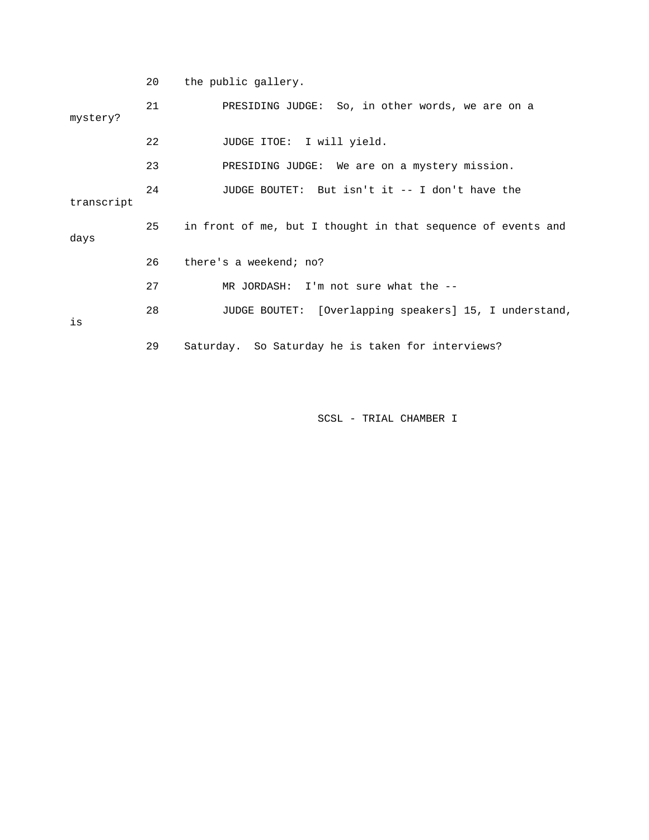20 the public gallery.

| mystery?   | 21 | PRESIDING JUDGE: So, in other words, we are on a             |
|------------|----|--------------------------------------------------------------|
|            |    |                                                              |
|            | 22 | JUDGE ITOE: I will yield.                                    |
|            | 23 | PRESIDING JUDGE: We are on a mystery mission.                |
| transcript | 24 | JUDGE BOUTET: But isn't it -- I don't have the               |
| days       | 25 | in front of me, but I thought in that sequence of events and |
|            | 26 | there's a weekend; no?                                       |
|            | 27 | MR JORDASH: I'm not sure what the $-$ -                      |
| is         | 28 | JUDGE BOUTET: [Overlapping speakers] 15, I understand,       |
|            | 29 | Saturday. So Saturday he is taken for interviews?            |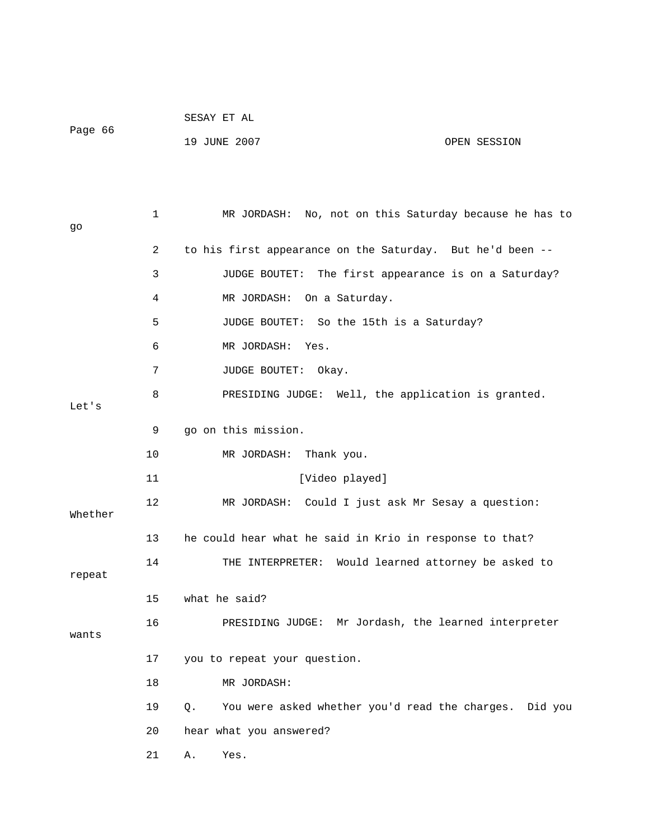|         |    | SESAY ET AL                                                  |  |
|---------|----|--------------------------------------------------------------|--|
| Page 66 |    | 19 JUNE 2007<br>OPEN SESSION                                 |  |
|         |    |                                                              |  |
|         |    |                                                              |  |
| go      | 1  | MR JORDASH: No, not on this Saturday because he has to       |  |
|         | 2  | to his first appearance on the Saturday. But he'd been --    |  |
|         | 3  | JUDGE BOUTET: The first appearance is on a Saturday?         |  |
|         | 4  | MR JORDASH: On a Saturday.                                   |  |
|         | 5  | JUDGE BOUTET: So the 15th is a Saturday?                     |  |
|         | 6  | MR JORDASH: Yes.                                             |  |
|         | 7  | JUDGE BOUTET: Okay.                                          |  |
| Let's   | 8  | PRESIDING JUDGE: Well, the application is granted.           |  |
|         | 9  | go on this mission.                                          |  |
|         | 10 | MR JORDASH: Thank you.                                       |  |
|         | 11 | [Video played]                                               |  |
| Whether | 12 | MR JORDASH: Could I just ask Mr Sesay a question:            |  |
|         | 13 | he could hear what he said in Krio in response to that?      |  |
| repeat  | 14 | Would learned attorney be asked to<br>THE INTERPRETER:       |  |
|         | 15 | what he said?                                                |  |
| wants   | 16 | PRESIDING JUDGE: Mr Jordash, the learned interpreter         |  |
|         | 17 | you to repeat your question.                                 |  |
|         | 18 | MR JORDASH:                                                  |  |
|         | 19 | You were asked whether you'd read the charges. Did you<br>Q. |  |
|         | 20 | hear what you answered?                                      |  |
|         | 21 | Α.<br>Yes.                                                   |  |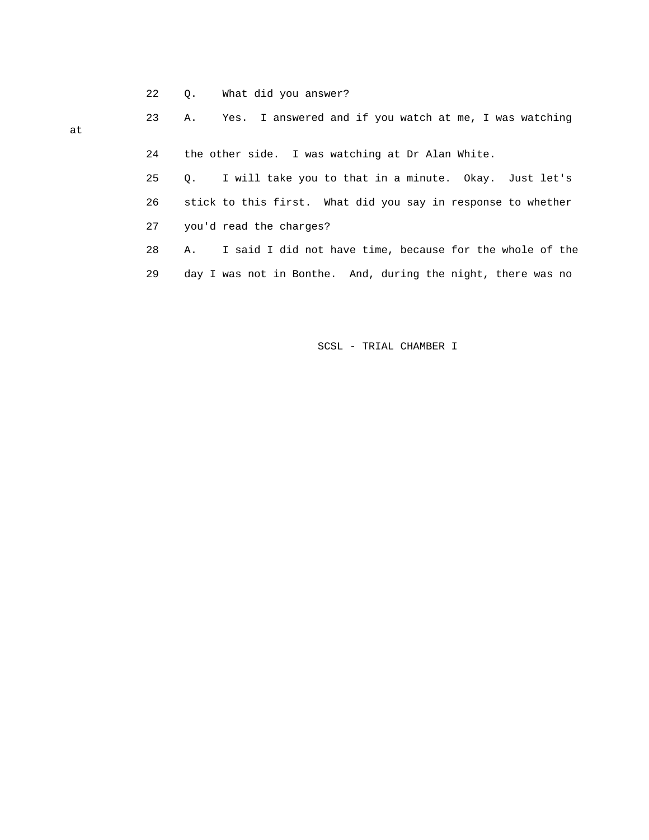22 Q. What did you answer?

|    | <b>A.</b> |  |                                                  |  |  |  |  | Yes. I answered and if you watch at me, I was watching |  |
|----|-----------|--|--------------------------------------------------|--|--|--|--|--------------------------------------------------------|--|
| at |           |  |                                                  |  |  |  |  |                                                        |  |
|    |           |  | the other side. I was watching at Dr Alan White. |  |  |  |  |                                                        |  |

 25 Q. I will take you to that in a minute. Okay. Just let's 27 you'd read the charges? 26 stick to this first. What did you say in response to whether

 28 A. I said I did not have time, because for the whole of the 29 day I was not in Bonthe. And, during the night, there was no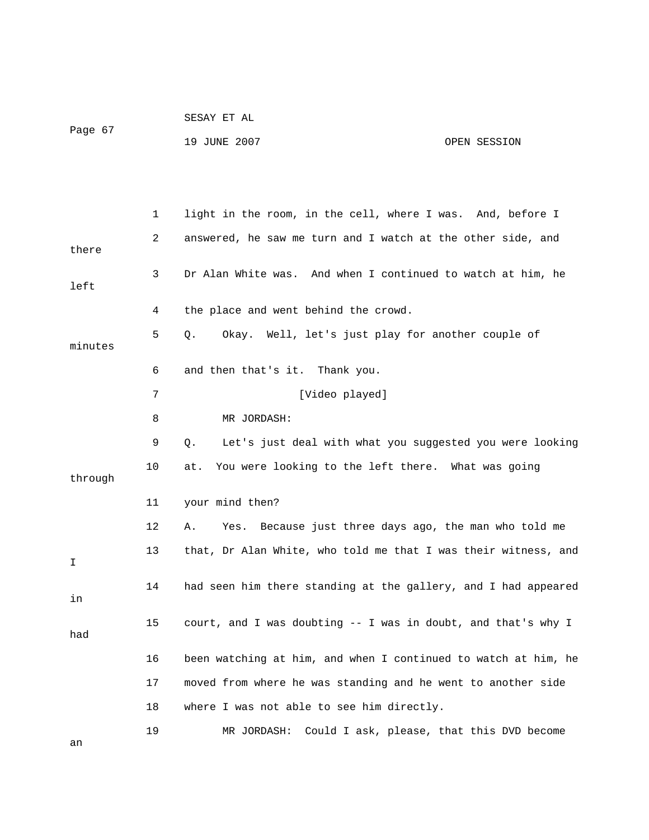|         | SESAY ET AL  |              |
|---------|--------------|--------------|
| Page 67 |              |              |
|         | 19 JUNE 2007 | OPEN SESSION |

|         | 1  | light in the room, in the cell, where I was. And, before I     |
|---------|----|----------------------------------------------------------------|
| there   | 2  | answered, he saw me turn and I watch at the other side, and    |
|         |    |                                                                |
| left    | 3  | Dr Alan White was. And when I continued to watch at him, he    |
|         | 4  | the place and went behind the crowd.                           |
| minutes | 5  | Okay. Well, let's just play for another couple of<br>Q.        |
|         | 6  | and then that's it. Thank you.                                 |
|         | 7  | [Video played]                                                 |
|         | 8  | MR JORDASH:                                                    |
|         | 9  | Let's just deal with what you suggested you were looking<br>Q. |
| through | 10 | You were looking to the left there. What was going<br>at.      |
|         | 11 | your mind then?                                                |
|         | 12 | Α.<br>Yes.<br>Because just three days ago, the man who told me |
| I       | 13 | that, Dr Alan White, who told me that I was their witness, and |
| in      | 14 | had seen him there standing at the gallery, and I had appeared |
| had     | 15 | court, and I was doubting -- I was in doubt, and that's why I  |
|         | 16 | been watching at him, and when I continued to watch at him, he |
|         | 17 | moved from where he was standing and he went to another side   |
|         | 18 | where I was not able to see him directly.                      |
| an      | 19 | Could I ask, please, that this DVD become<br>MR JORDASH:       |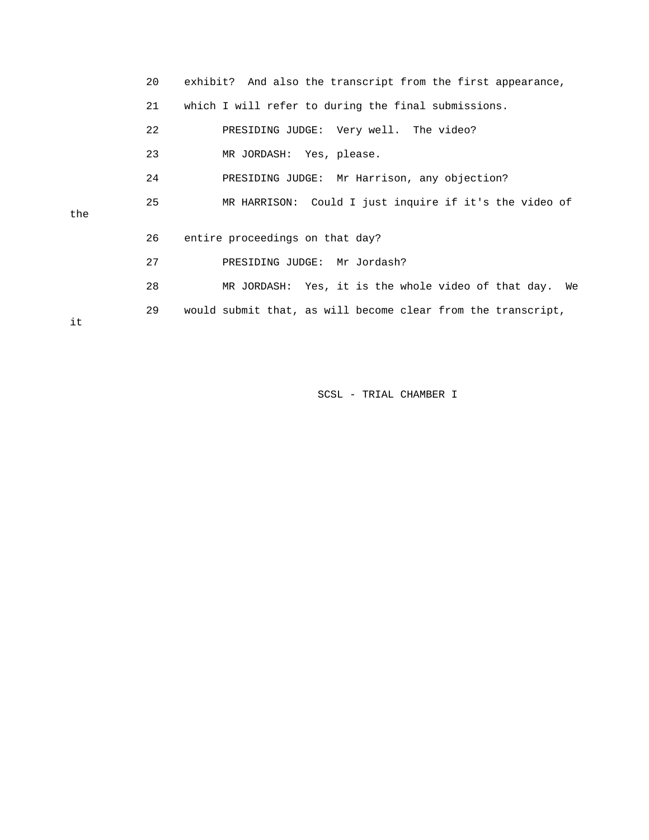|     | 20 | exhibit? And also the transcript from the first appearance,  |
|-----|----|--------------------------------------------------------------|
|     | 21 | which I will refer to during the final submissions.          |
|     | 22 | PRESIDING JUDGE: Very well. The video?                       |
|     | 23 | MR JORDASH: Yes, please.                                     |
|     | 24 | PRESIDING JUDGE: Mr Harrison, any objection?                 |
| the | 25 | MR HARRISON: Could I just inquire if it's the video of       |
|     | 26 | entire proceedings on that day?                              |
|     | 27 | PRESIDING JUDGE: Mr Jordash?                                 |
|     | 28 | MR JORDASH: Yes, it is the whole video of that day. We       |
| it  | 29 | would submit that, as will become clear from the transcript, |

the

it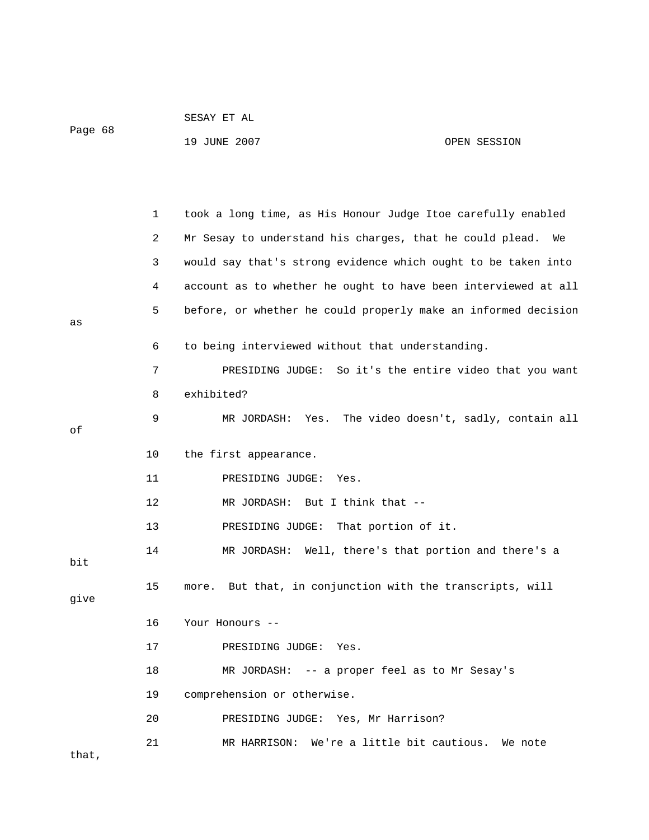|         | SESAY ET AL  |              |
|---------|--------------|--------------|
| Page 68 |              |              |
|         | 19 JUNE 2007 | OPEN SESSION |

|       | 1  | took a long time, as His Honour Judge Itoe carefully enabled   |
|-------|----|----------------------------------------------------------------|
|       | 2  | Mr Sesay to understand his charges, that he could plead.<br>We |
|       | 3  | would say that's strong evidence which ought to be taken into  |
|       | 4  | account as to whether he ought to have been interviewed at all |
| as    | 5  | before, or whether he could properly make an informed decision |
|       | 6  | to being interviewed without that understanding.               |
|       | 7  | PRESIDING JUDGE: So it's the entire video that you want        |
|       | 8  | exhibited?                                                     |
| оf    | 9  | MR JORDASH: Yes. The video doesn't, sadly, contain all         |
|       | 10 | the first appearance.                                          |
|       | 11 | PRESIDING JUDGE: Yes.                                          |
|       | 12 | MR JORDASH: But I think that --                                |
|       | 13 | PRESIDING JUDGE: That portion of it.                           |
| bit   | 14 | MR JORDASH: Well, there's that portion and there's a           |
| give  | 15 | But that, in conjunction with the transcripts, will<br>more.   |
|       | 16 | Your Honours --                                                |
|       | 17 | PRESIDING JUDGE:<br>Yes.                                       |
|       | 18 | -- a proper feel as to Mr Sesay's<br>MR JORDASH:               |
|       | 19 | comprehension or otherwise.                                    |
|       | 20 | PRESIDING JUDGE: Yes, Mr Harrison?                             |
| that, | 21 | We're a little bit cautious.<br>MR HARRISON:<br>We note        |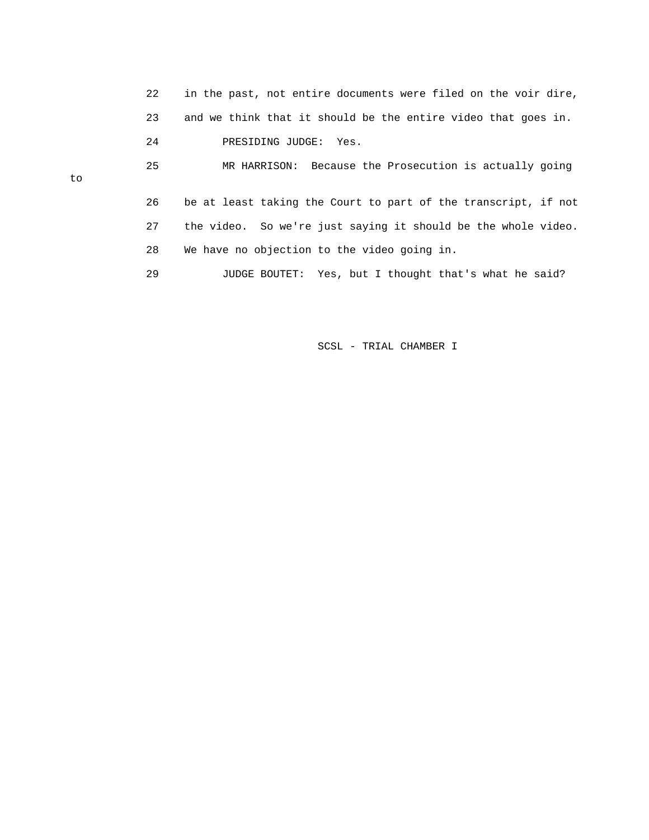|    | 22 | in the past, not entire documents were filed on the voir dire, |
|----|----|----------------------------------------------------------------|
|    | 23 | and we think that it should be the entire video that goes in.  |
|    | 24 | PRESIDING JUDGE: Yes.                                          |
| to | 25 | MR HARRISON: Because the Prosecution is actually going         |
|    | 26 | be at least taking the Court to part of the transcript, if not |
|    | 27 | the video. So we're just saying it should be the whole video.  |
|    | 28 | We have no objection to the video going in.                    |
|    | 29 | JUDGE BOUTET: Yes, but I thought that's what he said?          |

to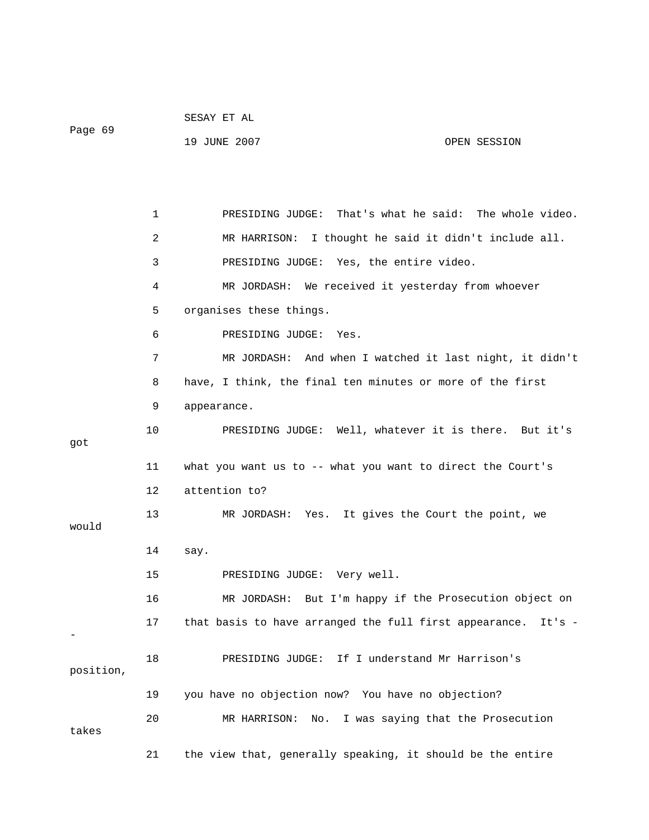|           |    | 19 JUNE 2007<br>OPEN SESSION                                  |
|-----------|----|---------------------------------------------------------------|
|           |    |                                                               |
|           | 1  | PRESIDING JUDGE: That's what he said: The whole video.        |
|           | 2  | I thought he said it didn't include all.<br>MR HARRISON:      |
|           | 3  | PRESIDING JUDGE: Yes, the entire video.                       |
|           | 4  | MR JORDASH: We received it yesterday from whoever             |
|           | 5  | organises these things.                                       |
|           | 6  | PRESIDING JUDGE:<br>Yes.                                      |
|           | 7  | MR JORDASH: And when I watched it last night, it didn't       |
|           | 8  | have, I think, the final ten minutes or more of the first     |
|           | 9  | appearance.                                                   |
| got       | 10 | PRESIDING JUDGE: Well, whatever it is there. But it's         |
|           | 11 | what you want us to $-$ - what you want to direct the Court's |
|           | 12 | attention to?                                                 |
| would     | 13 | MR JORDASH:<br>Yes.<br>It gives the Court the point, we       |
|           | 14 | say.                                                          |
|           | 15 | PRESIDING JUDGE: Very well.                                   |
|           | 16 | But I'm happy if the Prosecution object on<br>MR JORDASH:     |
|           | 17 | that basis to have arranged the full first appearance. It's - |
| position, | 18 | PRESIDING JUDGE: If I understand Mr Harrison's                |
|           | 19 | you have no objection now? You have no objection?             |
| takes     | 20 | I was saying that the Prosecution<br>MR HARRISON:<br>No.      |
|           | 21 | the view that, generally speaking, it should be the entire    |

SESAY ET AL

Page 69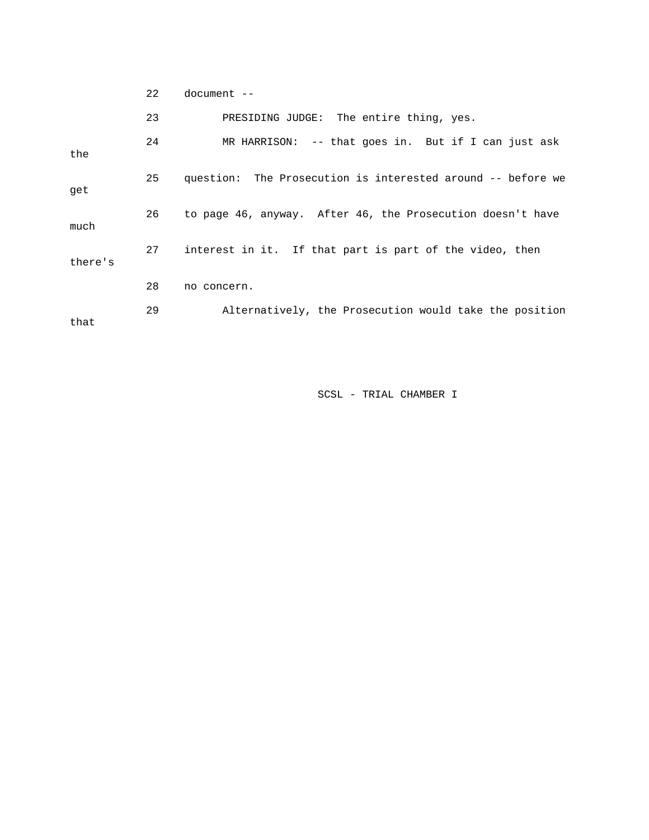22 document --

|         | 23 | PRESIDING JUDGE: The entire thing, yes.                     |
|---------|----|-------------------------------------------------------------|
| the     | 24 | MR HARRISON: $-$ - that goes in. But if I can just ask      |
| qet     | 25 | question: The Prosecution is interested around -- before we |
| much    | 26 | to page 46, anyway. After 46, the Prosecution doesn't have  |
| there's | 27 | interest in it. If that part is part of the video, then     |
|         | 28 | no concern.                                                 |
| that    | 29 | Alternatively, the Prosecution would take the position      |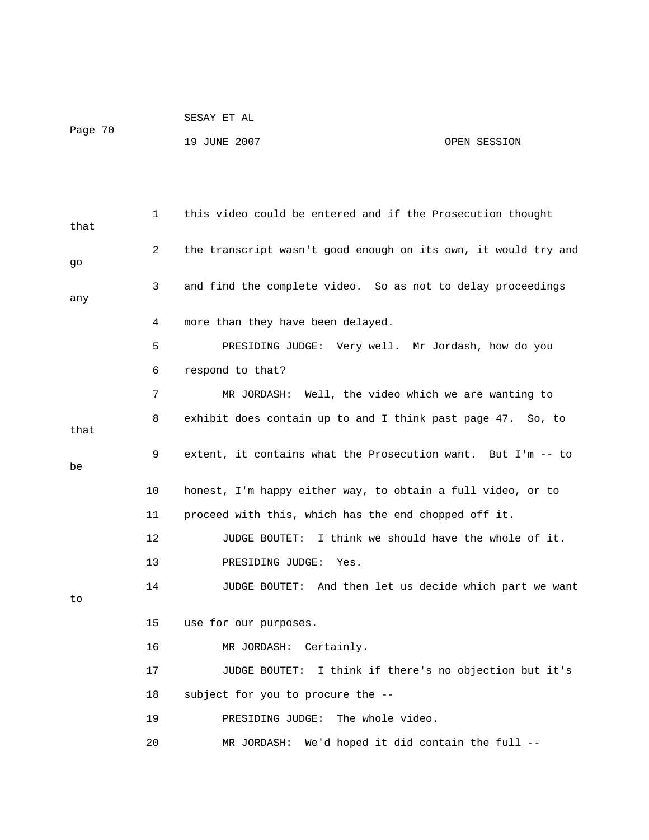|         | SESAY ET AL  |              |
|---------|--------------|--------------|
| Page 70 |              |              |
|         | 19 JUNE 2007 | OPEN SESSION |

 1 this video could be entered and if the Prosecution thought that 2 the transcript wasn't good enough on its own, it would try and go 3 and find the complete video. So as not to delay proceedings any 4 more than they have been delayed. 5 PRESIDING JUDGE: Very well. Mr Jordash, how do you 6 respond to that? 7 MR JORDASH: Well, the video which we are wanting to 8 exhibit does contain up to and I think past page 47. So, to that 9 extent, it contains what the Prosecution want. But I'm -- to be 10 honest, I'm happy either way, to obtain a full video, or to 11 proceed with this, which has the end chopped off it. 12 JUDGE BOUTET: I think we should have the whole of it. 13 PRESIDING JUDGE: Yes. 14 JUDGE BOUTET: And then let us decide which part we want to 15 use for our purposes. 16 MR JORDASH: Certainly. 17 JUDGE BOUTET: I think if there's no objection but it's 18 subject for you to procure the -- 19 PRESIDING JUDGE: The whole video. 20 MR JORDASH: We'd hoped it did contain the full --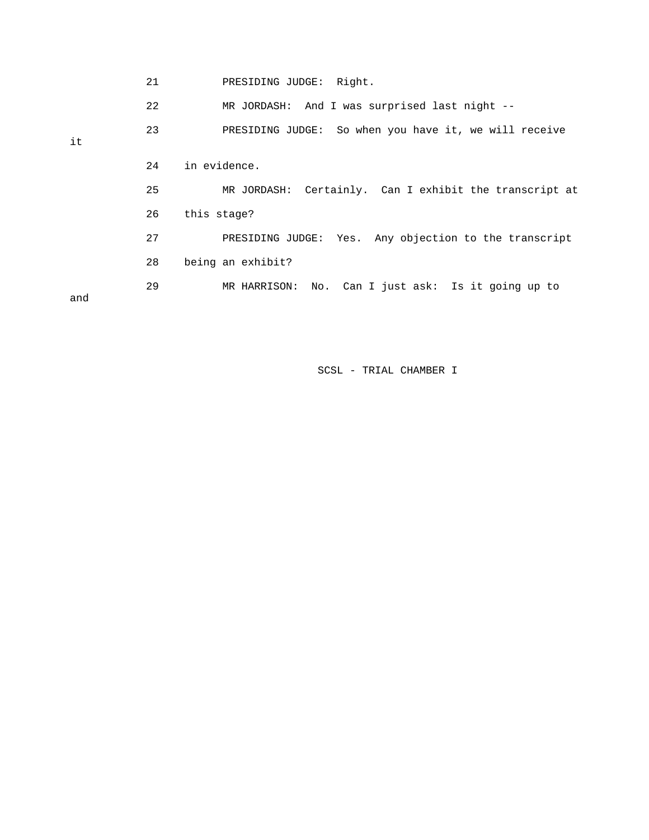|     | 21 | PRESIDING JUDGE: Right.                                |
|-----|----|--------------------------------------------------------|
|     | 22 | MR JORDASH: And I was surprised last night --          |
| it  | 23 | PRESIDING JUDGE: So when you have it, we will receive  |
|     |    |                                                        |
|     | 24 | in evidence.                                           |
|     | 25 | MR JORDASH: Certainly. Can I exhibit the transcript at |
|     | 26 | this stage?                                            |
|     | 27 | PRESIDING JUDGE: Yes. Any objection to the transcript  |
|     | 28 | being an exhibit?                                      |
| and | 29 | MR HARRISON: No. Can I just ask: Is it going up to     |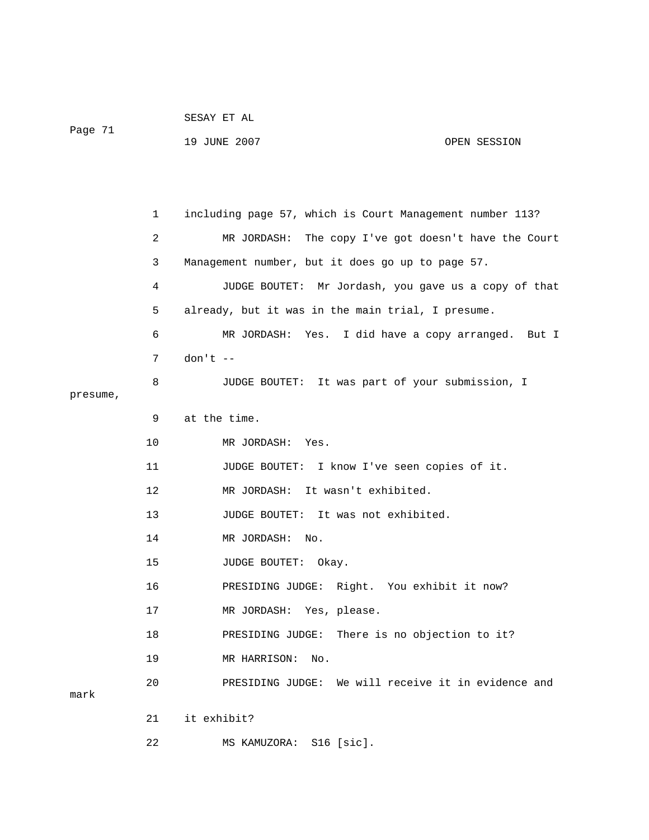|         | SESAY ET AL  |              |
|---------|--------------|--------------|
| Paqe 71 |              |              |
|         | 19 JUNE 2007 | OPEN SESSION |

 1 including page 57, which is Court Management number 113? 2 MR JORDASH: The copy I've got doesn't have the Court 3 Management number, but it does go up to page 57. 4 JUDGE BOUTET: Mr Jordash, you gave us a copy of that 5 already, but it was in the main trial, I presume. 6 MR JORDASH: Yes. I did have a copy arranged. But I 7 don't -- 8 JUDGE BOUTET: It was part of your submission, I presume, 9 at the time. 10 MR JORDASH: Yes. 11 JUDGE BOUTET: I know I've seen copies of it. 12 MR JORDASH: It wasn't exhibited. 13 JUDGE BOUTET: It was not exhibited. 14 MR JORDASH: No. 15 JUDGE BOUTET: Okay. 16 PRESIDING JUDGE: Right. You exhibit it now? 17 MR JORDASH: Yes, please. 18 PRESIDING JUDGE: There is no objection to it? 19 MR HARRISON: No. 20 PRESIDING JUDGE: We will receive it in evidence and mark 21 it exhibit? 22 MS KAMUZORA: S16 [sic].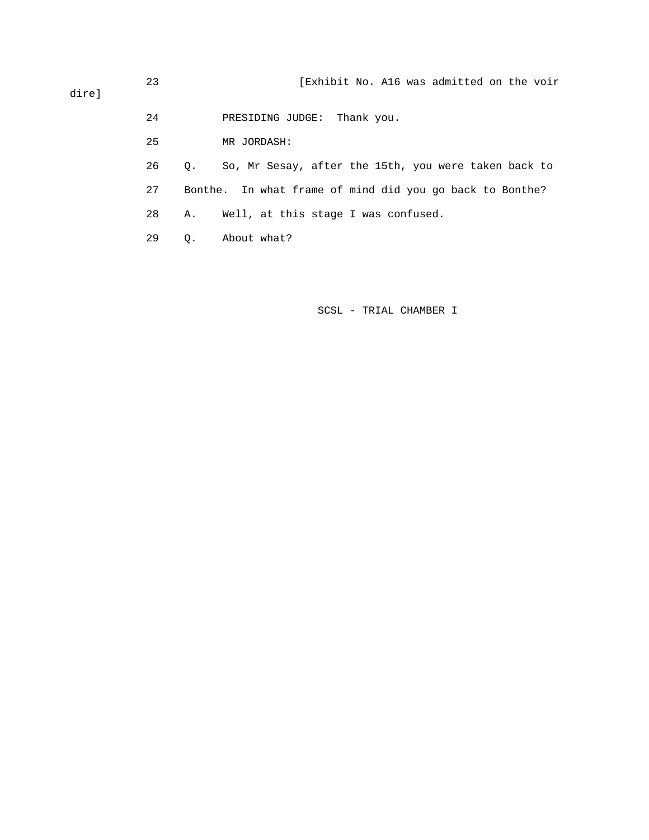| direl | 23 |                                                             | [Exhibit No. A16 was admitted on the voir            |
|-------|----|-------------------------------------------------------------|------------------------------------------------------|
|       | 24 |                                                             | PRESIDING JUDGE:<br>Thank you.                       |
|       | 25 |                                                             | MR JORDASH:                                          |
|       | 26 | $\circ$ .                                                   | So, Mr Sesay, after the 15th, you were taken back to |
|       | 27 | In what frame of mind did you go back to Bonthe?<br>Bonthe. |                                                      |
|       | 28 | Α.                                                          | Well, at this stage I was confused.                  |

29 Q. About what?

SCSL - TRIAL CHAMBER I

dire]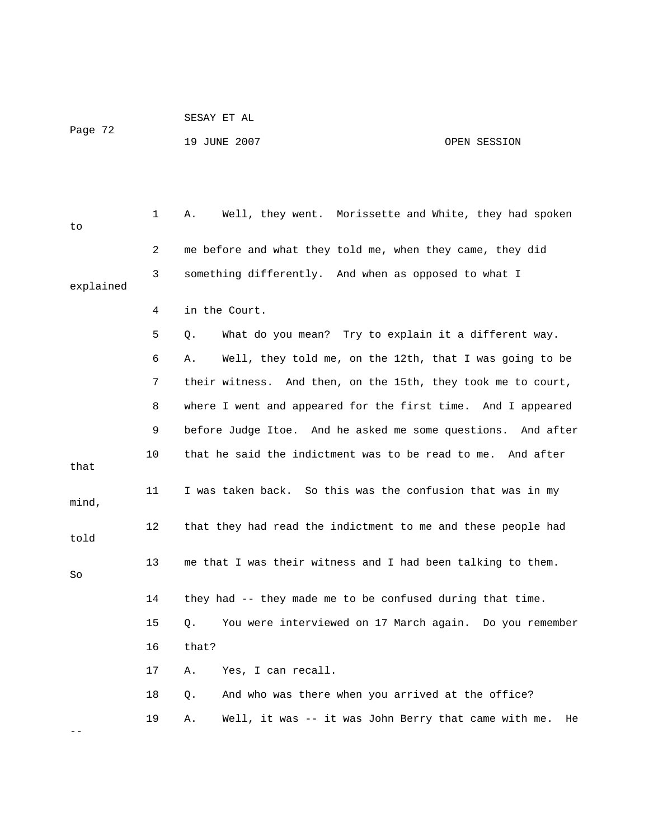|         | SESAY ET AL  |              |
|---------|--------------|--------------|
| Page 72 |              |              |
|         | 19 JUNE 2007 | OPEN SESSION |

 1 A. Well, they went. Morissette and White, they had spoken to 2 me before and what they told me, when they came, they did 3 something differently. And when as opposed to what I explained 4 in the Court. 5 Q. What do you mean? Try to explain it a different way. 6 A. Well, they told me, on the 12th, that I was going to be 7 their witness. And then, on the 15th, they took me to court, 8 where I went and appeared for the first time. And I appeared 9 before Judge Itoe. And he asked me some questions. And after 10 that he said the indictment was to be read to me. And after that 11 I was taken back. So this was the confusion that was in my mind, 12 that they had read the indictment to me and these people had told 13 me that I was their witness and I had been talking to them. So 14 they had -- they made me to be confused during that time. 15 Q. You were interviewed on 17 March again. Do you remember 16 that? 17 A. Yes, I can recall. 18 Q. And who was there when you arrived at the office? 19 A. Well, it was -- it was John Berry that came with me. He

--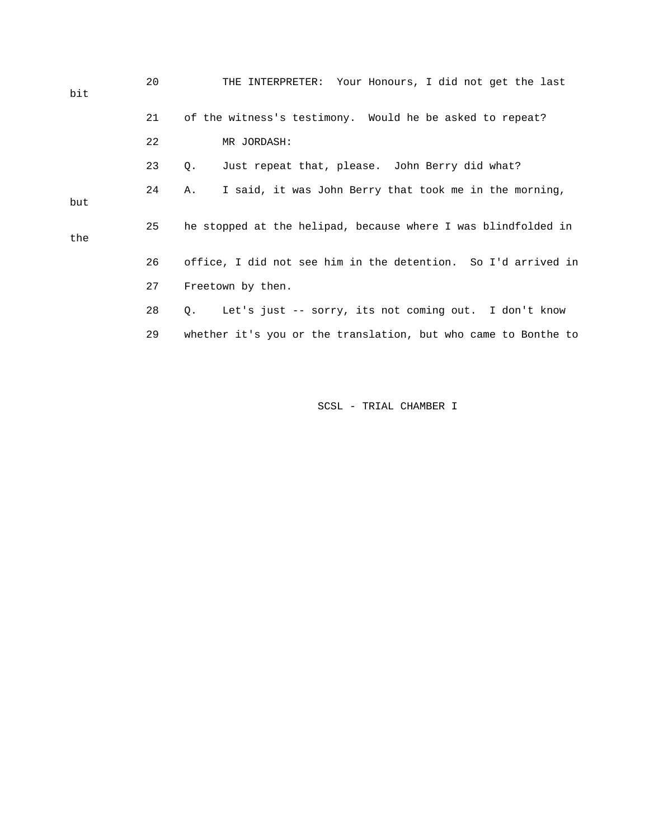| bit | 20 | THE INTERPRETER: Your Honours, I did not get the last              |  |  |  |
|-----|----|--------------------------------------------------------------------|--|--|--|
|     | 21 | of the witness's testimony. Would he be asked to repeat?           |  |  |  |
|     | 22 | MR JORDASH:                                                        |  |  |  |
|     | 23 | Just repeat that, please. John Berry did what?<br>Q.               |  |  |  |
| but | 24 | I said, it was John Berry that took me in the morning,<br>Α.       |  |  |  |
| the | 25 | he stopped at the helipad, because where I was blindfolded in      |  |  |  |
|     | 26 | office, I did not see him in the detention. So I'd arrived in      |  |  |  |
|     | 27 | Freetown by then.                                                  |  |  |  |
|     | 28 | Let's just -- sorry, its not coming out. I don't know<br>$\circ$ . |  |  |  |
|     | 29 | whether it's you or the translation, but who came to Bonthe to     |  |  |  |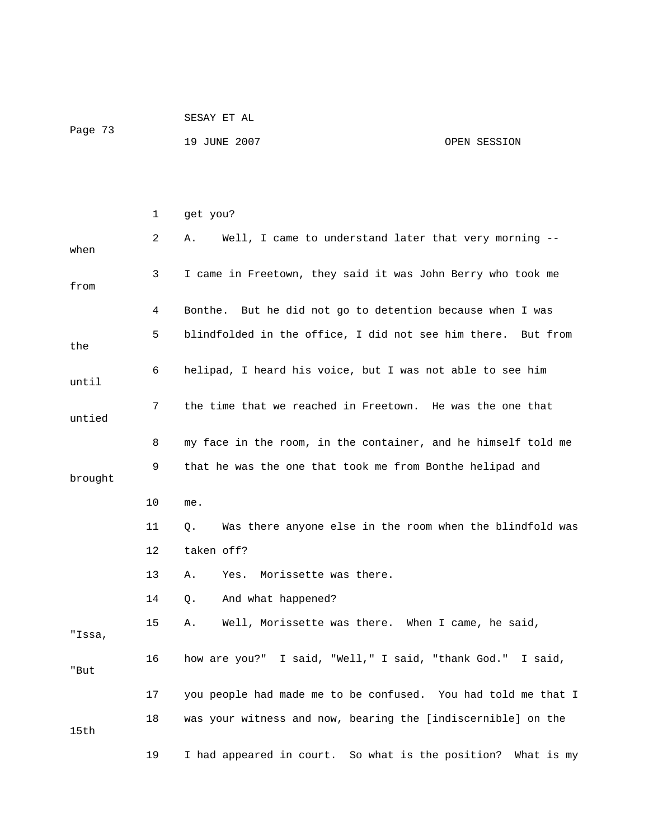| Page 73 | SESAY ET AL  |              |
|---------|--------------|--------------|
|         | 19 JUNE 2007 | OPEN SESSION |

|         | 1  | get you?                                                       |
|---------|----|----------------------------------------------------------------|
| when    | 2  | Well, I came to understand later that very morning --<br>Α.    |
| from    | 3  | I came in Freetown, they said it was John Berry who took me    |
|         | 4  | Bonthe. But he did not go to detention because when I was      |
| the     | 5  | blindfolded in the office, I did not see him there. But from   |
| until   | 6  | helipad, I heard his voice, but I was not able to see him      |
| untied  | 7  | the time that we reached in Freetown. He was the one that      |
|         | 8  | my face in the room, in the container, and he himself told me  |
| brought | 9  | that he was the one that took me from Bonthe helipad and       |
|         | 10 | me.                                                            |
|         | 11 | Was there anyone else in the room when the blindfold was<br>Q. |
|         | 12 | taken off?                                                     |
|         | 13 | Morissette was there.<br>Α.<br>Yes.                            |
|         | 14 | And what happened?<br>Q.                                       |
| "Issa,  | 15 | Well, Morissette was there. When I came, he said,<br>Α.        |
|         |    |                                                                |
| "But    | 16 | how are you?" I said, "Well," I said, "thank God." I said,     |
|         | 17 | you people had made me to be confused. You had told me that I  |
| 15th    | 18 | was your witness and now, bearing the [indiscernible] on the   |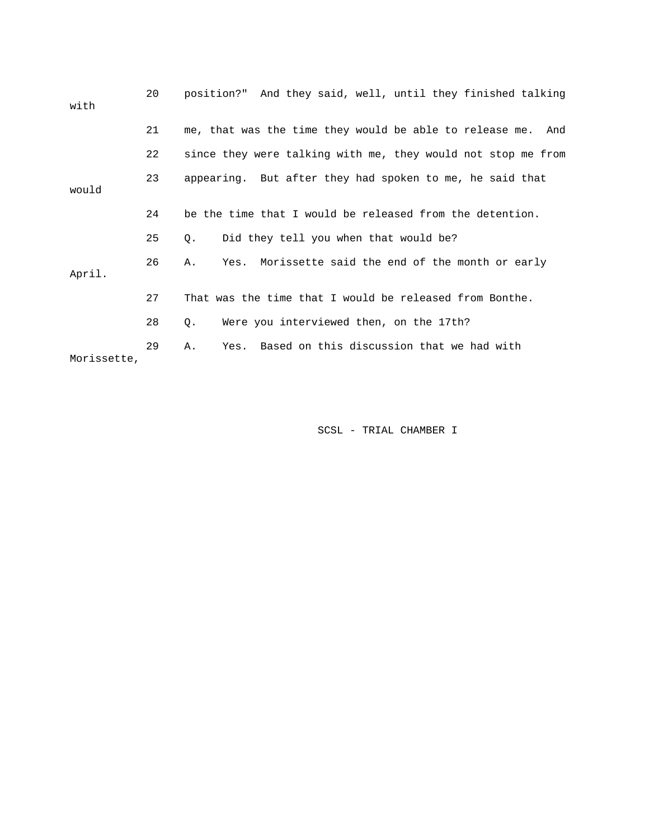| with        | 20 | position?" And they said, well, until they finished talking  |
|-------------|----|--------------------------------------------------------------|
|             | 21 | me, that was the time they would be able to release me. And  |
|             | 22 | since they were talking with me, they would not stop me from |
| would       | 23 | appearing. But after they had spoken to me, he said that     |
|             | 24 | be the time that I would be released from the detention.     |
|             | 25 | Did they tell you when that would be?<br>Q.                  |
| April.      | 26 | Yes. Morissette said the end of the month or early<br>Α.     |
|             | 27 | That was the time that I would be released from Bonthe.      |
|             | 28 | Were you interviewed then, on the 17th?<br>Q.                |
| Morissette, | 29 | Yes. Based on this discussion that we had with<br>Α.         |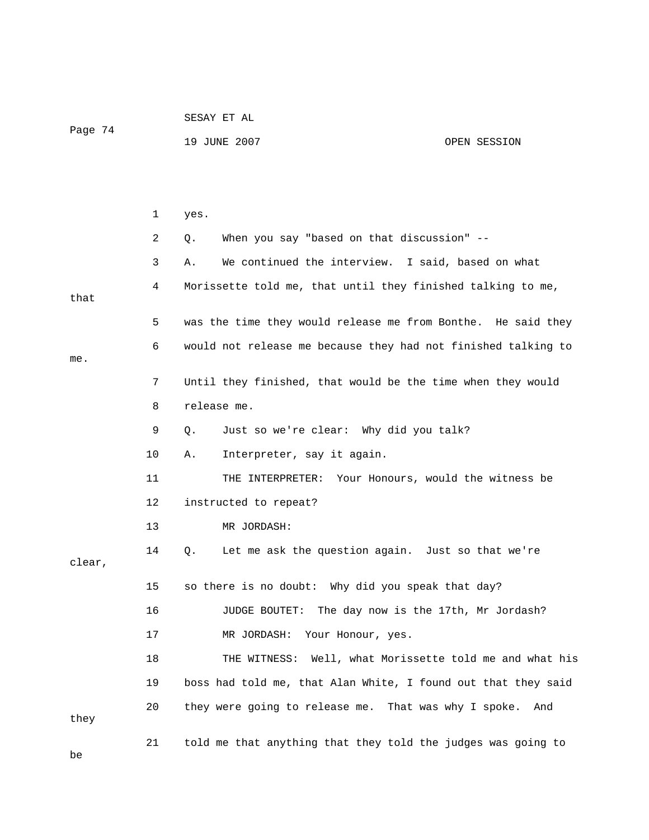| Page 74 |    | SESAY ET AL                                          |                                                               |  |
|---------|----|------------------------------------------------------|---------------------------------------------------------------|--|
|         |    | 19 JUNE 2007                                         | OPEN SESSION                                                  |  |
|         |    |                                                      |                                                               |  |
|         |    |                                                      |                                                               |  |
|         | 1  | yes.                                                 |                                                               |  |
|         | 2  | When you say "based on that discussion" --<br>Q.     |                                                               |  |
|         | 3  | Α.                                                   | We continued the interview. I said, based on what             |  |
| that    | 4  |                                                      | Morissette told me, that until they finished talking to me,   |  |
|         | 5  |                                                      | was the time they would release me from Bonthe. He said they  |  |
|         | 6  |                                                      | would not release me because they had not finished talking to |  |
| me.     |    |                                                      |                                                               |  |
|         | 7  |                                                      | Until they finished, that would be the time when they would   |  |
|         | 8  | release me.                                          |                                                               |  |
|         | 9  | Just so we're clear: Why did you talk?<br>Q.         |                                                               |  |
|         | 10 | Α.<br>Interpreter, say it again.                     |                                                               |  |
|         | 11 |                                                      | THE INTERPRETER: Your Honours, would the witness be           |  |
|         | 12 | instructed to repeat?                                |                                                               |  |
|         | 13 | MR JORDASH:                                          |                                                               |  |
| clear,  | 14 | Q.                                                   | Let me ask the question again. Just so that we're             |  |
|         | 15 | so there is no doubt: Why did you speak that day?    |                                                               |  |
|         | 16 | JUDGE BOUTET:                                        | The day now is the 17th, Mr Jordash?                          |  |
|         | 17 | MR JORDASH:<br>Your Honour, yes.                     |                                                               |  |
|         | 18 | THE WITNESS:                                         | Well, what Morissette told me and what his                    |  |
|         | 19 |                                                      | boss had told me, that Alan White, I found out that they said |  |
| they    | 20 | they were going to release me. That was why I spoke. | And                                                           |  |
| be      | 21 |                                                      | told me that anything that they told the judges was going to  |  |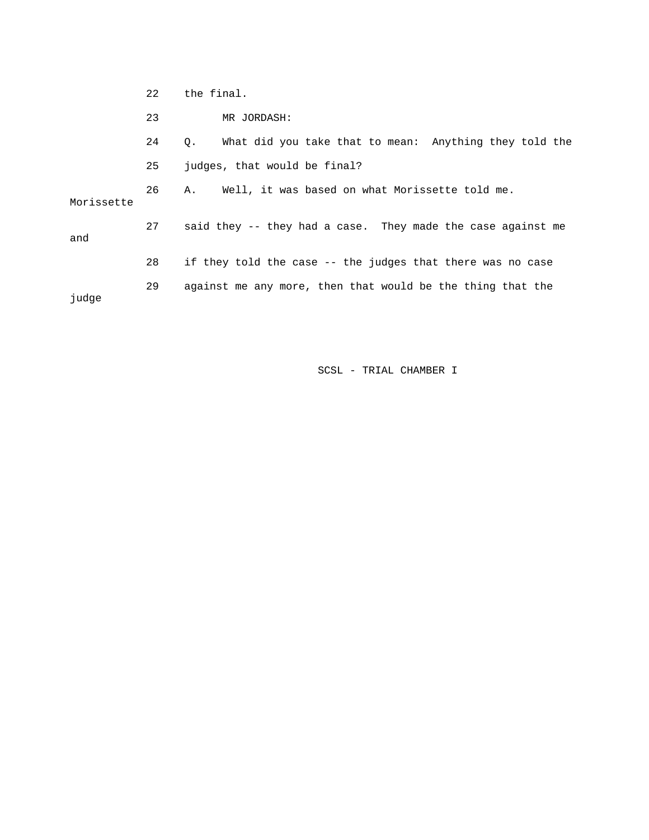22 the final.

23 MR JORDASH:

24 Q. What did you take that to mean: Anything they told the 26 A. Well, it was based on what Morissette told me. 27 said they -- they had a case. They made the case against me 28 if they told the case -- the judges that there was no case judge 25 judges, that would be final? Morissette and 29 against me any more, then that would be the thing that the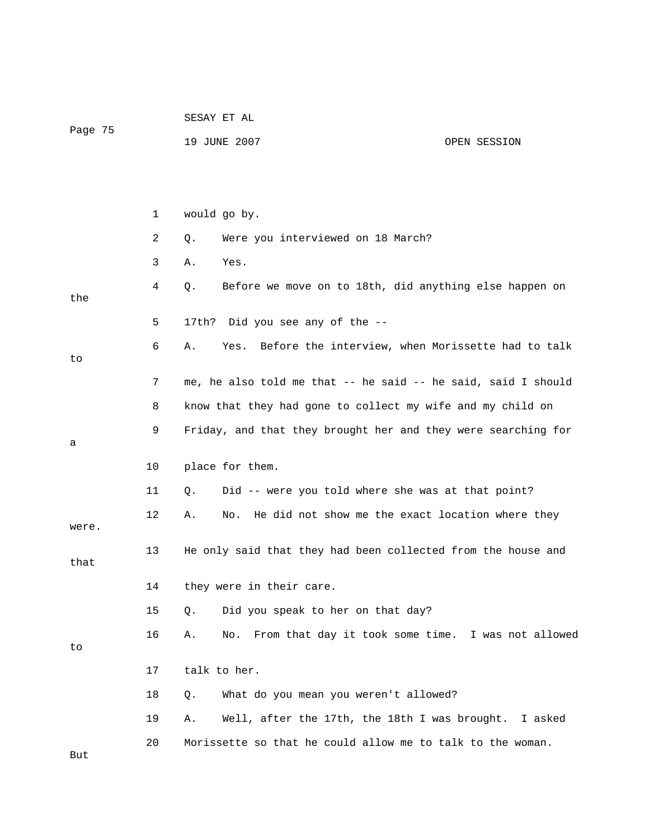|         |    | SESAY ET AL                                                     |  |  |  |
|---------|----|-----------------------------------------------------------------|--|--|--|
| Page 75 |    | 19 JUNE 2007<br>OPEN SESSION                                    |  |  |  |
|         |    |                                                                 |  |  |  |
|         |    |                                                                 |  |  |  |
|         | 1  | would go by.                                                    |  |  |  |
|         | 2  | Were you interviewed on 18 March?<br>Q.                         |  |  |  |
|         | 3  | Yes.<br>Α.                                                      |  |  |  |
| the     | 4  | Before we move on to 18th, did anything else happen on<br>Q.    |  |  |  |
|         | 5  | Did you see any of the --<br>17th?                              |  |  |  |
| to      | 6  | Yes. Before the interview, when Morissette had to talk<br>Α.    |  |  |  |
|         | 7  | me, he also told me that -- he said -- he said, said I should   |  |  |  |
|         | 8  | know that they had gone to collect my wife and my child on      |  |  |  |
|         | 9  | Friday, and that they brought her and they were searching for   |  |  |  |
| а       |    |                                                                 |  |  |  |
|         | 10 | place for them.                                                 |  |  |  |
|         | 11 | Did -- were you told where she was at that point?<br>Q.         |  |  |  |
| were.   | 12 | He did not show me the exact location where they<br>No.<br>Α.   |  |  |  |
| that    | 13 | He only said that they had been collected from the house and    |  |  |  |
|         | 14 | they were in their care.                                        |  |  |  |
|         | 15 | Did you speak to her on that day?<br>Q.                         |  |  |  |
| to      | 16 | From that day it took some time. I was not allowed<br>Α.<br>No. |  |  |  |
|         | 17 | talk to her.                                                    |  |  |  |
|         | 18 | What do you mean you weren't allowed?<br>Q.                     |  |  |  |
|         | 19 | Well, after the 17th, the 18th I was brought.<br>Α.<br>I asked  |  |  |  |
|         | 20 | Morissette so that he could allow me to talk to the woman.      |  |  |  |
| But     |    |                                                                 |  |  |  |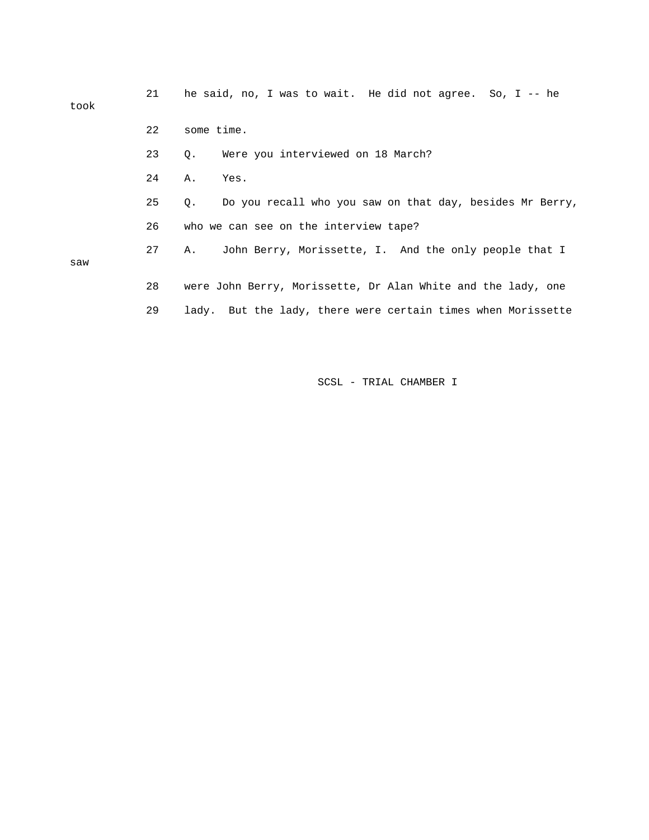| took | 21 | he said, no, I was to wait. He did not agree. So, I -- he             |
|------|----|-----------------------------------------------------------------------|
|      | 22 | some time.                                                            |
|      | 23 | Were you interviewed on 18 March?<br>$Q$ .                            |
|      | 24 | Α.<br>Yes.                                                            |
|      | 25 | Do you recall who you saw on that day, besides Mr Berry,<br>$\circ$ . |
|      | 26 | who we can see on the interview tape?                                 |
| saw  | 27 | John Berry, Morissette, I. And the only people that I<br>Α.           |
|      | 28 | were John Berry, Morissette, Dr Alan White and the lady, one          |
|      | 29 | lady. But the lady, there were certain times when Morissette          |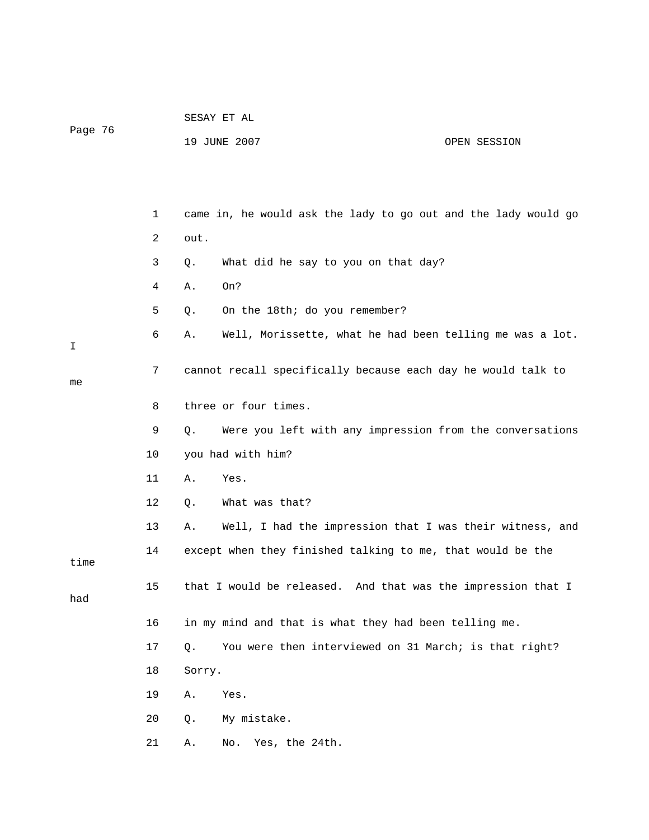| Page 76 |    | 19 JUNE 2007<br>OPEN SESSION                                   |
|---------|----|----------------------------------------------------------------|
|         |    |                                                                |
|         | 1  | came in, he would ask the lady to go out and the lady would go |
|         | 2  | out.                                                           |
|         | 3  | What did he say to you on that day?<br>Q.                      |
|         | 4  | On?<br>Α.                                                      |
|         | 5  | On the 18th; do you remember?<br>Q.                            |
| Ι       | 6  | Well, Morissette, what he had been telling me was a lot.<br>Α. |
| me      | 7  | cannot recall specifically because each day he would talk to   |
|         | 8  | three or four times.                                           |
|         | 9  | Were you left with any impression from the conversations<br>Q. |
|         | 10 | you had with him?                                              |
|         | 11 | Yes.<br>Α.                                                     |
|         | 12 | What was that?<br>Q.                                           |
|         | 13 | Well, I had the impression that I was their witness, and<br>Α. |
| time    | 14 | except when they finished talking to me, that would be the     |
| had     | 15 | that I would be released. And that was the impression that I   |
|         | 16 | in my mind and that is what they had been telling me.          |
|         | 17 | You were then interviewed on 31 March; is that right?<br>Q.    |
|         | 18 | Sorry.                                                         |
|         | 19 | Α.<br>Yes.                                                     |
|         | 20 | My mistake.<br>Q.                                              |
|         | 21 | Α.<br>Yes, the 24th.<br>No.                                    |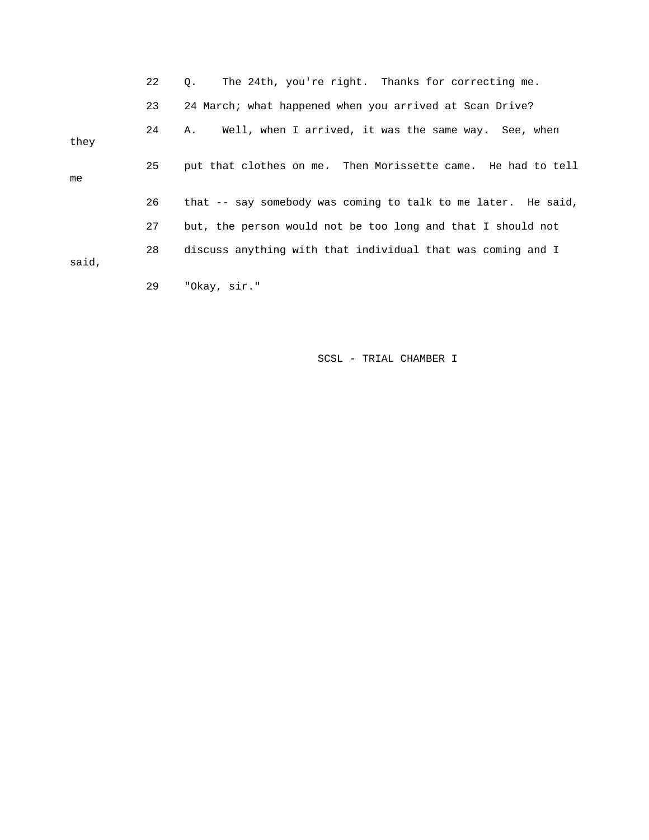|       | 22 | The 24th, you're right. Thanks for correcting me.<br>$\circ$ . |
|-------|----|----------------------------------------------------------------|
|       | 23 | 24 March; what happened when you arrived at Scan Drive?        |
| they  | 24 | Well, when I arrived, it was the same way. See, when<br>Α.     |
| me    | 25 | put that clothes on me. Then Morissette came. He had to tell   |
|       | 26 | that -- say somebody was coming to talk to me later. He said,  |
|       | 27 | but, the person would not be too long and that I should not    |
| said, | 28 | discuss anything with that individual that was coming and I    |
|       | 29 | "Okay, sir."                                                   |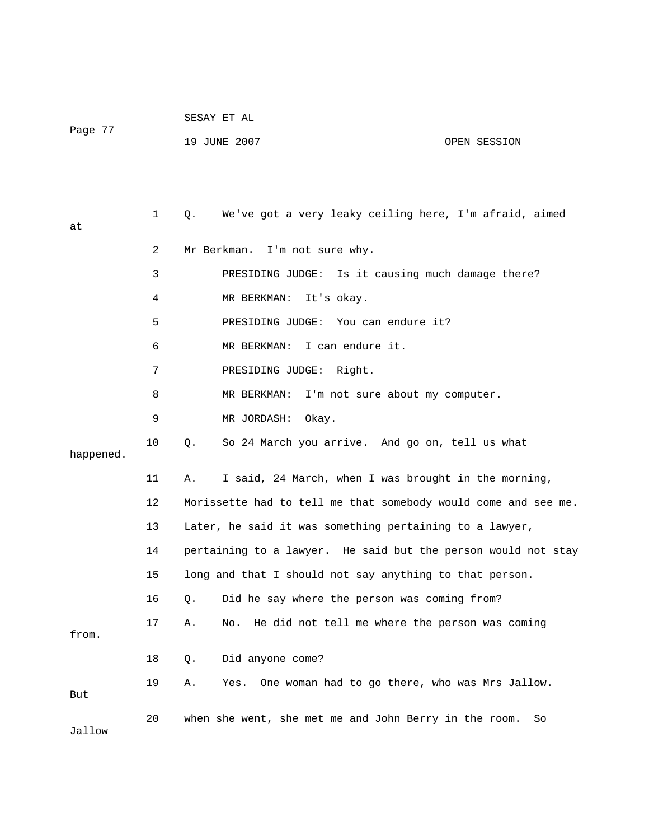| Page 77 | SESAY ET AL  |              |
|---------|--------------|--------------|
|         | 19 JUNE 2007 | OPEN SESSION |

 1 Q. We've got a very leaky ceiling here, I'm afraid, aimed at 2 Mr Berkman. I'm not sure why. 3 PRESIDING JUDGE: Is it causing much damage there? 4 MR BERKMAN: It's okay. 5 PRESIDING JUDGE: You can endure it? 6 MR BERKMAN: I can endure it. 7 PRESIDING JUDGE: Right. 8 MR BERKMAN: I'm not sure about my computer. 9 MR JORDASH: Okay. 10 Q. So 24 March you arrive. And go on, tell us what happened. 11 A. I said, 24 March, when I was brought in the morning, 12 Morissette had to tell me that somebody would come and see me. 13 Later, he said it was something pertaining to a lawyer, 14 pertaining to a lawyer. He said but the person would not stay 15 long and that I should not say anything to that person. 16 Q. Did he say where the person was coming from? 17 A. No. He did not tell me where the person was coming from. 18 Q. Did anyone come? 19 A. Yes. One woman had to go there, who was Mrs Jallow. But 20 when she went, she met me and John Berry in the room. So Jallow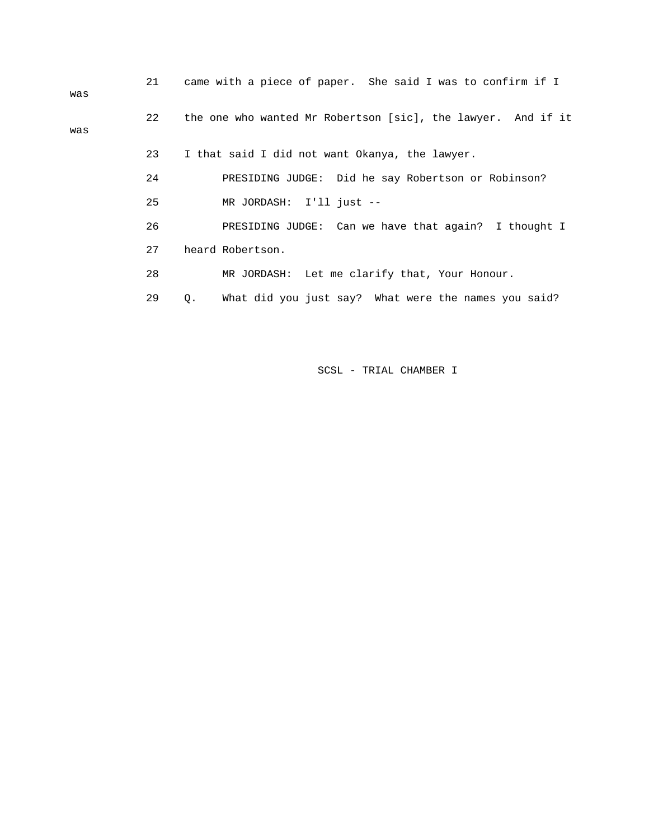| was | 21 | came with a piece of paper. She said I was to confirm if I   |
|-----|----|--------------------------------------------------------------|
| was | 22 | the one who wanted Mr Robertson [sic], the lawyer. And if it |
|     | 23 | I that said I did not want Okanya, the lawyer.               |
|     | 24 | PRESIDING JUDGE: Did he say Robertson or Robinson?           |
|     | 25 | MR JORDASH: I'll just --                                     |
|     | 26 | PRESIDING JUDGE: Can we have that again? I thought I         |
|     | 27 | heard Robertson.                                             |
|     | 28 | MR JORDASH: Let me clarify that, Your Honour.                |
|     | 29 | What did you just say? What were the names you said?<br>Q.   |
|     |    |                                                              |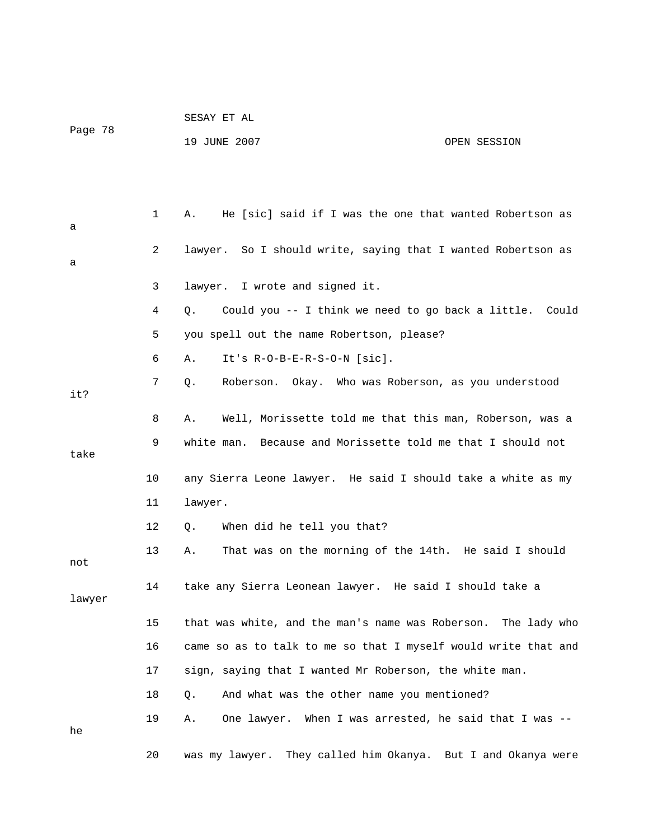|         |    | SESAY ET AL                                                     |              |  |
|---------|----|-----------------------------------------------------------------|--------------|--|
| Page 78 |    | 19 JUNE 2007                                                    | OPEN SESSION |  |
|         |    |                                                                 |              |  |
|         |    |                                                                 |              |  |
| а       | 1  | He [sic] said if I was the one that wanted Robertson as<br>Α.   |              |  |
| а       | 2  | lawyer. So I should write, saying that I wanted Robertson as    |              |  |
|         | 3  | lawyer. I wrote and signed it.                                  |              |  |
|         | 4  | Could you -- I think we need to go back a little. Could<br>Q.   |              |  |
|         | 5  | you spell out the name Robertson, please?                       |              |  |
|         | 6  | It's $R-O-B-E-R-S-O-N$ [sic].<br>Α.                             |              |  |
| it?     | 7  | Roberson. Okay. Who was Roberson, as you understood<br>Q.       |              |  |
|         | 8  | Well, Morissette told me that this man, Roberson, was a<br>Α.   |              |  |
| take    | 9  | Because and Morissette told me that I should not<br>white man.  |              |  |
|         | 10 | any Sierra Leone lawyer. He said I should take a white as my    |              |  |
|         | 11 | lawyer.                                                         |              |  |
|         | 12 | When did he tell you that?<br>Q.                                |              |  |
| not     | 13 | That was on the morning of the 14th. He said I should<br>Α.     |              |  |
| lawyer  | 14 | take any Sierra Leonean lawyer. He said I should take a         |              |  |
|         | 15 | that was white, and the man's name was Roberson. The lady who   |              |  |
|         | 16 | came so as to talk to me so that I myself would write that and  |              |  |
|         | 17 | sign, saying that I wanted Mr Roberson, the white man.          |              |  |
|         | 18 | And what was the other name you mentioned?<br>Q.                |              |  |
| he      | 19 | One lawyer. When I was arrested, he said that I was --<br>Α.    |              |  |
|         | 20 | They called him Okanya. But I and Okanya were<br>was my lawyer. |              |  |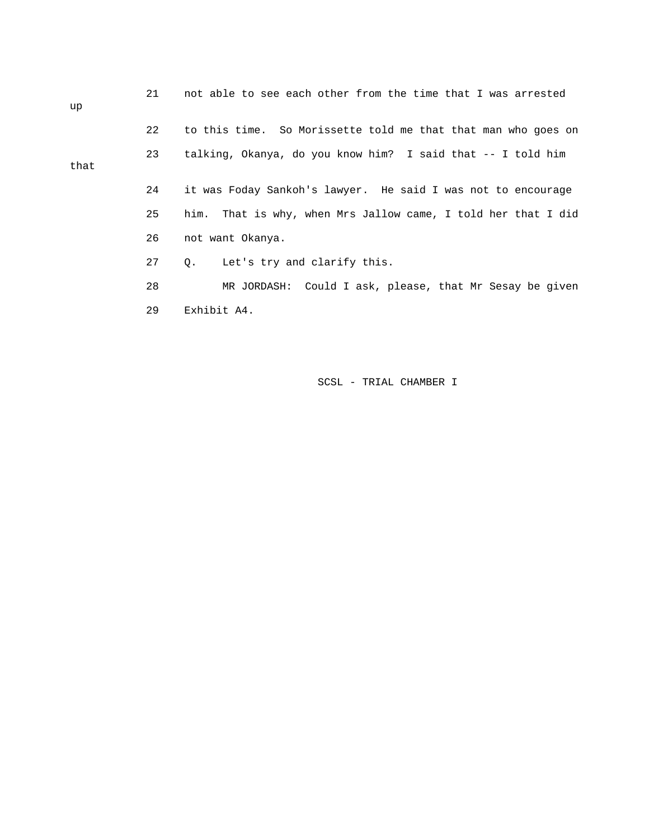| up   | 21 | not able to see each other from the time that I was arrested  |
|------|----|---------------------------------------------------------------|
|      | 22 | to this time. So Morissette told me that that man who goes on |
| that | 23 | talking, Okanya, do you know him? I said that -- I told him   |
|      | 24 | it was Foday Sankoh's lawyer. He said I was not to encourage  |
|      | 25 | him. That is why, when Mrs Jallow came, I told her that I did |
|      | 26 | not want Okanya.                                              |
|      | 27 | Let's try and clarify this.<br>0.                             |
|      | 28 | MR JORDASH: Could I ask, please, that Mr Sesay be given       |
|      | 29 | Exhibit A4.                                                   |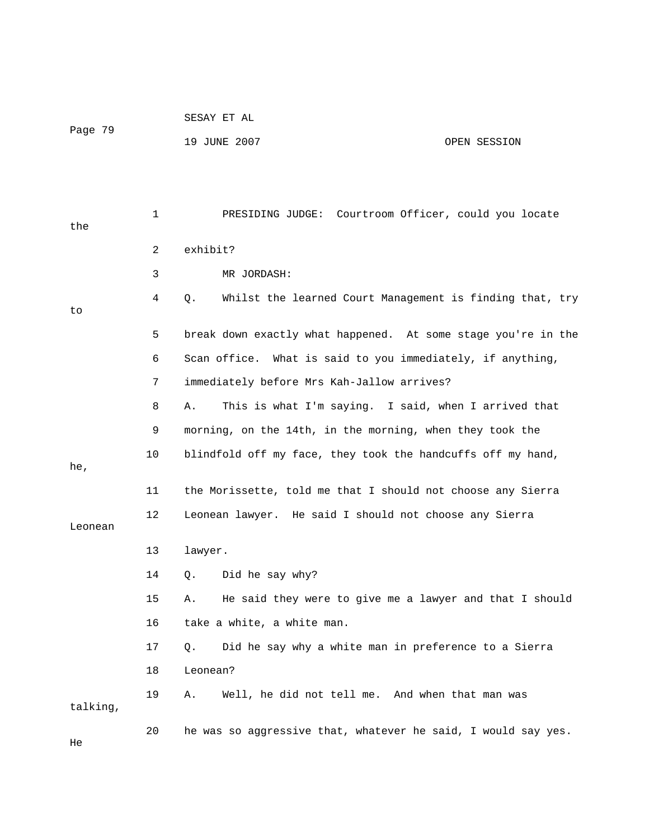|          |    | SESAY ET AL                                                    |              |
|----------|----|----------------------------------------------------------------|--------------|
| Page 79  |    | 19 JUNE 2007                                                   | OPEN SESSION |
|          |    |                                                                |              |
|          |    |                                                                |              |
| the      | 1  | PRESIDING JUDGE: Courtroom Officer, could you locate           |              |
|          | 2  | exhibit?                                                       |              |
|          | 3  | MR JORDASH:                                                    |              |
| to       | 4  | Whilst the learned Court Management is finding that, try<br>Q. |              |
|          | 5  | break down exactly what happened. At some stage you're in the  |              |
|          | 6  | Scan office. What is said to you immediately, if anything,     |              |
|          | 7  | immediately before Mrs Kah-Jallow arrives?                     |              |
|          | 8  | This is what I'm saying. I said, when I arrived that<br>Α.     |              |
|          | 9  | morning, on the 14th, in the morning, when they took the       |              |
| he,      | 10 | blindfold off my face, they took the handcuffs off my hand,    |              |
|          | 11 | the Morissette, told me that I should not choose any Sierra    |              |
| Leonean  | 12 | Leonean lawyer. He said I should not choose any Sierra         |              |
|          | 13 | lawyer.                                                        |              |
|          | 14 | Did he say why?<br>Q.                                          |              |
|          | 15 | He said they were to give me a lawyer and that I should<br>Α.  |              |
|          | 16 | take a white, a white man.                                     |              |
|          | 17 | Did he say why a white man in preference to a Sierra<br>Q.     |              |
|          | 18 | Leonean?                                                       |              |
| talking, | 19 | Well, he did not tell me. And when that man was<br>Α.          |              |
| He       | 20 | he was so aggressive that, whatever he said, I would say yes.  |              |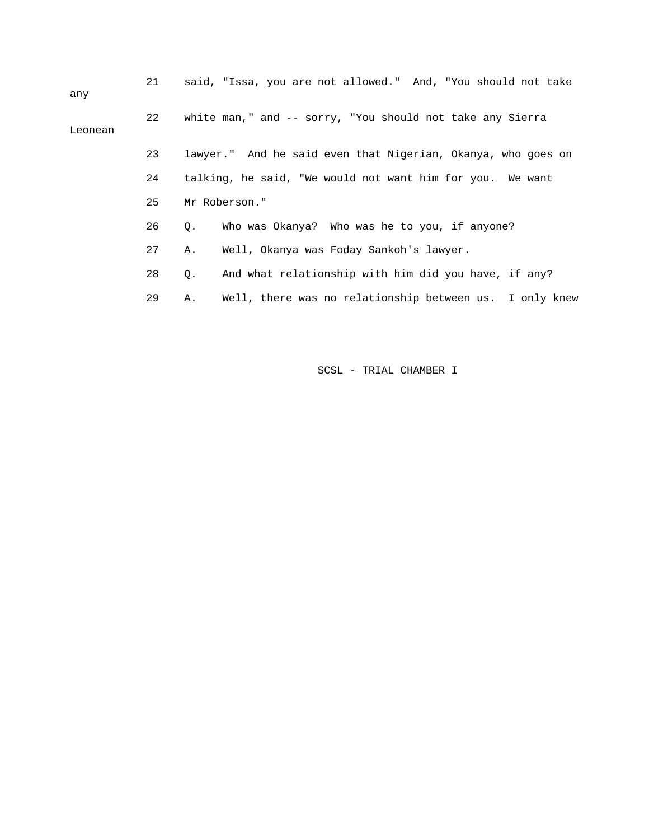| any     | 21 | said, "Issa, you are not allowed." And, "You should not take  |
|---------|----|---------------------------------------------------------------|
| Leonean | 22 | white man," and -- sorry, "You should not take any Sierra     |
|         | 23 | lawyer." And he said even that Nigerian, Okanya, who goes on  |
|         | 24 | talking, he said, "We would not want him for you. We want     |
|         | 25 | Mr Roberson."                                                 |
|         | 26 | Who was Okanya? Who was he to you, if anyone?<br>Q.           |
|         | 27 | Well, Okanya was Foday Sankoh's lawyer.<br>Α.                 |
|         | 28 | And what relationship with him did you have, if any?<br>Q.    |
|         | 29 | Well, there was no relationship between us. I only knew<br>Α. |
|         |    |                                                               |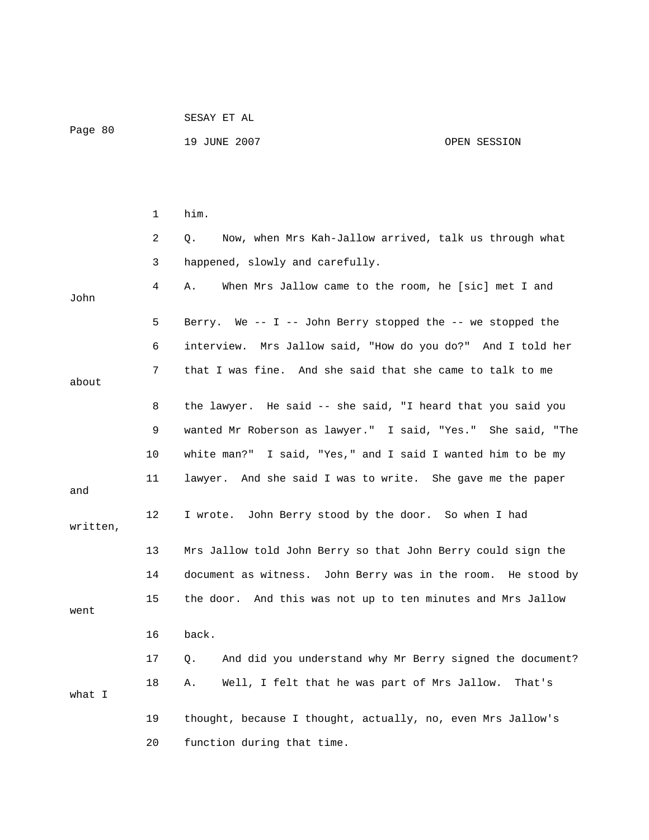| Page 80  |    | 19 JUNE 2007<br>OPEN SESSION                                   |
|----------|----|----------------------------------------------------------------|
|          |    |                                                                |
|          | 1  | him.                                                           |
|          | 2  | Now, when Mrs Kah-Jallow arrived, talk us through what<br>Q.   |
|          | 3  | happened, slowly and carefully.                                |
| John     | 4  | When Mrs Jallow came to the room, he [sic] met I and<br>Α.     |
|          | 5  | Berry. We -- I -- John Berry stopped the -- we stopped the     |
|          | 6  | interview. Mrs Jallow said, "How do you do?" And I told her    |
| about    | 7  | that I was fine. And she said that she came to talk to me      |
|          | 8  | the lawyer. He said -- she said, "I heard that you said you    |
|          | 9  | wanted Mr Roberson as lawyer." I said, "Yes." She said, "The   |
|          | 10 | white man?" I said, "Yes," and I said I wanted him to be my    |
| and      | 11 | lawyer. And she said I was to write. She gave me the paper     |
| written, | 12 | I wrote. John Berry stood by the door. So when I had           |
|          | 13 | Mrs Jallow told John Berry so that John Berry could sign the   |
|          | 14 | document as witness. John Berry was in the room. He stood by   |
| went     | 15 | the door. And this was not up to ten minutes and Mrs Jallow    |
|          | 16 | back.                                                          |
|          | 17 | And did you understand why Mr Berry signed the document?<br>Q. |
| what I   | 18 | Well, I felt that he was part of Mrs Jallow.<br>Α.<br>That's   |
|          | 19 | thought, because I thought, actually, no, even Mrs Jallow's    |
|          | 20 | function during that time.                                     |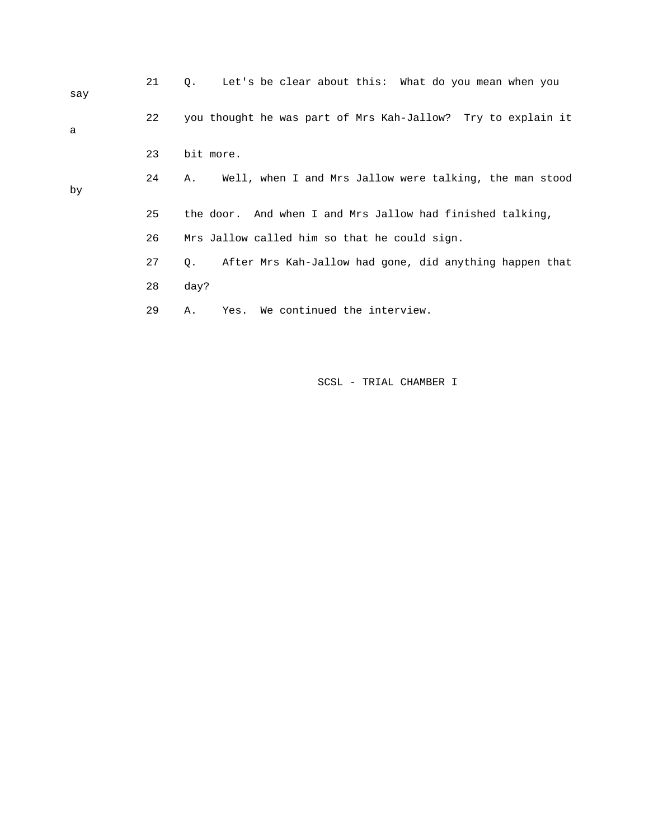|     | 21 | Let's be clear about this: What do you mean when you<br>$\circ$ . |
|-----|----|-------------------------------------------------------------------|
| say |    |                                                                   |
|     | 22 | you thought he was part of Mrs Kah-Jallow? Try to explain it      |
| a   |    |                                                                   |
|     | 23 | bit more.                                                         |
|     | 24 | Well, when I and Mrs Jallow were talking, the man stood<br>Α.     |
| by  |    |                                                                   |
|     | 25 | the door. And when I and Mrs Jallow had finished talking,         |
|     | 26 | Mrs Jallow called him so that he could sign.                      |
|     | 27 | After Mrs Kah-Jallow had gone, did anything happen that<br>О.     |
|     | 28 | day?                                                              |
|     | 29 | We continued the interview.<br>Yes.<br>Α.                         |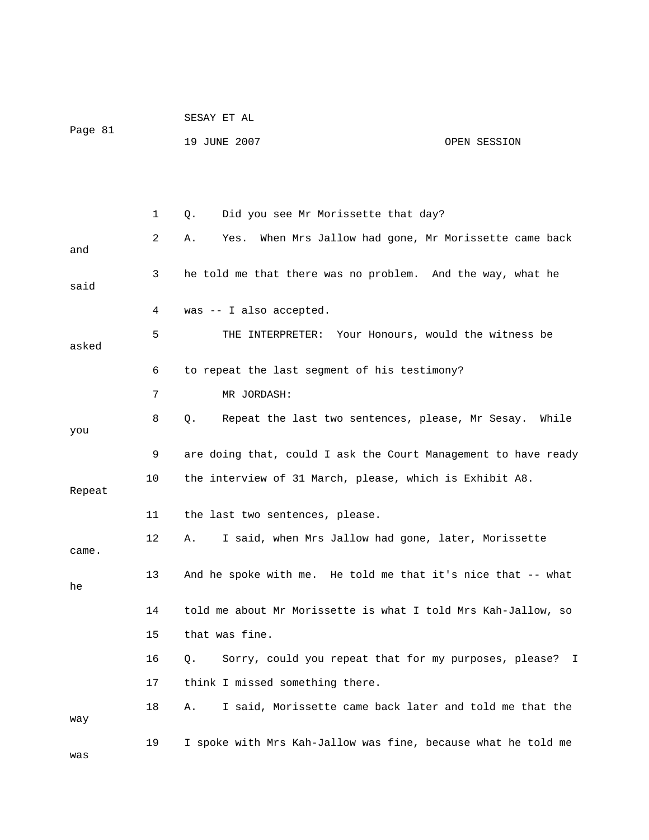|         |    | SESAY ET AL                                                     |              |
|---------|----|-----------------------------------------------------------------|--------------|
| Page 81 |    | 19 JUNE 2007                                                    | OPEN SESSION |
|         |    |                                                                 |              |
|         |    |                                                                 |              |
|         | 1  | Did you see Mr Morissette that day?<br>Q.                       |              |
| and     | 2  | When Mrs Jallow had gone, Mr Morissette came back<br>Α.<br>Yes. |              |
| said    | 3  | he told me that there was no problem. And the way, what he      |              |
|         | 4  | was -- I also accepted.                                         |              |
| asked   | 5  | THE INTERPRETER: Your Honours, would the witness be             |              |
|         | 6  | to repeat the last segment of his testimony?                    |              |
|         | 7  | MR JORDASH:                                                     |              |
| you     | 8  | Q.<br>Repeat the last two sentences, please, Mr Sesay. While    |              |
|         | 9  | are doing that, could I ask the Court Management to have ready  |              |
| Repeat  | 10 | the interview of 31 March, please, which is Exhibit A8.         |              |
|         | 11 | the last two sentences, please.                                 |              |
| came.   | 12 | I said, when Mrs Jallow had gone, later, Morissette<br>Α.       |              |
| he      | 13 | And he spoke with me. He told me that it's nice that -- what    |              |
|         | 14 | told me about Mr Morissette is what I told Mrs Kah-Jallow, so   |              |
|         | 15 | that was fine.                                                  |              |
|         | 16 | Sorry, could you repeat that for my purposes, please? I<br>Q.   |              |
|         | 17 | think I missed something there.                                 |              |
| way     | 18 | I said, Morissette came back later and told me that the<br>Α.   |              |
| was     | 19 | I spoke with Mrs Kah-Jallow was fine, because what he told me   |              |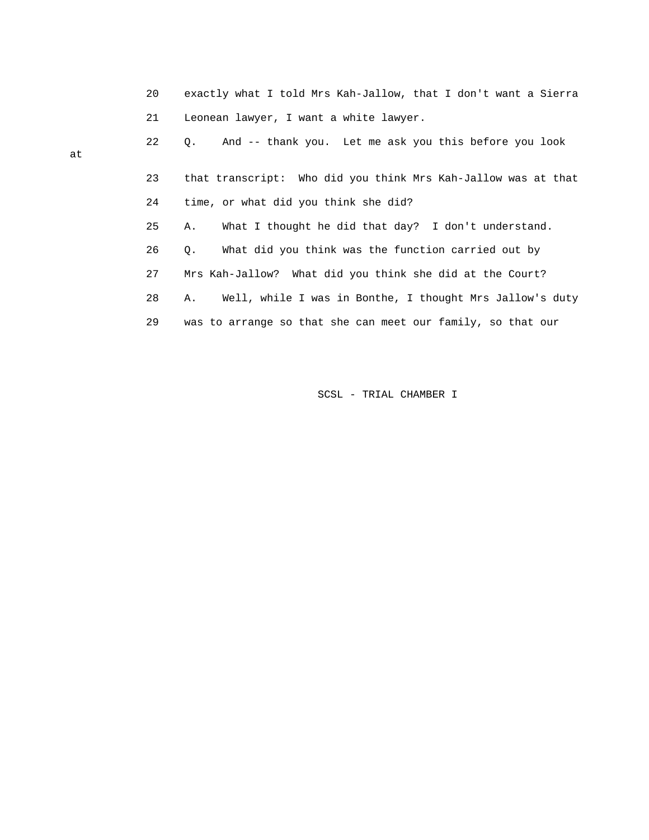|    | 20 | exactly what I told Mrs Kah-Jallow, that I don't want a Sierra |
|----|----|----------------------------------------------------------------|
|    | 21 | Leonean lawyer, I want a white lawyer.                         |
| at | 22 | 0. And -- thank you. Let me ask you this before you look       |
|    | 23 | that transcript: Who did you think Mrs Kah-Jallow was at that  |

24 time, or what did you think she did?

at

25 A. What I thought he did that day? I don't understand.

26 Q. What did you think was the function carried out by

27 Mrs Kah-Jallow? What did you think she did at the Court?

28 A. Well, while I was in Bonthe, I thought Mrs Jallow's duty

29 was to arrange so that she can meet our family, so that our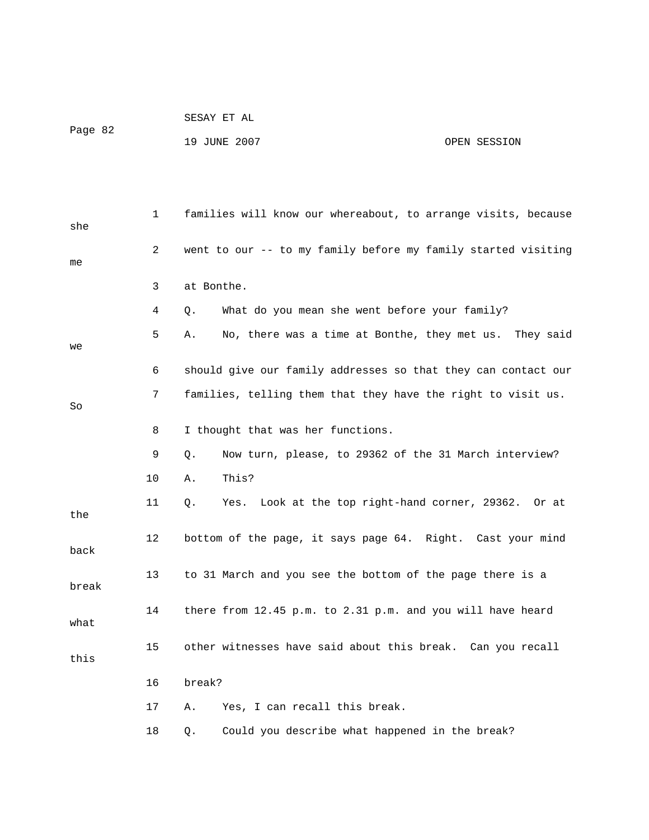| Page 82 |                | 19 JUNE 2007<br>OPEN SESSION                                     |
|---------|----------------|------------------------------------------------------------------|
|         |                |                                                                  |
| she     | $\mathbf{1}$   | families will know our whereabout, to arrange visits, because    |
| me      | $\overline{2}$ | went to our -- to my family before my family started visiting    |
|         | 3              | at Bonthe.                                                       |
|         | 4              | What do you mean she went before your family?<br>Q.              |
| we      | 5              | No, there was a time at Bonthe, they met us.<br>They said<br>Α.  |
|         | 6              | should give our family addresses so that they can contact our    |
| So      | 7              | families, telling them that they have the right to visit us.     |
|         | 8              | I thought that was her functions.                                |
|         | 9              | Now turn, please, to 29362 of the 31 March interview?<br>Q.      |
|         | 10             | This?<br>Α.                                                      |
| the     | 11             | Yes. Look at the top right-hand corner, 29362.<br>Q.<br>Or at    |
|         | 12             | bottom of the page, it says page 64.<br>Right.<br>Cast your mind |

break

back

what

15 other witnesses have said about this break. Can you recall

13 to 31 March and you see the bottom of the page there is a

14 there from 12.45 p.m. to 2.31 p.m. and you will have heard

- this
- 16 break?
- 17 A. Yes, I can recall this break.
- 18 Q. Could you describe what happened in the break?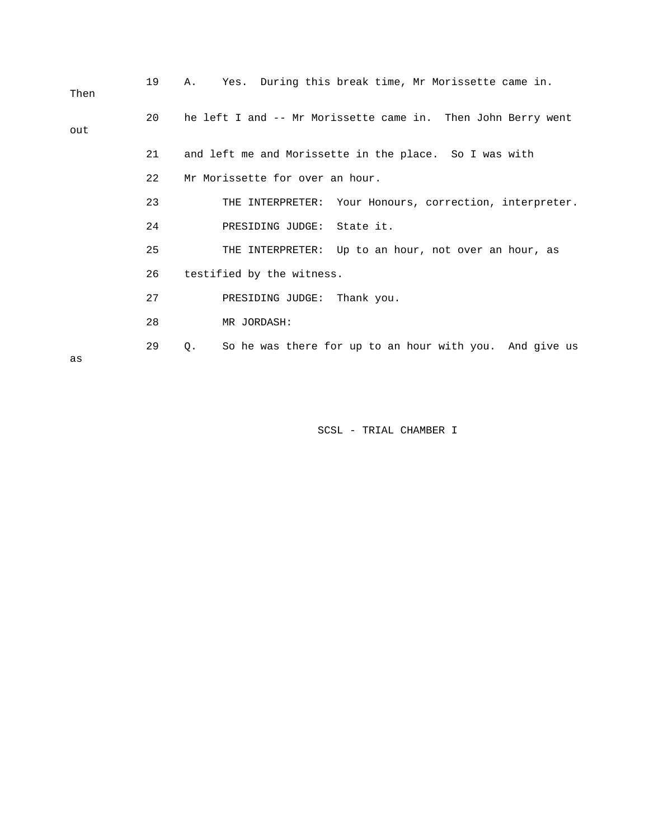| Then | 19 | Α. | Yes. During this break time, Mr Morissette came in.          |  |  |  |  |
|------|----|----|--------------------------------------------------------------|--|--|--|--|
| out  | 20 |    | he left I and -- Mr Morissette came in. Then John Berry went |  |  |  |  |
|      | 21 |    | and left me and Morissette in the place. So I was with       |  |  |  |  |
|      | 22 |    | Mr Morissette for over an hour.                              |  |  |  |  |
|      | 23 |    | THE INTERPRETER: Your Honours, correction, interpreter.      |  |  |  |  |
|      | 24 |    | PRESIDING JUDGE: State it.                                   |  |  |  |  |
|      | 25 |    | THE INTERPRETER: Up to an hour, not over an hour, as         |  |  |  |  |
|      | 26 |    | testified by the witness.                                    |  |  |  |  |
|      | 27 |    | PRESIDING JUDGE: Thank you.                                  |  |  |  |  |
|      | 28 |    | MR JORDASH:                                                  |  |  |  |  |
|      | 29 | Q. | So he was there for up to an hour with you. And give us      |  |  |  |  |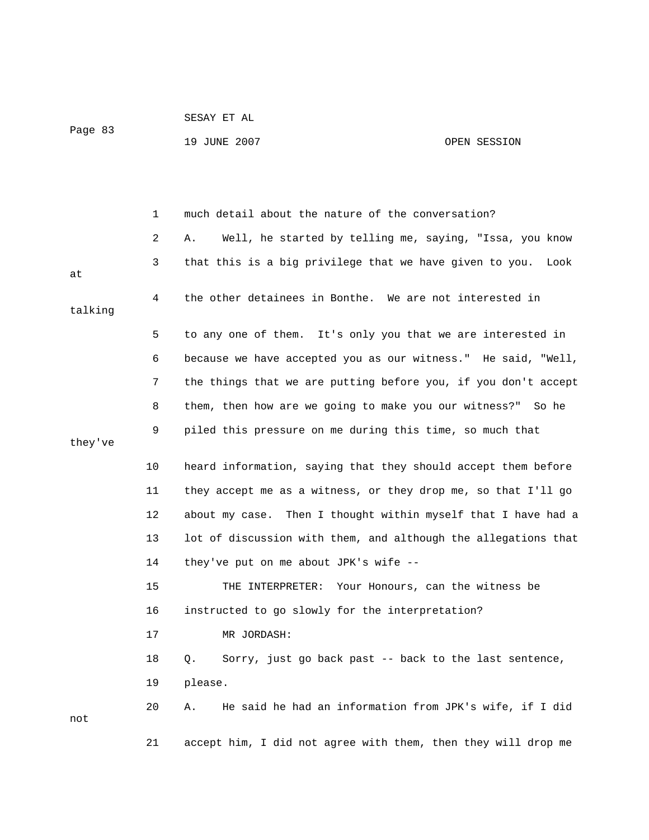| Page | 83 |  |
|------|----|--|

#### 19 JUNE 2007 OPEN SESSION

 1 much detail about the nature of the conversation? 2 A. Well, he started by telling me, saying, "Issa, you know 3 that this is a big privilege that we have given to you. Look at 4 the other detainees in Bonthe. We are not interested in talking 5 to any one of them. It's only you that we are interested in 6 because we have accepted you as our witness." He said, "Well, 7 the things that we are putting before you, if you don't accept 8 them, then how are we going to make you our witness?" So he 9 piled this pressure on me during this time, so much that they've 10 heard information, saying that they should accept them before 11 they accept me as a witness, or they drop me, so that I'll go 12 about my case. Then I thought within myself that I have had a 13 lot of discussion with them, and although the allegations that 14 they've put on me about JPK's wife -- 15 THE INTERPRETER: Your Honours, can the witness be 16 instructed to go slowly for the interpretation? 17 MR JORDASH: 18 Q. Sorry, just go back past -- back to the last sentence, 19 please. 20 A. He said he had an information from JPK's wife, if I did not 21 accept him, I did not agree with them, then they will drop me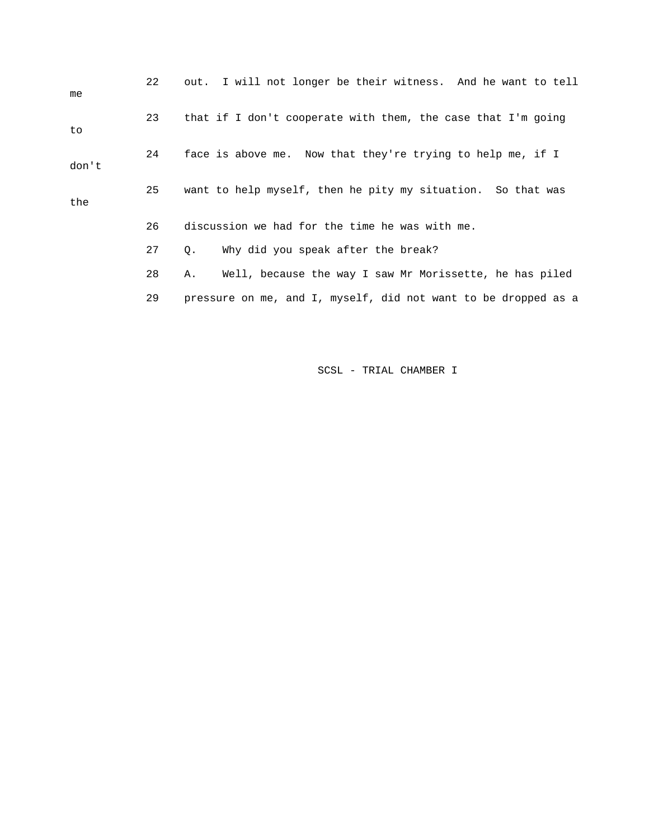| me    | 22 | out. I will not longer be their witness. And he want to tell   |
|-------|----|----------------------------------------------------------------|
| to    | 23 | that if I don't cooperate with them, the case that I'm going   |
| don't | 24 | face is above me. Now that they're trying to help me, if I     |
| the   | 25 | want to help myself, then he pity my situation. So that was    |
|       | 26 | discussion we had for the time he was with me.                 |
|       | 27 | Why did you speak after the break?<br>Q.                       |
|       | 28 | Well, because the way I saw Mr Morissette, he has piled<br>Α.  |
|       | 29 | pressure on me, and I, myself, did not want to be dropped as a |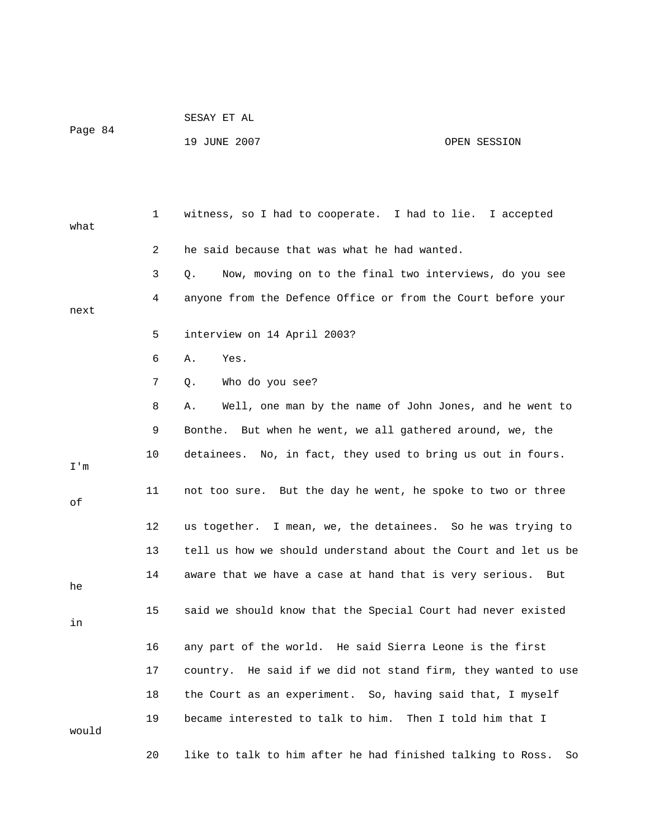|         | SESAY ET AL |  |
|---------|-------------|--|
| Page 84 |             |  |

19 JUNE 2007 OPEN SESSION

 1 witness, so I had to cooperate. I had to lie. I accepted what 2 he said because that was what he had wanted. 3 Q. Now, moving on to the final two interviews, do you see 4 anyone from the Defence Office or from the Court before your next 5 interview on 14 April 2003? 6 A. Yes. 7 Q. Who do you see? 8 A. Well, one man by the name of John Jones, and he went to 9 Bonthe. But when he went, we all gathered around, we, the 10 detainees. No, in fact, they used to bring us out in fours. I'm 11 not too sure. But the day he went, he spoke to two or three of 12 us together. I mean, we, the detainees. So he was trying to 13 tell us how we should understand about the Court and let us be 14 aware that we have a case at hand that is very serious. But he 15 said we should know that the Special Court had never existed in 16 any part of the world. He said Sierra Leone is the first 17 country. He said if we did not stand firm, they wanted to use 18 the Court as an experiment. So, having said that, I myself 19 became interested to talk to him. Then I told him that I would 20 like to talk to him after he had finished talking to Ross. So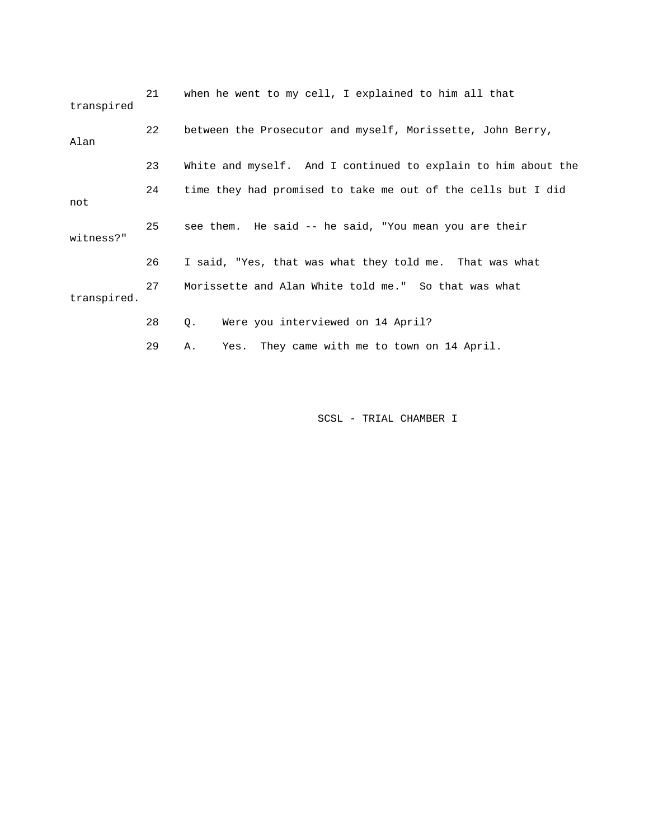| transpired  | 21 | when he went to my cell, I explained to him all that          |
|-------------|----|---------------------------------------------------------------|
| Alan        | 22 | between the Prosecutor and myself, Morissette, John Berry,    |
|             | 23 | White and myself. And I continued to explain to him about the |
| not         | 24 | time they had promised to take me out of the cells but I did  |
| witness?"   | 25 | see them. He said -- he said, "You mean you are their         |
|             | 26 | I said, "Yes, that was what they told me. That was what       |
| transpired. | 27 | Morissette and Alan White told me." So that was what          |
|             | 28 | Were you interviewed on 14 April?<br>Q.                       |
|             | 29 | Yes. They came with me to town on 14 April.<br>Α.             |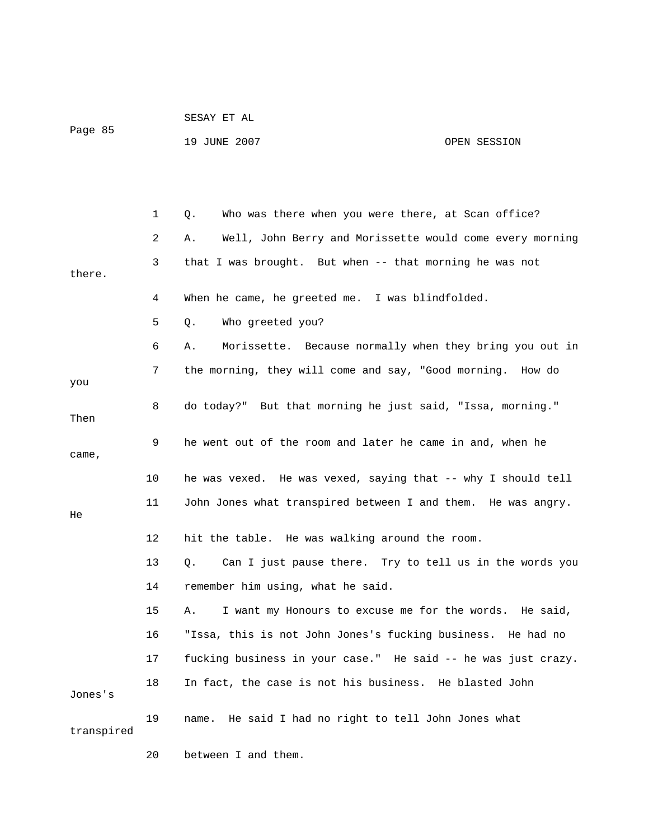| Page 85 |                | 19 JUNE 2007                                                   | OPEN SESSION |
|---------|----------------|----------------------------------------------------------------|--------------|
|         |                |                                                                |              |
|         | $\mathbf{1}$   | Who was there when you were there, at Scan office?<br>Q.       |              |
|         | $\overline{2}$ | Well, John Berry and Morissette would come every morning<br>Α. |              |
| there.  | 3              | that I was brought. But when -- that morning he was not        |              |
|         | 4              | When he came, he greeted me. I was blindfolded.                |              |
|         | 5              | Who greeted you?<br>О.                                         |              |
|         | 6              | Morissette. Because normally when they bring you out in<br>Α.  |              |
| you     | 7              | the morning, they will come and say, "Good morning. How do     |              |
| Then    | 8              | do today?" But that morning he just said, "Issa, morning."     |              |
| came,   | 9              | he went out of the room and later he came in and, when he      |              |

|  | he was vexed. He was vexed, saying that -- why I should tell |  |  |
|--|--------------------------------------------------------------|--|--|
|  | John Jones what transpired between I and them. He was angry. |  |  |

|  | hit the table. He was walking around the room. |
|--|------------------------------------------------|
|--|------------------------------------------------|

# 13 Q. Can I just pause there. Try to tell us in the words you 14 remember him using, what he said.

 15 A. I want my Honours to excuse me for the words. He said, 16 "Issa, this is not John Jones's fucking business. He had no 17 fucking business in your case." He said -- he was just crazy. 18 In fact, the case is not his business. He blasted John Jones's

 19 name. He said I had no right to tell John Jones what transpired

20 between I and them.

He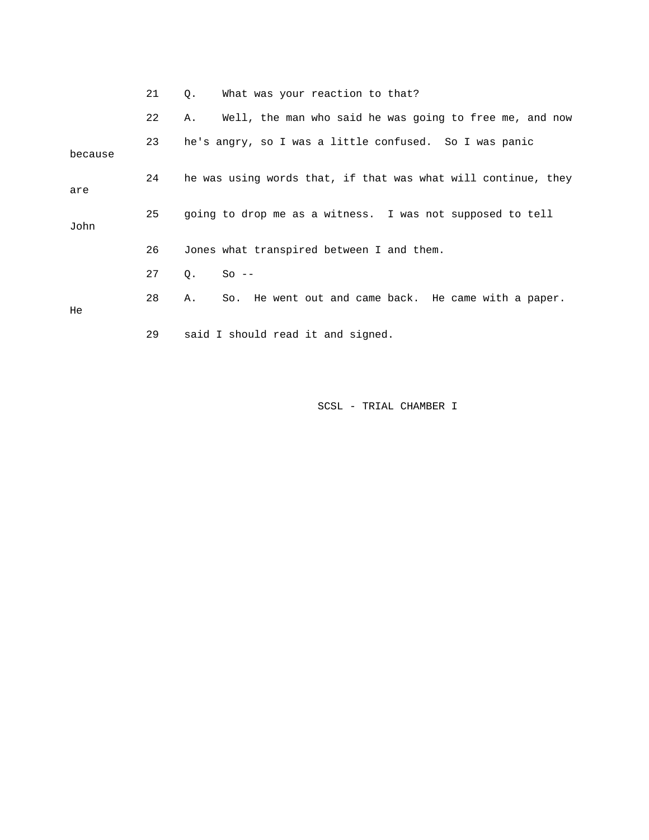|         | 21 | What was your reaction to that?<br>Q.                         |
|---------|----|---------------------------------------------------------------|
|         | 22 | Well, the man who said he was going to free me, and now<br>Α. |
| because | 23 | he's angry, so I was a little confused. So I was panic        |
| are     | 24 | he was using words that, if that was what will continue, they |
| John    | 25 | going to drop me as a witness. I was not supposed to tell     |
|         | 26 | Jones what transpired between I and them.                     |
|         | 27 | $So --$<br>О.                                                 |
| He      | 28 | So. He went out and came back. He came with a paper.<br>Α.    |
|         | 29 | said I should read it and signed.                             |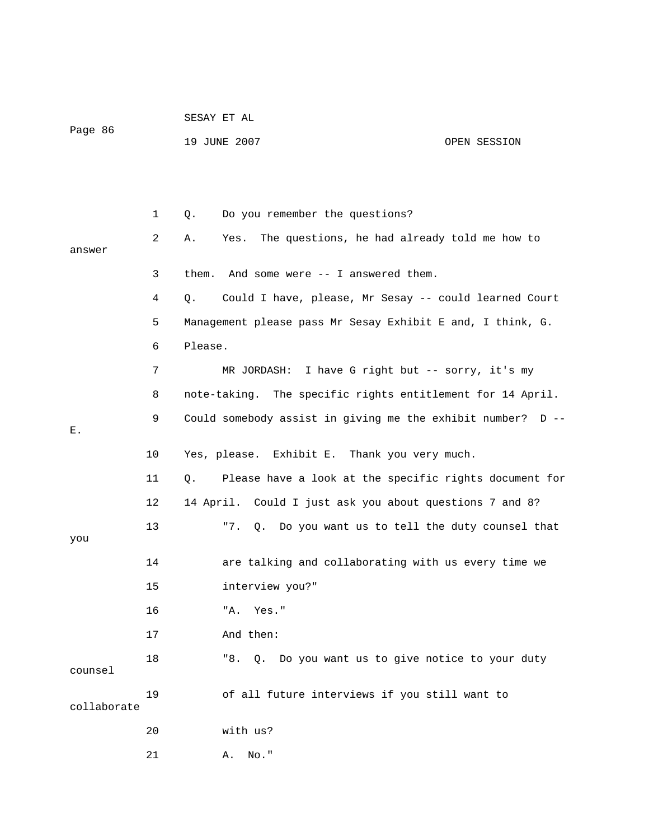| Page 86     |              | 19 JUNE 2007                                                 | OPEN SESSION |
|-------------|--------------|--------------------------------------------------------------|--------------|
|             |              |                                                              |              |
|             | $\mathbf{1}$ | Do you remember the questions?<br>Q.                         |              |
| answer      | 2            | The questions, he had already told me how to<br>Yes.<br>Α.   |              |
|             | 3            | them.<br>And some were -- I answered them.                   |              |
|             | 4            | Could I have, please, Mr Sesay -- could learned Court<br>Q.  |              |
|             | 5            | Management please pass Mr Sesay Exhibit E and, I think, G.   |              |
|             | 6            | Please.                                                      |              |
|             | 7            | I have G right but -- sorry, it's my<br>MR JORDASH:          |              |
|             | 8            | note-taking. The specific rights entitlement for 14 April.   |              |
| Ε.          | 9            | Could somebody assist in giving me the exhibit number? D --  |              |
|             | 10           | Yes, please. Exhibit E. Thank you very much.                 |              |
|             | 11           | Please have a look at the specific rights document for<br>Q. |              |
|             | 12           | 14 April. Could I just ask you about questions 7 and 8?      |              |
| you         | 13           | "7.<br>Q. Do you want us to tell the duty counsel that       |              |
|             | 14           | are talking and collaborating with us every time we          |              |
|             | 15           | interview you?"                                              |              |
|             | 16           | Yes."<br>"A.                                                 |              |
|             | 17           | And then:                                                    |              |
| counsel     | 18           | "8. Q. Do you want us to give notice to your duty            |              |
| collaborate | 19           | of all future interviews if you still want to                |              |
|             | 20           | with us?                                                     |              |
|             | 21           | $No.$ "<br>Α.                                                |              |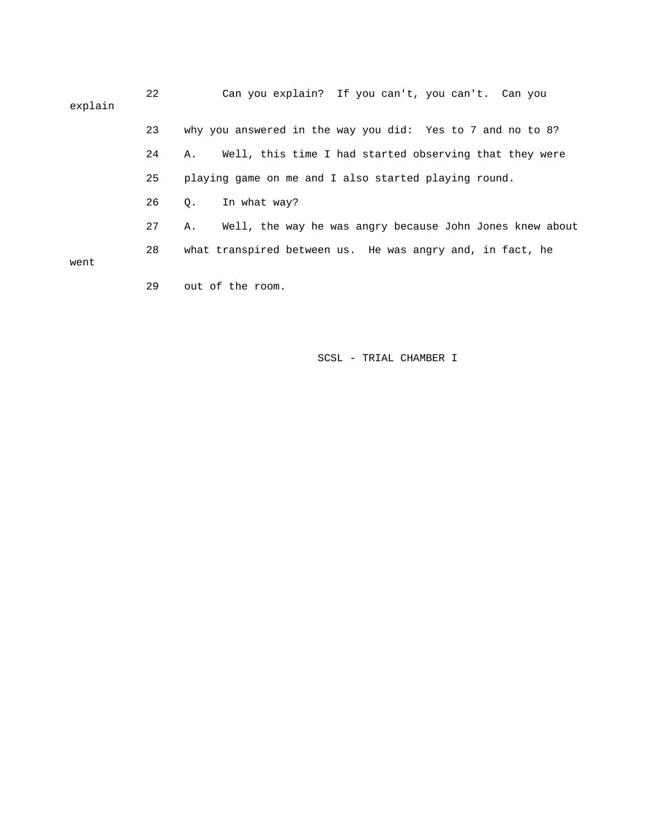| explain | 22 | Can you explain? If you can't, you can't. Can you              |
|---------|----|----------------------------------------------------------------|
|         | 23 | why you answered in the way you did: Yes to 7 and no to 8?     |
|         | 24 | Well, this time I had started observing that they were<br>Α.   |
|         | 25 | playing game on me and I also started playing round.           |
|         | 26 | In what way?<br>0.                                             |
|         | 27 | Well, the way he was angry because John Jones knew about<br>Α. |
| went    | 28 | what transpired between us. He was angry and, in fact, he      |
|         | 29 | out of the room.                                               |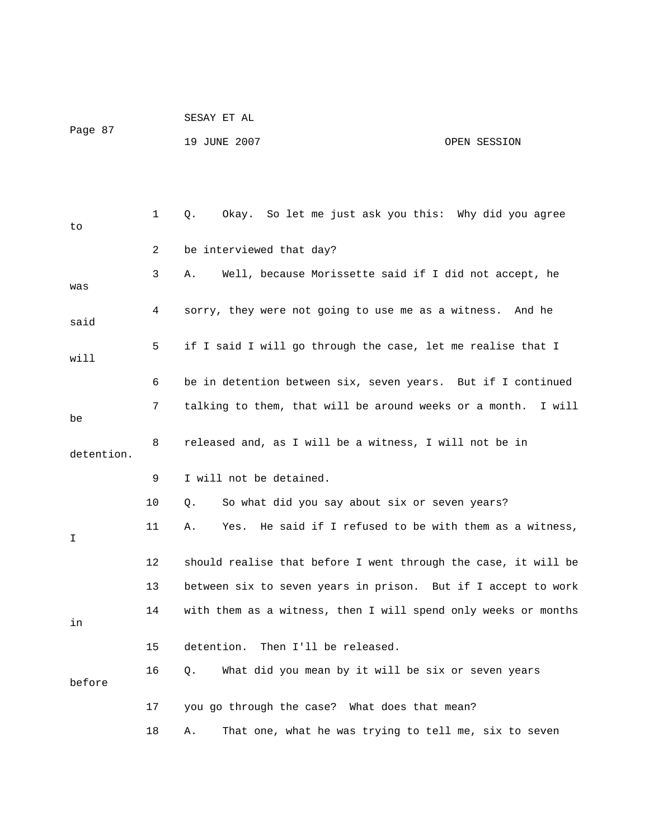| Page 87 | SESAY ET AL  |              |
|---------|--------------|--------------|
|         | 19 JUNE 2007 | OPEN SESSION |

| to         | 1              | Okay. So let me just ask you this: Why did you agree<br>Q.       |
|------------|----------------|------------------------------------------------------------------|
|            | $\overline{2}$ | be interviewed that day?                                         |
| was        | 3              | Well, because Morissette said if I did not accept, he<br>Α.      |
| said       | 4              | sorry, they were not going to use me as a witness. And he        |
| will       | 5              | if I said I will go through the case, let me realise that I      |
|            | 6              | be in detention between six, seven years. But if I continued     |
| be         | 7              | talking to them, that will be around weeks or a month. I will    |
| detention. | 8              | released and, as I will be a witness, I will not be in           |
|            | 9              | I will not be detained.                                          |
|            | 10             | So what did you say about six or seven years?<br>Q.              |
| I          | 11             | He said if I refused to be with them as a witness,<br>Α.<br>Yes. |
|            | 12             | should realise that before I went through the case, it will be   |
|            | 13             | between six to seven years in prison. But if I accept to work    |
| in         | 14             | with them as a witness, then I will spend only weeks or months   |
|            | 15             | Then I'll be released.<br>detention.                             |
| before     | 16             | What did you mean by it will be six or seven years<br>Q.         |
|            | 17             | you go through the case? What does that mean?                    |
|            | 18             | That one, what he was trying to tell me, six to seven<br>Α.      |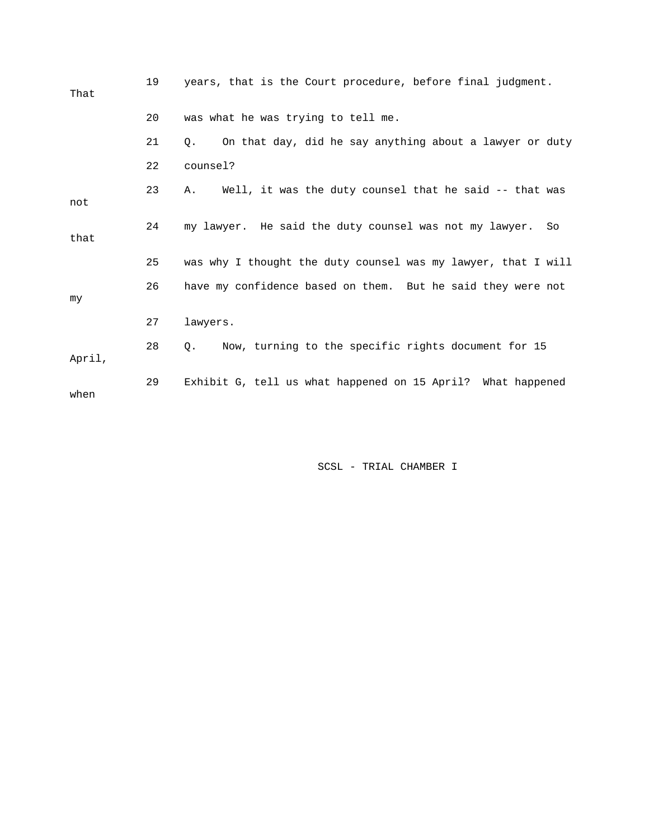| That   | 19 | years, that is the Court procedure, before final judgment.       |
|--------|----|------------------------------------------------------------------|
|        | 20 | was what he was trying to tell me.                               |
|        | 21 | On that day, did he say anything about a lawyer or duty<br>О.    |
|        | 22 | counsel?                                                         |
| not    | 23 | Well, it was the duty counsel that he said -- that was<br>Α.     |
| that   | 24 | my lawyer. He said the duty counsel was not my lawyer.<br>So     |
|        | 25 | was why I thought the duty counsel was my lawyer, that I will    |
| my     | 26 | have my confidence based on them. But he said they were not      |
|        | 27 | lawyers.                                                         |
| April, | 28 | Now, turning to the specific rights document for 15<br>$\circ$ . |
| when   | 29 | Exhibit G, tell us what happened on 15 April? What happened      |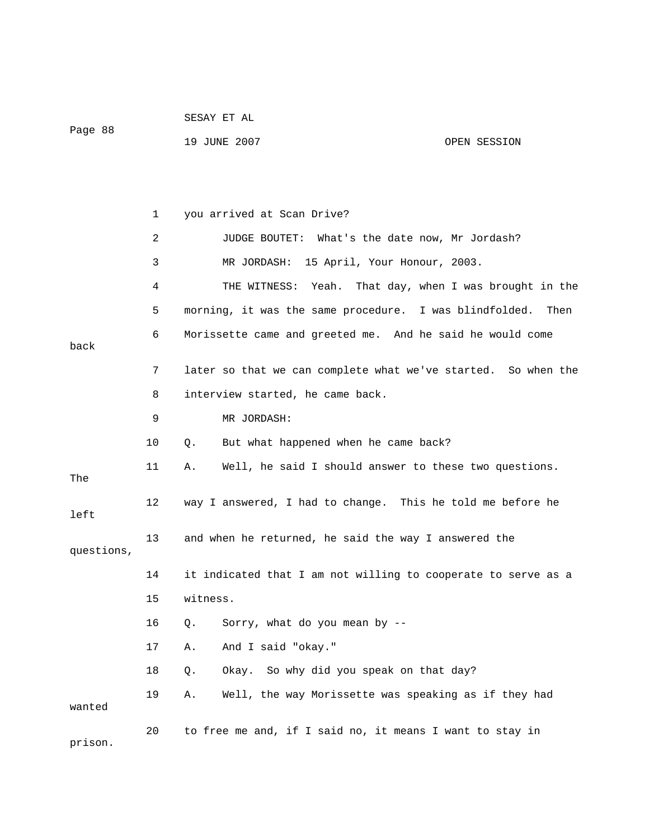|            |    | SESAY ET AL                                                   |                                     |
|------------|----|---------------------------------------------------------------|-------------------------------------|
| Page 88    |    | 19 JUNE 2007                                                  | OPEN SESSION                        |
|            |    |                                                               |                                     |
|            |    |                                                               |                                     |
|            | 1  | you arrived at Scan Drive?                                    |                                     |
|            | 2  | What's the date now, Mr Jordash?<br>JUDGE BOUTET:             |                                     |
|            | 3  | MR JORDASH: 15 April, Your Honour, 2003.                      |                                     |
|            | 4  | THE WITNESS:<br>Yeah.                                         | That day, when I was brought in the |
|            | 5  | morning, it was the same procedure. I was blindfolded.        | Then                                |
| back       | 6  | Morissette came and greeted me. And he said he would come     |                                     |
|            | 7  | later so that we can complete what we've started. So when the |                                     |
|            | 8  | interview started, he came back.                              |                                     |
|            | 9  | MR JORDASH:                                                   |                                     |
|            | 10 | But what happened when he came back?<br>Q.                    |                                     |
| The        | 11 | Well, he said I should answer to these two questions.<br>Α.   |                                     |
| left       | 12 | way I answered, I had to change. This he told me before he    |                                     |
| questions, | 13 | and when he returned, he said the way I answered the          |                                     |
|            | 14 | it indicated that I am not willing to cooperate to serve as a |                                     |
|            | 15 | witness.                                                      |                                     |
|            | 16 | Sorry, what do you mean by --<br>Q.                           |                                     |
|            | 17 | And I said "okay."<br>Α.                                      |                                     |
|            | 18 | So why did you speak on that day?<br>Q.<br>Okay.              |                                     |
| wanted     | 19 | Well, the way Morissette was speaking as if they had<br>Α.    |                                     |
| prison.    | 20 | to free me and, if I said no, it means I want to stay in      |                                     |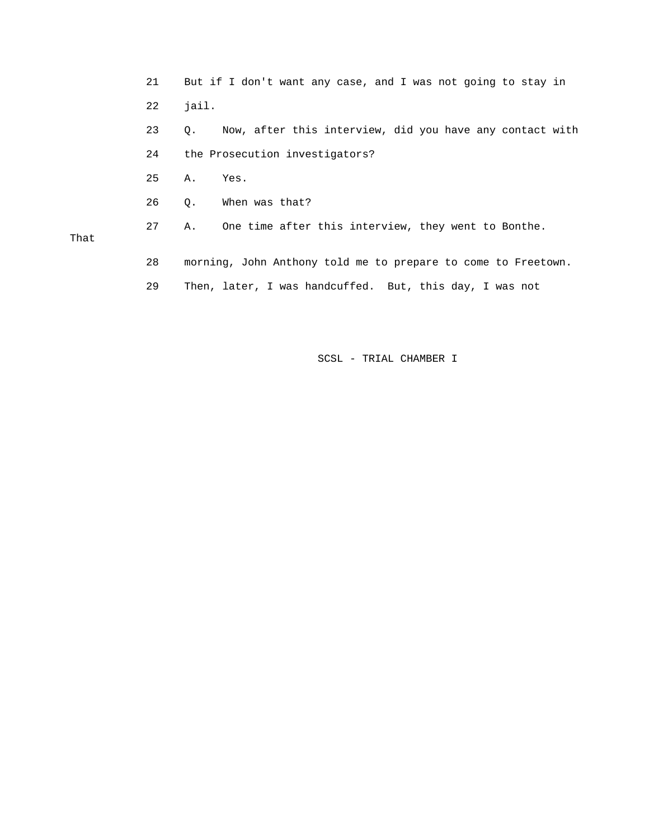|      | 21 | But if I don't want any case, and I was not going to stay in   |
|------|----|----------------------------------------------------------------|
|      | 22 | jail.                                                          |
|      | 23 | Now, after this interview, did you have any contact with<br>Q. |
|      | 24 | the Prosecution investigators?                                 |
|      | 25 | Α.<br>Yes.                                                     |
|      | 26 | When was that?<br>0.                                           |
| That | 27 | One time after this interview, they went to Bonthe.<br>Α.      |
|      | 28 | morning, John Anthony told me to prepare to come to Freetown.  |

29 Then, later, I was handcuffed. But, this day, I was not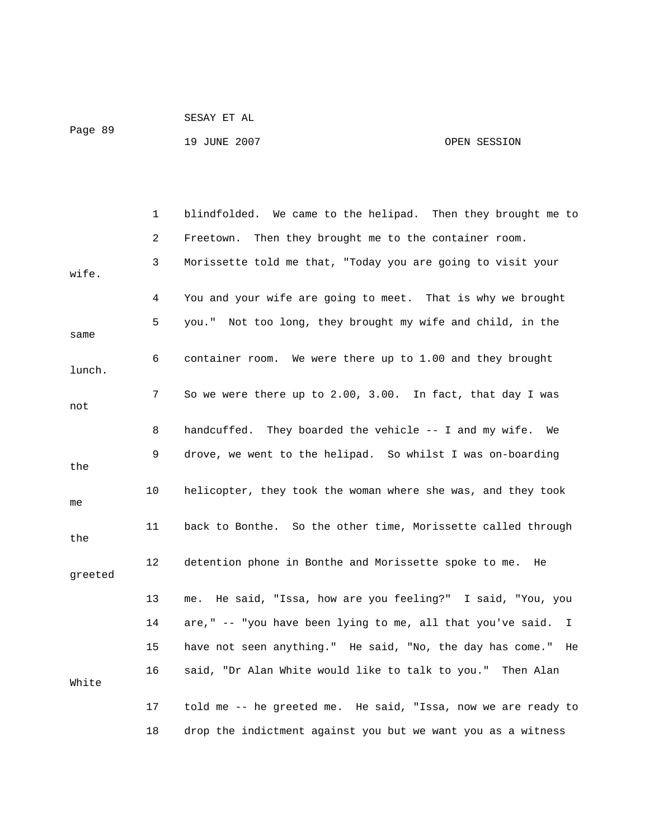| Page 89 | SESAY ET AL  |              |
|---------|--------------|--------------|
|         | 19 JUNE 2007 | OPEN SESSION |

 1 blindfolded. We came to the helipad. Then they brought me to 2 Freetown. Then they brought me to the container room. 3 Morissette told me that, "Today you are going to visit your wife. 4 You and your wife are going to meet. That is why we brought 5 you." Not too long, they brought my wife and child, in the same 6 container room. We were there up to 1.00 and they brought lunch. 7 So we were there up to 2.00, 3.00. In fact, that day I was not 8 handcuffed. They boarded the vehicle -- I and my wife. We 9 drove, we went to the helipad. So whilst I was on-boarding the 10 helicopter, they took the woman where she was, and they took me 11 back to Bonthe. So the other time, Morissette called through the 12 detention phone in Bonthe and Morissette spoke to me. He greeted 13 me. He said, "Issa, how are you feeling?" I said, "You, you 14 are," -- "you have been lying to me, all that you've said. I 15 have not seen anything." He said, "No, the day has come." He 16 said, "Dr Alan White would like to talk to you." Then Alan White 17 told me -- he greeted me. He said, "Issa, now we are ready to 18 drop the indictment against you but we want you as a witness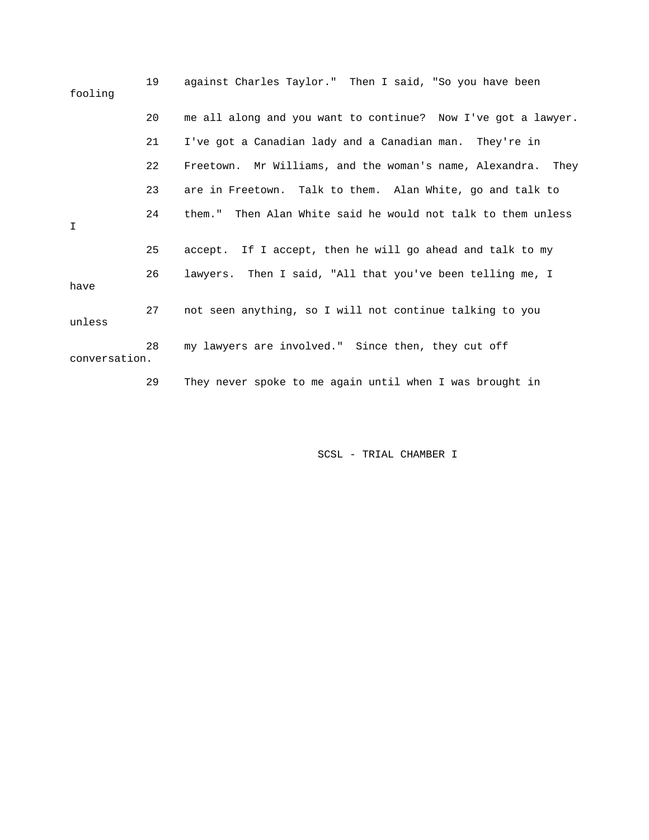| fooling       | 19 | against Charles Taylor." Then I said, "So you have been       |
|---------------|----|---------------------------------------------------------------|
|               | 20 | me all along and you want to continue? Now I've got a lawyer. |
|               | 21 | I've got a Canadian lady and a Canadian man. They're in       |
|               | 22 | Freetown. Mr Williams, and the woman's name, Alexandra. They  |
|               | 23 | are in Freetown. Talk to them. Alan White, go and talk to     |
| I             | 24 | them." Then Alan White said he would not talk to them unless  |
|               | 25 | accept. If I accept, then he will go ahead and talk to my     |
| have          | 26 | lawyers. Then I said, "All that you've been telling me, I     |
| unless        | 27 | not seen anything, so I will not continue talking to you      |
| conversation. | 28 | my lawyers are involved." Since then, they cut off            |
|               | 29 | They never spoke to me again until when I was brought in      |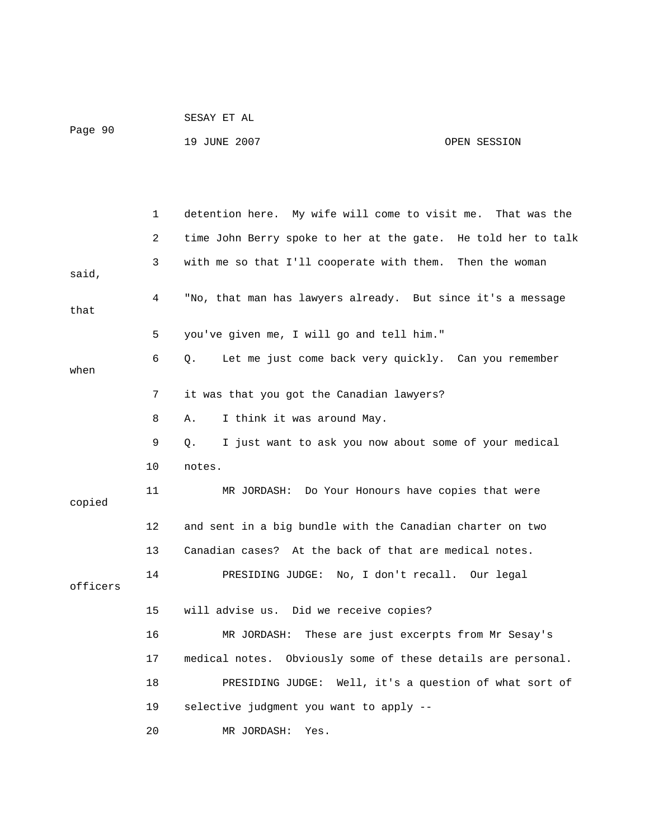|         | SESAY ET AL  |              |  |
|---------|--------------|--------------|--|
| Page 90 | 19 JUNE 2007 | OPEN SESSION |  |
|         |              |              |  |

|          | 1  | detention here. My wife will come to visit me.<br>That was the     |
|----------|----|--------------------------------------------------------------------|
|          | 2  | time John Berry spoke to her at the gate. He told her to talk      |
| said,    | 3  | with me so that I'll cooperate with them. Then the woman           |
| that     | 4  | "No, that man has lawyers already. But since it's a message        |
|          | 5  | you've given me, I will go and tell him."                          |
| when     | 6  | Let me just come back very quickly. Can you remember<br>О.         |
|          | 7  | it was that you got the Canadian lawyers?                          |
|          | 8  | I think it was around May.<br>Α.                                   |
|          | 9  | I just want to ask you now about some of your medical<br>$\circ$ . |
|          | 10 | notes.                                                             |
| copied   | 11 | MR JORDASH: Do Your Honours have copies that were                  |
|          | 12 | and sent in a big bundle with the Canadian charter on two          |
|          | 13 | Canadian cases? At the back of that are medical notes.             |
| officers | 14 | PRESIDING JUDGE: No, I don't recall. Our legal                     |
|          | 15 | will advise us. Did we receive copies?                             |
|          | 16 | These are just excerpts from Mr Sesay's<br>MR JORDASH:             |
|          | 17 | medical notes. Obviously some of these details are personal.       |
|          | 18 | PRESIDING JUDGE: Well, it's a question of what sort of             |
|          | 19 | selective judgment you want to apply --                            |
|          | 20 | MR JORDASH:<br>Yes.                                                |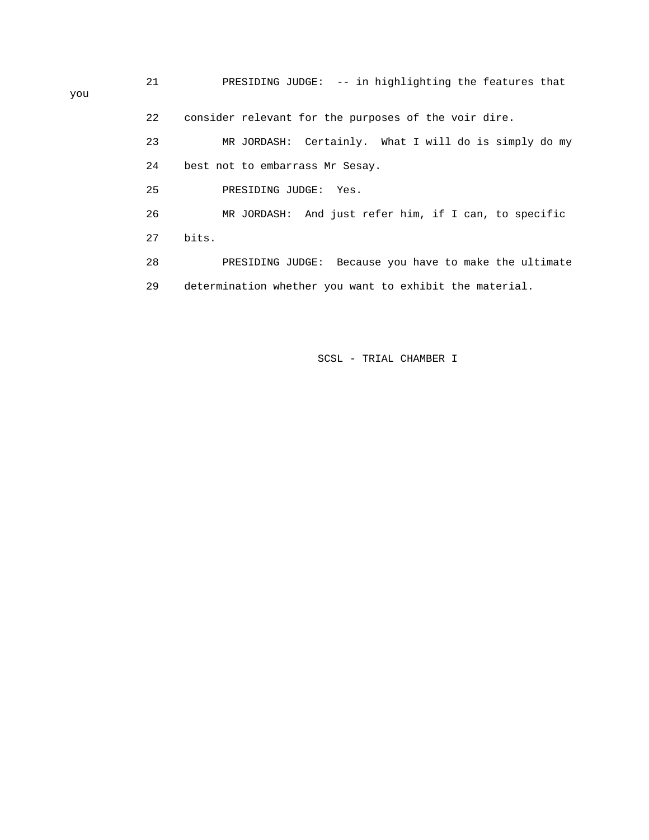21 PRESIDING JUDGE: -- in highlighting the features that 22 consider relevant for the purposes of the voir dire. 23 MR JORDASH: Certainly. What I will do is simply do my 24 best not to embarrass Mr Sesay. 25 PRESIDING JUDGE: Yes. 26 MR JORDASH: And just refer him, if I can, to specific 27 bits. 28 PRESIDING JUDGE: Because you have to make the ultimate 29 determination whether you want to exhibit the material.

### SCSL - TRIAL CHAMBER I

you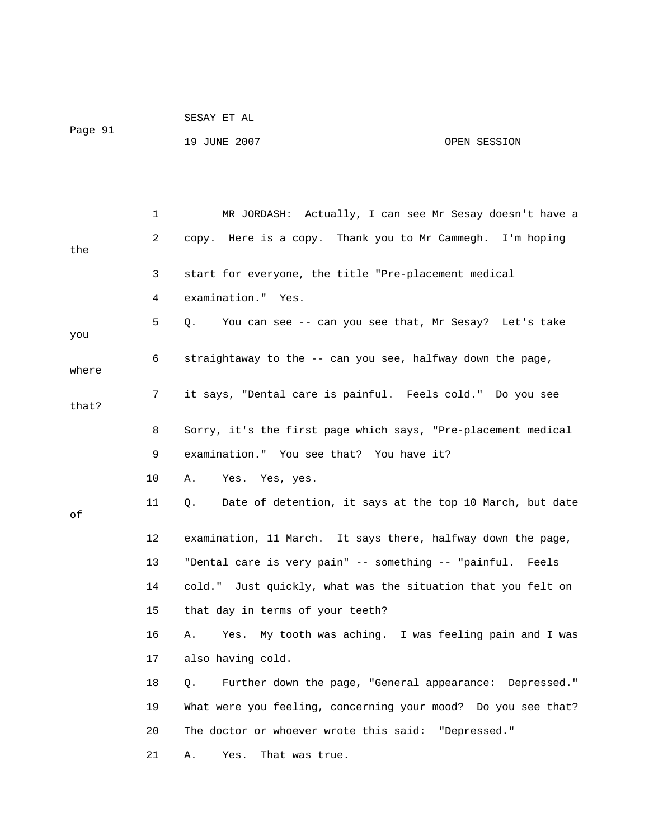| Page 91 | SESAY ET AL  |              |
|---------|--------------|--------------|
|         | 19 JUNE 2007 | OPEN SESSION |

|       | 1  | MR JORDASH: Actually, I can see Mr Sesay doesn't have a        |
|-------|----|----------------------------------------------------------------|
| the   | 2  | copy. Here is a copy. Thank you to Mr Cammegh. I'm hoping      |
|       | 3  | start for everyone, the title "Pre-placement medical           |
|       | 4  | examination." Yes.                                             |
| you   | 5  | You can see -- can you see that, Mr Sesay? Let's take<br>Q.    |
| where | 6  | straightaway to the -- can you see, halfway down the page,     |
| that? | 7  | it says, "Dental care is painful. Feels cold." Do you see      |
|       | 8  | Sorry, it's the first page which says, "Pre-placement medical  |
|       | 9  | examination." You see that? You have it?                       |
|       | 10 | Α.<br>Yes. Yes, yes.                                           |
| οf    | 11 | Date of detention, it says at the top 10 March, but date<br>Q. |
|       | 12 | examination, 11 March. It says there, halfway down the page,   |
|       | 13 | "Dental care is very pain" -- something -- "painful. Feels     |
|       | 14 | cold." Just quickly, what was the situation that you felt on   |
|       | 15 | that day in terms of your teeth?                               |
|       | 16 | Yes. My tooth was aching. I was feeling pain and I was<br>Α.   |
|       | 17 | also having cold.                                              |
|       | 18 | Further down the page, "General appearance: Depressed."<br>Q.  |
|       | 19 | What were you feeling, concerning your mood? Do you see that?  |
|       | 20 | The doctor or whoever wrote this said: "Depressed."            |
|       | 21 | Yes.<br>That was true.<br>Α.                                   |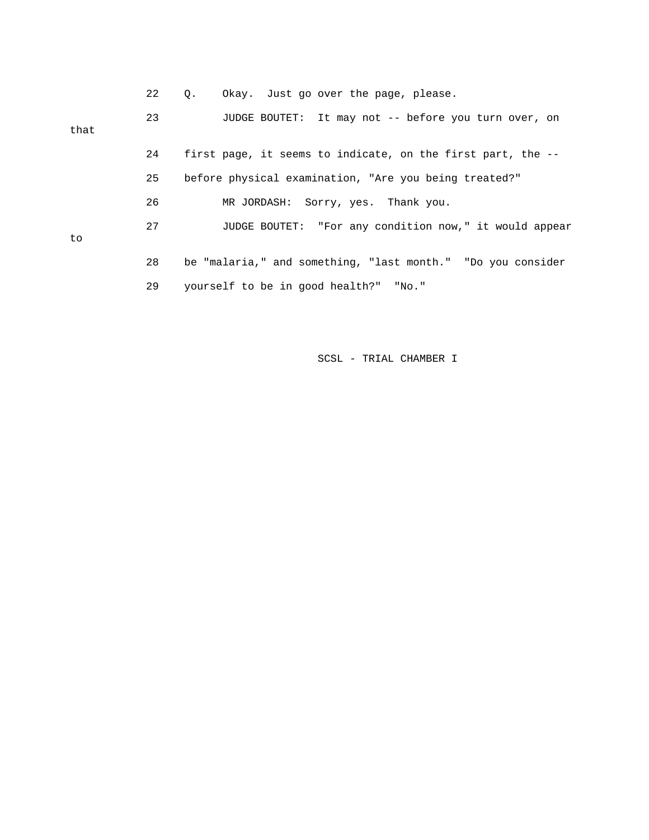|      | 22 | Okay. Just go over the page, please.<br>О.                  |
|------|----|-------------------------------------------------------------|
| that | 23 | JUDGE BOUTET: It may not -- before you turn over, on        |
|      | 24 | first page, it seems to indicate, on the first part, the -- |
|      | 25 | before physical examination, "Are you being treated?"       |
|      | 26 | MR JORDASH: Sorry, yes. Thank you.                          |
| to   | 27 | JUDGE BOUTET: "For any condition now," it would appear      |
|      | 28 | be "malaria," and something, "last month." "Do you consider |
|      | 29 | yourself to be in good health?" "No."                       |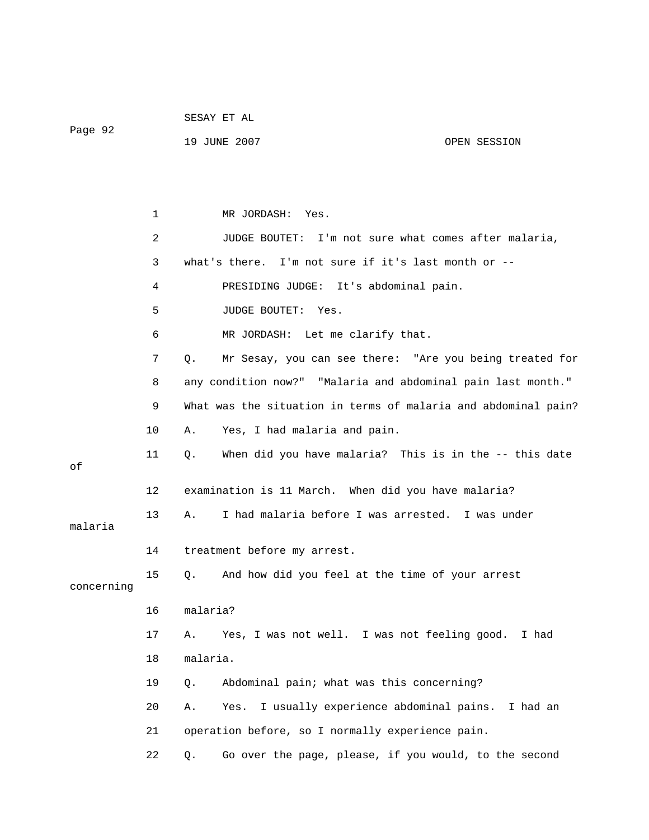Page 92

19 JUNE 2007 OPEN SESSION

 1 MR JORDASH: Yes. 2 JUDGE BOUTET: I'm not sure what comes after malaria, 3 what's there. I'm not sure if it's last month or -- 4 PRESIDING JUDGE: It's abdominal pain. 5 JUDGE BOUTET: Yes. 6 MR JORDASH: Let me clarify that. 7 Q. Mr Sesay, you can see there: "Are you being treated for 8 any condition now?" "Malaria and abdominal pain last month." 9 What was the situation in terms of malaria and abdominal pain? 10 A. Yes, I had malaria and pain. 11 Q. When did you have malaria? This is in the -- this date of 12 examination is 11 March. When did you have malaria? 13 A. I had malaria before I was arrested. I was under malaria 14 treatment before my arrest. 15 Q. And how did you feel at the time of your arrest concerning 16 malaria? 17 A. Yes, I was not well. I was not feeling good. I had 18 malaria. 19 Q. Abdominal pain; what was this concerning? 20 A. Yes. I usually experience abdominal pains. I had an 21 operation before, so I normally experience pain. 22 Q. Go over the page, please, if you would, to the second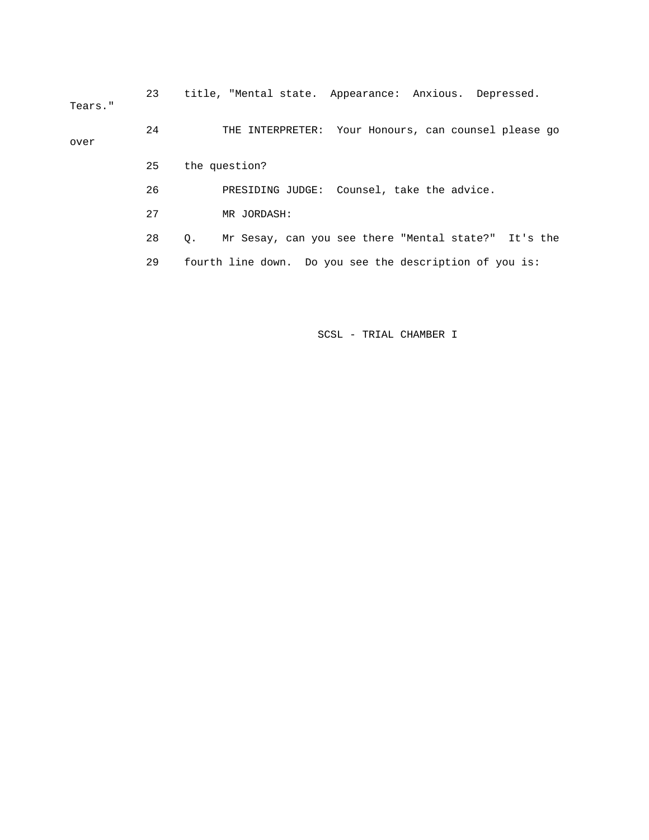23 title, "Mental state. Appearance: Anxious. Depressed. Tears." 24 THE INTERPRETER: Your Honours, can counsel please go over 25 the question? 26 PRESIDING JUDGE: Counsel, take the advice. 27 MR JORDASH: 28 Q. Mr Sesay, can you see there "Mental state?" It's the

29 fourth line down. Do you see the description of you is: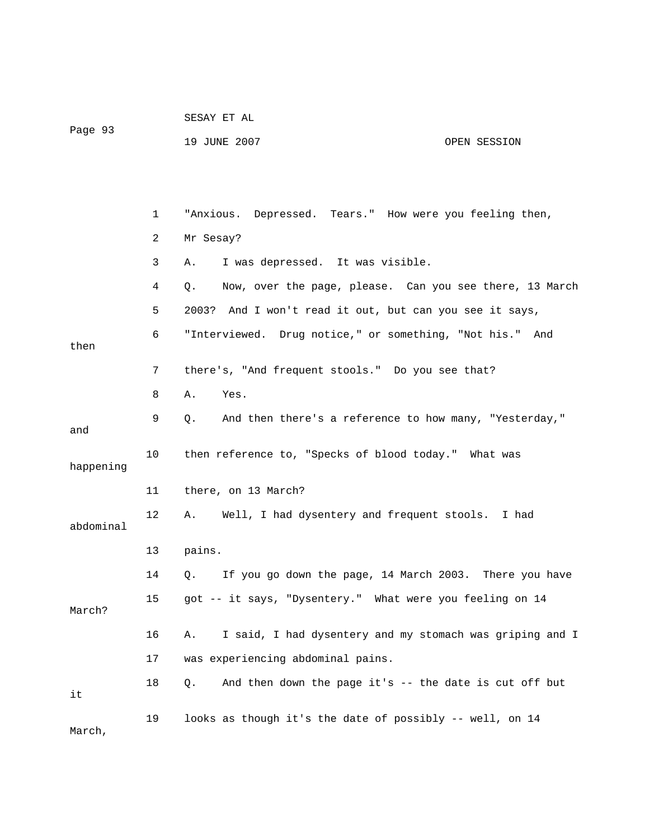| Page 93   |                | SESAY ET AL                                                    |              |  |
|-----------|----------------|----------------------------------------------------------------|--------------|--|
|           |                | 19 JUNE 2007                                                   | OPEN SESSION |  |
|           |                |                                                                |              |  |
|           |                |                                                                |              |  |
|           | 1              | "Anxious. Depressed. Tears." How were you feeling then,        |              |  |
|           | $\overline{2}$ | Mr Sesay?                                                      |              |  |
|           | 3              | I was depressed. It was visible.<br>Α.                         |              |  |
|           | 4              | Now, over the page, please. Can you see there, 13 March<br>Q.  |              |  |
|           | 5              | 2003? And I won't read it out, but can you see it says,        |              |  |
|           | 6              | "Interviewed. Drug notice," or something, "Not his." And       |              |  |
| then      |                |                                                                |              |  |
|           | 7              | there's, "And frequent stools." Do you see that?               |              |  |
|           | 8              | Yes.<br>Α.                                                     |              |  |
| and       | 9              | And then there's a reference to how many, "Yesterday,"<br>Q.   |              |  |
| happening | 10             | then reference to, "Specks of blood today." What was           |              |  |
|           | 11             | there, on 13 March?                                            |              |  |
| abdominal | 12             | Well, I had dysentery and frequent stools. I had<br>А.         |              |  |
|           | 13             | pains.                                                         |              |  |
|           | 14             | If you go down the page, 14 March 2003. There you have<br>Q.   |              |  |
| March?    | 15             | got -- it says, "Dysentery." What were you feeling on 14       |              |  |
|           | 16             | I said, I had dysentery and my stomach was griping and I<br>Α. |              |  |
|           | 17             | was experiencing abdominal pains.                              |              |  |
| it        | 18             | And then down the page it's -- the date is cut off but<br>Q.   |              |  |
| March,    | 19             | looks as though it's the date of possibly -- well, on 14       |              |  |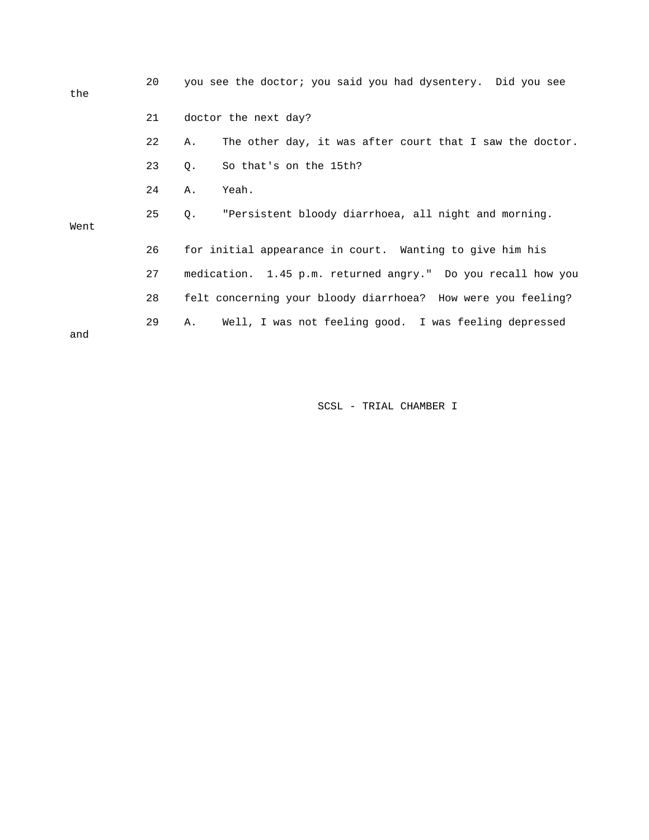| the  | 20 | you see the doctor; you said you had dysentery. Did you see    |
|------|----|----------------------------------------------------------------|
|      | 21 | doctor the next day?                                           |
|      | 22 | The other day, it was after court that I saw the doctor.<br>Α. |
|      | 23 | So that's on the 15th?<br>Q.                                   |
|      | 24 | Yeah.<br>Α.                                                    |
| Went | 25 | "Persistent bloody diarrhoea, all night and morning.<br>Q.     |
|      | 26 | for initial appearance in court. Wanting to give him his       |
|      | 27 | medication. 1.45 p.m. returned angry." Do you recall how you   |
|      | 28 | felt concerning your bloody diarrhoea? How were you feeling?   |
| and  | 29 | Well, I was not feeling good. I was feeling depressed<br>Α.    |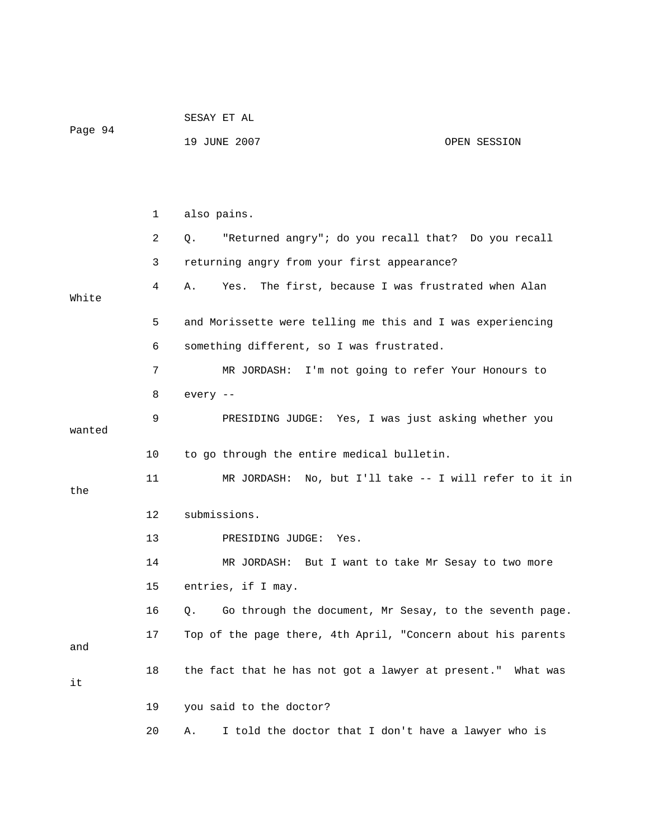|         |    | SESAY ET AL                                                   |
|---------|----|---------------------------------------------------------------|
| Page 94 |    | 19 JUNE 2007<br>OPEN SESSION                                  |
|         |    |                                                               |
|         |    |                                                               |
|         | 1  | also pains.                                                   |
|         | 2  | "Returned angry"; do you recall that? Do you recall<br>Q.     |
|         | 3  | returning angry from your first appearance?                   |
| White   | 4  | Yes.<br>The first, because I was frustrated when Alan<br>Α.   |
|         | 5  | and Morissette were telling me this and I was experiencing    |
|         | 6  | something different, so I was frustrated.                     |
|         | 7  | MR JORDASH: I'm not going to refer Your Honours to            |
|         | 8  | every --                                                      |
| wanted  | 9  | PRESIDING JUDGE: Yes, I was just asking whether you           |
|         | 10 | to go through the entire medical bulletin.                    |
| the     | 11 | MR JORDASH: No, but I'll take -- I will refer to it in        |
|         | 12 | submissions.                                                  |
|         | 13 | PRESIDING JUDGE:<br>Yes.                                      |
|         | 14 | MR JORDASH: But I want to take Mr Sesay to two more           |
|         | 15 | entries, if I may.                                            |
|         | 16 | Go through the document, Mr Sesay, to the seventh page.<br>Q. |
| and     | 17 | Top of the page there, 4th April, "Concern about his parents  |
| it      | 18 | the fact that he has not got a lawyer at present." What was   |
|         | 19 | you said to the doctor?                                       |
|         | 20 | I told the doctor that I don't have a lawyer who is<br>Α.     |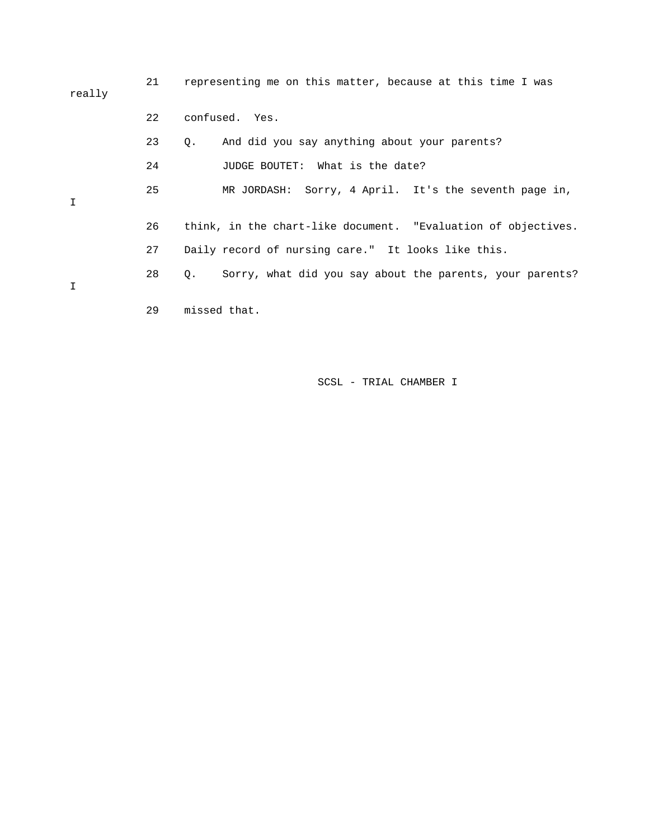| really | 21 | representing me on this matter, because at this time I was              |
|--------|----|-------------------------------------------------------------------------|
|        | 22 | confused. Yes.                                                          |
|        | 23 | And did you say anything about your parents?<br>Q.                      |
|        | 24 | JUDGE BOUTET: What is the date?                                         |
| Ι      | 25 | MR JORDASH: Sorry, 4 April. It's the seventh page in,                   |
|        | 26 | think, in the chart-like document. "Evaluation of objectives.           |
|        | 27 | Daily record of nursing care." It looks like this.                      |
| I      | 28 | Sorry, what did you say about the parents, your parents?<br>$Q_{\star}$ |
|        | 29 | missed that.                                                            |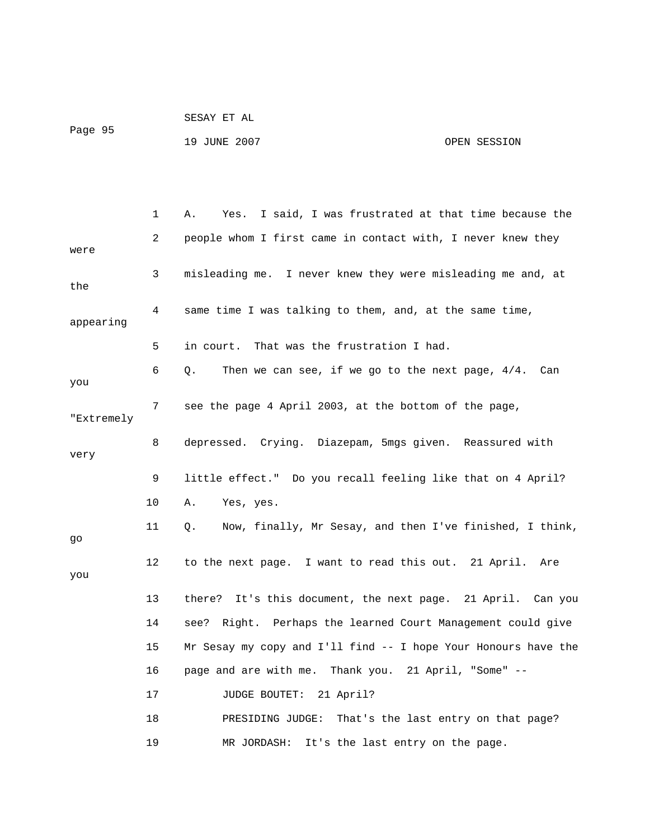| Page 95 | SESAY ET AL  |              |
|---------|--------------|--------------|
|         | 19 JUNE 2007 | OPEN SESSION |

|            | $\mathbf{1}$ | I said, I was frustrated at that time because the<br>Α.<br>Yes. |
|------------|--------------|-----------------------------------------------------------------|
| were       | 2            | people whom I first came in contact with, I never knew they     |
| the        | 3            | misleading me. I never knew they were misleading me and, at     |
| appearing  | 4            | same time I was talking to them, and, at the same time,         |
|            | 5            | in court. That was the frustration I had.                       |
| you        | 6            | Then we can see, if we go to the next page, $4/4$ . Can<br>Q.   |
| "Extremely | 7            | see the page 4 April 2003, at the bottom of the page,           |
| very       | 8            | depressed. Crying. Diazepam, 5mgs given. Reassured with         |
|            | 9            | little effect." Do you recall feeling like that on 4 April?     |
|            | 10           | Α.<br>Yes, yes.                                                 |
| go         | 11           | Now, finally, Mr Sesay, and then I've finished, I think,<br>Q.  |
| you        | 12           | to the next page. I want to read this out. 21 April. Are        |
|            | 13           | there? It's this document, the next page. 21 April. Can you     |
|            | 14           | see? Right. Perhaps the learned Court Management could give     |
|            | 15           | Mr Sesay my copy and I'll find -- I hope Your Honours have the  |
|            | 16           | page and are with me. Thank you. 21 April, "Some" --            |
|            | 17           | JUDGE BOUTET:<br>21 April?                                      |
|            | 18           | PRESIDING JUDGE:<br>That's the last entry on that page?         |
|            | 19           | MR JORDASH:<br>It's the last entry on the page.                 |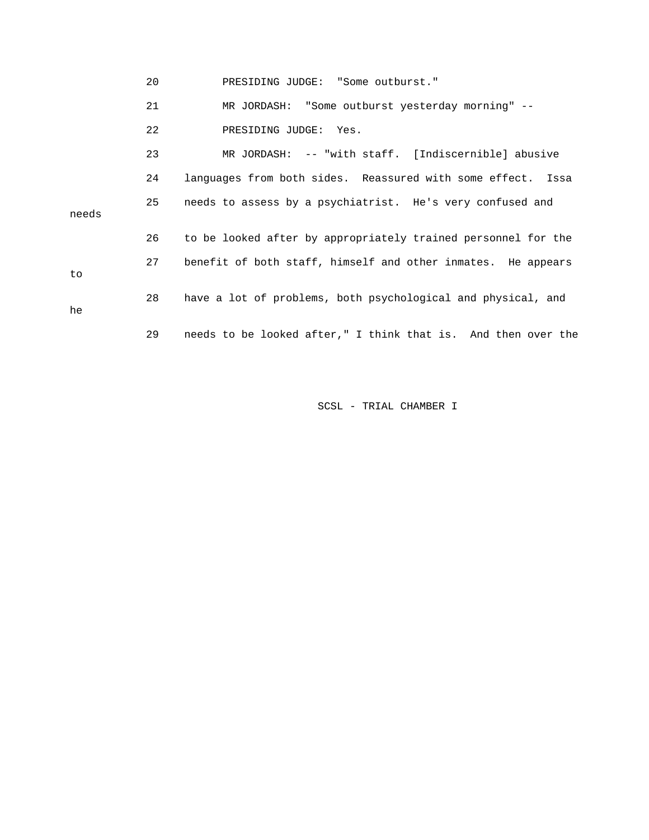| PRESIDING JUDGE:<br>"Some outburst." |  |
|--------------------------------------|--|
|--------------------------------------|--|

21 MR JORDASH: "Some outburst yesterday morning" --

22 PRESIDING JUDGE: Yes.

to

he

 23 MR JORDASH: -- "with staff. [Indiscernible] abusive 24 languages from both sides. Reassured with some effect. Issa 27 benefit of both staff, himself and other inmates. He appears 28 have a lot of problems, both psychological and physical, and 29 needs to be looked after," I think that is. And then over the 25 needs to assess by a psychiatrist. He's very confused and needs 26 to be looked after by appropriately trained personnel for the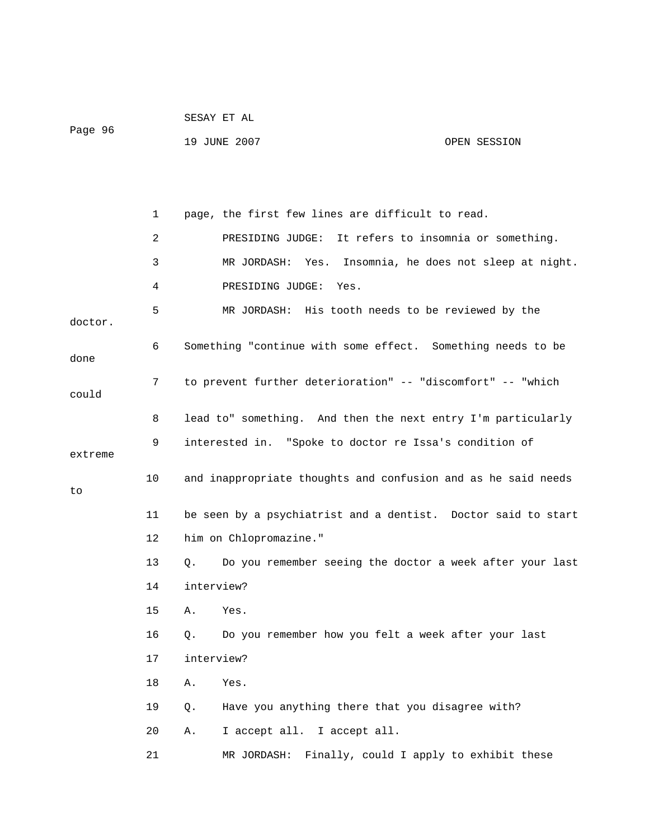|         |    | SESAY ET AL                                                           |                                       |  |
|---------|----|-----------------------------------------------------------------------|---------------------------------------|--|
| Page 96 |    | 19 JUNE 2007                                                          | OPEN SESSION                          |  |
|         |    |                                                                       |                                       |  |
|         |    |                                                                       |                                       |  |
|         | 1  | page, the first few lines are difficult to read.                      |                                       |  |
|         | 2  | PRESIDING JUDGE: It refers to insomnia or something.                  |                                       |  |
|         | 3  | MR JORDASH:<br>Yes.                                                   | Insomnia, he does not sleep at night. |  |
|         | 4  | PRESIDING JUDGE:<br>Yes.                                              |                                       |  |
|         | 5  | MR JORDASH: His tooth needs to be reviewed by the                     |                                       |  |
| doctor. |    |                                                                       |                                       |  |
| done    | 6  | Something "continue with some effect. Something needs to be           |                                       |  |
|         | 7  | to prevent further deterioration" -- "discomfort" -- "which           |                                       |  |
| could   |    |                                                                       |                                       |  |
|         | 8  | lead to" something. And then the next entry I'm particularly          |                                       |  |
| extreme | 9  | interested in. "Spoke to doctor re Issa's condition of                |                                       |  |
|         | 10 | and inappropriate thoughts and confusion and as he said needs         |                                       |  |
| to      |    |                                                                       |                                       |  |
|         | 11 | be seen by a psychiatrist and a dentist. Doctor said to start         |                                       |  |
|         | 12 | him on Chlopromazine."                                                |                                       |  |
|         | 13 | Do you remember seeing the doctor a week after your last<br>$\circ$ . |                                       |  |
|         | 14 | interview?                                                            |                                       |  |
|         | 15 | Α.<br>Yes.                                                            |                                       |  |
|         | 16 | Do you remember how you felt a week after your last<br>Q.             |                                       |  |
|         | 17 | interview?                                                            |                                       |  |
|         | 18 | Yes.<br>Α.                                                            |                                       |  |
|         | 19 | Have you anything there that you disagree with?<br>Q.                 |                                       |  |
|         | 20 | I accept all. I accept all.<br>Α.                                     |                                       |  |
|         | 21 | Finally, could I apply to exhibit these<br>MR JORDASH:                |                                       |  |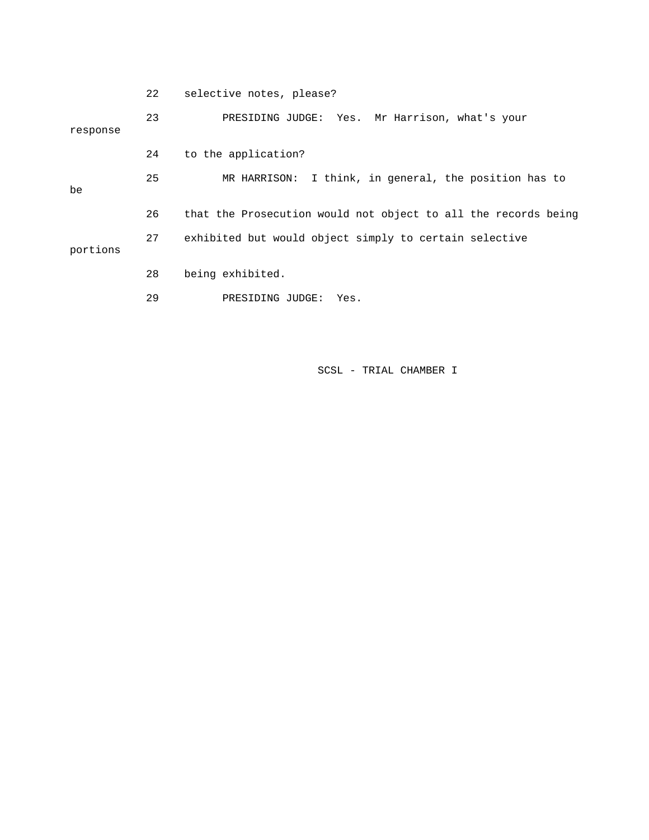|          | 22 | selective notes, please?                                       |
|----------|----|----------------------------------------------------------------|
| response | 23 | PRESIDING JUDGE: Yes. Mr Harrison, what's your                 |
|          | 24 | to the application?                                            |
| be       | 25 | MR HARRISON: I think, in general, the position has to          |
|          | 26 | that the Prosecution would not object to all the records being |
| portions | 27 | exhibited but would object simply to certain selective         |
|          | 28 | being exhibited.                                               |
|          | 29 | PRESIDING JUDGE:<br>Yes.                                       |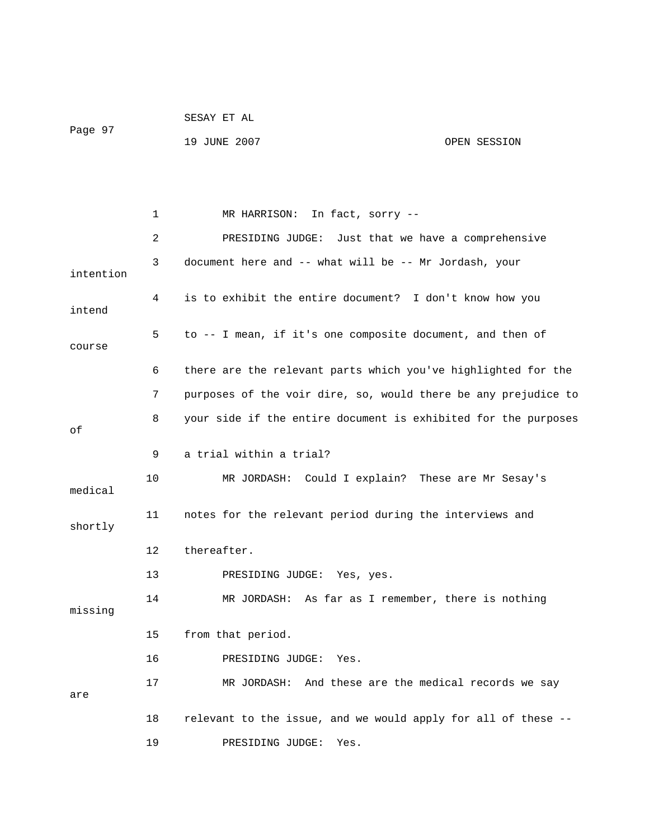|         | SESAY ET AL  |              |
|---------|--------------|--------------|
| Page 97 |              |              |
|         | 19 JUNE 2007 | OPEN SESSION |

 1 MR HARRISON: In fact, sorry -- 2 PRESIDING JUDGE: Just that we have a comprehensive 3 document here and -- what will be -- Mr Jordash, your intention 4 is to exhibit the entire document? I don't know how you intend 5 to -- I mean, if it's one composite document, and then of course 6 there are the relevant parts which you've highlighted for the 7 purposes of the voir dire, so, would there be any prejudice to 8 your side if the entire document is exhibited for the purposes of 9 a trial within a trial? 10 MR JORDASH: Could I explain? These are Mr Sesay's medical 11 notes for the relevant period during the interviews and shortly 12 thereafter. 13 PRESIDING JUDGE: Yes, yes. 14 MR JORDASH: As far as I remember, there is nothing missing 15 from that period. 16 PRESIDING JUDGE: Yes. 17 MR JORDASH: And these are the medical records we say are 18 relevant to the issue, and we would apply for all of these -- 19 PRESIDING JUDGE: Yes.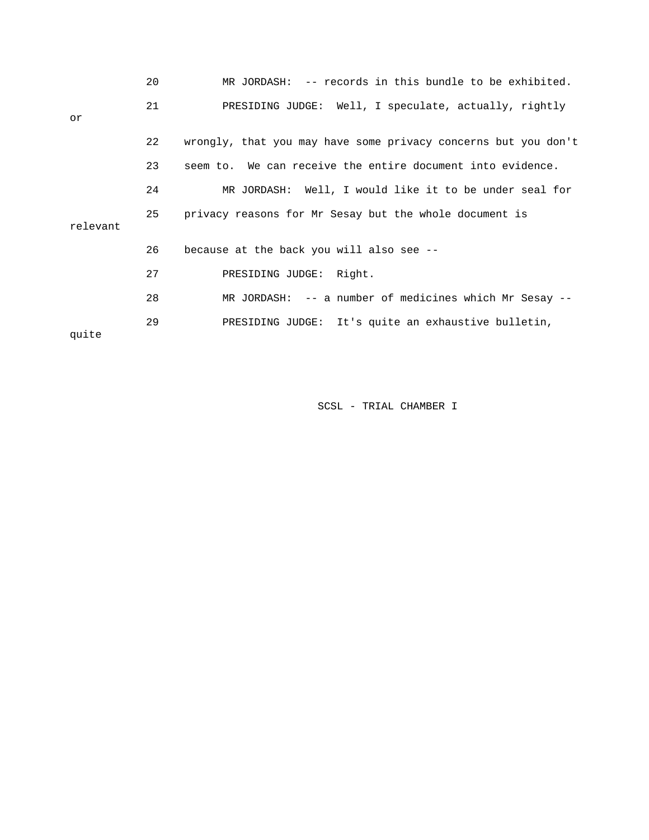|          | 20 | MR JORDASH: -- records in this bundle to be exhibited.         |
|----------|----|----------------------------------------------------------------|
| or       | 21 | PRESIDING JUDGE: Well, I speculate, actually, rightly          |
|          | 22 | wrongly, that you may have some privacy concerns but you don't |
|          | 23 | seem to. We can receive the entire document into evidence.     |
|          | 24 | MR JORDASH: Well, I would like it to be under seal for         |
| relevant | 25 | privacy reasons for Mr Sesay but the whole document is         |
|          | 26 | because at the back you will also see --                       |
|          | 27 | PRESIDING JUDGE: Right.                                        |
|          | 28 | $MR$ JORDASH: $--$ a number of medicines which Mr Sesay $--$   |
| quite    | 29 | PRESIDING JUDGE: It's quite an exhaustive bulletin,            |
|          |    |                                                                |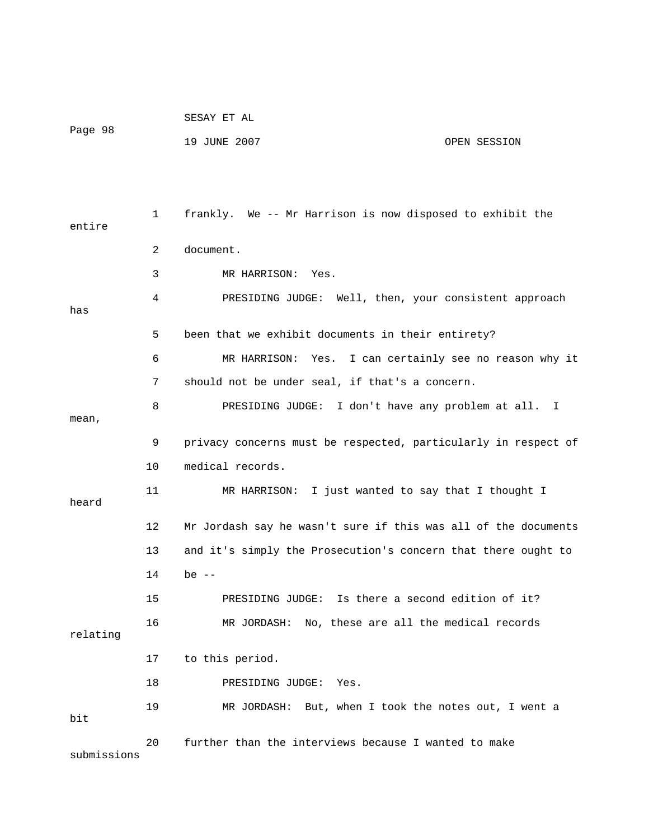|             |              | SESAY ET AL                                                    |              |
|-------------|--------------|----------------------------------------------------------------|--------------|
| Page 98     |              | 19 JUNE 2007                                                   | OPEN SESSION |
|             |              |                                                                |              |
|             |              |                                                                |              |
| entire      | $\mathbf{1}$ | frankly. We -- Mr Harrison is now disposed to exhibit the      |              |
|             | 2            | document.                                                      |              |
|             | 3            | MR HARRISON: Yes.                                              |              |
| has         | 4            | PRESIDING JUDGE: Well, then, your consistent approach          |              |
|             | 5            | been that we exhibit documents in their entirety?              |              |
|             | 6            | MR HARRISON: Yes. I can certainly see no reason why it         |              |
|             | 7            | should not be under seal, if that's a concern.                 |              |
| mean,       | 8            | PRESIDING JUDGE: I don't have any problem at all. I            |              |
|             | 9            | privacy concerns must be respected, particularly in respect of |              |
|             | 10           | medical records.                                               |              |
| heard       | 11           | MR HARRISON: I just wanted to say that I thought I             |              |
|             | 12           | Mr Jordash say he wasn't sure if this was all of the documents |              |
|             | 13           | and it's simply the Prosecution's concern that there ought to  |              |
|             | 14           | be $--$                                                        |              |
|             | 15           | Is there a second edition of it?<br>PRESIDING JUDGE:           |              |
| relating    | 16           | No, these are all the medical records<br>MR JORDASH:           |              |
|             | 17           | to this period.                                                |              |
|             | 18           | PRESIDING JUDGE:<br>Yes.                                       |              |
| bit         | 19           | MR JORDASH:<br>But, when I took the notes out, I went a        |              |
| submissions | 20           | further than the interviews because I wanted to make           |              |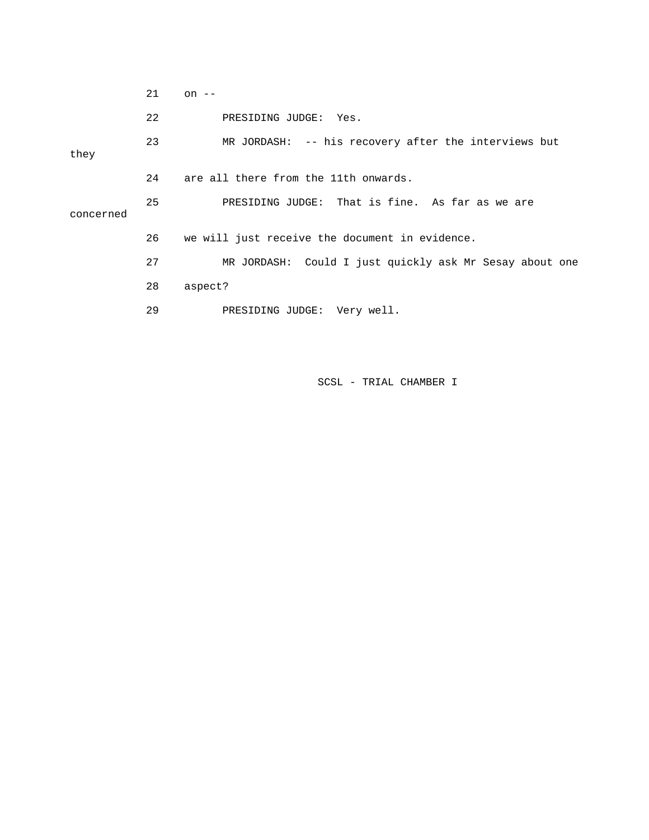|           | 21 | on $--$                                                 |
|-----------|----|---------------------------------------------------------|
|           | 22 | PRESIDING JUDGE: Yes.                                   |
| they      | 23 | MR JORDASH: -- his recovery after the interviews but    |
|           | 24 | are all there from the 11th onwards.                    |
| concerned | 25 | PRESIDING JUDGE: That is fine. As far as we are         |
|           | 26 | we will just receive the document in evidence.          |
|           | 27 | MR JORDASH: Could I just quickly ask Mr Sesay about one |
|           | 28 | aspect?                                                 |
|           | 29 | PRESIDING JUDGE: Very well.                             |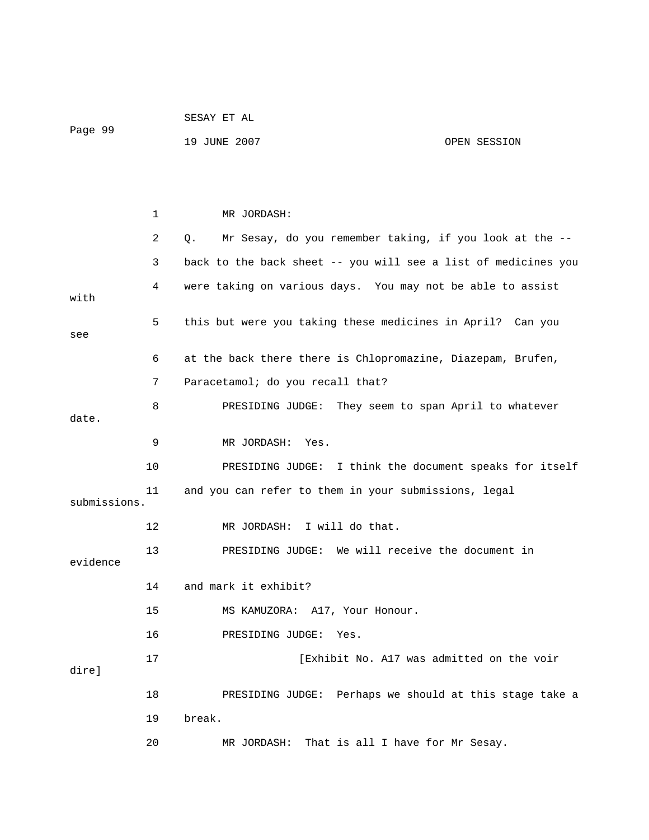|              |    | SESAY ET AL                                                    |  |  |  |
|--------------|----|----------------------------------------------------------------|--|--|--|
| Page 99      |    | 19 JUNE 2007<br>OPEN SESSION                                   |  |  |  |
|              |    |                                                                |  |  |  |
|              |    |                                                                |  |  |  |
|              | 1  | MR JORDASH:                                                    |  |  |  |
|              | 2  | Mr Sesay, do you remember taking, if you look at the --<br>Q.  |  |  |  |
|              | 3  | back to the back sheet -- you will see a list of medicines you |  |  |  |
| with         | 4  | were taking on various days. You may not be able to assist     |  |  |  |
| see          | 5  | this but were you taking these medicines in April? Can you     |  |  |  |
|              | 6  | at the back there there is Chlopromazine, Diazepam, Brufen,    |  |  |  |
|              | 7  | Paracetamol; do you recall that?                               |  |  |  |
| date.        | 8  | PRESIDING JUDGE: They seem to span April to whatever           |  |  |  |
|              |    |                                                                |  |  |  |
|              | 9  | MR JORDASH:<br>Yes.                                            |  |  |  |
|              | 10 | PRESIDING JUDGE: I think the document speaks for itself        |  |  |  |
| submissions. | 11 | and you can refer to them in your submissions, legal           |  |  |  |
|              | 12 | I will do that.<br>MR JORDASH:                                 |  |  |  |
| evidence     | 13 | We will receive the document in<br>PRESIDING JUDGE:            |  |  |  |
|              | 14 | and mark it exhibit?                                           |  |  |  |
|              | 15 | MS KAMUZORA: A17, Your Honour.                                 |  |  |  |
|              | 16 | PRESIDING JUDGE:<br>Yes.                                       |  |  |  |
| dire]        | 17 | [Exhibit No. A17 was admitted on the voir                      |  |  |  |
|              | 18 | PRESIDING JUDGE: Perhaps we should at this stage take a        |  |  |  |
|              | 19 | break.                                                         |  |  |  |
|              | 20 | That is all I have for Mr Sesay.<br>MR JORDASH:                |  |  |  |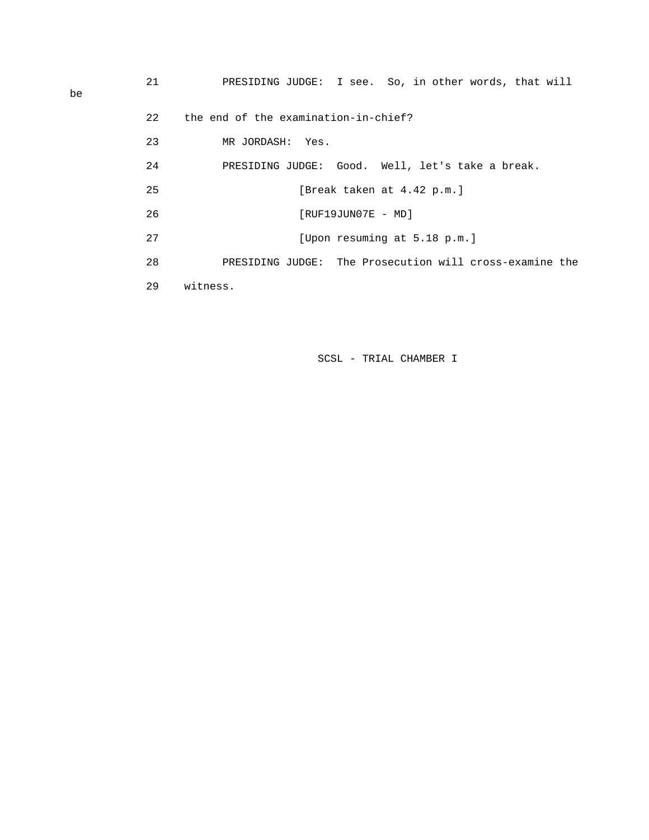22 the end of the examination-in-chief?

23 MR JORDASH: Yes.

| 24 | PRESIDING JUDGE: Good. Well, let's take a break.        |
|----|---------------------------------------------------------|
| 25 | [Break taken at 4.42 p.m.]                              |
| 26 | $[RUF19JUN07E - MD]$                                    |
| 27 | [Upon resuming at 5.18 p.m.]                            |
| 28 | PRESIDING JUDGE: The Prosecution will cross-examine the |
| 29 | witness.                                                |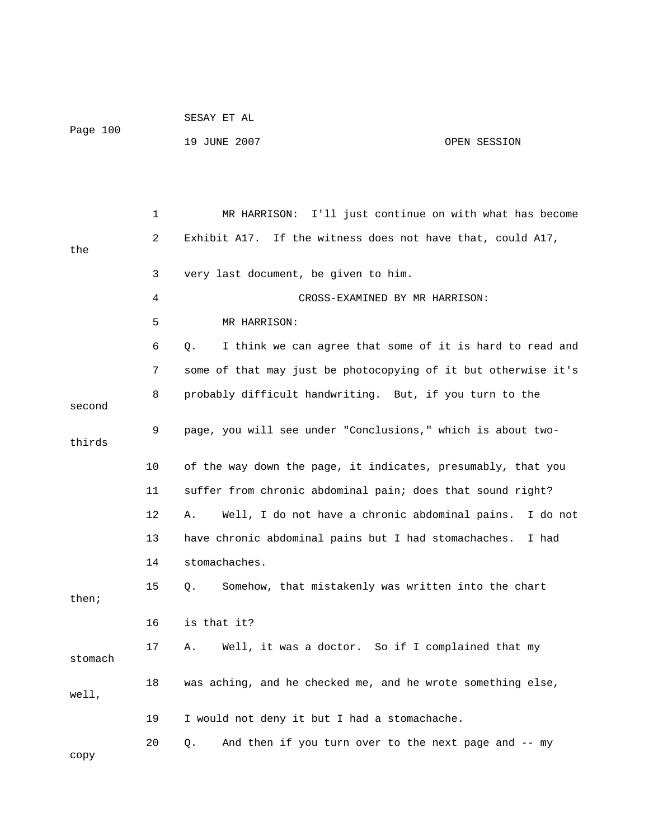|         |    | 19 JUNE 2007<br>OPEN SESSION                                     |
|---------|----|------------------------------------------------------------------|
|         |    |                                                                  |
|         |    |                                                                  |
|         | 1  | I'll just continue on with what has become<br>MR HARRISON:       |
|         | 2  | Exhibit A17.<br>If the witness does not have that, could A17,    |
| the     |    |                                                                  |
|         | 3  | very last document, be given to him.                             |
|         | 4  | CROSS-EXAMINED BY MR HARRISON:                                   |
|         | 5  | MR HARRISON:                                                     |
|         | 6  | I think we can agree that some of it is hard to read and<br>Q.   |
|         | 7  | some of that may just be photocopying of it but otherwise it's   |
|         | 8  | probably difficult handwriting. But, if you turn to the          |
| second  |    |                                                                  |
| thirds  | 9  | page, you will see under "Conclusions," which is about two-      |
|         | 10 | of the way down the page, it indicates, presumably, that you     |
|         | 11 | suffer from chronic abdominal pain; does that sound right?       |
|         | 12 | Well, I do not have a chronic abdominal pains.<br>I do not<br>Α. |
|         | 13 | have chronic abdominal pains but I had stomachaches.<br>I had    |
|         | 14 | stomachaches.                                                    |
|         | 15 | Somehow, that mistakenly was written into the chart<br>Q.        |
| then;   |    |                                                                  |
|         | 16 | is that it?                                                      |
| stomach | 17 | Well, it was a doctor. So if I complained that my<br>Α.          |
|         | 18 | was aching, and he checked me, and he wrote something else,      |
| well,   |    |                                                                  |
|         | 19 | I would not deny it but I had a stomachache.                     |
|         | 20 | And then if you turn over to the next page and -- my<br>Q.       |
| сору    |    |                                                                  |

SESAY ET AL

Page 100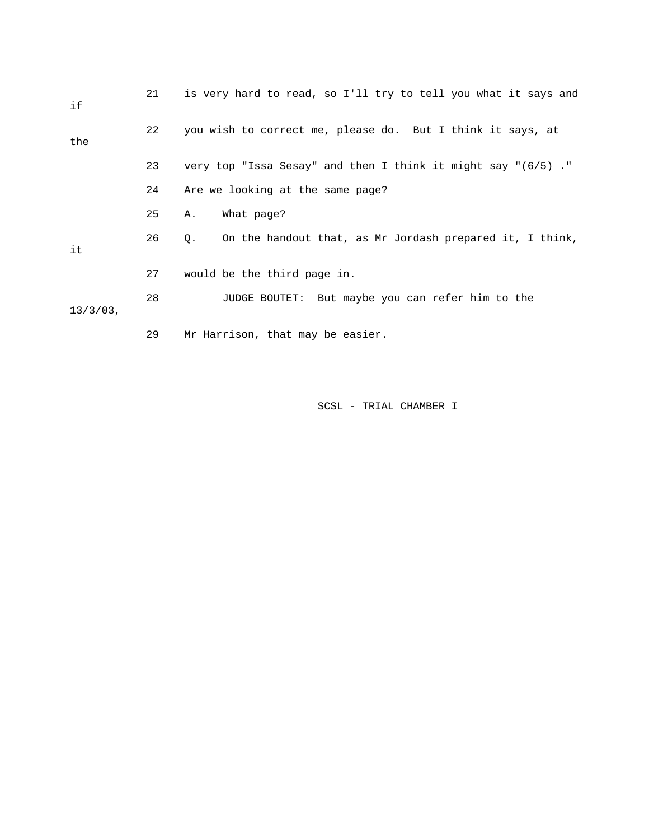| if          | 21 | is very hard to read, so I'll try to tell you what it says and   |
|-------------|----|------------------------------------------------------------------|
| the         | 22 | you wish to correct me, please do. But I think it says, at       |
|             | 23 | very top "Issa Sesay" and then I think it might say " $(6/5)$ ." |
|             | 24 | Are we looking at the same page?                                 |
|             | 25 | What page?<br>Α.                                                 |
| it          | 26 | On the handout that, as Mr Jordash prepared it, I think,<br>Q.   |
|             | 27 | would be the third page in.                                      |
| $13/3/03$ , | 28 | JUDGE BOUTET: But maybe you can refer him to the                 |
|             | 29 | Mr Harrison, that may be easier.                                 |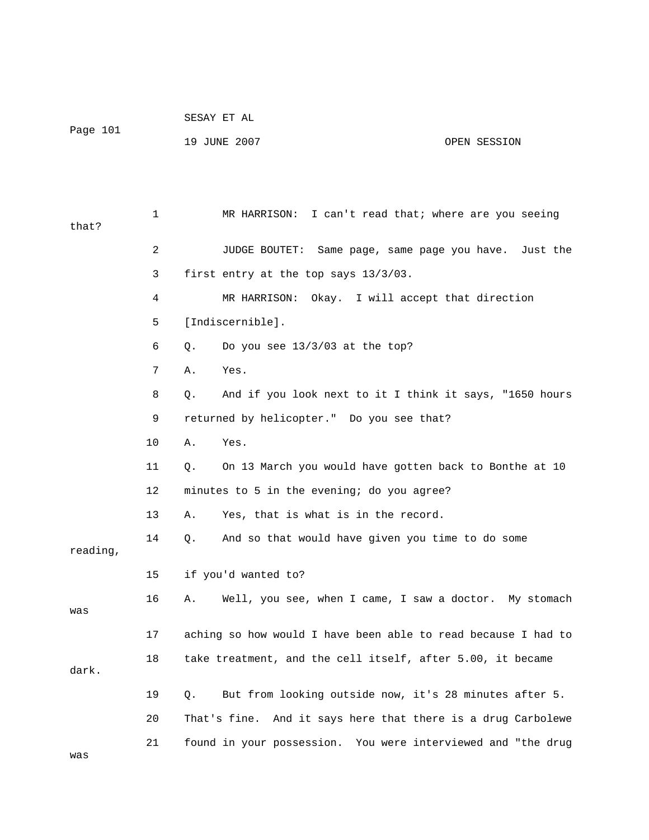|          | SESAY ET AL  |              |
|----------|--------------|--------------|
| Page 101 |              |              |
|          | 19 JUNE 2007 | OPEN SESSION |

 1 MR HARRISON: I can't read that; where are you seeing that? 2 JUDGE BOUTET: Same page, same page you have. Just the 3 first entry at the top says 13/3/03. 4 MR HARRISON: Okay. I will accept that direction 5 [Indiscernible]. 6 Q. Do you see 13/3/03 at the top? 7 A. Yes. 8 Q. And if you look next to it I think it says, "1650 hours 9 returned by helicopter." Do you see that? 10 A. Yes. 11 Q. On 13 March you would have gotten back to Bonthe at 10 12 minutes to 5 in the evening; do you agree? 13 A. Yes, that is what is in the record. 14 Q. And so that would have given you time to do some reading, 15 if you'd wanted to? 16 A. Well, you see, when I came, I saw a doctor. My stomach was 17 aching so how would I have been able to read because I had to 18 take treatment, and the cell itself, after 5.00, it became dark. 19 Q. But from looking outside now, it's 28 minutes after 5. 20 That's fine. And it says here that there is a drug Carbolewe 21 found in your possession. You were interviewed and "the drug was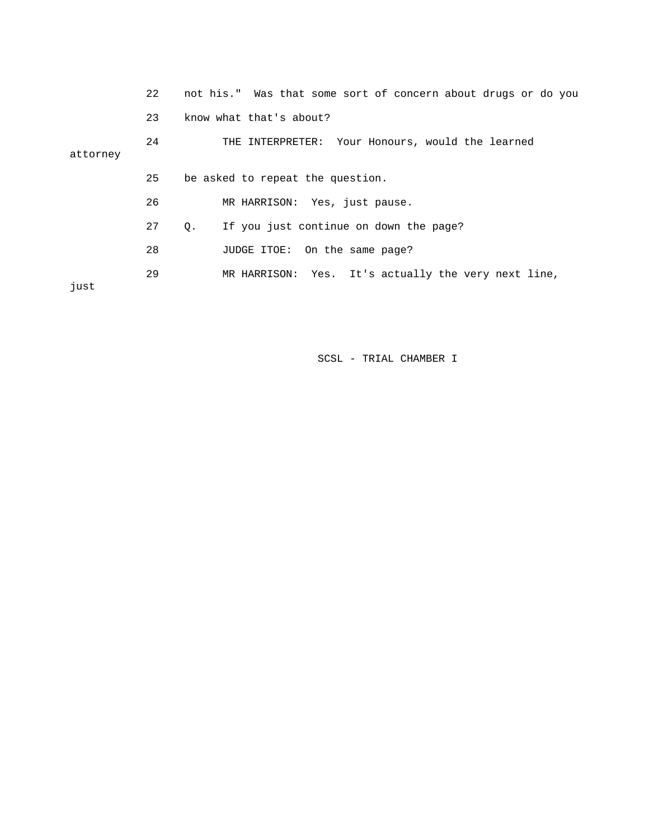|          | 22 | not his." Was that some sort of concern about drugs or do you |
|----------|----|---------------------------------------------------------------|
|          | 23 | know what that's about?                                       |
| attorney | 24 | THE INTERPRETER: Your Honours, would the learned              |
|          | 25 | be asked to repeat the question.                              |
|          | 26 | MR HARRISON: Yes, just pause.                                 |
|          | 27 | If you just continue on down the page?<br>Q.                  |
|          | 28 | JUDGE ITOE: On the same page?                                 |
| just     | 29 | MR HARRISON: Yes. It's actually the very next line,           |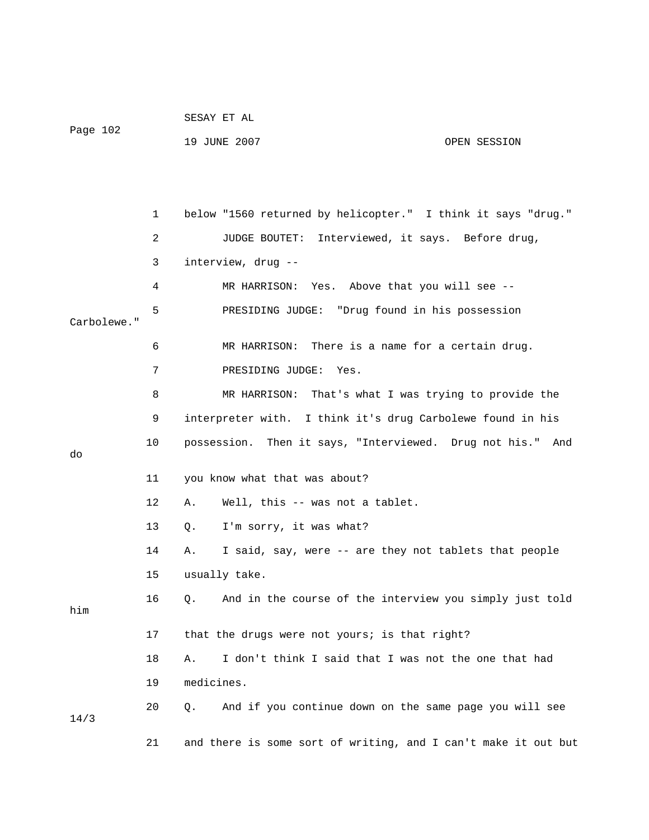|          | SESAY ET AL  |              |
|----------|--------------|--------------|
| Page 102 |              |              |
|          | 19 JUNE 2007 | OPEN SESSION |

 1 below "1560 returned by helicopter." I think it says "drug." 2 JUDGE BOUTET: Interviewed, it says. Before drug, 3 interview, drug -- 4 MR HARRISON: Yes. Above that you will see -- 5 PRESIDING JUDGE: "Drug found in his possession Carbolewe." 6 MR HARRISON: There is a name for a certain drug. 7 PRESIDING JUDGE: Yes. 8 MR HARRISON: That's what I was trying to provide the 9 interpreter with. I think it's drug Carbolewe found in his 10 possession. Then it says, "Interviewed. Drug not his." And do 11 you know what that was about? 12 A. Well, this -- was not a tablet. 13 Q. I'm sorry, it was what? 14 A. I said, say, were -- are they not tablets that people 15 usually take. 16 Q. And in the course of the interview you simply just told him 17 that the drugs were not yours; is that right? 18 A. I don't think I said that I was not the one that had 19 medicines. 20 Q. And if you continue down on the same page you will see 14/3 21 and there is some sort of writing, and I can't make it out but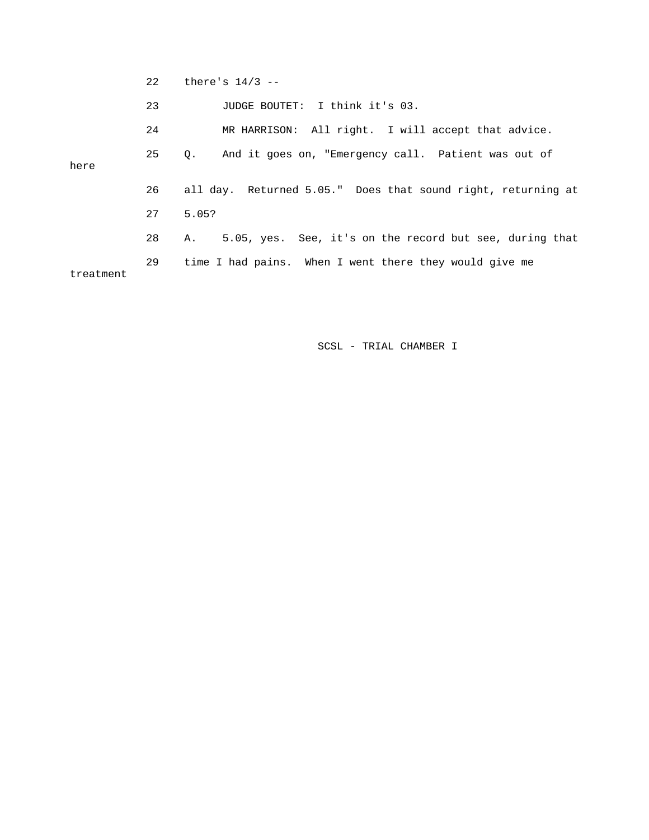22 there's 14/3 --

23 JUDGE BOUTET: I think it's 03.

 24 MR HARRISON: All right. I will accept that advice. 25 Q. And it goes on, "Emergency call. Patient was out of here 26 all day. Returned 5.05." Does that sound right, returning at 27 5.05? 28 A. 5.05, yes. See, it's on the record but see, during that 29 time I had pains. When I went there they would give me treatment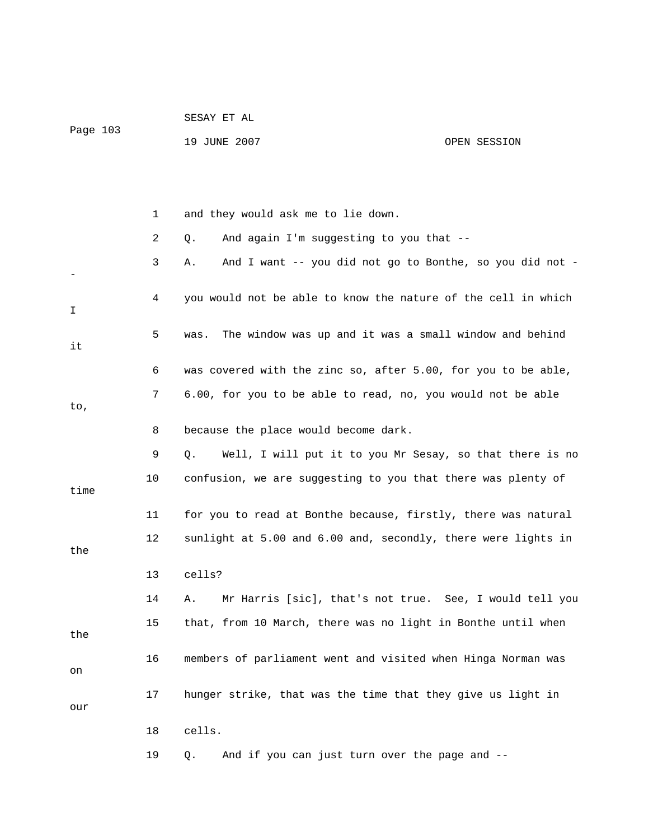| Page 103 |    | 19 JUNE 2007<br>OPEN SESSION                                   |
|----------|----|----------------------------------------------------------------|
|          |    |                                                                |
|          |    |                                                                |
|          |    |                                                                |
|          | 1  | and they would ask me to lie down.                             |
|          | 2  | And again I'm suggesting to you that --<br>Q.                  |
|          | 3  | And I want -- you did not go to Bonthe, so you did not -<br>Α. |
|          |    |                                                                |
| I        | 4  | you would not be able to know the nature of the cell in which  |
|          | 5  | The window was up and it was a small window and behind<br>was. |
| it       |    |                                                                |
|          | 6  | was covered with the zinc so, after 5.00, for you to be able,  |
|          | 7  | 6.00, for you to be able to read, no, you would not be able    |
| to,      |    |                                                                |
|          | 8  | because the place would become dark.                           |
|          | 9  | Well, I will put it to you Mr Sesay, so that there is no<br>Q. |
|          | 10 | confusion, we are suggesting to you that there was plenty of   |
| time     |    |                                                                |
|          | 11 | for you to read at Bonthe because, firstly, there was natural  |
|          | 12 | sunlight at 5.00 and 6.00 and, secondly, there were lights in  |
| the      |    |                                                                |
|          | 13 | cells?                                                         |
|          | 14 | Mr Harris [sic], that's not true. See, I would tell you<br>Α.  |
|          | 15 | that, from 10 March, there was no light in Bonthe until when   |
| the      |    |                                                                |
| on       | 16 | members of parliament went and visited when Hinga Norman was   |
|          |    |                                                                |
| our      | 17 | hunger strike, that was the time that they give us light in    |
|          | 18 | cells.                                                         |
|          |    |                                                                |
|          | 19 | And if you can just turn over the page and --<br>Q.            |

SESAY ET AL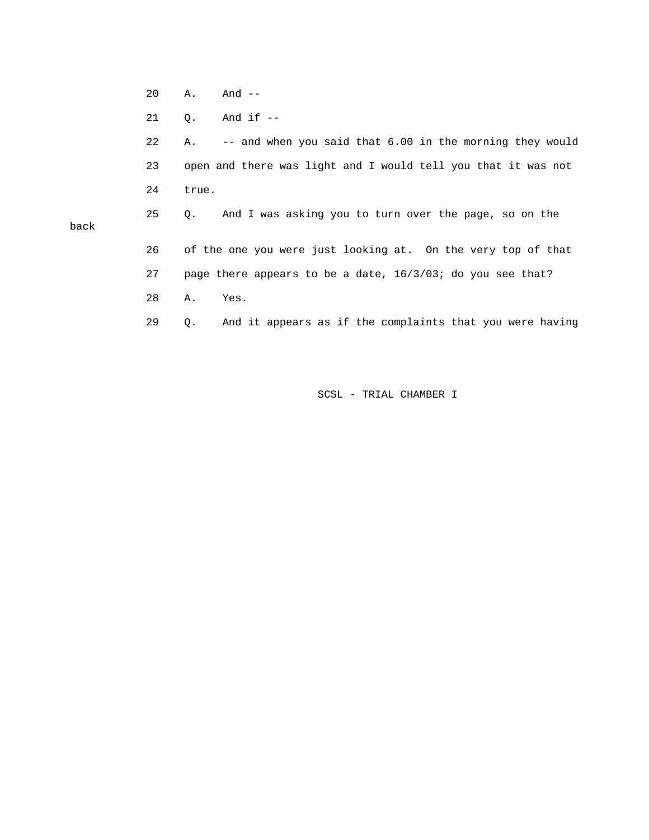20 A. And --

back

21 Q. And if --

 22 A. -- and when you said that 6.00 in the morning they would 23 open and there was light and I would tell you that it was not 24 true. 25 Q. And I was asking you to turn over the page, so on the 26 of the one you were just looking at. On the very top of that 27 page there appears to be a date, 16/3/03; do you see that? 28 A. Yes. 29 Q. And it appears as if the complaints that you were having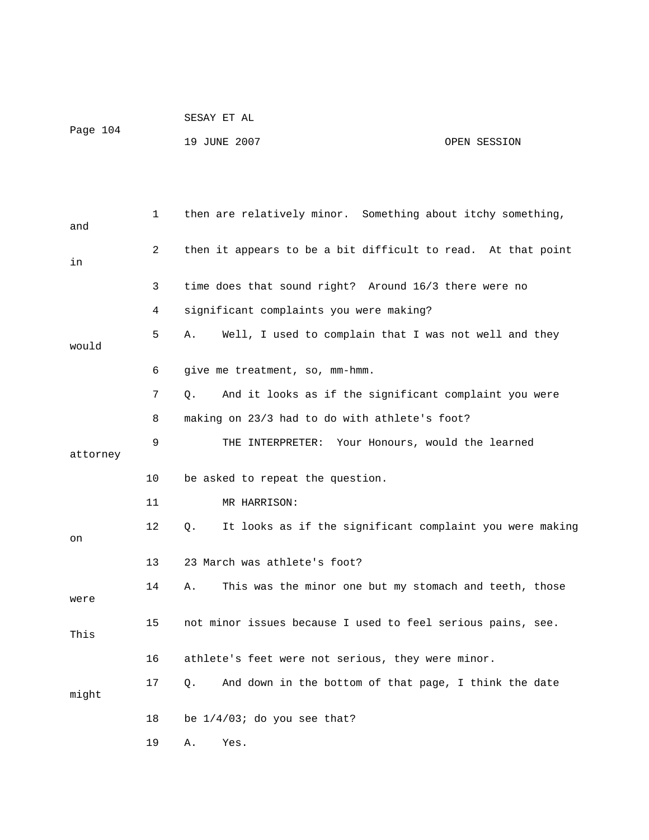|          | SESAY ET AL  |              |
|----------|--------------|--------------|
| Page 104 | 19 JUNE 2007 | OPEN SESSION |
|          |              |              |

| and      | 1  | then are relatively minor. Something about itchy something,        |
|----------|----|--------------------------------------------------------------------|
| in       | 2  | then it appears to be a bit difficult to read. At that point       |
|          | 3  | time does that sound right? Around 16/3 there were no              |
|          | 4  | significant complaints you were making?                            |
| would    | 5  | Well, I used to complain that I was not well and they<br>Α.        |
|          | 6  | give me treatment, so, mm-hmm.                                     |
|          | 7  | And it looks as if the significant complaint you were<br>$\circ$ . |
|          | 8  | making on 23/3 had to do with athlete's foot?                      |
| attorney | 9  | THE INTERPRETER: Your Honours, would the learned                   |
|          | 10 | be asked to repeat the question.                                   |
|          | 11 | MR HARRISON:                                                       |
| on       | 12 | It looks as if the significant complaint you were making<br>О.     |
|          | 13 | 23 March was athlete's foot?                                       |
| were     | 14 | This was the minor one but my stomach and teeth, those<br>Α.       |
| This     | 15 | not minor issues because I used to feel serious pains, see.        |
|          | 16 | athlete's feet were not serious, they were minor.                  |
| might    | 17 | And down in the bottom of that page, I think the date<br>О.        |
|          | 18 | be $1/4/03$ ; do you see that?                                     |
|          | 19 | Α.<br>Yes.                                                         |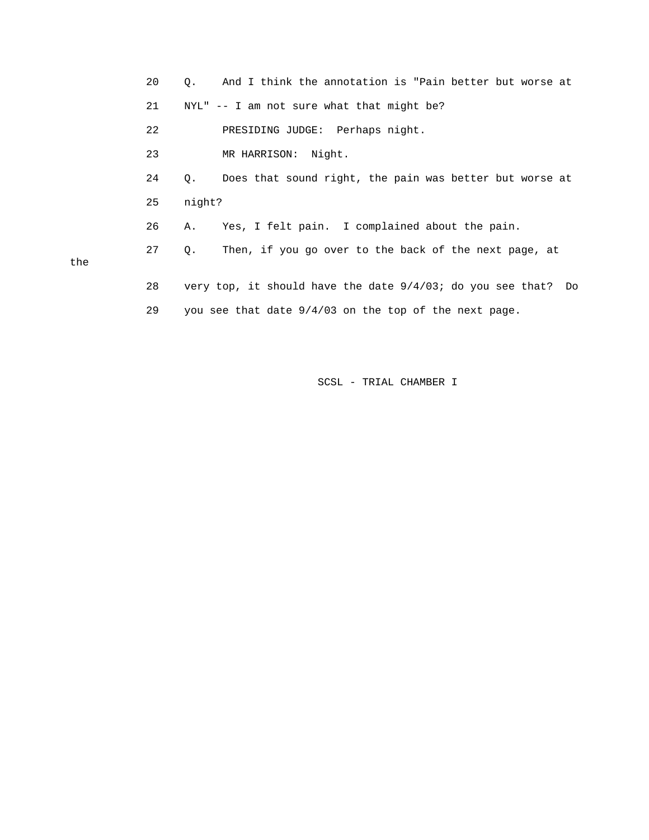|     | 20 | And I think the annotation is "Pain better but worse at<br>О.          |  |
|-----|----|------------------------------------------------------------------------|--|
|     | 21 | $NYL''$ -- I am not sure what that might be?                           |  |
|     | 22 | PRESIDING JUDGE: Perhaps night.                                        |  |
|     | 23 | MR HARRISON: Night.                                                    |  |
|     | 24 | Does that sound right, the pain was better but worse at<br>$Q_{\star}$ |  |
|     | 25 | night?                                                                 |  |
|     | 26 | Yes, I felt pain. I complained about the pain.<br>Α.                   |  |
| the | 27 | Then, if you go over to the back of the next page, at<br>Q.            |  |
|     | 28 | very top, it should have the date $9/4/03$ ; do you see that? Do       |  |
|     | 29 | you see that date $9/4/03$ on the top of the next page.                |  |

the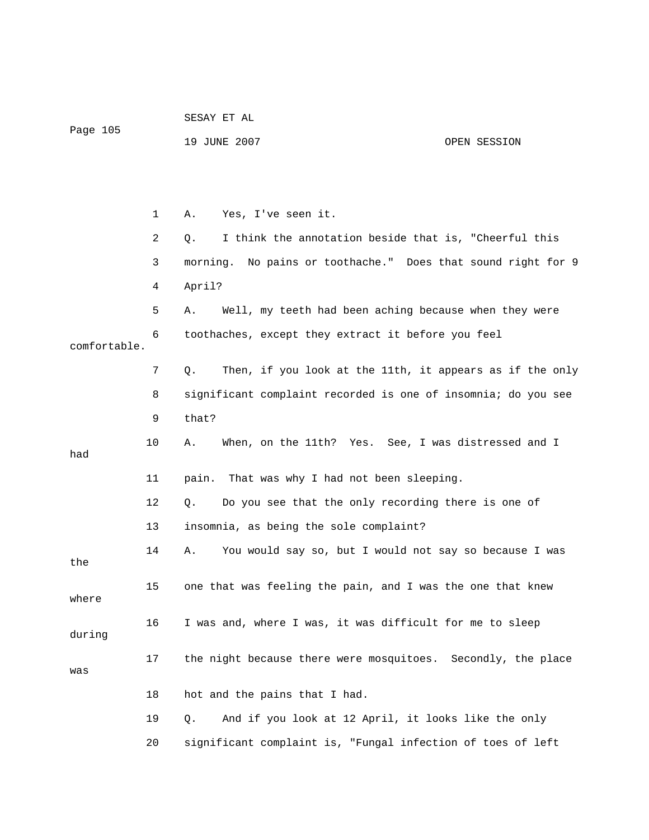| Page 105     |    | 19 JUNE 2007                                                    | OPEN SESSION |
|--------------|----|-----------------------------------------------------------------|--------------|
|              |    |                                                                 |              |
|              | 1  | Yes, I've seen it.<br>Α.                                        |              |
|              | 2  | I think the annotation beside that is, "Cheerful this<br>Q.     |              |
|              | 3  | No pains or toothache." Does that sound right for 9<br>morning. |              |
|              | 4  | April?                                                          |              |
|              | 5  | Well, my teeth had been aching because when they were<br>Α.     |              |
| comfortable. | 6  | toothaches, except they extract it before you feel              |              |
|              | 7  | Then, if you look at the 11th, it appears as if the only<br>Q.  |              |
|              | 8  | significant complaint recorded is one of insomnia; do you see   |              |
|              | 9  | that?                                                           |              |
| had          | 10 | When, on the 11th? Yes. See, I was distressed and I<br>Α.       |              |
|              | 11 | That was why I had not been sleeping.<br>pain.                  |              |
|              | 12 | Do you see that the only recording there is one of<br>Q.        |              |
|              | 13 | insomnia, as being the sole complaint?                          |              |
| the          | 14 | You would say so, but I would not say so because I was<br>Α.    |              |
| where        | 15 | one that was feeling the pain, and I was the one that knew      |              |
| during       | 16 | I was and, where I was, it was difficult for me to sleep        |              |
| was          | 17 | the night because there were mosquitoes. Secondly, the place    |              |
|              | 18 | hot and the pains that I had.                                   |              |
|              | 19 | And if you look at 12 April, it looks like the only<br>Q.       |              |
|              | 20 | significant complaint is, "Fungal infection of toes of left     |              |

SESAY ET AL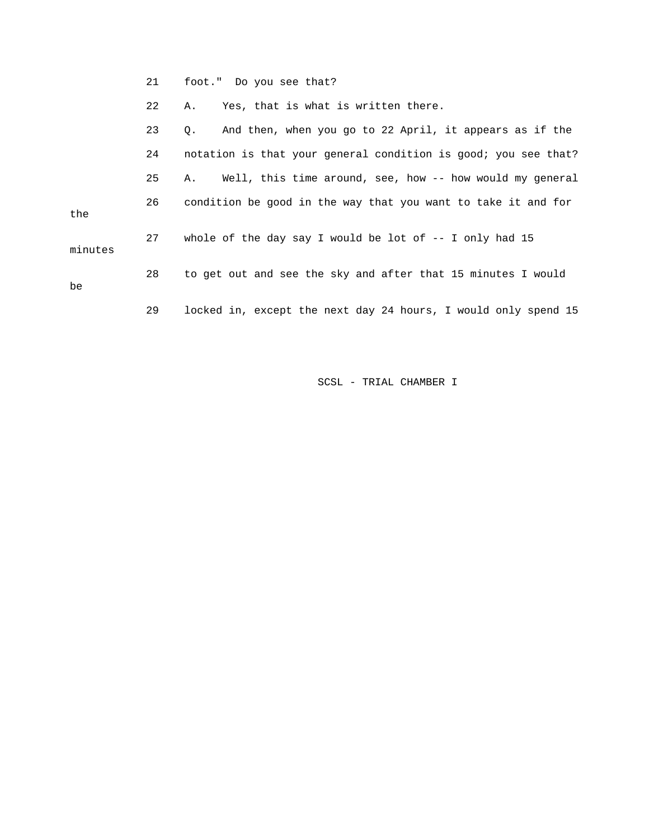21 foot." Do you see that?

22 A. Yes, that is what is written there.

|         | 23 | And then, when you go to 22 April, it appears as if the<br>$\circ$ . |
|---------|----|----------------------------------------------------------------------|
|         | 24 | notation is that your general condition is good; you see that?       |
|         | 25 | Well, this time around, see, how -- how would my general<br>Α.       |
| the     | 26 | condition be good in the way that you want to take it and for        |
| minutes | 27 | whole of the day say I would be lot of $-$ - I only had 15           |
| be      | 28 | to get out and see the sky and after that 15 minutes I would         |
|         | 29 | locked in, except the next day 24 hours, I would only spend 15       |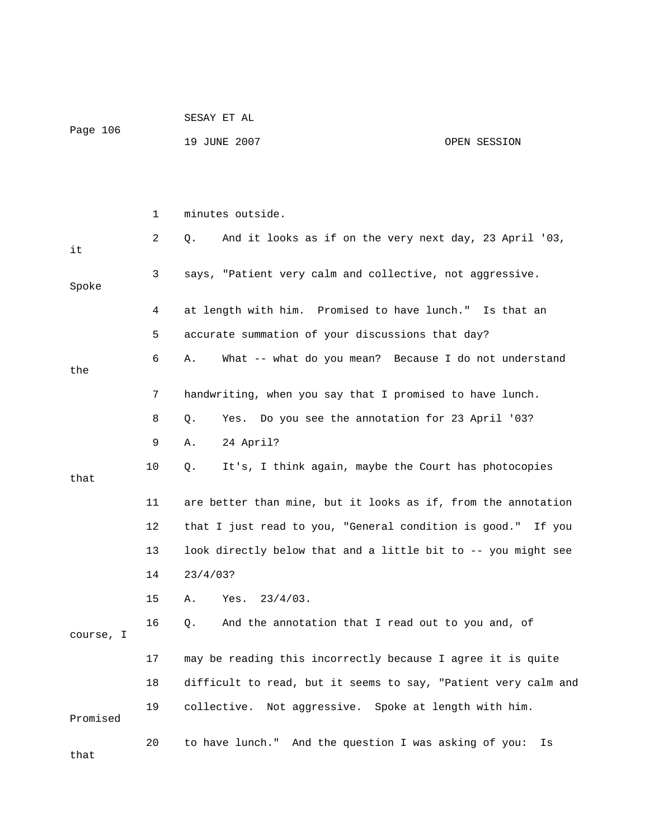|           |    | SESAY ET AL                                                    |  |  |  |
|-----------|----|----------------------------------------------------------------|--|--|--|
| Page 106  |    | 19 JUNE 2007<br>OPEN SESSION                                   |  |  |  |
|           |    |                                                                |  |  |  |
|           |    |                                                                |  |  |  |
|           | 1  | minutes outside.                                               |  |  |  |
| it        | 2  | And it looks as if on the very next day, 23 April '03,<br>Q.   |  |  |  |
| Spoke     | 3  | says, "Patient very calm and collective, not aggressive.       |  |  |  |
|           | 4  | at length with him. Promised to have lunch." Is that an        |  |  |  |
|           | 5  | accurate summation of your discussions that day?               |  |  |  |
| the       | 6  | What -- what do you mean? Because I do not understand<br>Α.    |  |  |  |
|           | 7  | handwriting, when you say that I promised to have lunch.       |  |  |  |
|           | 8  | Yes. Do you see the annotation for 23 April '03?<br>Q.         |  |  |  |
|           | 9  | 24 April?<br>Α.                                                |  |  |  |
| that      | 10 | It's, I think again, maybe the Court has photocopies<br>Q.     |  |  |  |
|           | 11 | are better than mine, but it looks as if, from the annotation  |  |  |  |
|           | 12 | that I just read to you, "General condition is good." If you   |  |  |  |
|           | 13 | look directly below that and a little bit to -- you might see  |  |  |  |
|           | 14 | 23/4/03?                                                       |  |  |  |
|           | 15 | Yes.<br>$23/4/03$ .<br>Α.                                      |  |  |  |
| course, I | 16 | And the annotation that I read out to you and, of<br>Q.        |  |  |  |
|           | 17 | may be reading this incorrectly because I agree it is quite    |  |  |  |
|           | 18 | difficult to read, but it seems to say, "Patient very calm and |  |  |  |
| Promised  | 19 | collective. Not aggressive. Spoke at length with him.          |  |  |  |
| that      | 20 | to have lunch." And the question I was asking of you:<br>Is    |  |  |  |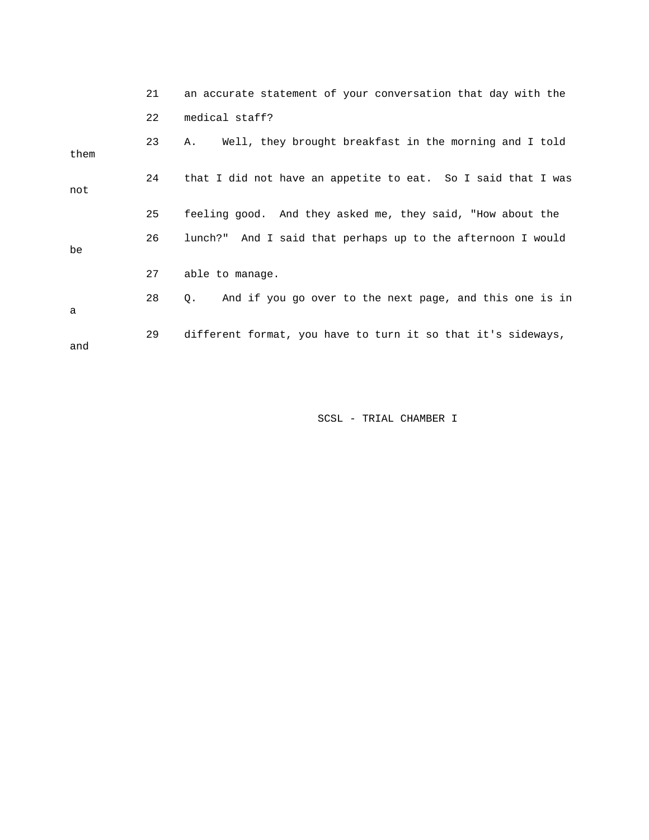|      | 21 | an accurate statement of your conversation that day with the  |
|------|----|---------------------------------------------------------------|
|      | 22 | medical staff?                                                |
| them | 23 | Well, they brought breakfast in the morning and I told<br>Α.  |
| not  | 24 | that I did not have an appetite to eat. So I said that I was  |
|      | 25 | feeling good. And they asked me, they said, "How about the    |
| be   | 26 | lunch?" And I said that perhaps up to the afternoon I would   |
|      | 27 | able to manage.                                               |
| a    | 28 | And if you go over to the next page, and this one is in<br>Q. |
| and  | 29 | different format, you have to turn it so that it's sideways,  |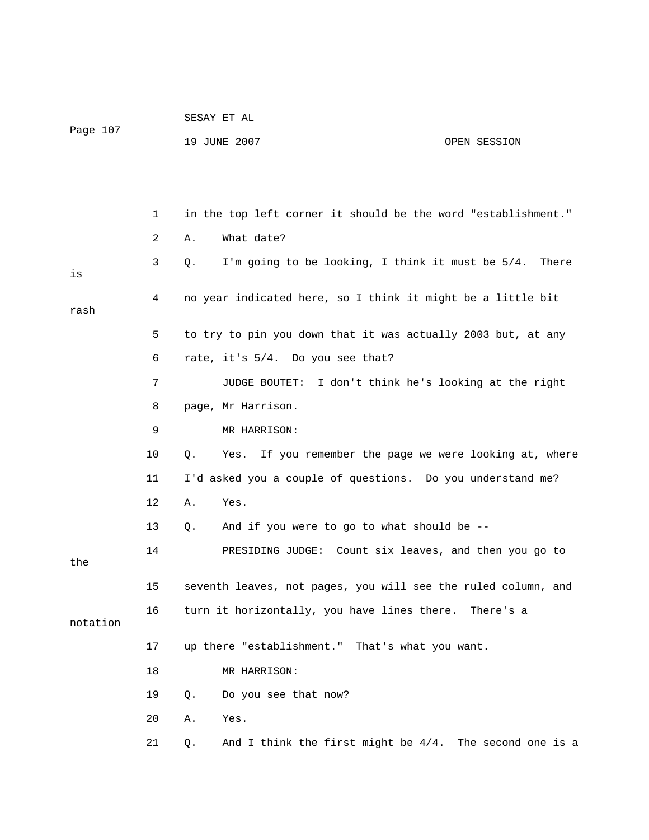|          |    |    | SESAY ET AL                                                   |                                         |
|----------|----|----|---------------------------------------------------------------|-----------------------------------------|
| Page 107 |    |    | 19 JUNE 2007                                                  | OPEN SESSION                            |
|          |    |    |                                                               |                                         |
|          |    |    |                                                               |                                         |
|          | 1  |    | in the top left corner it should be the word "establishment." |                                         |
|          | 2  | Α. | What date?                                                    |                                         |
| is       | 3  | Q. | I'm going to be looking, I think it must be 5/4.              | There                                   |
| rash     | 4  |    | no year indicated here, so I think it might be a little bit   |                                         |
|          | 5  |    | to try to pin you down that it was actually 2003 but, at any  |                                         |
|          | 6  |    | rate, it's 5/4. Do you see that?                              |                                         |
|          | 7  |    | JUDGE BOUTET:                                                 | I don't think he's looking at the right |
|          | 8  |    | page, Mr Harrison.                                            |                                         |
|          | 9  |    | MR HARRISON:                                                  |                                         |
|          | 10 | Q. | Yes. If you remember the page we were looking at, where       |                                         |
|          | 11 |    | I'd asked you a couple of questions. Do you understand me?    |                                         |
|          | 12 | Α. | Yes.                                                          |                                         |
|          | 13 | Q. | And if you were to go to what should be --                    |                                         |
| the      | 14 |    | PRESIDING JUDGE: Count six leaves, and then you go to         |                                         |
|          | 15 |    | seventh leaves, not pages, you will see the ruled column, and |                                         |
| notation | 16 |    | turn it horizontally, you have lines there. There's a         |                                         |
|          | 17 |    | up there "establishment." That's what you want.               |                                         |
|          | 18 |    | MR HARRISON:                                                  |                                         |
|          | 19 | Q. | Do you see that now?                                          |                                         |
|          | 20 | Α. | Yes.                                                          |                                         |
|          | 21 | Q. | And I think the first might be $4/4$ . The second one is a    |                                         |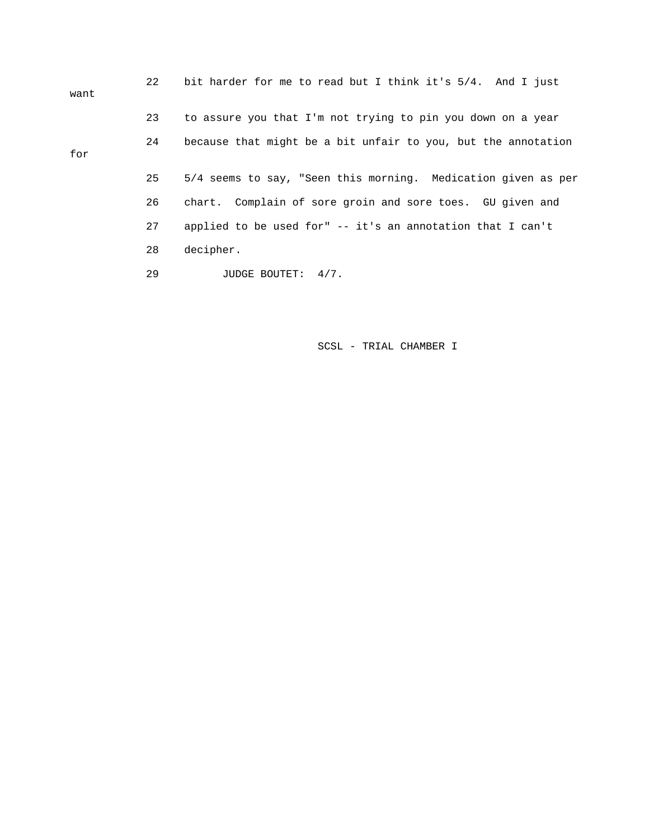| want | 22 | bit harder for me to read but I think it's 5/4. And I just    |
|------|----|---------------------------------------------------------------|
|      | 23 | to assure you that I'm not trying to pin you down on a year   |
| for  | 24 | because that might be a bit unfair to you, but the annotation |
|      | 25 | 5/4 seems to say, "Seen this morning. Medication given as per |
|      | 26 | chart. Complain of sore groin and sore toes. GU given and     |
|      | 27 | applied to be used for" -- it's an annotation that I can't    |
|      | 28 | decipher.                                                     |
|      | 29 | JUDGE BOUTET: 4/7.                                            |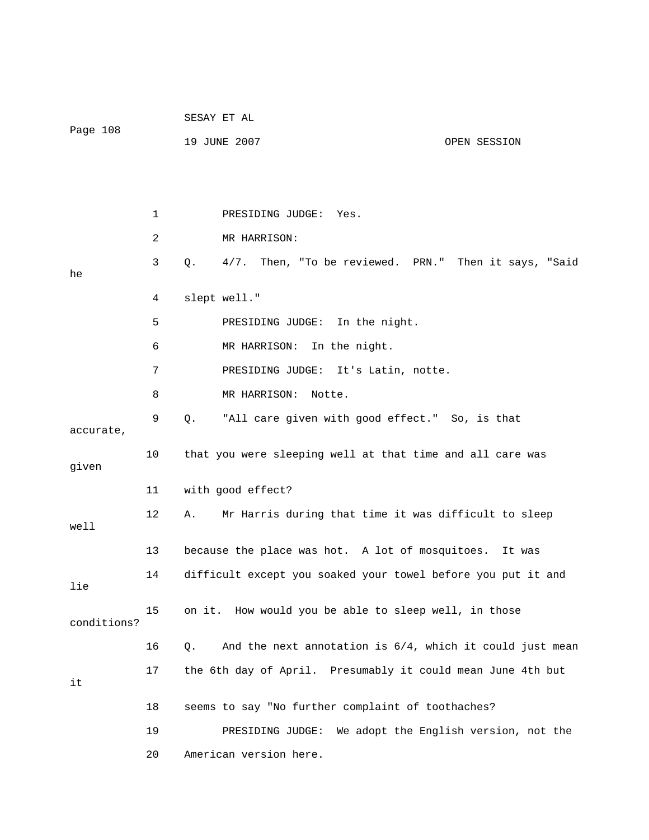|             |                | SESAY ET AL                                                       |  |  |  |
|-------------|----------------|-------------------------------------------------------------------|--|--|--|
| Page 108    |                | 19 JUNE 2007<br>OPEN SESSION                                      |  |  |  |
|             |                |                                                                   |  |  |  |
|             |                |                                                                   |  |  |  |
|             | 1              | PRESIDING JUDGE:<br>Yes.                                          |  |  |  |
|             | $\overline{a}$ | MR HARRISON:                                                      |  |  |  |
| he          | 3              | Then, "To be reviewed. PRN." Then it says, "Said<br>Q.<br>$4/7$ . |  |  |  |
|             | 4              | slept well."                                                      |  |  |  |
|             | 5              | PRESIDING JUDGE: In the night.                                    |  |  |  |
|             | 6              | MR HARRISON:<br>In the night.                                     |  |  |  |
|             | 7              | PRESIDING JUDGE: It's Latin, notte.                               |  |  |  |
|             | 8              | MR HARRISON:<br>Notte.                                            |  |  |  |
| accurate,   | 9              | Q.<br>"All care given with good effect." So, is that              |  |  |  |
| given       | 10             | that you were sleeping well at that time and all care was         |  |  |  |
|             | 11             | with good effect?                                                 |  |  |  |
| well        | 12             | Mr Harris during that time it was difficult to sleep<br>Α.        |  |  |  |
|             | 13             | because the place was hot. A lot of mosquitoes.<br>It was         |  |  |  |
| lie         | 14             | difficult except you soaked your towel before you put it and      |  |  |  |
| conditions? | 15             | on it. How would you be able to sleep well, in those              |  |  |  |
|             | 16             | And the next annotation is $6/4$ , which it could just mean<br>Q. |  |  |  |
| it          | 17             | the 6th day of April. Presumably it could mean June 4th but       |  |  |  |
|             | 18             | seems to say "No further complaint of toothaches?                 |  |  |  |
|             | 19             | We adopt the English version, not the<br>PRESIDING JUDGE:         |  |  |  |
|             | 20             | American version here.                                            |  |  |  |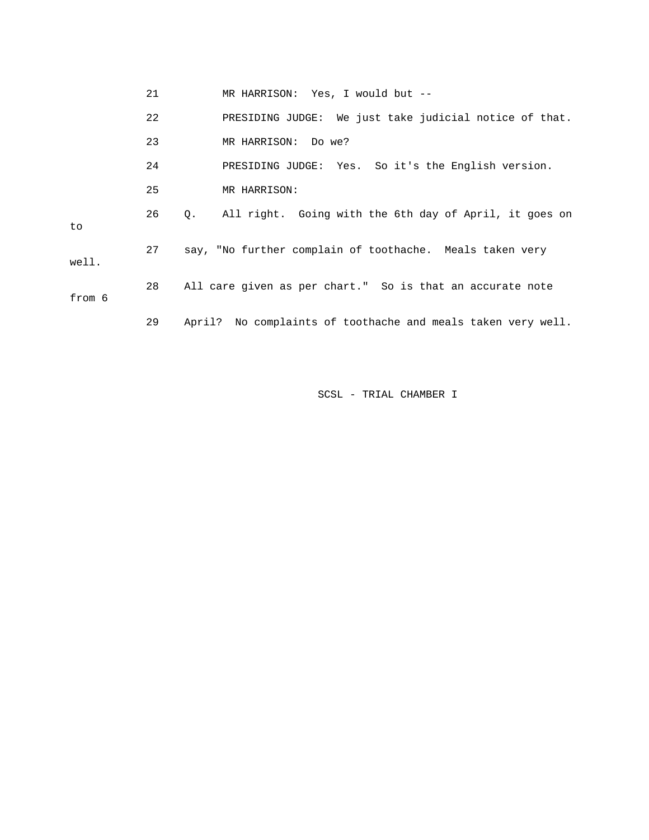|  | MR HARRISON: | Yes, I would but |
|--|--------------|------------------|
|--|--------------|------------------|

|        | 22 | PRESIDING JUDGE: We just take judicial notice of that.       |
|--------|----|--------------------------------------------------------------|
|        | 23 | MR HARRISON: Do we?                                          |
|        | 24 | PRESIDING JUDGE: Yes. So it's the English version.           |
|        | 25 | MR HARRISON:                                                 |
| to     | 26 | All right. Going with the 6th day of April, it goes on<br>0. |
| well.  | 27 | say, "No further complain of toothache. Meals taken very     |
| from 6 | 28 | All care given as per chart." So is that an accurate note    |
|        | 29 | April? No complaints of toothache and meals taken very well. |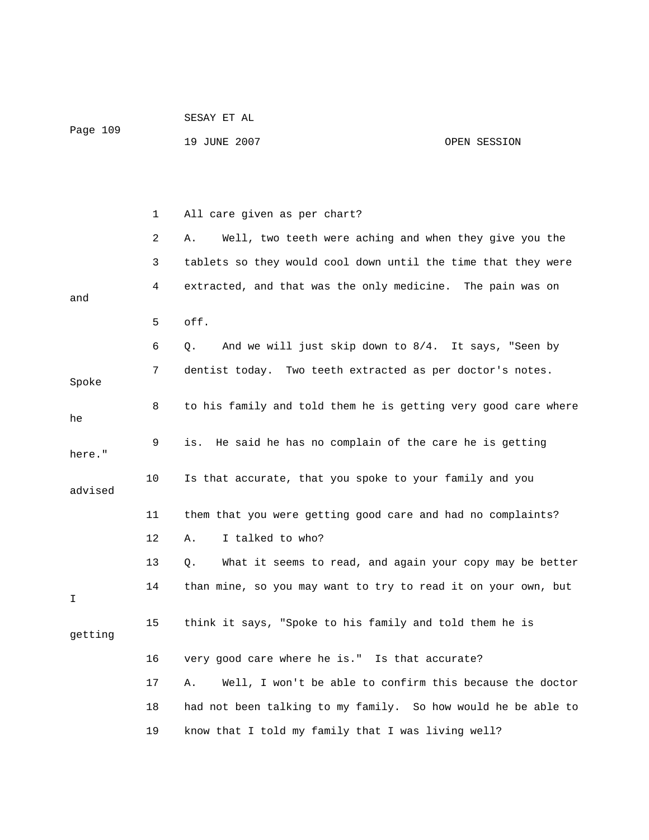| Page 109 |    |                                                                |              |
|----------|----|----------------------------------------------------------------|--------------|
|          |    | 19 JUNE 2007                                                   | OPEN SESSION |
|          |    |                                                                |              |
|          |    |                                                                |              |
|          |    |                                                                |              |
|          | 1  | All care given as per chart?                                   |              |
|          | 2  | Well, two teeth were aching and when they give you the<br>Α.   |              |
|          | 3  | tablets so they would cool down until the time that they were  |              |
|          | 4  | extracted, and that was the only medicine. The pain was on     |              |
| and      |    |                                                                |              |
|          | 5  | off.                                                           |              |
|          | 6  | And we will just skip down to 8/4. It says, "Seen by<br>Q.     |              |
|          | 7  | dentist today. Two teeth extracted as per doctor's notes.      |              |
| Spoke    |    |                                                                |              |
| he       | 8  | to his family and told them he is getting very good care where |              |
|          | 9  | He said he has no complain of the care he is getting<br>is.    |              |
| here."   |    |                                                                |              |
|          | 10 | Is that accurate, that you spoke to your family and you        |              |
| advised  |    |                                                                |              |
|          | 11 | them that you were getting good care and had no complaints?    |              |
|          | 12 | I talked to who?<br>Α.                                         |              |
|          | 13 | What it seems to read, and again your copy may be better<br>Q. |              |
|          | 14 | than mine, so you may want to try to read it on your own, but  |              |
| Ι        |    |                                                                |              |
| getting  | 15 | think it says, "Spoke to his family and told them he is        |              |
|          |    |                                                                |              |
|          | 16 | very good care where he is." Is that accurate?                 |              |
|          | 17 | Well, I won't be able to confirm this because the doctor<br>Α. |              |
|          | 18 | had not been talking to my family. So how would he be able to  |              |
|          | 19 | know that I told my family that I was living well?             |              |

SESAY ET AL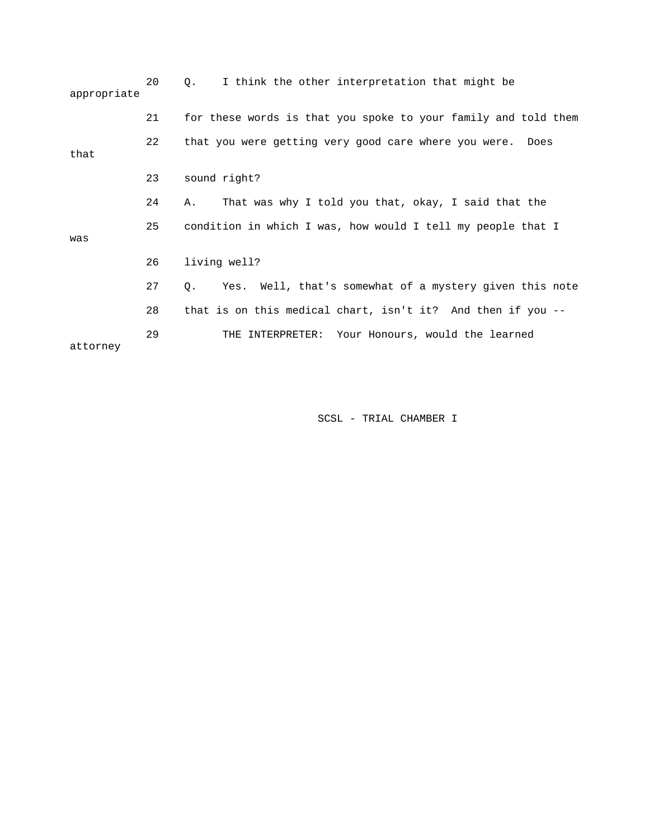| appropriate | 20 | I think the other interpretation that might be<br>Q.                      |
|-------------|----|---------------------------------------------------------------------------|
|             | 21 | for these words is that you spoke to your family and told them            |
| that        | 22 | that you were getting very good care where you were. Does                 |
|             | 23 | sound right?                                                              |
|             | 24 | That was why I told you that, okay, I said that the<br>Α.                 |
| was         | 25 | condition in which I was, how would I tell my people that I               |
|             | 26 | living well?                                                              |
|             | 27 | Yes. Well, that's somewhat of a mystery given this note<br>Q <sub>z</sub> |
|             | 28 | that is on this medical chart, isn't it? And then if you --               |
| attorney    | 29 | THE INTERPRETER: Your Honours, would the learned                          |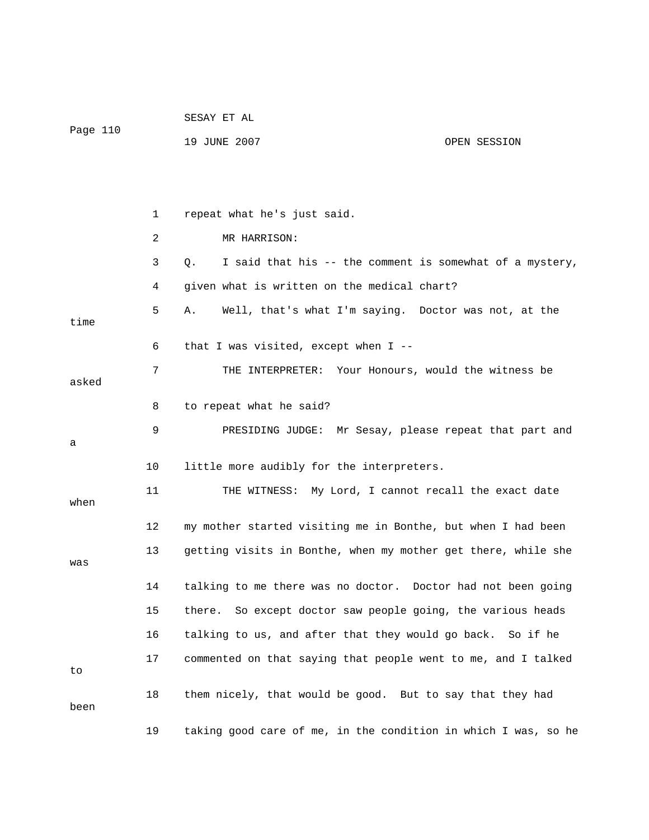|          |    | SESAY ET AL                                                    |                                                          |
|----------|----|----------------------------------------------------------------|----------------------------------------------------------|
| Page 110 |    | 19 JUNE 2007                                                   | OPEN SESSION                                             |
|          |    |                                                                |                                                          |
|          |    |                                                                |                                                          |
|          | 1  | repeat what he's just said.                                    |                                                          |
|          | 2  | MR HARRISON:                                                   |                                                          |
|          | 3  | Q.                                                             | I said that his -- the comment is somewhat of a mystery, |
|          | 4  | given what is written on the medical chart?                    |                                                          |
| time     | 5  | Α.                                                             | Well, that's what I'm saying. Doctor was not, at the     |
|          | 6  | that I was visited, except when I --                           |                                                          |
| asked    | 7  |                                                                | THE INTERPRETER: Your Honours, would the witness be      |
|          | 8  | to repeat what he said?                                        |                                                          |
| а        | 9  |                                                                | PRESIDING JUDGE: Mr Sesay, please repeat that part and   |
|          | 10 | little more audibly for the interpreters.                      |                                                          |
| when     | 11 |                                                                | THE WITNESS: My Lord, I cannot recall the exact date     |
|          | 12 | my mother started visiting me in Bonthe, but when I had been   |                                                          |
| was      | 13 | getting visits in Bonthe, when my mother get there, while she  |                                                          |
|          | 14 | talking to me there was no doctor. Doctor had not been going   |                                                          |
|          | 15 | there.                                                         | So except doctor saw people going, the various heads     |
|          | 16 | talking to us, and after that they would go back.              | So if he                                                 |
| to       | 17 | commented on that saying that people went to me, and I talked  |                                                          |
| been     | 18 | them nicely, that would be good. But to say that they had      |                                                          |
|          | 19 | taking good care of me, in the condition in which I was, so he |                                                          |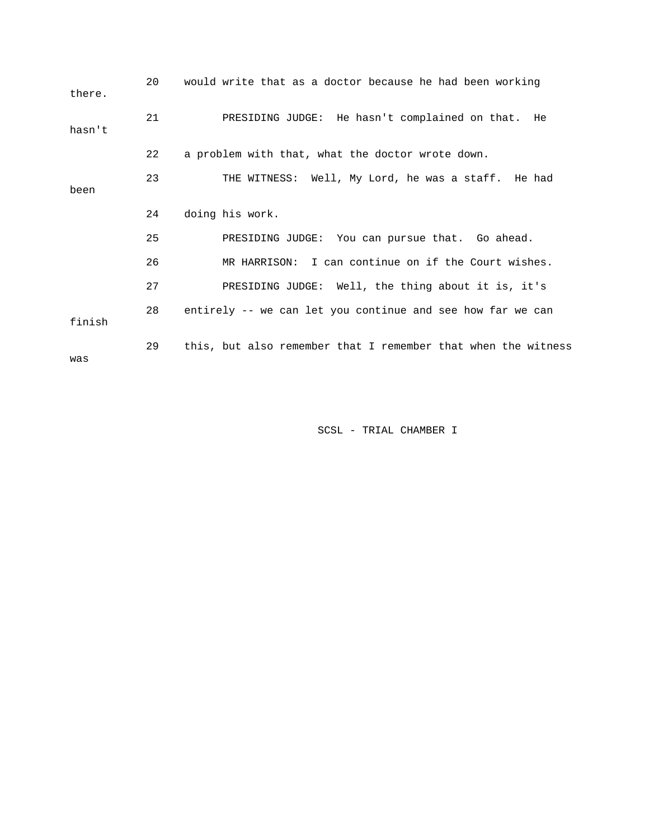| there. | 20 | would write that as a doctor because he had been working      |
|--------|----|---------------------------------------------------------------|
| hasn't | 21 | PRESIDING JUDGE: He hasn't complained on that. He             |
|        | 22 | a problem with that, what the doctor wrote down.              |
| been   | 23 | THE WITNESS: Well, My Lord, he was a staff. He had            |
|        | 24 | doing his work.                                               |
|        | 25 | PRESIDING JUDGE: You can pursue that. Go ahead.               |
|        | 26 | MR HARRISON: I can continue on if the Court wishes.           |
|        | 27 | PRESIDING JUDGE: Well, the thing about it is, it's            |
| finish | 28 | entirely -- we can let you continue and see how far we can    |
| was    | 29 | this, but also remember that I remember that when the witness |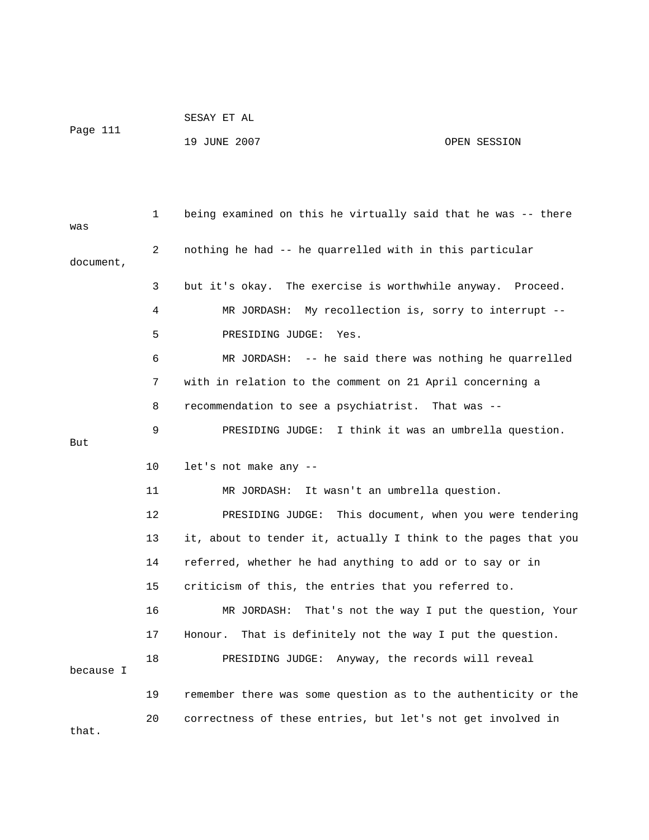```
 SESAY ET AL
```
Page 111

## 19 JUNE 2007 CPEN SESSION

| was       | $\mathbf{1}$ | being examined on this he virtually said that he was -- there  |
|-----------|--------------|----------------------------------------------------------------|
| document, | 2            | nothing he had -- he quarrelled with in this particular        |
|           | 3            | but it's okay. The exercise is worthwhile anyway. Proceed.     |
|           | 4            | MR JORDASH: My recollection is, sorry to interrupt --          |
|           | 5            | PRESIDING JUDGE:<br>Yes.                                       |
|           | 6            | MR JORDASH: -- he said there was nothing he quarrelled         |
|           | 7            | with in relation to the comment on 21 April concerning a       |
|           | 8            | recommendation to see a psychiatrist. That was --              |
| But       | 9            | PRESIDING JUDGE: I think it was an umbrella question.          |
|           | 10           | let's not make any --                                          |
|           | 11           | MR JORDASH:<br>It wasn't an umbrella question.                 |
|           | 12           | PRESIDING JUDGE: This document, when you were tendering        |
|           | 13           | it, about to tender it, actually I think to the pages that you |
|           | 14           | referred, whether he had anything to add or to say or in       |
|           | 15           | criticism of this, the entries that you referred to.           |
|           | 16           | That's not the way I put the question, Your<br>MR JORDASH:     |
|           | 17           | Honour.<br>That is definitely not the way I put the question.  |
| because I | 18           | PRESIDING JUDGE: Anyway, the records will reveal               |
|           | 19           | remember there was some question as to the authenticity or the |
| that.     | 20           | correctness of these entries, but let's not get involved in    |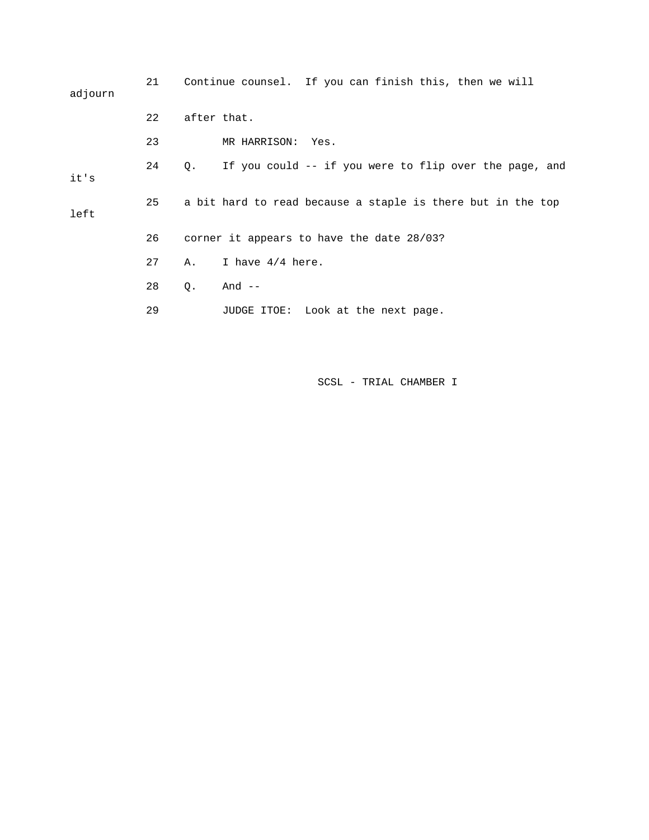| adjourn | 21 |             | Continue counsel. If you can finish this, then we will      |      |  |  |
|---------|----|-------------|-------------------------------------------------------------|------|--|--|
|         | 22 | after that. |                                                             |      |  |  |
|         | 23 |             | MR HARRISON:                                                | Yes. |  |  |
| it's    | 24 | $\circ$ .   | If you could -- if you were to flip over the page, and      |      |  |  |
| left    | 25 |             | a bit hard to read because a staple is there but in the top |      |  |  |
|         | 26 |             | corner it appears to have the date 28/03?                   |      |  |  |
|         | 27 | Α.          | I have $4/4$ here.                                          |      |  |  |
|         | 28 | Q.          | And --                                                      |      |  |  |
|         | 29 |             | JUDGE ITOE: Look at the next page.                          |      |  |  |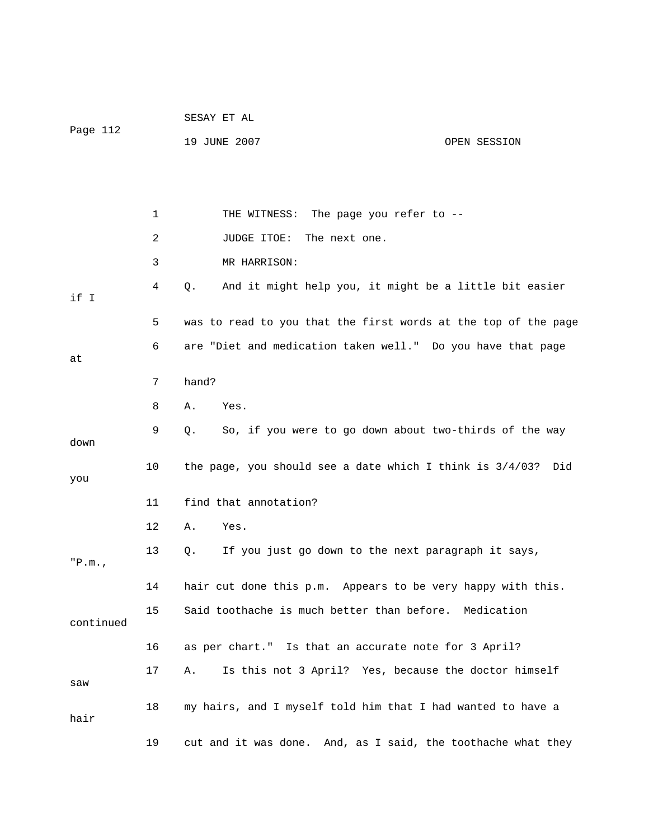|           |    | SESAY ET AL                                                        |
|-----------|----|--------------------------------------------------------------------|
| Page 112  |    | 19 JUNE 2007<br>OPEN SESSION                                       |
|           |    |                                                                    |
|           |    |                                                                    |
|           | 1  | THE WITNESS: The page you refer to --                              |
|           | 2  | JUDGE ITOE:<br>The next one.                                       |
|           | 3  | MR HARRISON:                                                       |
| if I      | 4  | $Q$ .<br>And it might help you, it might be a little bit easier    |
|           | 5  | was to read to you that the first words at the top of the page     |
| at        | 6  | are "Diet and medication taken well." Do you have that page        |
|           | 7  | hand?                                                              |
|           | 8  | Yes.<br>Α.                                                         |
| down      | 9  | So, if you were to go down about two-thirds of the way<br>Q.       |
| you       | 10 | the page, you should see a date which I think is $3/4/03$ ?<br>Did |
|           | 11 | find that annotation?                                              |
|           | 12 | Yes.<br>Α.                                                         |
| "P.m.     | 13 | If you just go down to the next paragraph it says,<br>Q.           |
|           | 14 | hair cut done this p.m.<br>Appears to be very happy with this.     |
| continued | 15 | Said toothache is much better than before. Medication              |
|           | 16 | as per chart." Is that an accurate note for 3 April?               |
| saw       | 17 | Is this not 3 April? Yes, because the doctor himself<br>Α.         |
| hair      | 18 | my hairs, and I myself told him that I had wanted to have a        |
|           | 19 | cut and it was done. And, as I said, the toothache what they       |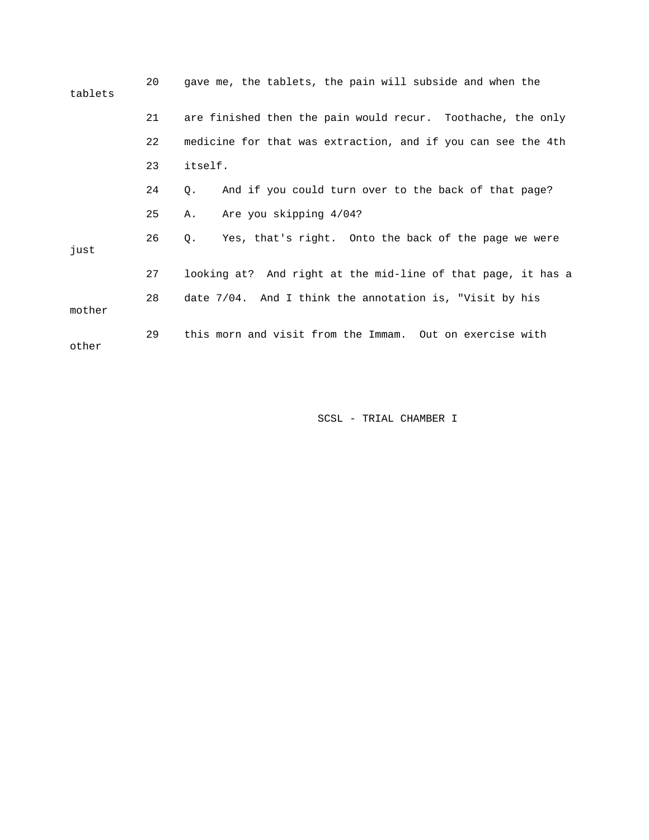| tablets | 20 | gave me, the tablets, the pain will subside and when the     |
|---------|----|--------------------------------------------------------------|
|         | 21 | are finished then the pain would recur. Toothache, the only  |
|         | 22 | medicine for that was extraction, and if you can see the 4th |
|         | 23 | itself.                                                      |
|         | 24 | And if you could turn over to the back of that page?<br>Q.   |
|         | 25 | Are you skipping 4/04?<br>Α.                                 |
| just    | 26 | Yes, that's right. Onto the back of the page we were<br>О.   |
|         | 27 | looking at? And right at the mid-line of that page, it has a |
| mother  | 28 | date 7/04. And I think the annotation is, "Visit by his      |
| other   | 29 | this morn and visit from the Immam. Out on exercise with     |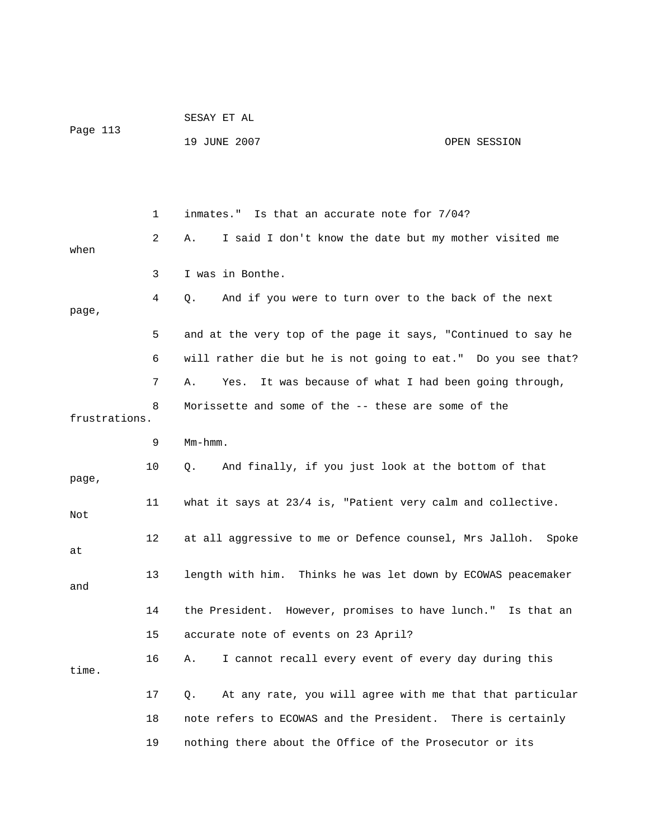|               |    | SESAY ET AL                                                    |                    |
|---------------|----|----------------------------------------------------------------|--------------------|
| Page 113      |    | 19 JUNE 2007                                                   | OPEN SESSION       |
|               |    |                                                                |                    |
|               |    |                                                                |                    |
|               | 1  | inmates." Is that an accurate note for 7/04?                   |                    |
| when          | 2  | I said I don't know the date but my mother visited me<br>Α.    |                    |
|               | 3  | I was in Bonthe.                                               |                    |
| page,         | 4  | And if you were to turn over to the back of the next<br>Q.     |                    |
|               | 5  | and at the very top of the page it says, "Continued to say he  |                    |
|               | 6  | will rather die but he is not going to eat." Do you see that?  |                    |
|               | 7  | It was because of what I had been going through,<br>Α.<br>Yes. |                    |
| frustrations. | 8  | Morissette and some of the -- these are some of the            |                    |
|               | 9  | $Mm-hmm$ .                                                     |                    |
| page,         | 10 | And finally, if you just look at the bottom of that<br>Q.      |                    |
| Not           | 11 | what it says at 23/4 is, "Patient very calm and collective.    |                    |
| at            | 12 | at all aggressive to me or Defence counsel, Mrs Jalloh.        | Spoke              |
| and           | 13 | length with him. Thinks he was let down by ECOWAS peacemaker   |                    |
|               | 14 | the President. However, promises to have lunch." Is that an    |                    |
|               | 15 | accurate note of events on 23 April?                           |                    |
| time.         | 16 | I cannot recall every event of every day during this<br>Α.     |                    |
|               | 17 | At any rate, you will agree with me that that particular<br>Q. |                    |
|               | 18 | note refers to ECOWAS and the President.                       | There is certainly |
|               | 19 | nothing there about the Office of the Prosecutor or its        |                    |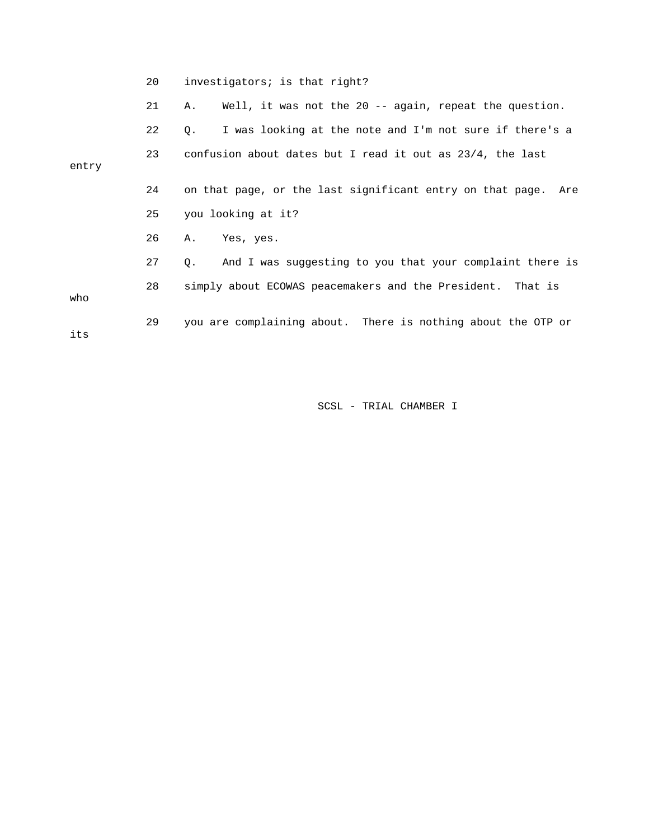|       | 20 | investigators; is that right?                                  |
|-------|----|----------------------------------------------------------------|
|       | 21 | Well, it was not the 20 -- again, repeat the question.<br>Α.   |
|       | 22 | I was looking at the note and I'm not sure if there's a<br>Q.  |
| entry | 23 | confusion about dates but I read it out as 23/4, the last      |
|       | 24 | on that page, or the last significant entry on that page. Are  |
|       | 25 | you looking at it?                                             |
|       | 26 | A. Yes, yes.                                                   |
|       | 27 | And I was suggesting to you that your complaint there is<br>Q. |
| who   | 28 | simply about ECOWAS peacemakers and the President. That is     |
| its   | 29 | you are complaining about. There is nothing about the OTP or   |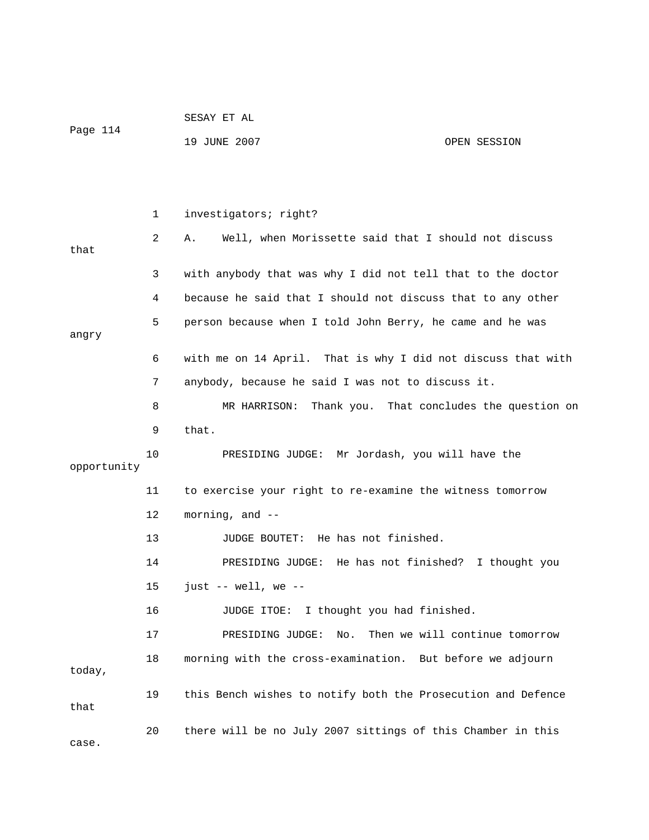|                   |    | SESAY ET AL                                                  |                                |  |  |
|-------------------|----|--------------------------------------------------------------|--------------------------------|--|--|
| Page 114          |    | 19 JUNE 2007                                                 | OPEN SESSION                   |  |  |
|                   |    |                                                              |                                |  |  |
|                   |    |                                                              |                                |  |  |
|                   | 1  | investigators; right?                                        |                                |  |  |
| that              | 2  | Well, when Morissette said that I should not discuss<br>Α.   |                                |  |  |
|                   | 3  | with anybody that was why I did not tell that to the doctor  |                                |  |  |
|                   | 4  | because he said that I should not discuss that to any other  |                                |  |  |
| angry             | 5  | person because when I told John Berry, he came and he was    |                                |  |  |
|                   | 6  | with me on 14 April. That is why I did not discuss that with |                                |  |  |
|                   | 7  | anybody, because he said I was not to discuss it.            |                                |  |  |
|                   | 8  | MR HARRISON: Thank you. That concludes the question on       |                                |  |  |
|                   | 9  | that.                                                        |                                |  |  |
| 10<br>opportunity |    | PRESIDING JUDGE: Mr Jordash, you will have the               |                                |  |  |
|                   | 11 | to exercise your right to re-examine the witness tomorrow    |                                |  |  |
|                   | 12 | morning, and --                                              |                                |  |  |
|                   | 13 | JUDGE BOUTET: He has not finished.                           |                                |  |  |
|                   | 14 | PRESIDING JUDGE: He has not finished? I thought you          |                                |  |  |
|                   | 15 | just $--$ well, we $--$                                      |                                |  |  |
|                   | 16 | JUDGE ITOE: I thought you had finished.                      |                                |  |  |
|                   | 17 | PRESIDING JUDGE:<br>No.                                      | Then we will continue tomorrow |  |  |
| today,            | 18 | morning with the cross-examination. But before we adjourn    |                                |  |  |
| that              | 19 | this Bench wishes to notify both the Prosecution and Defence |                                |  |  |
| case.             | 20 | there will be no July 2007 sittings of this Chamber in this  |                                |  |  |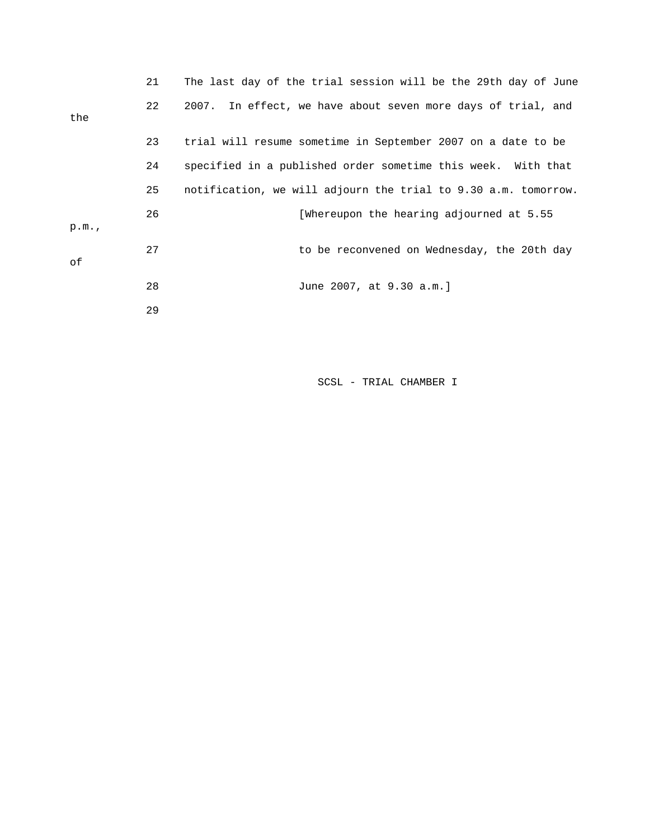|      | 21 | The last day of the trial session will be the 29th day of June |
|------|----|----------------------------------------------------------------|
| the  | 22 | 2007. In effect, we have about seven more days of trial, and   |
|      | 23 | trial will resume sometime in September 2007 on a date to be   |
|      | 24 | specified in a published order sometime this week. With that   |
|      | 25 | notification, we will adjourn the trial to 9.30 a.m. tomorrow. |
| p.m. | 26 | [Whereupon the hearing adjourned at 5.55                       |
| оf   | 27 | to be reconvened on Wednesday, the 20th day                    |
|      | 28 | June 2007, at 9.30 a.m.]                                       |
|      | 29 |                                                                |